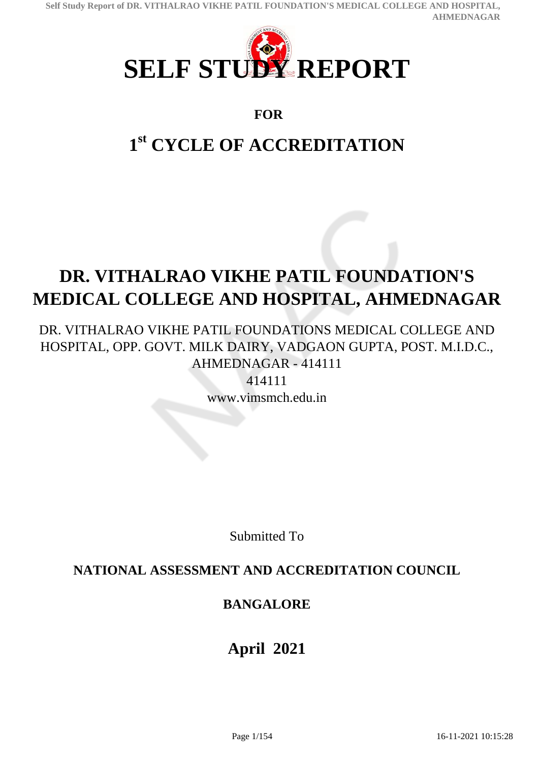

### **FOR**

# **1 st CYCLE OF ACCREDITATION**

# **DR. VITHALRAO VIKHE PATIL FOUNDATION'S MEDICAL COLLEGE AND HOSPITAL, AHMEDNAGAR**

DR. VITHALRAO VIKHE PATIL FOUNDATIONS MEDICAL COLLEGE AND HOSPITAL, OPP. GOVT. MILK DAIRY, VADGAON GUPTA, POST. M.I.D.C., AHMEDNAGAR - 414111

> 414111 www.vimsmch.edu.in

> > Submitted To

### **NATIONAL ASSESSMENT AND ACCREDITATION COUNCIL**

### **BANGALORE**

## **April 2021**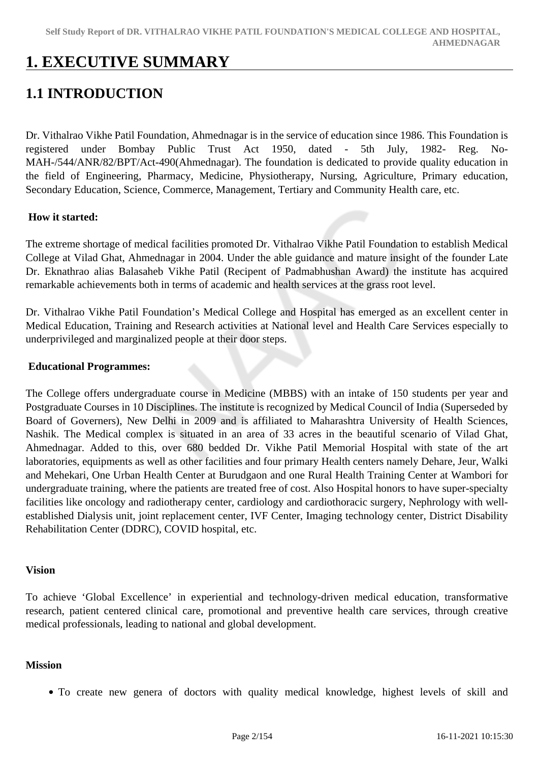## **1. EXECUTIVE SUMMARY**

## **1.1 INTRODUCTION**

Dr. Vithalrao Vikhe Patil Foundation, Ahmednagar is in the service of education since 1986. This Foundation is registered under Bombay Public Trust Act 1950, dated - 5th July, 1982- Reg. No-MAH-/544/ANR/82/BPT/Act-490(Ahmednagar). The foundation is dedicated to provide quality education in the field of Engineering, Pharmacy, Medicine, Physiotherapy, Nursing, Agriculture, Primary education, Secondary Education, Science, Commerce, Management, Tertiary and Community Health care, etc.

#### **How it started:**

The extreme shortage of medical facilities promoted Dr. Vithalrao Vikhe Patil Foundation to establish Medical College at Vilad Ghat, Ahmednagar in 2004. Under the able guidance and mature insight of the founder Late Dr. Eknathrao alias Balasaheb Vikhe Patil (Recipent of Padmabhushan Award) the institute has acquired remarkable achievements both in terms of academic and health services at the grass root level.

Dr. Vithalrao Vikhe Patil Foundation's Medical College and Hospital has emerged as an excellent center in Medical Education, Training and Research activities at National level and Health Care Services especially to underprivileged and marginalized people at their door steps.

#### **Educational Programmes:**

The College offers undergraduate course in Medicine (MBBS) with an intake of 150 students per year and Postgraduate Courses in 10 Disciplines. The institute is recognized by Medical Council of India (Superseded by Board of Governers), New Delhi in 2009 and is affiliated to Maharashtra University of Health Sciences, Nashik. The Medical complex is situated in an area of 33 acres in the beautiful scenario of Vilad Ghat, Ahmednagar. Added to this, over 680 bedded Dr. Vikhe Patil Memorial Hospital with state of the art laboratories, equipments as well as other facilities and four primary Health centers namely Dehare, Jeur, Walki and Mehekari, One Urban Health Center at Burudgaon and one Rural Health Training Center at Wambori for undergraduate training, where the patients are treated free of cost. Also Hospital honors to have super-specialty facilities like oncology and radiotherapy center, cardiology and cardiothoracic surgery, Nephrology with wellestablished Dialysis unit, joint replacement center, IVF Center, Imaging technology center, District Disability Rehabilitation Center (DDRC), COVID hospital, etc.

#### **Vision**

To achieve 'Global Excellence' in experiential and technology-driven medical education, transformative research, patient centered clinical care, promotional and preventive health care services, through creative medical professionals, leading to national and global development.

#### **Mission**

To create new genera of doctors with quality medical knowledge, highest levels of skill and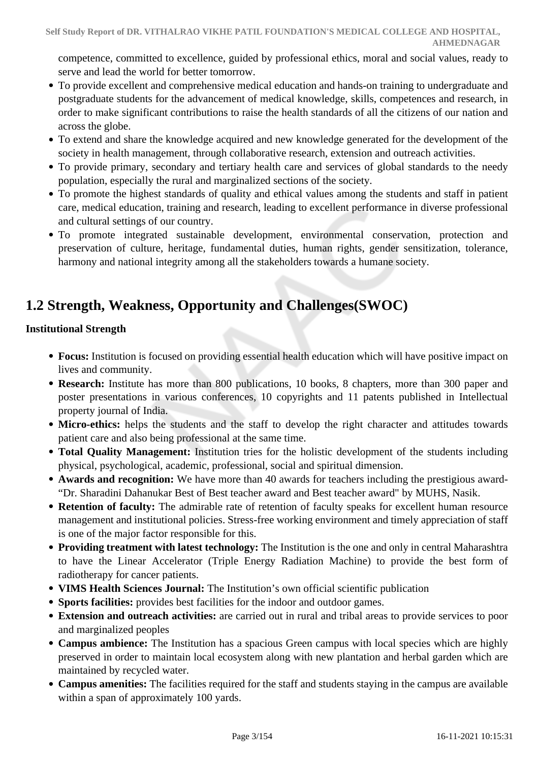competence, committed to excellence, guided by professional ethics, moral and social values, ready to serve and lead the world for better tomorrow.

- To provide excellent and comprehensive medical education and hands-on training to undergraduate and postgraduate students for the advancement of medical knowledge, skills, competences and research, in order to make significant contributions to raise the health standards of all the citizens of our nation and across the globe.
- To extend and share the knowledge acquired and new knowledge generated for the development of the society in health management, through collaborative research, extension and outreach activities.
- To provide primary, secondary and tertiary health care and services of global standards to the needy population, especially the rural and marginalized sections of the society.
- To promote the highest standards of quality and ethical values among the students and staff in patient care, medical education, training and research, leading to excellent performance in diverse professional and cultural settings of our country.
- To promote integrated sustainable development, environmental conservation, protection and preservation of culture, heritage, fundamental duties, human rights, gender sensitization, tolerance, harmony and national integrity among all the stakeholders towards a humane society.

## **1.2 Strength, Weakness, Opportunity and Challenges(SWOC)**

#### **Institutional Strength**

- **Focus:** Institution is focused on providing essential health education which will have positive impact on lives and community.
- **Research:** Institute has more than 800 publications, 10 books, 8 chapters, more than 300 paper and poster presentations in various conferences, 10 copyrights and 11 patents published in Intellectual property journal of India.
- Micro-ethics: helps the students and the staff to develop the right character and attitudes towards patient care and also being professional at the same time.
- **Total Quality Management:** Institution tries for the holistic development of the students including physical, psychological, academic, professional, social and spiritual dimension.
- **Awards and recognition:** We have more than 40 awards for teachers including the prestigious award- "Dr. Sharadini Dahanukar Best of Best teacher award and Best teacher award" by MUHS, Nasik.
- **Retention of faculty:** The admirable rate of retention of faculty speaks for excellent human resource management and institutional policies. Stress-free working environment and timely appreciation of staff is one of the major factor responsible for this.
- **Providing treatment with latest technology:** The Institution is the one and only in central Maharashtra to have the Linear Accelerator (Triple Energy Radiation Machine) to provide the best form of radiotherapy for cancer patients.
- **VIMS Health Sciences Journal:** The Institution's own official scientific publication
- **Sports facilities:** provides best facilities for the indoor and outdoor games.
- **Extension and outreach activities:** are carried out in rural and tribal areas to provide services to poor and marginalized peoples
- **Campus ambience:** The Institution has a spacious Green campus with local species which are highly preserved in order to maintain local ecosystem along with new plantation and herbal garden which are maintained by recycled water.
- **Campus amenities:** The facilities required for the staff and students staying in the campus are available within a span of approximately 100 yards.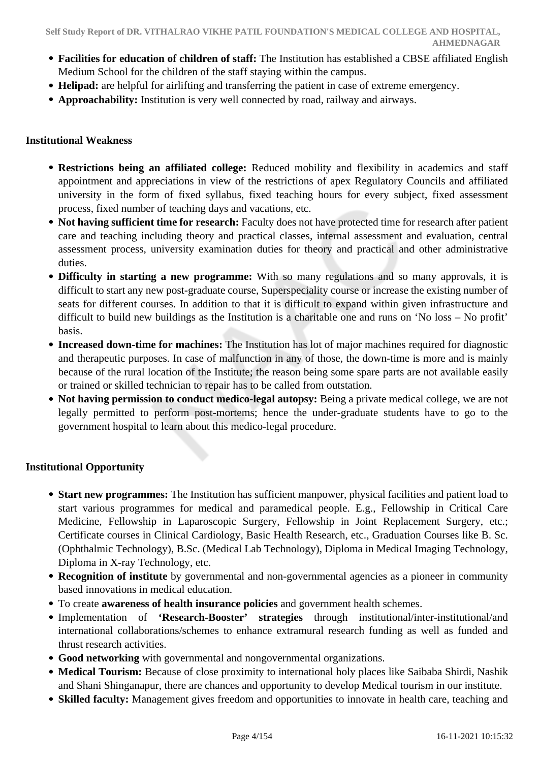- **Facilities for education of children of staff:** The Institution has established a CBSE affiliated English Medium School for the children of the staff staying within the campus.
- **Helipad:** are helpful for airlifting and transferring the patient in case of extreme emergency.
- **Approachability:** Institution is very well connected by road, railway and airways.

#### **Institutional Weakness**

- **Restrictions being an affiliated college:** Reduced mobility and flexibility in academics and staff appointment and appreciations in view of the restrictions of apex Regulatory Councils and affiliated university in the form of fixed syllabus, fixed teaching hours for every subject, fixed assessment process, fixed number of teaching days and vacations, etc.
- **Not having sufficient time for research:** Faculty does not have protected time for research after patient care and teaching including theory and practical classes, internal assessment and evaluation, central assessment process, university examination duties for theory and practical and other administrative duties.
- **Difficulty in starting a new programme:** With so many regulations and so many approvals, it is difficult to start any new post-graduate course, Superspeciality course or increase the existing number of seats for different courses. In addition to that it is difficult to expand within given infrastructure and difficult to build new buildings as the Institution is a charitable one and runs on 'No loss – No profit' basis.
- **Increased down-time for machines:** The Institution has lot of major machines required for diagnostic and therapeutic purposes. In case of malfunction in any of those, the down-time is more and is mainly because of the rural location of the Institute; the reason being some spare parts are not available easily or trained or skilled technician to repair has to be called from outstation.
- **Not having permission to conduct medico-legal autopsy:** Being a private medical college, we are not legally permitted to perform post-mortems; hence the under-graduate students have to go to the government hospital to learn about this medico-legal procedure.

#### **Institutional Opportunity**

- **Start new programmes:** The Institution has sufficient manpower, physical facilities and patient load to start various programmes for medical and paramedical people. E.g., Fellowship in Critical Care Medicine, Fellowship in Laparoscopic Surgery, Fellowship in Joint Replacement Surgery, etc.; Certificate courses in Clinical Cardiology, Basic Health Research, etc., Graduation Courses like B. Sc. (Ophthalmic Technology), B.Sc. (Medical Lab Technology), Diploma in Medical Imaging Technology, Diploma in X-ray Technology, etc.
- **Recognition of institute** by governmental and non-governmental agencies as a pioneer in community based innovations in medical education.
- To create **awareness of health insurance policies** and government health schemes.
- Implementation of **'Research-Booster' strategies** through institutional/inter-institutional/and international collaborations/schemes to enhance extramural research funding as well as funded and thrust research activities.
- **Good networking** with governmental and nongovernmental organizations.
- **Medical Tourism:** Because of close proximity to international holy places like Saibaba Shirdi, Nashik and Shani Shinganapur, there are chances and opportunity to develop Medical tourism in our institute.
- **Skilled faculty:** Management gives freedom and opportunities to innovate in health care, teaching and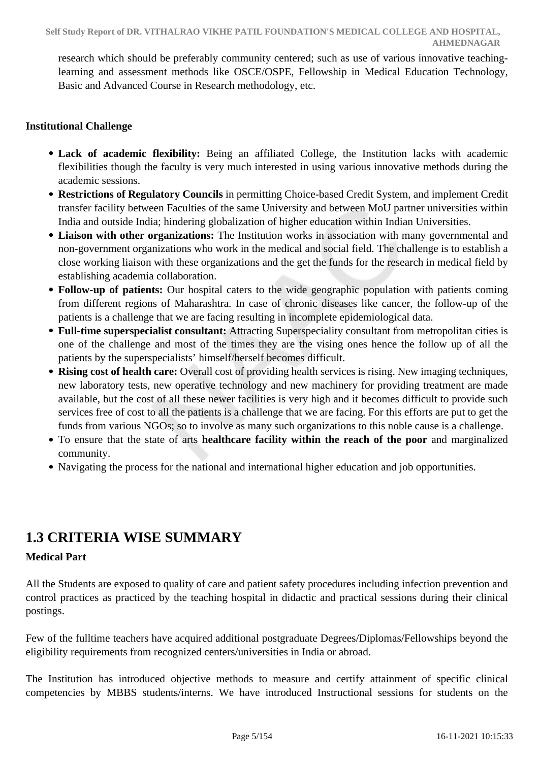research which should be preferably community centered; such as use of various innovative teachinglearning and assessment methods like OSCE/OSPE, Fellowship in Medical Education Technology, Basic and Advanced Course in Research methodology, etc.

#### **Institutional Challenge**

- **Lack of academic flexibility:** Being an affiliated College, the Institution lacks with academic flexibilities though the faculty is very much interested in using various innovative methods during the academic sessions.
- **Restrictions of Regulatory Councils** in permitting Choice-based Credit System, and implement Credit transfer facility between Faculties of the same University and between MoU partner universities within India and outside India; hindering globalization of higher education within Indian Universities.
- **Liaison with other organizations:** The Institution works in association with many governmental and non-government organizations who work in the medical and social field. The challenge is to establish a close working liaison with these organizations and the get the funds for the research in medical field by establishing academia collaboration.
- **Follow-up of patients:** Our hospital caters to the wide geographic population with patients coming from different regions of Maharashtra. In case of chronic diseases like cancer, the follow-up of the patients is a challenge that we are facing resulting in incomplete epidemiological data.
- **Full-time superspecialist consultant:** Attracting Superspeciality consultant from metropolitan cities is one of the challenge and most of the times they are the vising ones hence the follow up of all the patients by the superspecialists' himself/herself becomes difficult.
- **Rising cost of health care:** Overall cost of providing health services is rising. New imaging techniques, new laboratory tests, new operative technology and new machinery for providing treatment are made available, but the cost of all these newer facilities is very high and it becomes difficult to provide such services free of cost to all the patients is a challenge that we are facing. For this efforts are put to get the funds from various NGOs; so to involve as many such organizations to this noble cause is a challenge.
- To ensure that the state of arts **healthcare facility within the reach of the poor** and marginalized community.
- Navigating the process for the national and international higher education and job opportunities.

### **1.3 CRITERIA WISE SUMMARY**

#### **Medical Part**

All the Students are exposed to quality of care and patient safety procedures including infection prevention and control practices as practiced by the teaching hospital in didactic and practical sessions during their clinical postings.

Few of the fulltime teachers have acquired additional postgraduate Degrees/Diplomas/Fellowships beyond the eligibility requirements from recognized centers/universities in India or abroad.

The Institution has introduced objective methods to measure and certify attainment of specific clinical competencies by MBBS students/interns. We have introduced Instructional sessions for students on the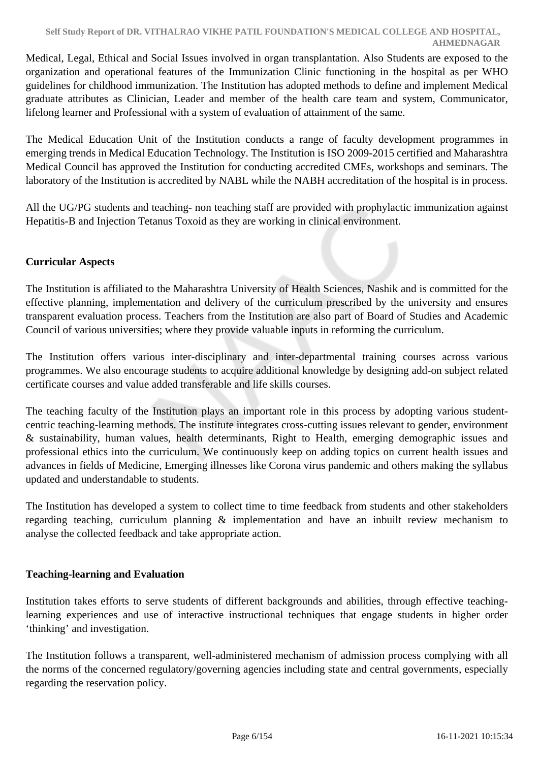Medical, Legal, Ethical and Social Issues involved in organ transplantation. Also Students are exposed to the organization and operational features of the Immunization Clinic functioning in the hospital as per WHO guidelines for childhood immunization. The Institution has adopted methods to define and implement Medical graduate attributes as Clinician, Leader and member of the health care team and system, Communicator, lifelong learner and Professional with a system of evaluation of attainment of the same.

The Medical Education Unit of the Institution conducts a range of faculty development programmes in emerging trends in Medical Education Technology. The Institution is ISO 2009-2015 certified and Maharashtra Medical Council has approved the Institution for conducting accredited CMEs, workshops and seminars. The laboratory of the Institution is accredited by NABL while the NABH accreditation of the hospital is in process.

All the UG/PG students and teaching- non teaching staff are provided with prophylactic immunization against Hepatitis-B and Injection Tetanus Toxoid as they are working in clinical environment.

#### **Curricular Aspects**

The Institution is affiliated to the Maharashtra University of Health Sciences, Nashik and is committed for the effective planning, implementation and delivery of the curriculum prescribed by the university and ensures transparent evaluation process. Teachers from the Institution are also part of Board of Studies and Academic Council of various universities; where they provide valuable inputs in reforming the curriculum.

The Institution offers various inter-disciplinary and inter-departmental training courses across various programmes. We also encourage students to acquire additional knowledge by designing add-on subject related certificate courses and value added transferable and life skills courses.

The teaching faculty of the Institution plays an important role in this process by adopting various studentcentric teaching-learning methods. The institute integrates cross-cutting issues relevant to gender, environment & sustainability, human values, health determinants, Right to Health, emerging demographic issues and professional ethics into the curriculum. We continuously keep on adding topics on current health issues and advances in fields of Medicine, Emerging illnesses like Corona virus pandemic and others making the syllabus updated and understandable to students.

The Institution has developed a system to collect time to time feedback from students and other stakeholders regarding teaching, curriculum planning & implementation and have an inbuilt review mechanism to analyse the collected feedback and take appropriate action.

#### **Teaching-learning and Evaluation**

Institution takes efforts to serve students of different backgrounds and abilities, through effective teachinglearning experiences and use of interactive instructional techniques that engage students in higher order 'thinking' and investigation.

The Institution follows a transparent, well-administered mechanism of admission process complying with all the norms of the concerned regulatory/governing agencies including state and central governments, especially regarding the reservation policy.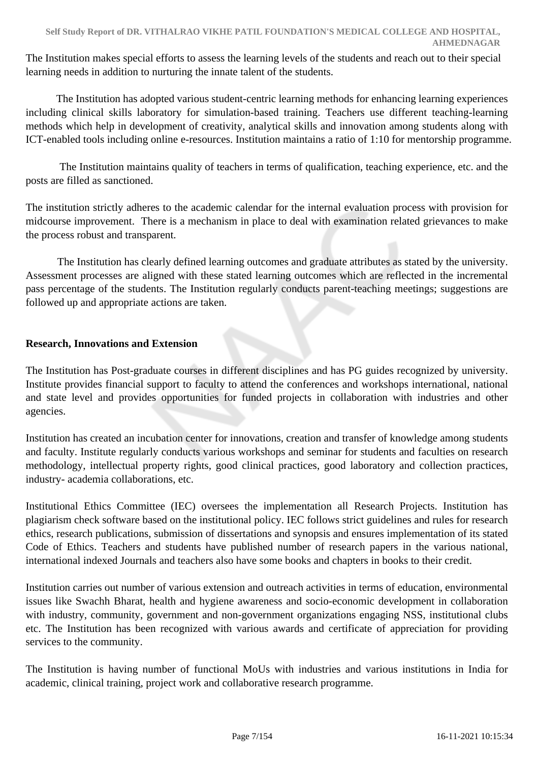The Institution makes special efforts to assess the learning levels of the students and reach out to their special learning needs in addition to nurturing the innate talent of the students.

 The Institution has adopted various student-centric learning methods for enhancing learning experiences including clinical skills laboratory for simulation-based training. Teachers use different teaching-learning methods which help in development of creativity, analytical skills and innovation among students along with ICT-enabled tools including online e-resources. Institution maintains a ratio of 1:10 for mentorship programme.

 The Institution maintains quality of teachers in terms of qualification, teaching experience, etc. and the posts are filled as sanctioned.

The institution strictly adheres to the academic calendar for the internal evaluation process with provision for midcourse improvement. There is a mechanism in place to deal with examination related grievances to make the process robust and transparent.

 The Institution has clearly defined learning outcomes and graduate attributes as stated by the university. Assessment processes are aligned with these stated learning outcomes which are reflected in the incremental pass percentage of the students. The Institution regularly conducts parent-teaching meetings; suggestions are followed up and appropriate actions are taken.

#### **Research, Innovations and Extension**

The Institution has Post-graduate courses in different disciplines and has PG guides recognized by university. Institute provides financial support to faculty to attend the conferences and workshops international, national and state level and provides opportunities for funded projects in collaboration with industries and other agencies.

Institution has created an incubation center for innovations, creation and transfer of knowledge among students and faculty. Institute regularly conducts various workshops and seminar for students and faculties on research methodology, intellectual property rights, good clinical practices, good laboratory and collection practices, industry- academia collaborations, etc.

Institutional Ethics Committee (IEC) oversees the implementation all Research Projects. Institution has plagiarism check software based on the institutional policy. IEC follows strict guidelines and rules for research ethics, research publications, submission of dissertations and synopsis and ensures implementation of its stated Code of Ethics. Teachers and students have published number of research papers in the various national, international indexed Journals and teachers also have some books and chapters in books to their credit.

Institution carries out number of various extension and outreach activities in terms of education, environmental issues like Swachh Bharat, health and hygiene awareness and socio-economic development in collaboration with industry, community, government and non-government organizations engaging NSS, institutional clubs etc. The Institution has been recognized with various awards and certificate of appreciation for providing services to the community.

The Institution is having number of functional MoUs with industries and various institutions in India for academic, clinical training, project work and collaborative research programme.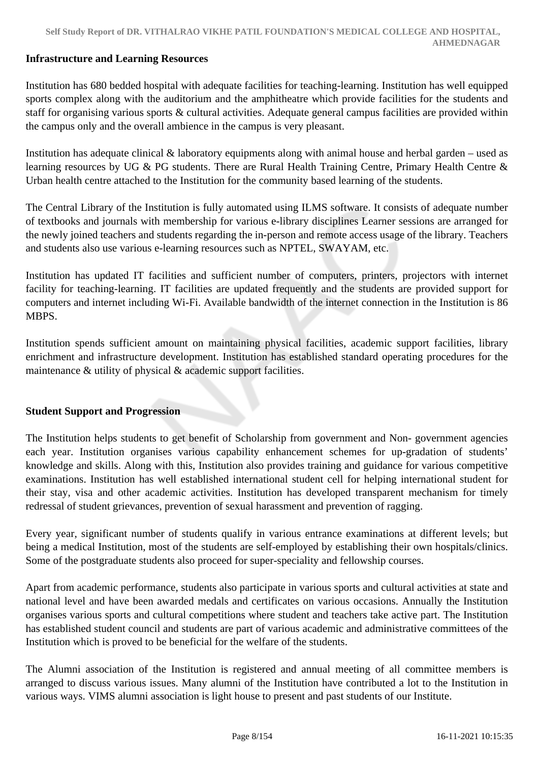#### **Infrastructure and Learning Resources**

Institution has 680 bedded hospital with adequate facilities for teaching-learning. Institution has well equipped sports complex along with the auditorium and the amphitheatre which provide facilities for the students and staff for organising various sports & cultural activities. Adequate general campus facilities are provided within the campus only and the overall ambience in the campus is very pleasant.

Institution has adequate clinical & laboratory equipments along with animal house and herbal garden – used as learning resources by UG & PG students. There are Rural Health Training Centre, Primary Health Centre & Urban health centre attached to the Institution for the community based learning of the students.

The Central Library of the Institution is fully automated using ILMS software. It consists of adequate number of textbooks and journals with membership for various e-library disciplines Learner sessions are arranged for the newly joined teachers and students regarding the in-person and remote access usage of the library. Teachers and students also use various e-learning resources such as NPTEL, SWAYAM, etc.

Institution has updated IT facilities and sufficient number of computers, printers, projectors with internet facility for teaching-learning. IT facilities are updated frequently and the students are provided support for computers and internet including Wi-Fi. Available bandwidth of the internet connection in the Institution is 86 MBPS.

Institution spends sufficient amount on maintaining physical facilities, academic support facilities, library enrichment and infrastructure development. Institution has established standard operating procedures for the maintenance & utility of physical & academic support facilities.

#### **Student Support and Progression**

The Institution helps students to get benefit of Scholarship from government and Non- government agencies each year. Institution organises various capability enhancement schemes for up-gradation of students' knowledge and skills. Along with this, Institution also provides training and guidance for various competitive examinations. Institution has well established international student cell for helping international student for their stay, visa and other academic activities. Institution has developed transparent mechanism for timely redressal of student grievances, prevention of sexual harassment and prevention of ragging.

Every year, significant number of students qualify in various entrance examinations at different levels; but being a medical Institution, most of the students are self-employed by establishing their own hospitals/clinics. Some of the postgraduate students also proceed for super-speciality and fellowship courses.

Apart from academic performance, students also participate in various sports and cultural activities at state and national level and have been awarded medals and certificates on various occasions. Annually the Institution organises various sports and cultural competitions where student and teachers take active part. The Institution has established student council and students are part of various academic and administrative committees of the Institution which is proved to be beneficial for the welfare of the students.

The Alumni association of the Institution is registered and annual meeting of all committee members is arranged to discuss various issues. Many alumni of the Institution have contributed a lot to the Institution in various ways. VIMS alumni association is light house to present and past students of our Institute.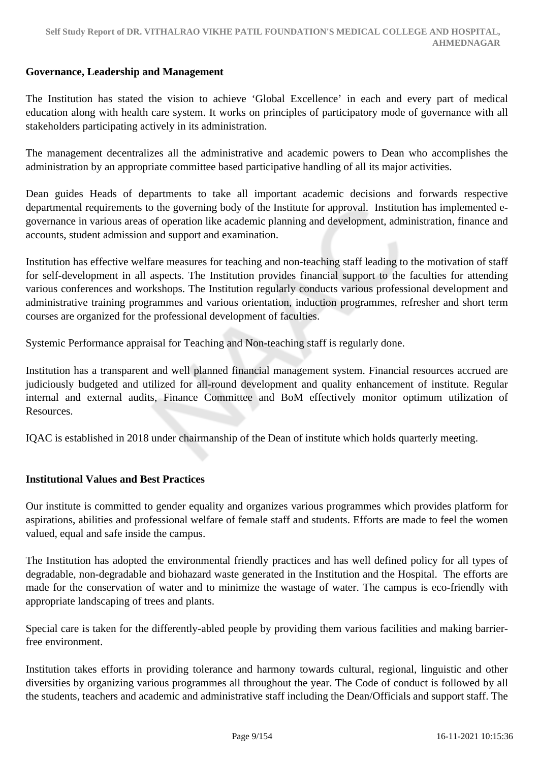#### **Governance, Leadership and Management**

The Institution has stated the vision to achieve 'Global Excellence' in each and every part of medical education along with health care system. It works on principles of participatory mode of governance with all stakeholders participating actively in its administration.

The management decentralizes all the administrative and academic powers to Dean who accomplishes the administration by an appropriate committee based participative handling of all its major activities.

Dean guides Heads of departments to take all important academic decisions and forwards respective departmental requirements to the governing body of the Institute for approval. Institution has implemented egovernance in various areas of operation like academic planning and development, administration, finance and accounts, student admission and support and examination.

Institution has effective welfare measures for teaching and non-teaching staff leading to the motivation of staff for self-development in all aspects. The Institution provides financial support to the faculties for attending various conferences and workshops. The Institution regularly conducts various professional development and administrative training programmes and various orientation, induction programmes, refresher and short term courses are organized for the professional development of faculties.

Systemic Performance appraisal for Teaching and Non-teaching staff is regularly done.

Institution has a transparent and well planned financial management system. Financial resources accrued are judiciously budgeted and utilized for all-round development and quality enhancement of institute. Regular internal and external audits, Finance Committee and BoM effectively monitor optimum utilization of Resources.

IQAC is established in 2018 under chairmanship of the Dean of institute which holds quarterly meeting.

#### **Institutional Values and Best Practices**

Our institute is committed to gender equality and organizes various programmes which provides platform for aspirations, abilities and professional welfare of female staff and students. Efforts are made to feel the women valued, equal and safe inside the campus.

The Institution has adopted the environmental friendly practices and has well defined policy for all types of degradable, non-degradable and biohazard waste generated in the Institution and the Hospital. The efforts are made for the conservation of water and to minimize the wastage of water. The campus is eco-friendly with appropriate landscaping of trees and plants.

Special care is taken for the differently-abled people by providing them various facilities and making barrierfree environment.

Institution takes efforts in providing tolerance and harmony towards cultural, regional, linguistic and other diversities by organizing various programmes all throughout the year. The Code of conduct is followed by all the students, teachers and academic and administrative staff including the Dean/Officials and support staff. The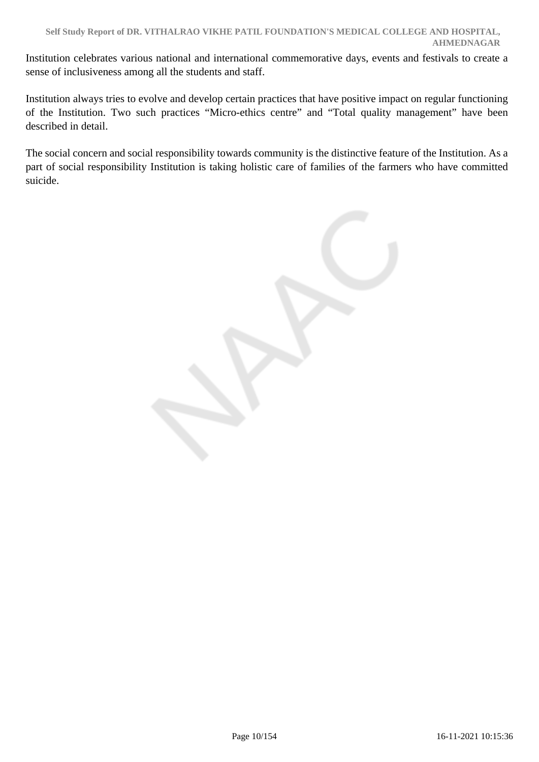Institution celebrates various national and international commemorative days, events and festivals to create a sense of inclusiveness among all the students and staff.

Institution always tries to evolve and develop certain practices that have positive impact on regular functioning of the Institution. Two such practices "Micro-ethics centre" and "Total quality management" have been described in detail.

The social concern and social responsibility towards community is the distinctive feature of the Institution. As a part of social responsibility Institution is taking holistic care of families of the farmers who have committed suicide.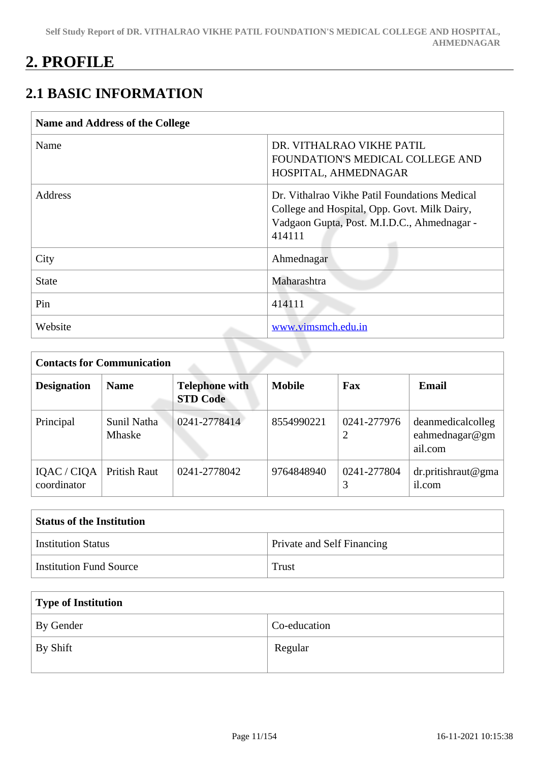## **2. PROFILE**

## **2.1 BASIC INFORMATION**

| <b>Name and Address of the College</b> |                                                                                                                                                        |
|----------------------------------------|--------------------------------------------------------------------------------------------------------------------------------------------------------|
| Name                                   | DR. VITHALRAO VIKHE PATIL<br>FOUNDATION'S MEDICAL COLLEGE AND<br>HOSPITAL, AHMEDNAGAR                                                                  |
| <b>Address</b>                         | Dr. Vithalrao Vikhe Patil Foundations Medical<br>College and Hospital, Opp. Govt. Milk Dairy,<br>Vadgaon Gupta, Post. M.I.D.C., Ahmednagar -<br>414111 |
| City                                   | Ahmednagar                                                                                                                                             |
| <b>State</b>                           | Maharashtra                                                                                                                                            |
| Pin                                    | 414111                                                                                                                                                 |
| Website                                | www.vimsmch.edu.in                                                                                                                                     |

| <b>Contacts for Communication</b> |                              |                                          |               |                  |                                                |  |  |  |
|-----------------------------------|------------------------------|------------------------------------------|---------------|------------------|------------------------------------------------|--|--|--|
| <b>Designation</b>                | <b>Name</b>                  | <b>Telephone with</b><br><b>STD Code</b> | <b>Mobile</b> | Fax              | <b>Email</b>                                   |  |  |  |
| Principal                         | Sunil Natha<br><b>Mhaske</b> | 0241-2778414                             | 8554990221    | 0241-277976<br>2 | deanmedicalcolleg<br>eahmednagar@gm<br>ail.com |  |  |  |
| IQAC / CIQA<br>coordinator        | Pritish Raut                 | 0241-2778042                             | 9764848940    | 0241-277804      | $dr$ .pritishraut@gma<br>il.com                |  |  |  |

| <b>Status of the Institution</b> |                                   |  |  |  |  |  |
|----------------------------------|-----------------------------------|--|--|--|--|--|
| Institution Status               | <b>Private and Self Financing</b> |  |  |  |  |  |
| <b>Institution Fund Source</b>   | Trust                             |  |  |  |  |  |

| Type of Institution   |              |  |  |  |  |  |
|-----------------------|--------------|--|--|--|--|--|
| By Gender             | Co-education |  |  |  |  |  |
| <sup>1</sup> By Shift | Regular      |  |  |  |  |  |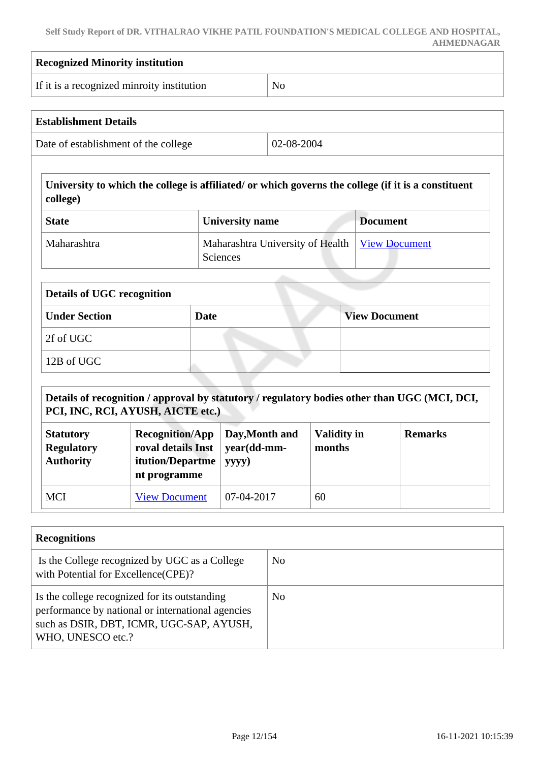**Self Study Report of DR. VITHALRAO VIKHE PATIL FOUNDATION'S MEDICAL COLLEGE AND HOSPITAL, AHMEDNAGAR**

| <b>Recognized Minority institution</b>                    |                                                                                  |             |                                              |                              |                                                                                                     |  |  |
|-----------------------------------------------------------|----------------------------------------------------------------------------------|-------------|----------------------------------------------|------------------------------|-----------------------------------------------------------------------------------------------------|--|--|
| If it is a recognized minroity institution                |                                                                                  |             | N <sub>o</sub>                               |                              |                                                                                                     |  |  |
| <b>Establishment Details</b>                              |                                                                                  |             |                                              |                              |                                                                                                     |  |  |
| Date of establishment of the college                      |                                                                                  |             |                                              | 02-08-2004                   |                                                                                                     |  |  |
| college)                                                  |                                                                                  |             |                                              |                              | University to which the college is affiliated/ or which governs the college (if it is a constituent |  |  |
| <b>State</b>                                              |                                                                                  |             | <b>University name</b>                       |                              | <b>Document</b>                                                                                     |  |  |
| Maharashtra                                               |                                                                                  |             | Maharashtra University of Health<br>Sciences |                              | <b>View Document</b>                                                                                |  |  |
| <b>Details of UGC recognition</b>                         |                                                                                  |             |                                              |                              |                                                                                                     |  |  |
| <b>Under Section</b>                                      |                                                                                  | <b>Date</b> |                                              |                              | <b>View Document</b>                                                                                |  |  |
| 2f of UGC                                                 |                                                                                  |             |                                              |                              |                                                                                                     |  |  |
| 12B of UGC                                                |                                                                                  |             |                                              |                              |                                                                                                     |  |  |
| PCI, INC, RCI, AYUSH, AICTE etc.)                         |                                                                                  |             |                                              |                              | Details of recognition / approval by statutory / regulatory bodies other than UGC (MCI, DCI,        |  |  |
| <b>Statutory</b><br><b>Regulatory</b><br><b>Authority</b> | <b>Recognition/App</b><br>roval details Inst<br>itution/Departme<br>nt programme |             | Day, Month and<br>year(dd-mm-<br>yyyy)       | <b>Validity in</b><br>months | <b>Remarks</b>                                                                                      |  |  |
|                                                           | <b>View Document</b>                                                             |             | 07-04-2017                                   | 60                           |                                                                                                     |  |  |

| Is the College recognized by UGC as a College<br>with Potential for Excellence(CPE)?                                                                                | N <sub>0</sub> |
|---------------------------------------------------------------------------------------------------------------------------------------------------------------------|----------------|
| Is the college recognized for its outstanding<br>performance by national or international agencies<br>such as DSIR, DBT, ICMR, UGC-SAP, AYUSH,<br>WHO, UNESCO etc.? | N <sub>o</sub> |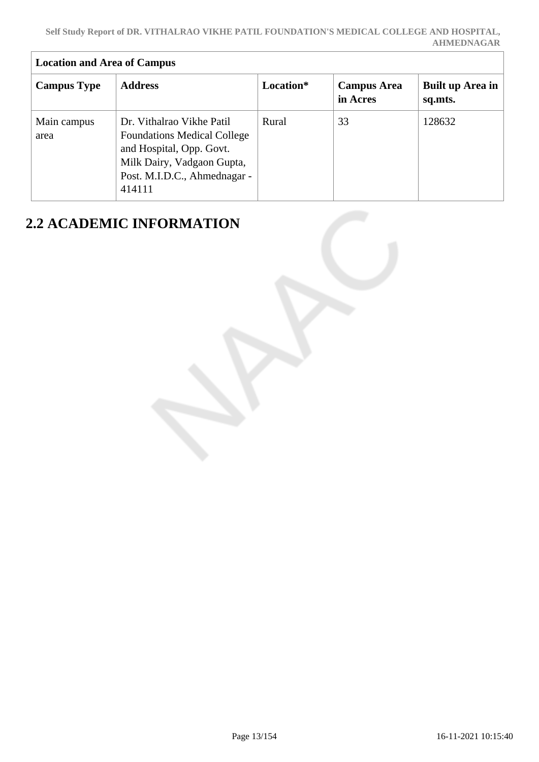| <b>Location and Area of Campus</b> |                                                                                                                                                                     |           |                                |                             |  |  |  |  |
|------------------------------------|---------------------------------------------------------------------------------------------------------------------------------------------------------------------|-----------|--------------------------------|-----------------------------|--|--|--|--|
| <b>Campus Type</b>                 | <b>Address</b>                                                                                                                                                      | Location* | <b>Campus Area</b><br>in Acres | Built up Area in<br>sq.mts. |  |  |  |  |
| Main campus<br>area                | Dr. Vithalrao Vikhe Patil<br><b>Foundations Medical College</b><br>and Hospital, Opp. Govt.<br>Milk Dairy, Vadgaon Gupta,<br>Post. M.I.D.C., Ahmednagar -<br>414111 | Rural     | 33                             | 128632                      |  |  |  |  |

## **2.2 ACADEMIC INFORMATION**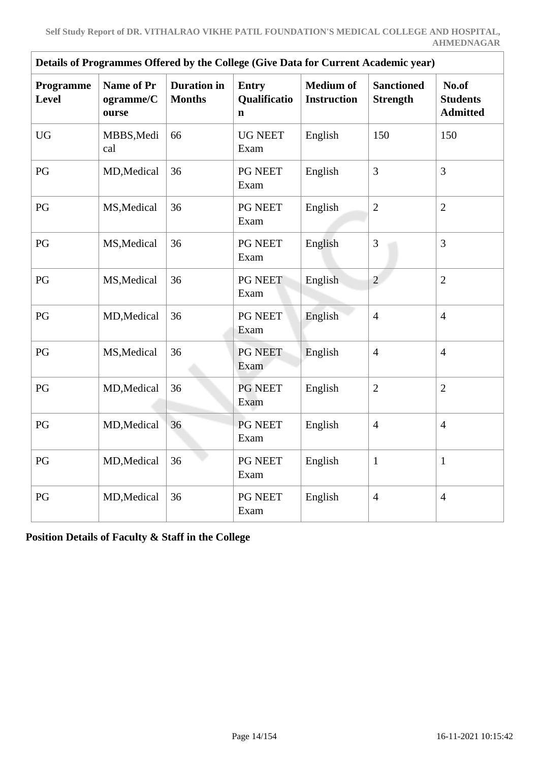| Details of Programmes Offered by the College (Give Data for Current Academic year) |                                         |                                     |                        |                                        |                                      |                                             |  |  |  |  |
|------------------------------------------------------------------------------------|-----------------------------------------|-------------------------------------|------------------------|----------------------------------------|--------------------------------------|---------------------------------------------|--|--|--|--|
| Programme<br><b>Level</b>                                                          | <b>Name of Pr</b><br>ogramme/C<br>ourse | <b>Duration</b> in<br><b>Months</b> |                        | <b>Medium</b> of<br><b>Instruction</b> | <b>Sanctioned</b><br><b>Strength</b> | No.of<br><b>Students</b><br><b>Admitted</b> |  |  |  |  |
| <b>UG</b>                                                                          | MBBS, Medi<br>cal                       | 66                                  | <b>UG NEET</b><br>Exam | English                                | 150                                  | 150                                         |  |  |  |  |
| PG                                                                                 | MD, Medical                             | 36                                  | PG NEET<br>Exam        | English                                | 3                                    | $\overline{3}$                              |  |  |  |  |
| PG                                                                                 | MS, Medical                             | 36                                  | PG NEET<br>Exam        | English                                | $\overline{2}$                       | $\overline{2}$                              |  |  |  |  |
| PG                                                                                 | MS, Medical                             | 36                                  | PG NEET<br>Exam        | English                                | 3                                    | 3                                           |  |  |  |  |
| PG                                                                                 | MS, Medical                             | 36                                  | PG NEET<br>Exam        | English                                | $\overline{2}$                       | $\overline{2}$                              |  |  |  |  |
| PG                                                                                 | MD, Medical                             | 36                                  | PG NEET<br>Exam        | English                                | $\overline{4}$                       | $\overline{4}$                              |  |  |  |  |
| PG                                                                                 | MS, Medical                             | 36                                  | PG NEET<br>Exam        | English                                | $\overline{4}$                       | $\overline{4}$                              |  |  |  |  |
| PG                                                                                 | MD, Medical                             | 36                                  | PG NEET<br>Exam        | English                                | $\overline{2}$                       | $\overline{2}$                              |  |  |  |  |
| PG                                                                                 | MD, Medical                             | 36                                  | PG NEET<br>Exam        | English                                | $\overline{4}$                       | $\overline{4}$                              |  |  |  |  |
| PG                                                                                 | MD, Medical                             | 36                                  | PG NEET<br>Exam        | English                                | $\mathbf{1}$                         | $\mathbf{1}$                                |  |  |  |  |
| PG                                                                                 | MD, Medical                             | 36                                  | PG NEET<br>Exam        | English                                | $\overline{4}$                       | $\overline{4}$                              |  |  |  |  |

**Position Details of Faculty & Staff in the College**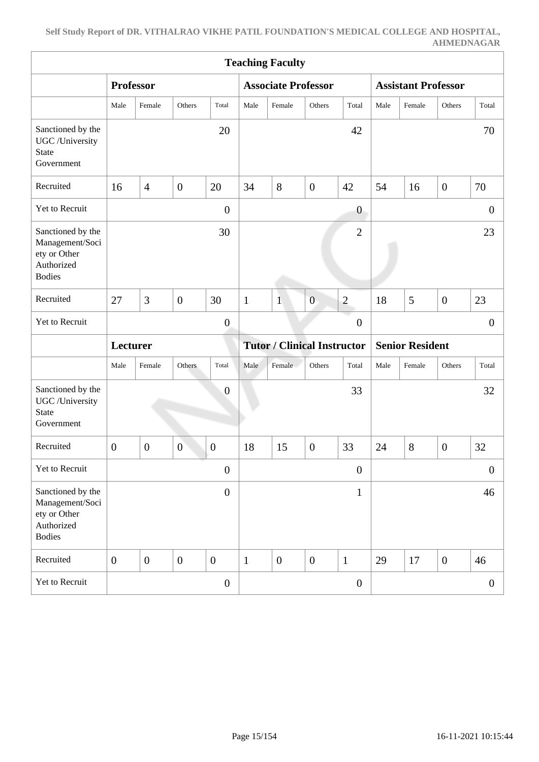| <b>Teaching Faculty</b>                                                             |                  |                  |                  |                  |                                    |                            |                  |                        |                            |        |                  |                |
|-------------------------------------------------------------------------------------|------------------|------------------|------------------|------------------|------------------------------------|----------------------------|------------------|------------------------|----------------------------|--------|------------------|----------------|
|                                                                                     | <b>Professor</b> |                  |                  |                  |                                    | <b>Associate Professor</b> |                  |                        | <b>Assistant Professor</b> |        |                  |                |
|                                                                                     | Male             | Female           | Others           | Total            | Male                               | Female                     | Others           | Total                  | Male                       | Female | Others           | Total          |
| Sanctioned by the<br>UGC /University<br>State<br>Government                         |                  |                  |                  | 20               |                                    |                            |                  | 42                     |                            |        |                  | 70             |
| Recruited                                                                           | 16               | $\overline{4}$   | $\boldsymbol{0}$ | 20               | 34                                 | 8                          | $\boldsymbol{0}$ | 42                     | 54                         | 16     | $\boldsymbol{0}$ | 70             |
| Yet to Recruit                                                                      |                  |                  |                  | $\boldsymbol{0}$ |                                    |                            |                  | $\boldsymbol{0}$       |                            |        |                  | $\theta$       |
| Sanctioned by the<br>Management/Soci<br>ety or Other<br>Authorized<br><b>Bodies</b> |                  |                  |                  | 30               |                                    |                            |                  | $\overline{2}$         |                            |        |                  | 23             |
| Recruited                                                                           | 27               | 3                | $\boldsymbol{0}$ | 30               | $\mathbf{1}$                       | $\mathbf{1}$               | $\boldsymbol{0}$ | $\mathbf{2}$           | 18                         | 5      | $\boldsymbol{0}$ | 23             |
| Yet to Recruit                                                                      |                  |                  |                  | $\overline{0}$   |                                    |                            |                  | $\boldsymbol{0}$       |                            |        |                  | $\overline{0}$ |
|                                                                                     | Lecturer         |                  |                  |                  | <b>Tutor / Clinical Instructor</b> |                            |                  | <b>Senior Resident</b> |                            |        |                  |                |
|                                                                                     | Male             | Female           | Others           | Total            | Male                               | Female                     | Others           | Total                  | Male                       | Female | Others           | Total          |
| Sanctioned by the<br>UGC /University<br><b>State</b><br>Government                  |                  |                  |                  | $\overline{0}$   |                                    |                            |                  | 33                     |                            |        |                  | 32             |
| Recruited                                                                           | $\overline{0}$   | $\overline{0}$   | $\boldsymbol{0}$ | $\overline{0}$   | 18                                 | 15                         | $\boldsymbol{0}$ | 33                     | 24                         | 8      | $\mathbf{0}$     | 32             |
| Yet to Recruit                                                                      |                  |                  | TOP .            | $\boldsymbol{0}$ |                                    |                            |                  | $\boldsymbol{0}$       |                            |        |                  | $\overline{0}$ |
| Sanctioned by the<br>Management/Soci<br>ety or Other<br>Authorized<br><b>Bodies</b> |                  |                  |                  | $\boldsymbol{0}$ |                                    |                            |                  | $\mathbf{1}$           |                            |        |                  | 46             |
| Recruited                                                                           | $\overline{0}$   | $\boldsymbol{0}$ | $\boldsymbol{0}$ | $\overline{0}$   | $\mathbf{1}$                       | $\boldsymbol{0}$           | $\boldsymbol{0}$ | $\mathbf{1}$           | 29                         | 17     | $\overline{0}$   | 46             |
| Yet to Recruit                                                                      |                  |                  |                  | $\overline{0}$   |                                    |                            |                  | $\boldsymbol{0}$       |                            |        |                  | $\overline{0}$ |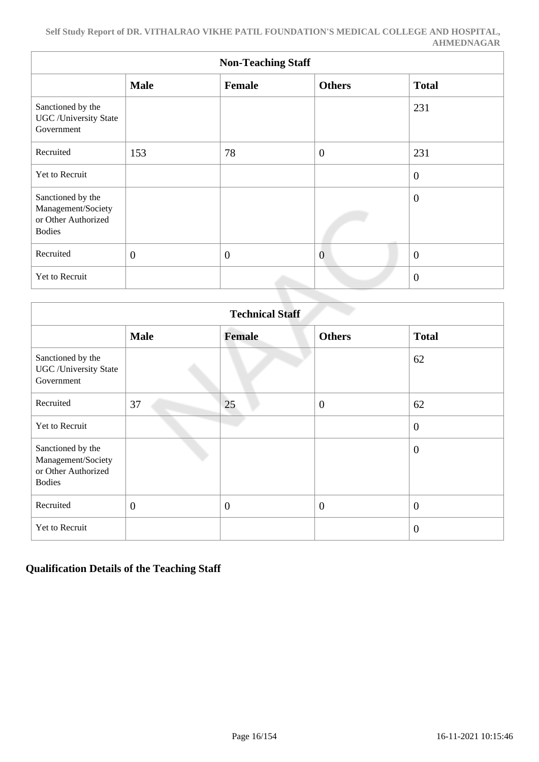| <b>Non-Teaching Staff</b>                                                       |                |                |                  |                |  |  |  |  |  |
|---------------------------------------------------------------------------------|----------------|----------------|------------------|----------------|--|--|--|--|--|
|                                                                                 | <b>Male</b>    | Female         | <b>Others</b>    | <b>Total</b>   |  |  |  |  |  |
| Sanctioned by the<br><b>UGC</b> / University State<br>Government                |                |                |                  | 231            |  |  |  |  |  |
| Recruited                                                                       | 153            | 78             | $\boldsymbol{0}$ | 231            |  |  |  |  |  |
| Yet to Recruit                                                                  |                |                |                  | $\overline{0}$ |  |  |  |  |  |
| Sanctioned by the<br>Management/Society<br>or Other Authorized<br><b>Bodies</b> |                |                |                  | $\overline{0}$ |  |  |  |  |  |
| Recruited                                                                       | $\overline{0}$ | $\overline{0}$ | $\overline{0}$   | $\overline{0}$ |  |  |  |  |  |
| Yet to Recruit                                                                  |                |                |                  | $\overline{0}$ |  |  |  |  |  |

| <b>Technical Staff</b>                                                          |                |                |                  |                |  |  |  |
|---------------------------------------------------------------------------------|----------------|----------------|------------------|----------------|--|--|--|
|                                                                                 | <b>Male</b>    | <b>Female</b>  | <b>Others</b>    | <b>Total</b>   |  |  |  |
| Sanctioned by the<br><b>UGC</b> / University State<br>Government                |                |                |                  | 62             |  |  |  |
| Recruited                                                                       | 37             | 25             | $\overline{0}$   | 62             |  |  |  |
| Yet to Recruit                                                                  |                |                |                  | $\overline{0}$ |  |  |  |
| Sanctioned by the<br>Management/Society<br>or Other Authorized<br><b>Bodies</b> |                |                |                  | $\overline{0}$ |  |  |  |
| Recruited                                                                       | $\overline{0}$ | $\overline{0}$ | $\boldsymbol{0}$ | $\overline{0}$ |  |  |  |
| Yet to Recruit                                                                  |                |                |                  | $\overline{0}$ |  |  |  |

#### **Qualification Details of the Teaching Staff**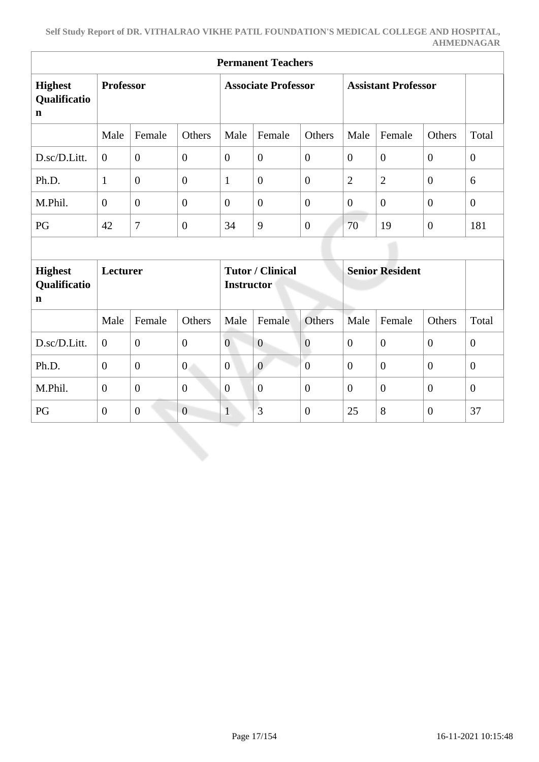| <b>Permanent Teachers</b>                     |                  |                  |                |                                              |                            |                  |                        |                            |                  |                |  |
|-----------------------------------------------|------------------|------------------|----------------|----------------------------------------------|----------------------------|------------------|------------------------|----------------------------|------------------|----------------|--|
| <b>Highest</b><br>Qualificatio<br>$\mathbf n$ | <b>Professor</b> |                  |                |                                              | <b>Associate Professor</b> |                  |                        | <b>Assistant Professor</b> |                  |                |  |
|                                               | Male             | Female           | Others         | Male                                         | Female                     | Others           | Male                   | Female                     | Others           | Total          |  |
| D.sc/D.Litt.                                  | $\overline{0}$   | $\overline{0}$   | $\overline{0}$ | $\overline{0}$                               | $\overline{0}$             | $\overline{0}$   | $\theta$               | $\overline{0}$             | $\mathbf{0}$     | $\overline{0}$ |  |
| Ph.D.                                         | $\mathbf{1}$     | $\overline{0}$   | $\overline{0}$ | $\mathbf{1}$                                 | $\boldsymbol{0}$           | $\theta$         | $\mathfrak{2}$         | $\overline{2}$             | $\overline{0}$   | 6              |  |
| M.Phil.                                       | $\overline{0}$   | $\overline{0}$   | $\overline{0}$ | $\overline{0}$                               | $\overline{0}$             | $\overline{0}$   | $\theta$               | $\overline{0}$             | $\boldsymbol{0}$ | $\overline{0}$ |  |
| PG                                            | 42               | $\overline{7}$   | $\overline{0}$ | 34                                           | 9                          | $\overline{0}$   | 70                     | 19                         | $\boldsymbol{0}$ | 181            |  |
|                                               |                  |                  |                |                                              |                            |                  |                        |                            |                  |                |  |
| <b>Highest</b><br>Qualificatio<br>$\mathbf n$ | Lecturer         |                  |                | <b>Tutor / Clinical</b><br><b>Instructor</b> |                            |                  | <b>Senior Resident</b> |                            |                  |                |  |
|                                               | Male             | Female           | Others         | Male                                         | Female                     | Others           | Male                   | Female                     | Others           | Total          |  |
| D.sc/D.Litt.                                  | $\overline{0}$   | $\overline{0}$   | $\overline{0}$ | $\overline{0}$                               | $\overline{0}$             | $\boldsymbol{0}$ | $\overline{0}$         | $\theta$                   | $\overline{0}$   | $\overline{0}$ |  |
| Ph.D.                                         | $\overline{0}$   | $\boldsymbol{0}$ | $\overline{0}$ | $\overline{0}$                               | $\overline{0}$             | $\overline{0}$   | $\overline{0}$         | $\overline{0}$             | $\boldsymbol{0}$ | $\overline{0}$ |  |
| M.Phil.                                       | $\theta$         | $\overline{0}$   | $\overline{0}$ | $\overline{0}$                               | $\boldsymbol{0}$           | $\overline{0}$   | $\boldsymbol{0}$       | $\mathbf{0}$               | $\overline{0}$   | $\overline{0}$ |  |
| PG                                            | $\overline{0}$   | $\overline{0}$   | $\overline{0}$ | $\mathbf{1}$                                 | 3                          | $\overline{0}$   | 25                     | 8                          | $\overline{0}$   | 37             |  |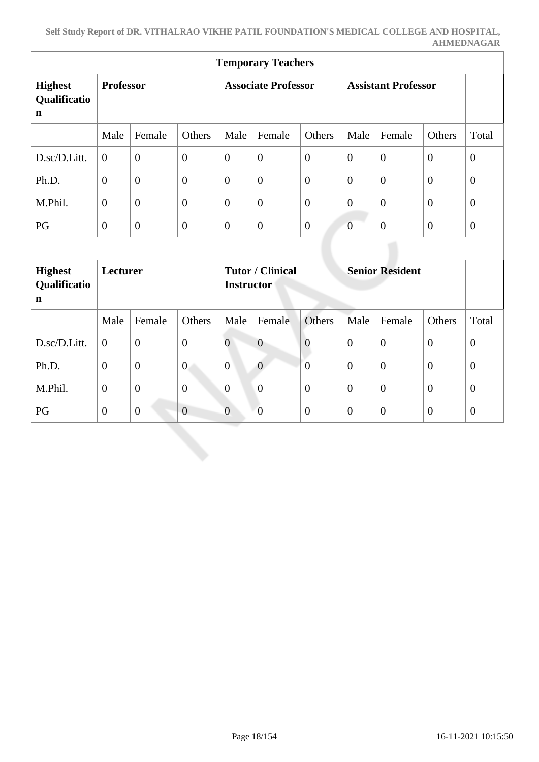| <b>Temporary Teachers</b>                     |                  |                  |                            |                   |                         |                            |                  |                        |                  |                |
|-----------------------------------------------|------------------|------------------|----------------------------|-------------------|-------------------------|----------------------------|------------------|------------------------|------------------|----------------|
| <b>Highest</b><br>Qualificatio<br>$\mathbf n$ | <b>Professor</b> |                  | <b>Associate Professor</b> |                   |                         | <b>Assistant Professor</b> |                  |                        |                  |                |
|                                               | Male             | Female           | Others                     | Male              | Female                  | Others                     | Male             | Female                 | Others           | Total          |
| D.sc/D.Litt.                                  | $\overline{0}$   | $\overline{0}$   | $\overline{0}$             | $\overline{0}$    | $\overline{0}$          | $\theta$                   | $\theta$         | $\overline{0}$         | $\mathbf{0}$     | $\overline{0}$ |
| Ph.D.                                         | $\overline{0}$   | $\overline{0}$   | $\overline{0}$             | $\mathbf{0}$      | $\boldsymbol{0}$        | $\overline{0}$             | $\boldsymbol{0}$ | $\overline{0}$         | $\overline{0}$   | $\overline{0}$ |
| M.Phil.                                       | $\overline{0}$   | $\overline{0}$   | $\overline{0}$             | $\overline{0}$    | $\overline{0}$          | $\overline{0}$             | $\theta$         | $\overline{0}$         | $\boldsymbol{0}$ | $\overline{0}$ |
| PG                                            | $\overline{0}$   | $\overline{0}$   | $\overline{0}$             | $\theta$          | $\boldsymbol{0}$        | $\mathbf{0}$               | $\overline{0}$   | $\mathbf{0}$           | $\boldsymbol{0}$ | $\overline{0}$ |
|                                               |                  |                  |                            |                   |                         |                            |                  |                        |                  |                |
| <b>Highest</b><br>Qualificatio<br>$\mathbf n$ | Lecturer         |                  |                            | <b>Instructor</b> | <b>Tutor / Clinical</b> |                            |                  | <b>Senior Resident</b> |                  |                |
|                                               | Male             | Female           | Others                     | Male              | Female                  | Others                     | Male             | Female                 | Others           | Total          |
| D.sc/D.Litt.                                  | $\overline{0}$   | $\boldsymbol{0}$ | $\boldsymbol{0}$           | $\overline{0}$    | $\mathbf{0}$            | $\boldsymbol{0}$           | $\overline{0}$   | $\theta$               | $\boldsymbol{0}$ | $\overline{0}$ |
| Ph.D.                                         | $\overline{0}$   | $\boldsymbol{0}$ | $\overline{0}$             | $\overline{0}$    | $\overline{0}$          | $\overline{0}$             | $\overline{0}$   | $\theta$               | $\boldsymbol{0}$ | $\overline{0}$ |
| M.Phil.                                       | $\theta$         | $\overline{0}$   | $\overline{0}$             | $\overline{0}$    | $\boldsymbol{0}$        | $\overline{0}$             | $\overline{0}$   | $\theta$               | $\overline{0}$   | $\overline{0}$ |
| PG                                            | $\overline{0}$   | $\overline{0}$   | $\overline{0}$             | $\overline{0}$    | $\boldsymbol{0}$        | $\overline{0}$             | $\overline{0}$   | $\overline{0}$         | $\overline{0}$   | $\overline{0}$ |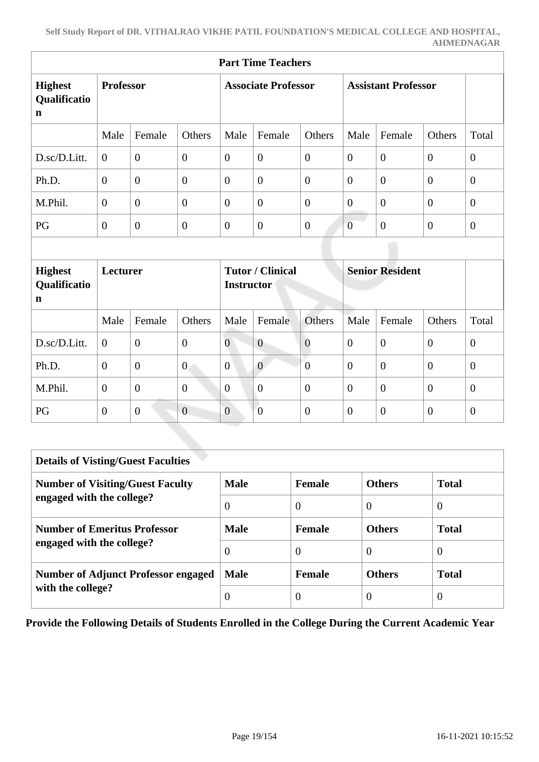| <b>Part Time Teachers</b>                     |                  |                |                  |                            |                         |                |                            |                        |                  |                  |
|-----------------------------------------------|------------------|----------------|------------------|----------------------------|-------------------------|----------------|----------------------------|------------------------|------------------|------------------|
| <b>Highest</b><br>Qualificatio<br>$\mathbf n$ | <b>Professor</b> |                |                  | <b>Associate Professor</b> |                         |                | <b>Assistant Professor</b> |                        |                  |                  |
|                                               | Male             | Female         | Others           | Male                       | Female                  | Others         | Male                       | Female                 | Others           | Total            |
| D.sc/D.Litt.                                  | $\Omega$         | $\overline{0}$ | $\overline{0}$   | $\overline{0}$             | $\overline{0}$          | $\overline{0}$ | $\overline{0}$             | $\theta$               | $\overline{0}$   | $\boldsymbol{0}$ |
| Ph.D.                                         | $\overline{0}$   | $\overline{0}$ | $\boldsymbol{0}$ | $\overline{0}$             | $\boldsymbol{0}$        | $\overline{0}$ | $\theta$                   | $\overline{0}$         | $\boldsymbol{0}$ | $\mathbf{0}$     |
| M.Phil.                                       | $\overline{0}$   | $\overline{0}$ | $\boldsymbol{0}$ | $\overline{0}$             | $\overline{0}$          | $\overline{0}$ | $\overline{0}$             | $\theta$               | $\mathbf{0}$     | $\overline{0}$   |
| PG                                            | $\overline{0}$   | $\overline{0}$ | $\overline{0}$   | $\overline{0}$             | $\overline{0}$          | $\overline{0}$ | $\overline{0}$             | $\overline{0}$         | $\overline{0}$   | $\overline{0}$   |
|                                               |                  |                |                  |                            |                         |                |                            |                        |                  |                  |
| <b>Highest</b><br>Qualificatio<br>$\mathbf n$ | <b>Lecturer</b>  |                |                  | <b>Instructor</b>          | <b>Tutor / Clinical</b> |                |                            | <b>Senior Resident</b> |                  |                  |
|                                               | Male             | Female         | Others           | Male                       | Female                  | Others         | Male                       | Female                 | Others           | Total            |
| D.sc/D.Litt.                                  | $\overline{0}$   | $\overline{0}$ | $\boldsymbol{0}$ | $\overline{0}$             | $\mathbf{0}$            | $\mathbf{0}$   | $\overline{0}$             | $\overline{0}$         | $\boldsymbol{0}$ | $\boldsymbol{0}$ |
| Ph.D.                                         | $\Omega$         | $\overline{0}$ | $\overline{0}$   | $\overline{0}$             | $\overline{0}$          | $\overline{0}$ | $\overline{0}$             | $\theta$               | $\theta$         | $\overline{0}$   |
| M.Phil.                                       | $\overline{0}$   | $\overline{0}$ | $\boldsymbol{0}$ | $\overline{0}$             | $\boldsymbol{0}$        | $\overline{0}$ | $\theta$                   | $\theta$               | $\overline{0}$   | $\theta$         |
| PG                                            | $\boldsymbol{0}$ | $\overline{0}$ | $\overline{0}$   | $\overline{0}$             | $\overline{0}$          | $\overline{0}$ | $\overline{0}$             | $\overline{0}$         | $\overline{0}$   | $\mathbf{0}$     |

| <b>Details of Visting/Guest Faculties</b>  |             |               |               |                |
|--------------------------------------------|-------------|---------------|---------------|----------------|
| <b>Number of Visiting/Guest Faculty</b>    | <b>Male</b> | <b>Female</b> | <b>Others</b> | <b>Total</b>   |
| engaged with the college?                  | $\Omega$    | $\theta$      | $\theta$      | $\overline{0}$ |
| <b>Number of Emeritus Professor</b>        | <b>Male</b> | <b>Female</b> | <b>Others</b> | <b>Total</b>   |
| engaged with the college?                  | $\Omega$    | $\theta$      | $\Omega$      | $\theta$       |
| <b>Number of Adjunct Professor engaged</b> | <b>Male</b> | <b>Female</b> | <b>Others</b> | <b>Total</b>   |
| with the college?                          |             | 0             | $\theta$      | $\theta$       |

**Provide the Following Details of Students Enrolled in the College During the Current Academic Year**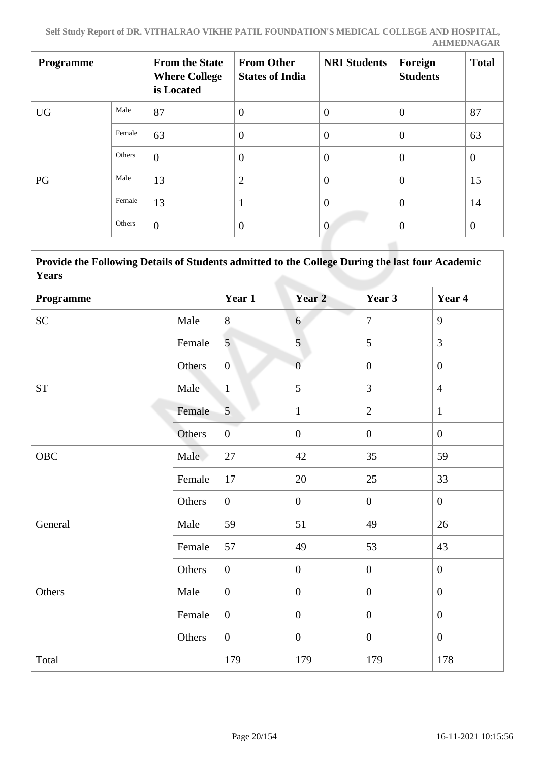| <b>Programme</b> |        | <b>From the State</b><br><b>Where College</b><br>is Located | <b>From Other</b><br><b>States of India</b> | <b>NRI Students</b> | Foreign<br><b>Students</b> | <b>Total</b>   |
|------------------|--------|-------------------------------------------------------------|---------------------------------------------|---------------------|----------------------------|----------------|
| <b>UG</b>        | Male   | 87                                                          | $\overline{0}$                              | $\overline{0}$      | $\overline{0}$             | 87             |
|                  | Female | 63                                                          | $\overline{0}$                              | $\theta$            | $\overline{0}$             | 63             |
|                  | Others | $\overline{0}$                                              | $\overline{0}$                              | $\theta$            | $\overline{0}$             | $\theta$       |
| PG               | Male   | 13                                                          | $\overline{2}$                              | $\theta$            | $\theta$                   | 15             |
|                  | Female | 13                                                          | 1                                           | $\theta$            | $\overline{0}$             | 14             |
|                  | Others | $\overline{0}$                                              | $\theta$                                    | $\overline{0}$      | $\theta$                   | $\overline{0}$ |

 **Provide the Following Details of Students admitted to the College During the last four Academic Years**

| Programme          |        | Year 1           | Year <sub>2</sub> | Year 3           | Year 4           |
|--------------------|--------|------------------|-------------------|------------------|------------------|
| <b>SC</b>          | Male   | $8\,$            | 6                 | $\overline{7}$   | 9                |
|                    | Female | 5                | $\overline{5}$    | 5                | $\overline{3}$   |
|                    | Others | $\overline{0}$   | $\overline{0}$    | $\boldsymbol{0}$ | $\boldsymbol{0}$ |
| ${\cal S}{\cal T}$ | Male   | $\mathbf{1}$     | 5                 | $\overline{3}$   | $\overline{4}$   |
|                    | Female | $\overline{5}$   | $\mathbf{1}$      | $\overline{2}$   | $\mathbf{1}$     |
|                    | Others | $\overline{0}$   | $\boldsymbol{0}$  | $\overline{0}$   | $\overline{0}$   |
| <b>OBC</b>         | Male   | 27               | 42                | 35               | 59               |
|                    | Female | 17               | 20                | 25               | 33               |
|                    | Others | $\overline{0}$   | $\boldsymbol{0}$  | $\overline{0}$   | $\boldsymbol{0}$ |
| General            | Male   | 59               | 51                | 49               | 26               |
|                    | Female | 57               | 49                | 53               | 43               |
|                    | Others | $\boldsymbol{0}$ | $\boldsymbol{0}$  | $\boldsymbol{0}$ | $\overline{0}$   |
| Others             | Male   | $\boldsymbol{0}$ | $\boldsymbol{0}$  | $\overline{0}$   | $\overline{0}$   |
|                    | Female | $\boldsymbol{0}$ | $\boldsymbol{0}$  | $\mathbf{0}$     | $\boldsymbol{0}$ |
|                    | Others | $\overline{0}$   | $\boldsymbol{0}$  | $\overline{0}$   | $\mathbf{0}$     |
| Total              |        | 179              | 179               | 179              | 178              |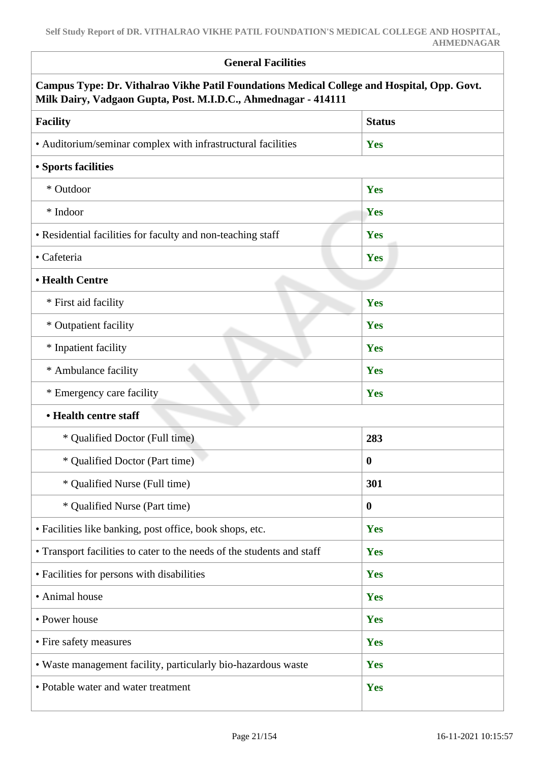| <b>General Facilities</b>                                                                                                                                     |               |
|---------------------------------------------------------------------------------------------------------------------------------------------------------------|---------------|
| Campus Type: Dr. Vithalrao Vikhe Patil Foundations Medical College and Hospital, Opp. Govt.<br>Milk Dairy, Vadgaon Gupta, Post. M.I.D.C., Ahmednagar - 414111 |               |
| <b>Facility</b>                                                                                                                                               | <b>Status</b> |
| • Auditorium/seminar complex with infrastructural facilities                                                                                                  | Yes           |
| <b>• Sports facilities</b>                                                                                                                                    |               |
| * Outdoor                                                                                                                                                     | Yes           |
| * Indoor                                                                                                                                                      | Yes           |
| • Residential facilities for faculty and non-teaching staff                                                                                                   | Yes           |
| • Cafeteria                                                                                                                                                   | Yes           |
| • Health Centre                                                                                                                                               |               |
| * First aid facility                                                                                                                                          | Yes           |
| * Outpatient facility                                                                                                                                         | Yes           |
| * Inpatient facility                                                                                                                                          | Yes           |
| * Ambulance facility                                                                                                                                          | Yes           |
| * Emergency care facility                                                                                                                                     | Yes           |
| • Health centre staff                                                                                                                                         |               |
| * Qualified Doctor (Full time)                                                                                                                                | 283           |
| * Qualified Doctor (Part time)                                                                                                                                | $\bf{0}$      |
| * Qualified Nurse (Full time)                                                                                                                                 | 301           |
| * Qualified Nurse (Part time)                                                                                                                                 | $\bf{0}$      |
| • Facilities like banking, post office, book shops, etc.                                                                                                      | Yes           |
| • Transport facilities to cater to the needs of the students and staff                                                                                        | Yes           |
| • Facilities for persons with disabilities                                                                                                                    | Yes           |
| • Animal house                                                                                                                                                | Yes           |
| • Power house                                                                                                                                                 | Yes           |
| • Fire safety measures                                                                                                                                        | Yes           |
| • Waste management facility, particularly bio-hazardous waste                                                                                                 | Yes           |
| • Potable water and water treatment                                                                                                                           | Yes           |
|                                                                                                                                                               |               |

Ī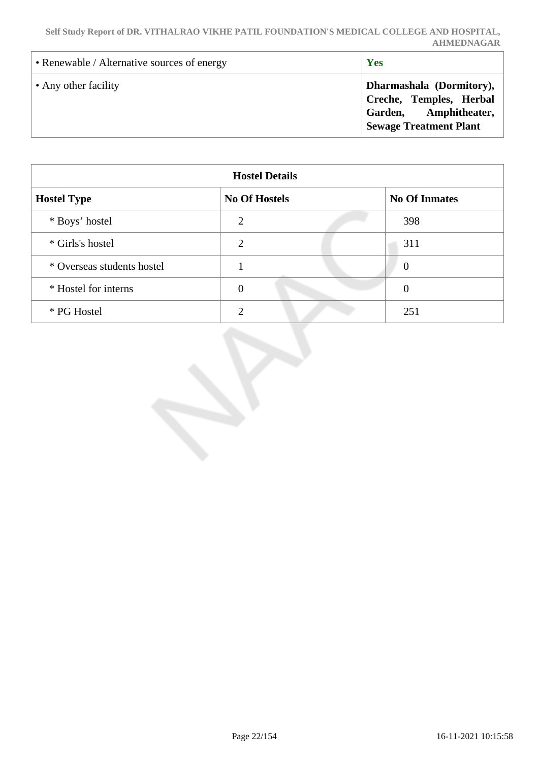| • Renewable / Alternative sources of energy | Yes                                                                                                           |
|---------------------------------------------|---------------------------------------------------------------------------------------------------------------|
| • Any other facility                        | Dharmashala (Dormitory),<br>Creche, Temples, Herbal<br>Garden, Amphitheater,<br><b>Sewage Treatment Plant</b> |

| <b>Hostel Details</b>      |                      |                      |  |  |  |  |
|----------------------------|----------------------|----------------------|--|--|--|--|
| <b>Hostel Type</b>         | <b>No Of Hostels</b> | <b>No Of Inmates</b> |  |  |  |  |
| * Boys' hostel             | $\overline{2}$       | 398                  |  |  |  |  |
| * Girls's hostel           | $\overline{2}$       | 311                  |  |  |  |  |
| * Overseas students hostel |                      | $\boldsymbol{0}$     |  |  |  |  |
| * Hostel for interns       | $\theta$             | $\theta$             |  |  |  |  |
| * PG Hostel                | ◠                    | 251                  |  |  |  |  |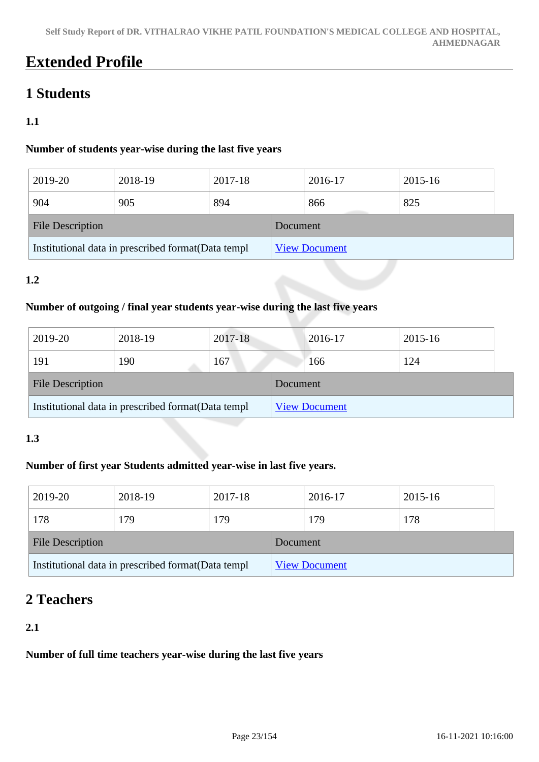## **Extended Profile**

### **1 Students**

#### **1.1**

#### **Number of students year-wise during the last five years**

| 2019-20                                             | 2018-19 | 2017-18 |          | 2016-17              | 2015-16 |  |
|-----------------------------------------------------|---------|---------|----------|----------------------|---------|--|
| 904                                                 | 905     | 894     |          | 866                  | 825     |  |
| <b>File Description</b>                             |         |         | Document |                      |         |  |
| Institutional data in prescribed format (Data templ |         |         |          | <b>View Document</b> |         |  |

#### **1.2**

#### **Number of outgoing / final year students year-wise during the last five years**

| 2019-20                                             | 2018-19 | 2017-18 |          | 2016-17              | 2015-16 |  |
|-----------------------------------------------------|---------|---------|----------|----------------------|---------|--|
| 191                                                 | 190     | 167     |          | 166                  | 124     |  |
| <b>File Description</b>                             |         |         | Document |                      |         |  |
| Institutional data in prescribed format (Data templ |         |         |          | <b>View Document</b> |         |  |

#### **1.3**

#### **Number of first year Students admitted year-wise in last five years.**

| 2019-20                                             | 2018-19 | 2017-18 |          | 2016-17              | 2015-16 |
|-----------------------------------------------------|---------|---------|----------|----------------------|---------|
| 178                                                 | 179     | 179     |          | 179                  | 178     |
| <b>File Description</b>                             |         |         | Document |                      |         |
| Institutional data in prescribed format (Data templ |         |         |          | <b>View Document</b> |         |

### **2 Teachers**

#### **2.1**

#### **Number of full time teachers year-wise during the last five years**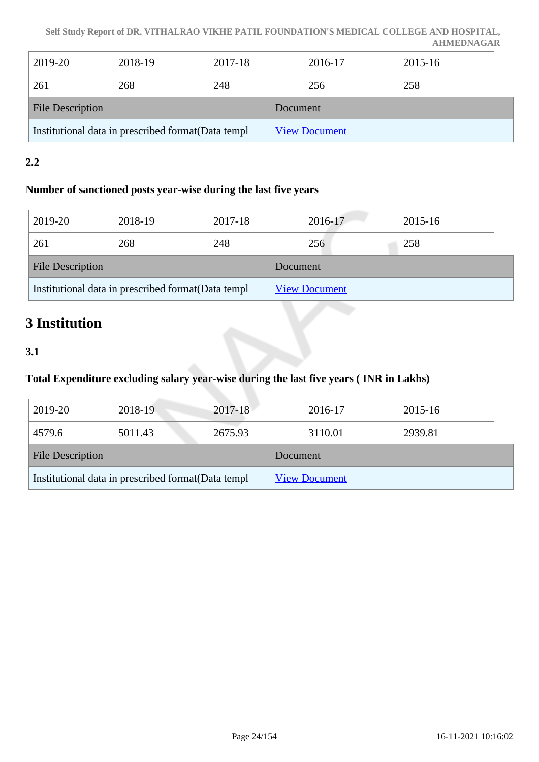| 2019-20                                             | 2018-19 | 2017-18 |          | 2016-17              | 2015-16 |  |
|-----------------------------------------------------|---------|---------|----------|----------------------|---------|--|
| 261                                                 | 268     | 248     |          | 256                  | 258     |  |
| <b>File Description</b>                             |         |         | Document |                      |         |  |
| Institutional data in prescribed format (Data templ |         |         |          | <b>View Document</b> |         |  |

#### **2.2**

#### **Number of sanctioned posts year-wise during the last five years**

| 2019-20                                             | 2018-19 | 2017-18  |                      | 2016-17 | 2015-16 |
|-----------------------------------------------------|---------|----------|----------------------|---------|---------|
| 261                                                 | 268     | 248      |                      | 256     | 258     |
| <b>File Description</b>                             |         | Document |                      |         |         |
| Institutional data in prescribed format (Data templ |         |          | <b>View Document</b> |         |         |

## **3 Institution**

#### **3.1**

#### **Total Expenditure excluding salary year-wise during the last five years ( INR in Lakhs)**

| 2019-20                                             | 2018-19 | 2017-18  |                      | 2016-17 | 2015-16 |
|-----------------------------------------------------|---------|----------|----------------------|---------|---------|
| 4579.6                                              | 5011.43 | 2675.93  |                      | 3110.01 | 2939.81 |
| <b>File Description</b>                             |         | Document |                      |         |         |
| Institutional data in prescribed format (Data templ |         |          | <b>View Document</b> |         |         |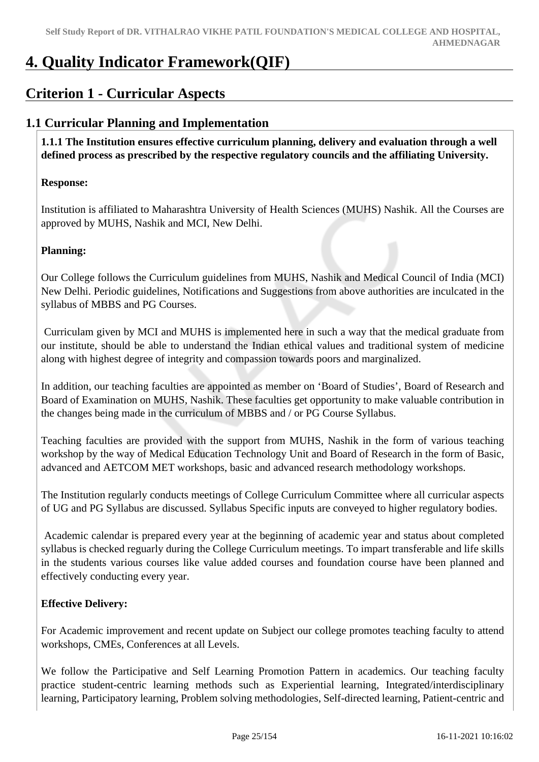## **4. Quality Indicator Framework(QIF)**

### **Criterion 1 - Curricular Aspects**

### **1.1 Curricular Planning and Implementation**

 **1.1.1 The Institution ensures effective curriculum planning, delivery and evaluation through a well defined process as prescribed by the respective regulatory councils and the affiliating University.**

#### **Response:**

Institution is affiliated to Maharashtra University of Health Sciences (MUHS) Nashik. All the Courses are approved by MUHS, Nashik and MCI, New Delhi.

#### **Planning:**

Our College follows the Curriculum guidelines from MUHS, Nashik and Medical Council of India (MCI) New Delhi. Periodic guidelines, Notifications and Suggestions from above authorities are inculcated in the syllabus of MBBS and PG Courses.

 Curriculam given by MCI and MUHS is implemented here in such a way that the medical graduate from our institute, should be able to understand the Indian ethical values and traditional system of medicine along with highest degree of integrity and compassion towards poors and marginalized.

In addition, our teaching faculties are appointed as member on 'Board of Studies', Board of Research and Board of Examination on MUHS, Nashik. These faculties get opportunity to make valuable contribution in the changes being made in the curriculum of MBBS and / or PG Course Syllabus.

Teaching faculties are provided with the support from MUHS, Nashik in the form of various teaching workshop by the way of Medical Education Technology Unit and Board of Research in the form of Basic, advanced and AETCOM MET workshops, basic and advanced research methodology workshops.

The Institution regularly conducts meetings of College Curriculum Committee where all curricular aspects of UG and PG Syllabus are discussed. Syllabus Specific inputs are conveyed to higher regulatory bodies.

 Academic calendar is prepared every year at the beginning of academic year and status about completed syllabus is checked reguarly during the College Curriculum meetings. To impart transferable and life skills in the students various courses like value added courses and foundation course have been planned and effectively conducting every year.

#### **Effective Delivery:**

For Academic improvement and recent update on Subject our college promotes teaching faculty to attend workshops, CMEs, Conferences at all Levels.

We follow the Participative and Self Learning Promotion Pattern in academics. Our teaching faculty practice student-centric learning methods such as Experiential learning, Integrated/interdisciplinary learning, Participatory learning, Problem solving methodologies, Self-directed learning, Patient-centric and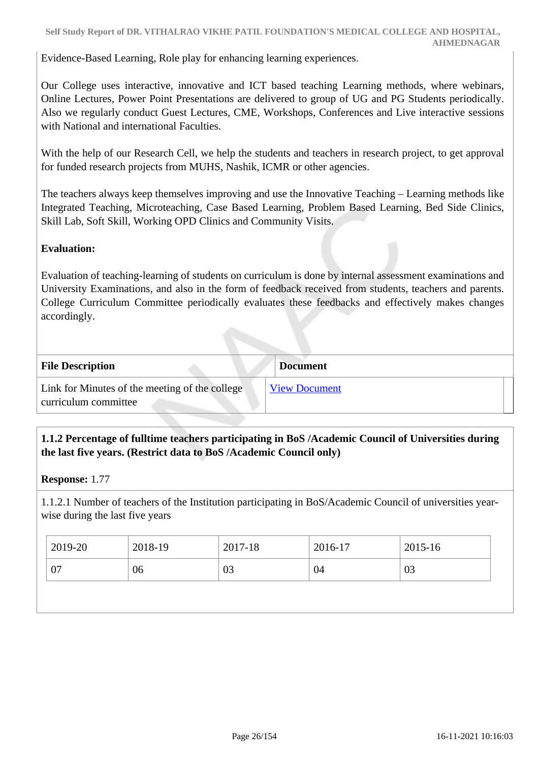Evidence-Based Learning, Role play for enhancing learning experiences.

Our College uses interactive, innovative and ICT based teaching Learning methods, where webinars, Online Lectures, Power Point Presentations are delivered to group of UG and PG Students periodically. Also we regularly conduct Guest Lectures, CME, Workshops, Conferences and Live interactive sessions with National and international Faculties.

With the help of our Research Cell, we help the students and teachers in research project, to get approval for funded research projects from MUHS, Nashik, ICMR or other agencies.

The teachers always keep themselves improving and use the Innovative Teaching – Learning methods like Integrated Teaching, Microteaching, Case Based Learning, Problem Based Learning, Bed Side Clinics, Skill Lab, Soft Skill, Working OPD Clinics and Community Visits.

#### **Evaluation:**

Evaluation of teaching-learning of students on curriculum is done by internal assessment examinations and University Examinations, and also in the form of feedback received from students, teachers and parents. College Curriculum Committee periodically evaluates these feedbacks and effectively makes changes accordingly.

| <b>File Description</b>                                                | <b>Document</b>      |
|------------------------------------------------------------------------|----------------------|
| Link for Minutes of the meeting of the college<br>curriculum committee | <b>View Document</b> |

#### **1.1.2 Percentage of fulltime teachers participating in BoS /Academic Council of Universities during the last five years. (Restrict data to BoS /Academic Council only)**

**Response:** 1.77

1.1.2.1 Number of teachers of the Institution participating in BoS/Academic Council of universities yearwise during the last five years

| 2019-20 | 2018-19 | 2017-18 | 2016-17 | 2015-16 |
|---------|---------|---------|---------|---------|
| 07      | 06      | 03      | 04      | 03      |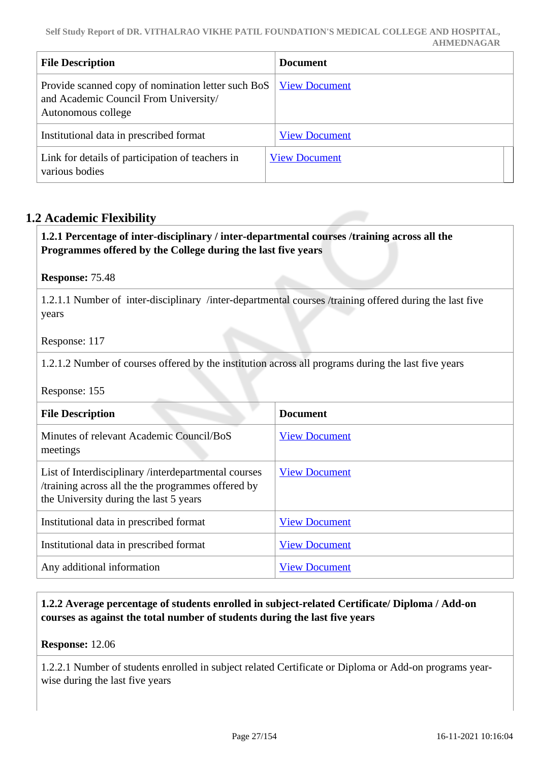| <b>File Description</b>                                                                                           | <b>Document</b>      |
|-------------------------------------------------------------------------------------------------------------------|----------------------|
| Provide scanned copy of nomination letter such BoS<br>and Academic Council From University/<br>Autonomous college | <b>View Document</b> |
| Institutional data in prescribed format                                                                           | <b>View Document</b> |
| Link for details of participation of teachers in<br>various bodies                                                | <b>View Document</b> |

#### **1.2 Academic Flexibility**

#### **1.2.1 Percentage of inter-disciplinary / inter-departmental courses /training across all the Programmes offered by the College during the last five years**

#### **Response:** 75.48

1.2.1.1 Number of inter-disciplinary /inter-departmental courses /training offered during the last five years

#### Response: 117

1.2.1.2 Number of courses offered by the institution across all programs during the last five years

#### Response: 155

| <b>File Description</b>                                                                                                                              | <b>Document</b>      |
|------------------------------------------------------------------------------------------------------------------------------------------------------|----------------------|
| Minutes of relevant Academic Council/BoS<br>meetings                                                                                                 | <b>View Document</b> |
| List of Interdisciplinary /interdepartmental courses<br>/training across all the the programmes offered by<br>the University during the last 5 years | <b>View Document</b> |
| Institutional data in prescribed format                                                                                                              | <b>View Document</b> |
| Institutional data in prescribed format                                                                                                              | <b>View Document</b> |
| Any additional information                                                                                                                           | <b>View Document</b> |

#### **1.2.2 Average percentage of students enrolled in subject-related Certificate/ Diploma / Add-on courses as against the total number of students during the last five years**

**Response:** 12.06

1.2.2.1 Number of students enrolled in subject related Certificate or Diploma or Add-on programs yearwise during the last five years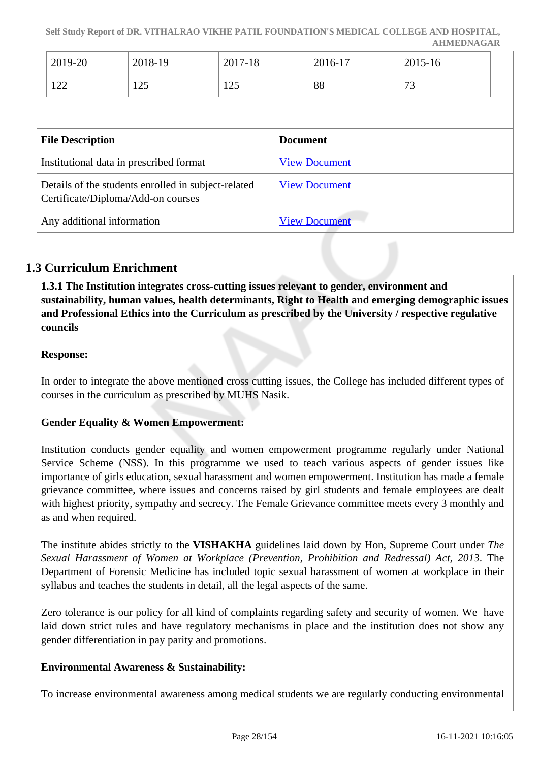|                                                                                           | 2019-20<br>122 | 2018-19<br>125 | 2017-18<br>125       |                      | 2016-17<br>88 | 2015-16<br>73 |  |
|-------------------------------------------------------------------------------------------|----------------|----------------|----------------------|----------------------|---------------|---------------|--|
| <b>File Description</b>                                                                   |                |                | <b>Document</b>      |                      |               |               |  |
| Institutional data in prescribed format                                                   |                |                |                      | <b>View Document</b> |               |               |  |
| Details of the students enrolled in subject-related<br>Certificate/Diploma/Add-on courses |                |                | <b>View Document</b> |                      |               |               |  |
| Any additional information                                                                |                |                | <b>View Document</b> |                      |               |               |  |

### **1.3 Curriculum Enrichment**

 **1.3.1 The Institution integrates cross-cutting issues relevant to gender, environment and sustainability, human values, health determinants, Right to Health and emerging demographic issues and Professional Ethics into the Curriculum as prescribed by the University / respective regulative councils**

#### **Response:**

In order to integrate the above mentioned cross cutting issues, the College has included different types of courses in the curriculum as prescribed by MUHS Nasik.

#### **Gender Equality & Women Empowerment:**

Institution conducts gender equality and women empowerment programme regularly under National Service Scheme (NSS). In this programme we used to teach various aspects of gender issues like importance of girls education, sexual harassment and women empowerment. Institution has made a female grievance committee, where issues and concerns raised by girl students and female employees are dealt with highest priority, sympathy and secrecy. The Female Grievance committee meets every 3 monthly and as and when required.

The institute abides strictly to the **VISHAKHA** guidelines laid down by Hon, Supreme Court under *The Sexual Harassment of Women at Workplace (Prevention, Prohibition and Redressal) Act, 2013*. The Department of Forensic Medicine has included topic sexual harassment of women at workplace in their syllabus and teaches the students in detail, all the legal aspects of the same.

Zero tolerance is our policy for all kind of complaints regarding safety and security of women. We have laid down strict rules and have regulatory mechanisms in place and the institution does not show any gender differentiation in pay parity and promotions.

#### **Environmental Awareness & Sustainability:**

To increase environmental awareness among medical students we are regularly conducting environmental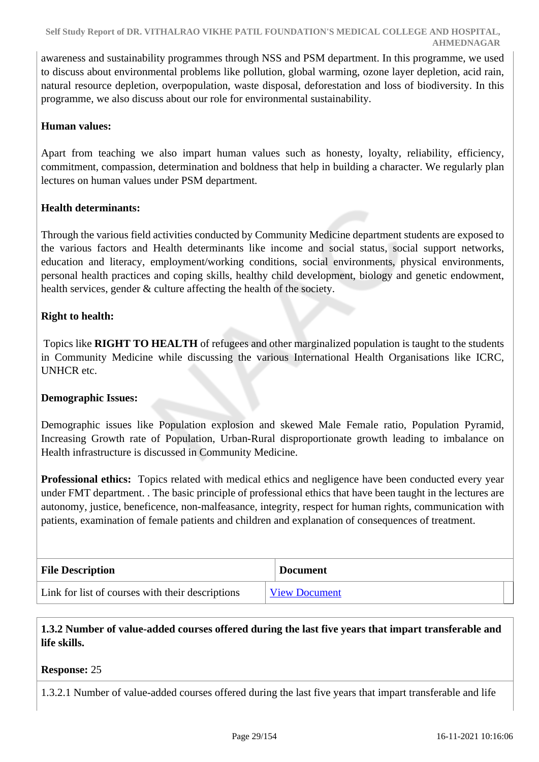awareness and sustainability programmes through NSS and PSM department. In this programme, we used to discuss about environmental problems like pollution, global warming, ozone layer depletion, acid rain, natural resource depletion, overpopulation, waste disposal, deforestation and loss of biodiversity. In this programme, we also discuss about our role for environmental sustainability.

#### **Human values:**

Apart from teaching we also impart human values such as honesty, loyalty, reliability, efficiency, commitment, compassion, determination and boldness that help in building a character. We regularly plan lectures on human values under PSM department.

#### **Health determinants:**

Through the various field activities conducted by Community Medicine department students are exposed to the various factors and Health determinants like income and social status, social support networks, education and literacy, employment/working conditions, social environments, physical environments, personal health practices and coping skills, healthy child development, biology and genetic endowment, health services, gender & culture affecting the health of the society.

#### **Right to health:**

 Topics like **RIGHT TO HEALTH** of refugees and other marginalized population is taught to the students in Community Medicine while discussing the various International Health Organisations like ICRC, UNHCR etc.

#### **Demographic Issues:**

Demographic issues like Population explosion and skewed Male Female ratio, Population Pyramid, Increasing Growth rate of Population, Urban-Rural disproportionate growth leading to imbalance on Health infrastructure is discussed in Community Medicine.

**Professional ethics:** Topics related with medical ethics and negligence have been conducted every year under FMT department. . The basic principle of professional ethics that have been taught in the lectures are autonomy, justice, beneficence, non-malfeasance, integrity, respect for human rights, communication with patients, examination of female patients and children and explanation of consequences of treatment.

| <b>File Description</b>                          | <b>Document</b>      |
|--------------------------------------------------|----------------------|
| Link for list of courses with their descriptions | <b>View Document</b> |

 **1.3.2 Number of value-added courses offered during the last five years that impart transferable and life skills.**

#### **Response:** 25

1.3.2.1 Number of value-added courses offered during the last five years that impart transferable and life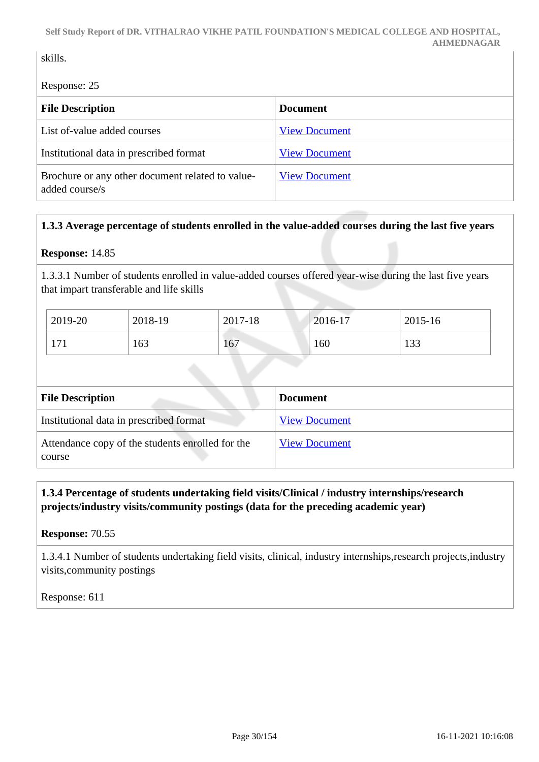#### skills.

Response: 25

| <b>File Description</b>                                            | <b>Document</b>      |
|--------------------------------------------------------------------|----------------------|
| List of-value added courses                                        | <b>View Document</b> |
| Institutional data in prescribed format                            | <b>View Document</b> |
| Brochure or any other document related to value-<br>added course/s | <b>View Document</b> |

#### **1.3.3 Average percentage of students enrolled in the value-added courses during the last five years**

#### **Response:** 14.85

1.3.3.1 Number of students enrolled in value-added courses offered year-wise during the last five years that impart transferable and life skills

| 2019-20 | 2018-19 | 2017-18 | 2016-17 | 2015-16 |
|---------|---------|---------|---------|---------|
| 171     | 163     | 167     | 160     | 133     |

| <b>File Description</b>                                    | <b>Document</b>      |
|------------------------------------------------------------|----------------------|
| Institutional data in prescribed format                    | <b>View Document</b> |
| Attendance copy of the students enrolled for the<br>course | <b>View Document</b> |

 **1.3.4 Percentage of students undertaking field visits/Clinical / industry internships/research projects/industry visits/community postings (data for the preceding academic year)**

**Response:** 70.55

1.3.4.1 Number of students undertaking field visits, clinical, industry internships,research projects,industry visits,community postings

Response: 611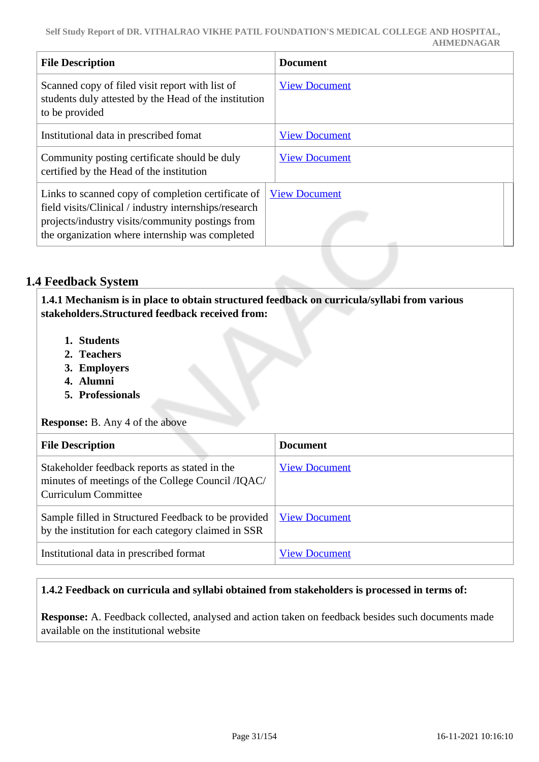| <b>File Description</b>                                                                                                                                                                                            | <b>Document</b>      |
|--------------------------------------------------------------------------------------------------------------------------------------------------------------------------------------------------------------------|----------------------|
| Scanned copy of filed visit report with list of<br>students duly attested by the Head of the institution<br>to be provided                                                                                         | <b>View Document</b> |
| Institutional data in prescribed fomat                                                                                                                                                                             | <b>View Document</b> |
| Community posting certificate should be duly<br>certified by the Head of the institution                                                                                                                           | <b>View Document</b> |
| Links to scanned copy of completion certificate of<br>field visits/Clinical / industry internships/research<br>projects/industry visits/community postings from<br>the organization where internship was completed | <b>View Document</b> |

#### **1.4 Feedback System**

 **1.4.1 Mechanism is in place to obtain structured feedback on curricula/syllabi from various stakeholders.Structured feedback received from:**

- **1. Students**
- **2. Teachers**
- **3. Employers**
- **4. Alumni**
- **5. Professionals**

**Response:** B. Any 4 of the above

| <b>File Description</b>                                                                                                           | <b>Document</b>      |
|-----------------------------------------------------------------------------------------------------------------------------------|----------------------|
| Stakeholder feedback reports as stated in the<br>minutes of meetings of the College Council /IQAC/<br><b>Curriculum Committee</b> | <b>View Document</b> |
| Sample filled in Structured Feedback to be provided<br>by the institution for each category claimed in SSR                        | <b>View Document</b> |
| Institutional data in prescribed format                                                                                           | <b>View Document</b> |

#### **1.4.2 Feedback on curricula and syllabi obtained from stakeholders is processed in terms of:**

**Response:** A. Feedback collected, analysed and action taken on feedback besides such documents made available on the institutional website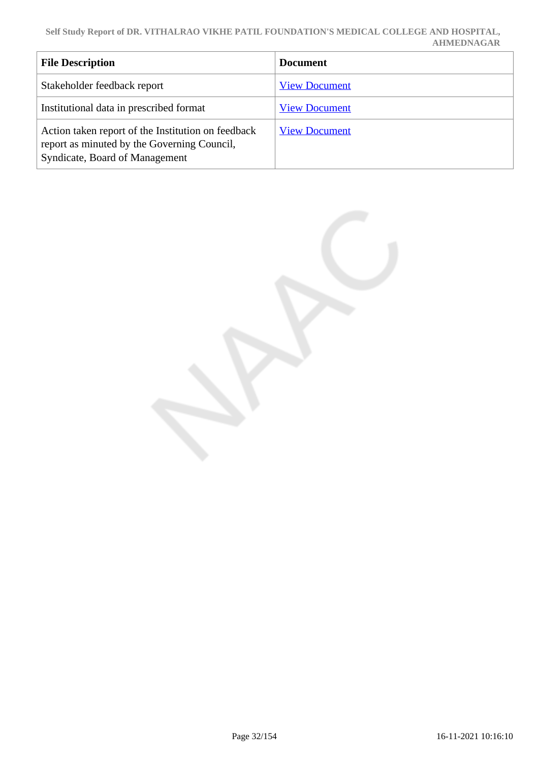| <b>File Description</b>                                                                                                             | <b>Document</b>      |
|-------------------------------------------------------------------------------------------------------------------------------------|----------------------|
| Stakeholder feedback report                                                                                                         | <b>View Document</b> |
| Institutional data in prescribed format                                                                                             | <b>View Document</b> |
| Action taken report of the Institution on feedback<br>report as minuted by the Governing Council,<br>Syndicate, Board of Management | <b>View Document</b> |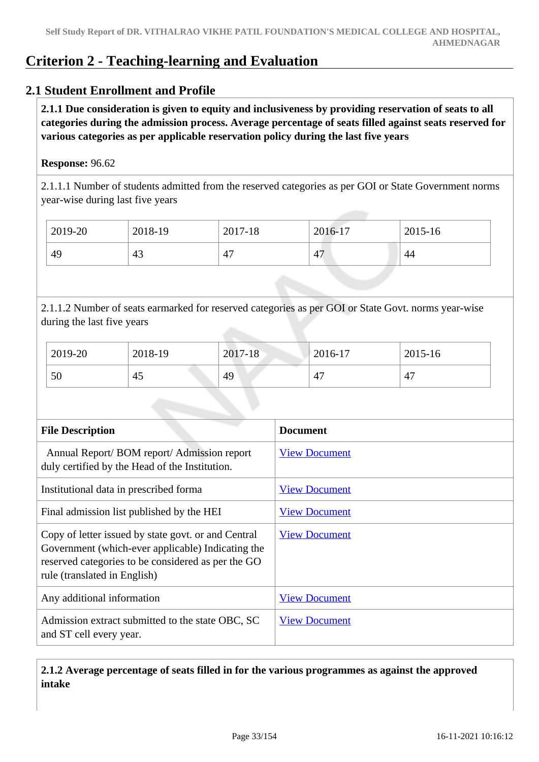### **Criterion 2 - Teaching-learning and Evaluation**

#### **2.1 Student Enrollment and Profile**

 **2.1.1 Due consideration is given to equity and inclusiveness by providing reservation of seats to all categories during the admission process. Average percentage of seats filled against seats reserved for various categories as per applicable reservation policy during the last five years**

#### **Response:** 96.62

2.1.1.1 Number of students admitted from the reserved categories as per GOI or State Government norms year-wise during last five years

| 2019-20 | 2018-19 | 2017-18 | 2016-17 | 2015-16 |
|---------|---------|---------|---------|---------|
| 49      | 43      | 47      | 47      | 44      |

2.1.1.2 Number of seats earmarked for reserved categories as per GOI or State Govt. norms year-wise during the last five years

| 2019-20 | 2018-19 | 2017-18 | 2016-17 | 2015-16 |
|---------|---------|---------|---------|---------|
| 50      | 45      | 49      | 47      | 47      |

| <b>File Description</b>                                                                                                                                                                        | <b>Document</b>      |  |  |
|------------------------------------------------------------------------------------------------------------------------------------------------------------------------------------------------|----------------------|--|--|
| Annual Report/BOM report/Admission report<br>duly certified by the Head of the Institution.                                                                                                    | <b>View Document</b> |  |  |
| Institutional data in prescribed forma                                                                                                                                                         | <b>View Document</b> |  |  |
| Final admission list published by the HEI                                                                                                                                                      | <b>View Document</b> |  |  |
| Copy of letter issued by state govt. or and Central<br>Government (which-ever applicable) Indicating the<br>reserved categories to be considered as per the GO<br>rule (translated in English) | <b>View Document</b> |  |  |
| Any additional information                                                                                                                                                                     | <b>View Document</b> |  |  |
| Admission extract submitted to the state OBC, SC<br>and ST cell every year.                                                                                                                    | <b>View Document</b> |  |  |

#### **2.1.2 Average percentage of seats filled in for the various programmes as against the approved intake**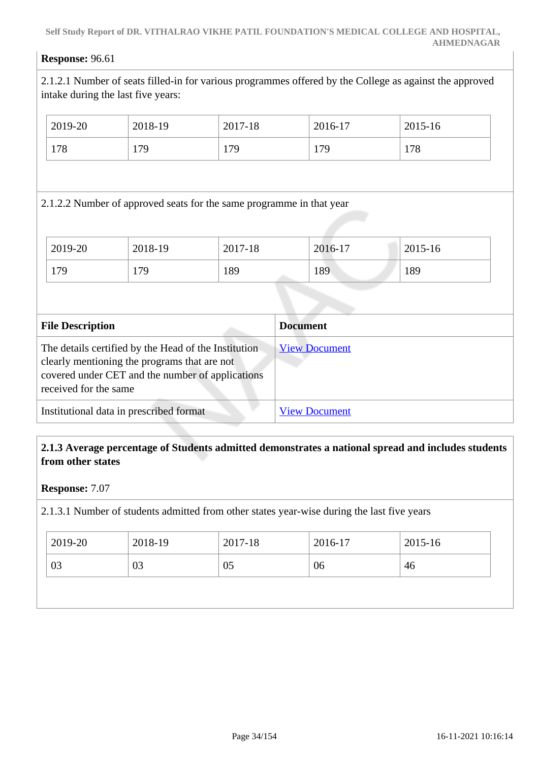#### **Response:** 96.61

2.1.2.1 Number of seats filled-in for various programmes offered by the College as against the approved intake during the last five years:

| 2019-20                                 | 2018-19                                                                                                                                                  | 2017-18 | 2016-17              | 2015-16 |
|-----------------------------------------|----------------------------------------------------------------------------------------------------------------------------------------------------------|---------|----------------------|---------|
| 178                                     | 179                                                                                                                                                      | 179     | 179                  | 178     |
|                                         |                                                                                                                                                          |         |                      |         |
|                                         | 2.1.2.2 Number of approved seats for the same programme in that year                                                                                     |         |                      |         |
|                                         |                                                                                                                                                          |         |                      |         |
| 2019-20                                 | 2018-19                                                                                                                                                  | 2017-18 | 2016-17              | 2015-16 |
| 179                                     | 179                                                                                                                                                      | 189     | 189                  | 189     |
|                                         |                                                                                                                                                          |         |                      |         |
| <b>File Description</b>                 |                                                                                                                                                          |         | <b>Document</b>      |         |
| received for the same                   | The details certified by the Head of the Institution<br>clearly mentioning the programs that are not<br>covered under CET and the number of applications |         | <b>View Document</b> |         |
| Institutional data in prescribed format |                                                                                                                                                          |         | <b>View Document</b> |         |

#### **2.1.3 Average percentage of Students admitted demonstrates a national spread and includes students from other states**

#### **Response:** 7.07

2.1.3.1 Number of students admitted from other states year-wise during the last five years

| 2019-20 | 2018-19        | 2017-18 | 2016-17 | 2015-16 |
|---------|----------------|---------|---------|---------|
| 03      | 0 <sup>3</sup> | 05      | 06      | 46      |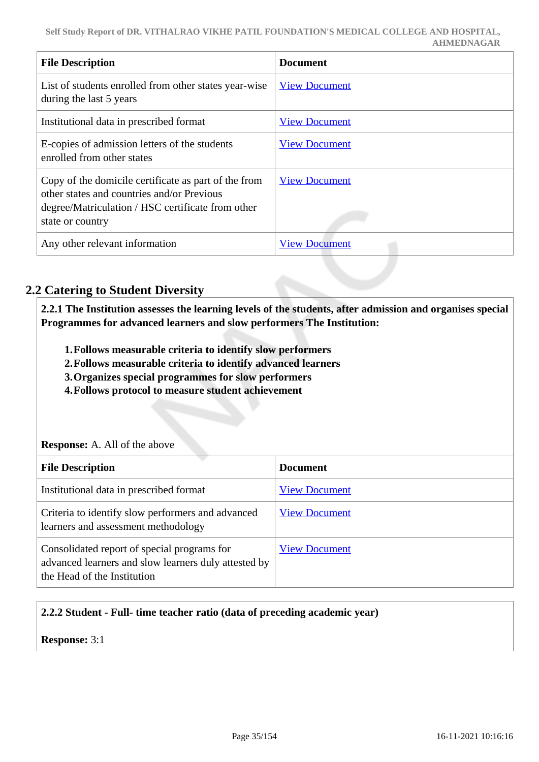| <b>File Description</b>                                                                                                                                                     | <b>Document</b>      |
|-----------------------------------------------------------------------------------------------------------------------------------------------------------------------------|----------------------|
| List of students enrolled from other states year-wise<br>during the last 5 years                                                                                            | <b>View Document</b> |
| Institutional data in prescribed format                                                                                                                                     | <b>View Document</b> |
| E-copies of admission letters of the students<br>enrolled from other states                                                                                                 | <b>View Document</b> |
| Copy of the domicile certificate as part of the from<br>other states and countries and/or Previous<br>degree/Matriculation / HSC certificate from other<br>state or country | <b>View Document</b> |
| Any other relevant information                                                                                                                                              | <b>View Document</b> |

#### **2.2 Catering to Student Diversity**

 **2.2.1 The Institution assesses the learning levels of the students, after admission and organises special Programmes for advanced learners and slow performers The Institution:**

- **1.Follows measurable criteria to identify slow performers**
- **2.Follows measurable criteria to identify advanced learners**
- **3.Organizes special programmes for slow performers**
- **4.Follows protocol to measure student achievement**

#### **Response:** A. All of the above

| <b>File Description</b>                                                                                                            | <b>Document</b>      |
|------------------------------------------------------------------------------------------------------------------------------------|----------------------|
| Institutional data in prescribed format                                                                                            | <b>View Document</b> |
| Criteria to identify slow performers and advanced<br>learners and assessment methodology                                           | <b>View Document</b> |
| Consolidated report of special programs for<br>advanced learners and slow learners duly attested by<br>the Head of the Institution | <b>View Document</b> |

#### **2.2.2 Student - Full- time teacher ratio (data of preceding academic year)**

**Response:** 3:1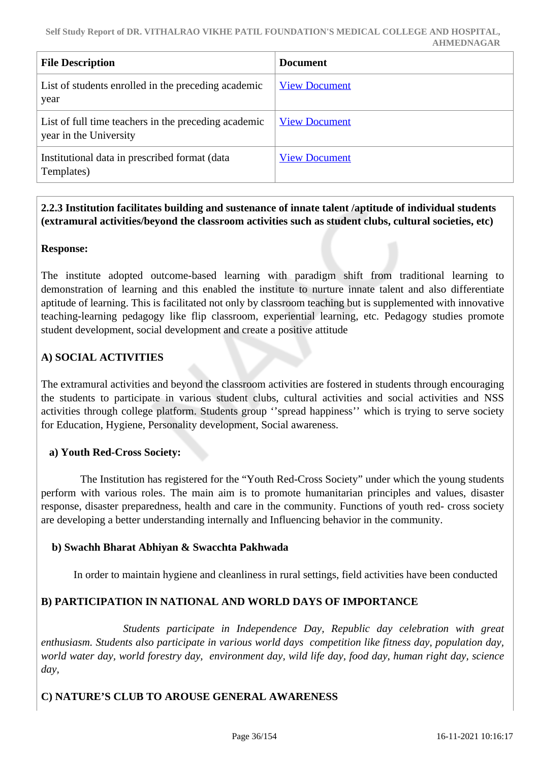| <b>File Description</b>                                                        | <b>Document</b>      |
|--------------------------------------------------------------------------------|----------------------|
| List of students enrolled in the preceding academic<br>year                    | <b>View Document</b> |
| List of full time teachers in the preceding academic<br>year in the University | <b>View Document</b> |
| Institutional data in prescribed format (data<br>Templates)                    | <b>View Document</b> |

#### **2.2.3 Institution facilitates building and sustenance of innate talent /aptitude of individual students (extramural activities/beyond the classroom activities such as student clubs, cultural societies, etc)**

#### **Response:**

The institute adopted outcome-based learning with paradigm shift from traditional learning to demonstration of learning and this enabled the institute to nurture innate talent and also differentiate aptitude of learning. This is facilitated not only by classroom teaching but is supplemented with innovative teaching-learning pedagogy like flip classroom, experiential learning, etc. Pedagogy studies promote student development, social development and create a positive attitude

#### **A) SOCIAL ACTIVITIES**

The extramural activities and beyond the classroom activities are fostered in students through encouraging the students to participate in various student clubs, cultural activities and social activities and NSS activities through college platform. Students group ''spread happiness'' which is trying to serve society for Education, Hygiene, Personality development, Social awareness.

#### **a) Youth Red-Cross Society:**

 The Institution has registered for the "Youth Red-Cross Society" under which the young students perform with various roles. The main aim is to promote humanitarian principles and values, disaster response, disaster preparedness, health and care in the community. Functions of youth red- cross society are developing a better understanding internally and Influencing behavior in the community.

#### **b) Swachh Bharat Abhiyan & Swacchta Pakhwada**

In order to maintain hygiene and cleanliness in rural settings, field activities have been conducted

#### **B) PARTICIPATION IN NATIONAL AND WORLD DAYS OF IMPORTANCE**

 *Students participate in Independence Day, Republic day celebration with great enthusiasm. Students also participate in various world days competition like fitness day, population day, world water day, world forestry day, environment day, wild life day, food day, human right day, science day,*

#### **C) NATURE'S CLUB TO AROUSE GENERAL AWARENESS**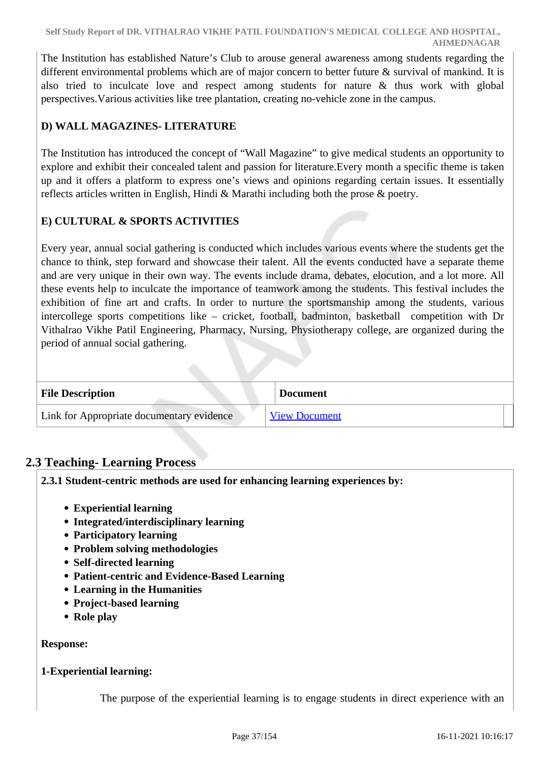The Institution has established Nature's Club to arouse general awareness among students regarding the different environmental problems which are of major concern to better future & survival of mankind. It is also tried to inculcate love and respect among students for nature & thus work with global perspectives.Various activities like tree plantation, creating no-vehicle zone in the campus.

# **D) WALL MAGAZINES- LITERATURE**

The Institution has introduced the concept of "Wall Magazine" to give medical students an opportunity to explore and exhibit their concealed talent and passion for literature.Every month a specific theme is taken up and it offers a platform to express one's views and opinions regarding certain issues. It essentially reflects articles written in English, Hindi & Marathi including both the prose & poetry.

# **E) CULTURAL & SPORTS ACTIVITIES**

Every year, annual social gathering is conducted which includes various events where the students get the chance to think, step forward and showcase their talent. All the events conducted have a separate theme and are very unique in their own way. The events include drama, debates, elocution, and a lot more. All these events help to inculcate the importance of teamwork among the students. This festival includes the exhibition of fine art and crafts. In order to nurture the sportsmanship among the students, various intercollege sports competitions like – cricket, football, badminton, basketball competition with Dr Vithalrao Vikhe Patil Engineering, Pharmacy, Nursing, Physiotherapy college, are organized during the period of annual social gathering.

| <b>File Description</b>                   | <b>Document</b>      |
|-------------------------------------------|----------------------|
| Link for Appropriate documentary evidence | <b>View Document</b> |

# **2.3 Teaching- Learning Process**

**2.3.1 Student-centric methods are used for enhancing learning experiences by:**

- **Experiential learning**
- **Integrated/interdisciplinary learning**
- **Participatory learning**
- **Problem solving methodologies**
- **Self-directed learning**
- **Patient-centric and Evidence-Based Learning**
- **Learning in the Humanities**
- **Project-based learning**
- **Role play**

### **Response:**

### **1-Experiential learning:**

The purpose of the experiential learning is to engage students in direct experience with an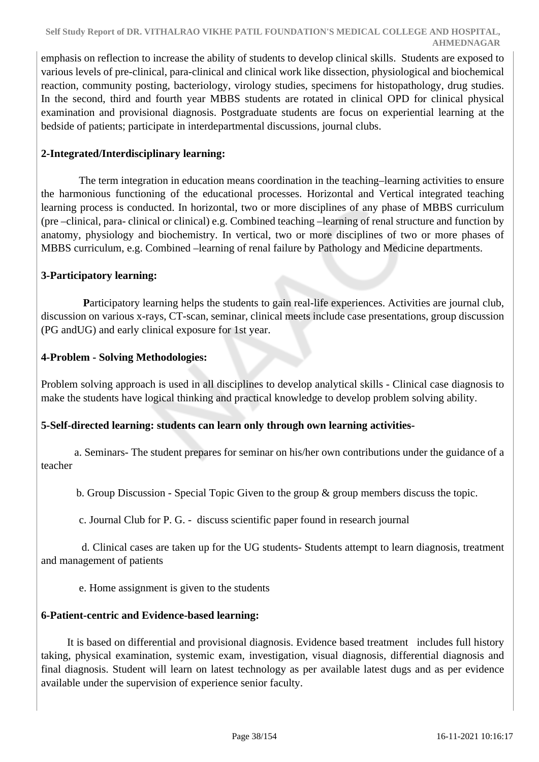emphasis on reflection to increase the ability of students to develop clinical skills. Students are exposed to various levels of pre-clinical, para-clinical and clinical work like dissection, physiological and biochemical reaction, community posting, bacteriology, virology studies, specimens for histopathology, drug studies. In the second, third and fourth year MBBS students are rotated in clinical OPD for clinical physical examination and provisional diagnosis. Postgraduate students are focus on experiential learning at the bedside of patients; participate in interdepartmental discussions, journal clubs.

# **2-Integrated/Interdisciplinary learning:**

 The term integration in education means coordination in the teaching–learning activities to ensure the harmonious functioning of the educational processes. Horizontal and Vertical integrated teaching learning process is conducted. In horizontal, two or more disciplines of any phase of MBBS curriculum (pre –clinical, para- clinical or clinical) e.g. Combined teaching –learning of renal structure and function by anatomy, physiology and biochemistry. In vertical, two or more disciplines of two or more phases of MBBS curriculum, e.g. Combined –learning of renal failure by Pathology and Medicine departments.

### **3-Participatory learning:**

Participatory learning helps the students to gain real-life experiences. Activities are journal club, discussion on various x-rays, CT-scan, seminar, clinical meets include case presentations, group discussion (PG andUG) and early clinical exposure for 1st year.

### **4-Problem - Solving Methodologies:**

Problem solving approach is used in all disciplines to develop analytical skills - Clinical case diagnosis to make the students have logical thinking and practical knowledge to develop problem solving ability.

# **5-Self-directed learning: students can learn only through own learning activities-**

 a. Seminars- The student prepares for seminar on his/her own contributions under the guidance of a teacher

b. Group Discussion - Special Topic Given to the group & group members discuss the topic.

c. Journal Club for P. G. - discuss scientific paper found in research journal

 d. Clinical cases are taken up for the UG students- Students attempt to learn diagnosis, treatment and management of patients

e. Home assignment is given to the students

### **6-Patient-centric and Evidence-based learning:**

 It is based on differential and provisional diagnosis. Evidence based treatment includes full history taking, physical examination, systemic exam, investigation, visual diagnosis, differential diagnosis and final diagnosis. Student will learn on latest technology as per available latest dugs and as per evidence available under the supervision of experience senior faculty.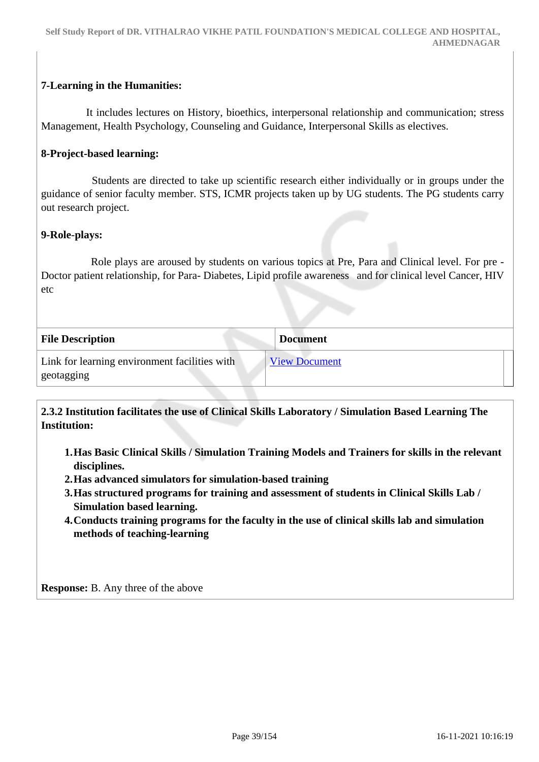# **7-Learning in the Humanities:**

 It includes lectures on History, bioethics, interpersonal relationship and communication; stress Management, Health Psychology, Counseling and Guidance, Interpersonal Skills as electives.

### **8-Project-based learning:**

 Students are directed to take up scientific research either individually or in groups under the guidance of senior faculty member. STS, ICMR projects taken up by UG students. The PG students carry out research project.

#### **9-Role**-**plays:**

 Role plays are aroused by students on various topics at Pre, Para and Clinical level. For pre - Doctor patient relationship, for Para- Diabetes, Lipid profile awareness and for clinical level Cancer, HIV etc

| <b>File Description</b>                                     | <b>Document</b>      |
|-------------------------------------------------------------|----------------------|
| Link for learning environment facilities with<br>geotagging | <b>View Document</b> |

 **2.3.2 Institution facilitates the use of Clinical Skills Laboratory / Simulation Based Learning The Institution:**

- **1.Has Basic Clinical Skills / Simulation Training Models and Trainers for skills in the relevant disciplines.**
- **2.Has advanced simulators for simulation-based training**
- **3.Has structured programs for training and assessment of students in Clinical Skills Lab / Simulation based learning.**
- **4.Conducts training programs for the faculty in the use of clinical skills lab and simulation methods of teaching-learning**

**Response:** B. Any three of the above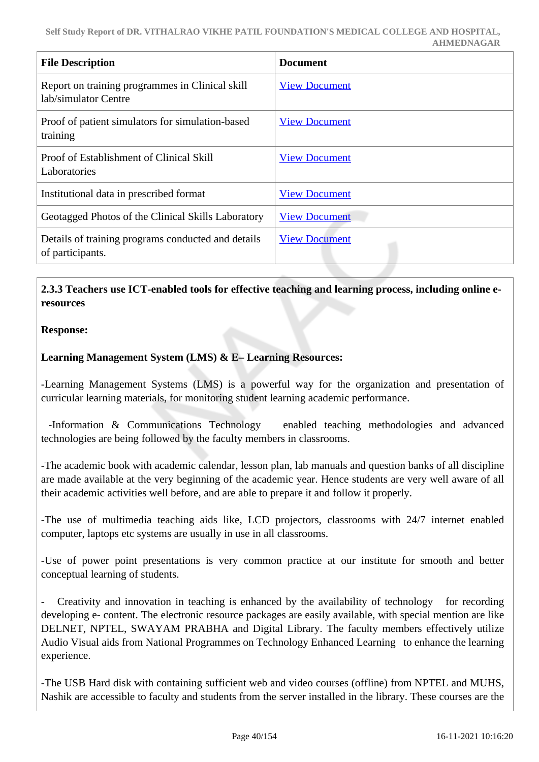| <b>File Description</b>                                                 | <b>Document</b>      |
|-------------------------------------------------------------------------|----------------------|
| Report on training programmes in Clinical skill<br>lab/simulator Centre | <b>View Document</b> |
| Proof of patient simulators for simulation-based<br>training            | <b>View Document</b> |
| Proof of Establishment of Clinical Skill<br>Laboratories                | <b>View Document</b> |
| Institutional data in prescribed format                                 | <b>View Document</b> |
| Geotagged Photos of the Clinical Skills Laboratory                      | <b>View Document</b> |
| Details of training programs conducted and details<br>of participants.  | <b>View Document</b> |

# **2.3.3 Teachers use ICT-enabled tools for effective teaching and learning process, including online eresources**

### **Response:**

# **Learning Management System (LMS) & E– Learning Resources:**

-Learning Management Systems (LMS) is a powerful way for the organization and presentation of curricular learning materials, for monitoring student learning academic performance.

 -Information & Communications Technology enabled teaching methodologies and advanced technologies are being followed by the faculty members in classrooms.

-The academic book with academic calendar, lesson plan, lab manuals and question banks of all discipline are made available at the very beginning of the academic year. Hence students are very well aware of all their academic activities well before, and are able to prepare it and follow it properly.

-The use of multimedia teaching aids like, LCD projectors, classrooms with 24/7 internet enabled computer, laptops etc systems are usually in use in all classrooms.

-Use of power point presentations is very common practice at our institute for smooth and better conceptual learning of students.

Creativity and innovation in teaching is enhanced by the availability of technology for recording developing e- content. The electronic resource packages are easily available, with special mention are like DELNET, NPTEL, SWAYAM PRABHA and Digital Library. The faculty members effectively utilize Audio Visual aids from National Programmes on Technology Enhanced Learning to enhance the learning experience.

-The USB Hard disk with containing sufficient web and video courses (offline) from NPTEL and MUHS, Nashik are accessible to faculty and students from the server installed in the library. These courses are the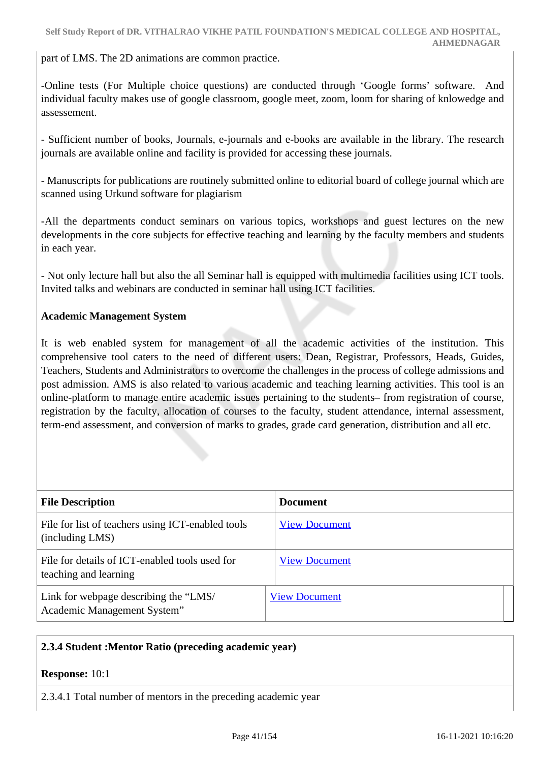part of LMS. The 2D animations are common practice.

-Online tests (For Multiple choice questions) are conducted through 'Google forms' software. And individual faculty makes use of google classroom, google meet, zoom, loom for sharing of knlowedge and assessement.

- Sufficient number of books, Journals, e-journals and e-books are available in the library. The research journals are available online and facility is provided for accessing these journals.

- Manuscripts for publications are routinely submitted online to editorial board of college journal which are scanned using Urkund software for plagiarism

-All the departments conduct seminars on various topics, workshops and guest lectures on the new developments in the core subjects for effective teaching and learning by the faculty members and students in each year.

- Not only lecture hall but also the all Seminar hall is equipped with multimedia facilities using ICT tools. Invited talks and webinars are conducted in seminar hall using ICT facilities.

### **Academic Management System**

It is web enabled system for management of all the academic activities of the institution. This comprehensive tool caters to the need of different users: Dean, Registrar, Professors, Heads, Guides, Teachers, Students and Administrators to overcome the challenges in the process of college admissions and post admission. AMS is also related to various academic and teaching learning activities. This tool is an online-platform to manage entire academic issues pertaining to the students– from registration of course, registration by the faculty, allocation of courses to the faculty, student attendance, internal assessment, term-end assessment, and conversion of marks to grades, grade card generation, distribution and all etc.

| <b>File Description</b>                                                 | <b>Document</b>      |
|-------------------------------------------------------------------------|----------------------|
| File for list of teachers using ICT-enabled tools<br>(including LMS)    | <b>View Document</b> |
| File for details of ICT-enabled tools used for<br>teaching and learning | <b>View Document</b> |
| Link for webpage describing the "LMS/<br>Academic Management System"    | <b>View Document</b> |

### **2.3.4 Student :Mentor Ratio (preceding academic year)**

**Response:** 10:1

2.3.4.1 Total number of mentors in the preceding academic year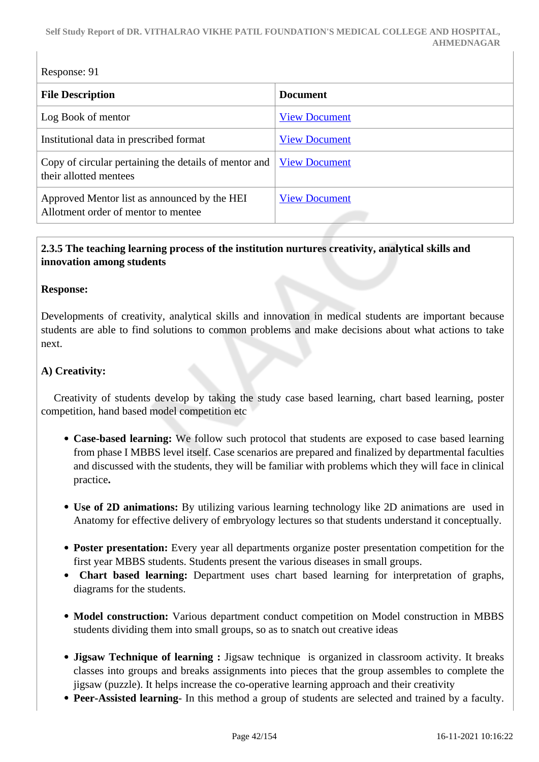| Response: 91                                                                        |                      |  |
|-------------------------------------------------------------------------------------|----------------------|--|
| <b>File Description</b>                                                             | <b>Document</b>      |  |
| Log Book of mentor                                                                  | <b>View Document</b> |  |
| Institutional data in prescribed format                                             | <b>View Document</b> |  |
| Copy of circular pertaining the details of mentor and<br>their allotted mentees     | <b>View Document</b> |  |
| Approved Mentor list as announced by the HEI<br>Allotment order of mentor to mentee | <b>View Document</b> |  |

# **2.3.5 The teaching learning process of the institution nurtures creativity, analytical skills and innovation among students**

### **Response:**

Developments of creativity, analytical skills and innovation in medical students are important because students are able to find solutions to common problems and make decisions about what actions to take next.

### **A) Creativity:**

 Creativity of students develop by taking the study case based learning, chart based learning, poster competition, hand based model competition etc

- **Case-based learning:** We follow such protocol that students are exposed to case based learning from phase I MBBS level itself. Case scenarios are prepared and finalized by departmental faculties and discussed with the students, they will be familiar with problems which they will face in clinical practice**.**
- **Use of 2D animations:** By utilizing various learning technology like 2D animations are used in Anatomy for effective delivery of embryology lectures so that students understand it conceptually.
- **Poster presentation:** Every year all departments organize poster presentation competition for the first year MBBS students. Students present the various diseases in small groups.
- **Chart based learning:** Department uses chart based learning for interpretation of graphs, diagrams for the students.
- **Model construction:** Various department conduct competition on Model construction in MBBS students dividing them into small groups, so as to snatch out creative ideas
- **Jigsaw Technique of learning :** Jigsaw technique is organized in classroom activity. It breaks classes into groups and breaks assignments into pieces that the group assembles to complete the jigsaw (puzzle). It helps increase the co-operative learning approach and their creativity
- **Peer-Assisted learning** In this method a group of students are selected and trained by a faculty.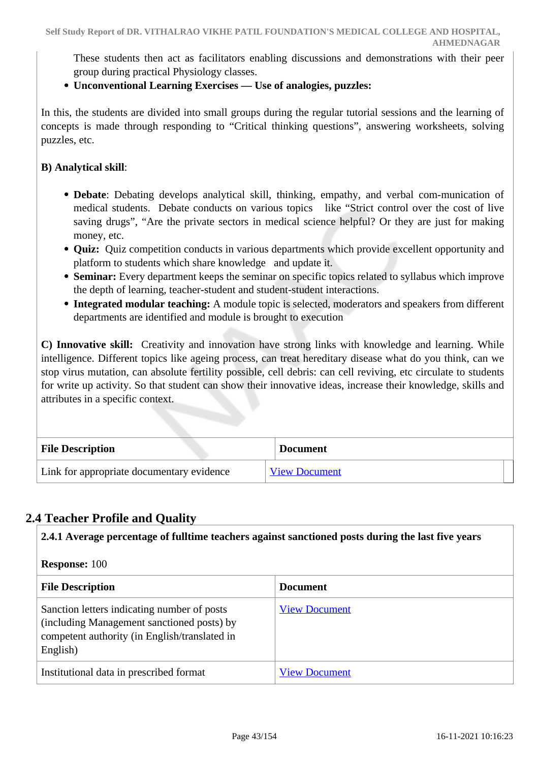These students then act as facilitators enabling discussions and demonstrations with their peer group during practical Physiology classes.

## **Unconventional Learning Exercises –– Use of analogies, puzzles:**

In this, the students are divided into small groups during the regular tutorial sessions and the learning of concepts is made through responding to "Critical thinking questions", answering worksheets, solving puzzles, etc.

### **B) Analytical skill**:

- **Debate**: Debating develops analytical skill, thinking, empathy, and verbal com-munication of medical students. Debate conducts on various topics like "Strict control over the cost of live saving drugs", "Are the private sectors in medical science helpful? Or they are just for making money, etc.
- **Quiz:** Quiz competition conducts in various departments which provide excellent opportunity and platform to students which share knowledge and update it.
- **Seminar:** Every department keeps the seminar on specific topics related to syllabus which improve the depth of learning, teacher-student and student-student interactions.
- **Integrated modular teaching:** A module topic is selected, moderators and speakers from different departments are identified and module is brought to execution

**C) Innovative skill:** Creativity and innovation have strong links with knowledge and learning. While intelligence. Different topics like ageing process, can treat hereditary disease what do you think, can we stop virus mutation, can absolute fertility possible, cell debris: can cell reviving, etc circulate to students for write up activity. So that student can show their innovative ideas, increase their knowledge, skills and attributes in a specific context.

| <b>File Description</b>                   | <b>Document</b>      |  |
|-------------------------------------------|----------------------|--|
| Link for appropriate documentary evidence | <b>View Document</b> |  |

# **2.4 Teacher Profile and Quality**

| 2.4.1 Average percentage of fulltime teachers against sanctioned posts during the last five years                                                      |                      |
|--------------------------------------------------------------------------------------------------------------------------------------------------------|----------------------|
| <b>Response: 100</b>                                                                                                                                   |                      |
| <b>File Description</b>                                                                                                                                | <b>Document</b>      |
| Sanction letters indicating number of posts<br>(including Management sanctioned posts) by<br>competent authority (in English/translated in<br>English) | <b>View Document</b> |
| Institutional data in prescribed format                                                                                                                | <b>View Document</b> |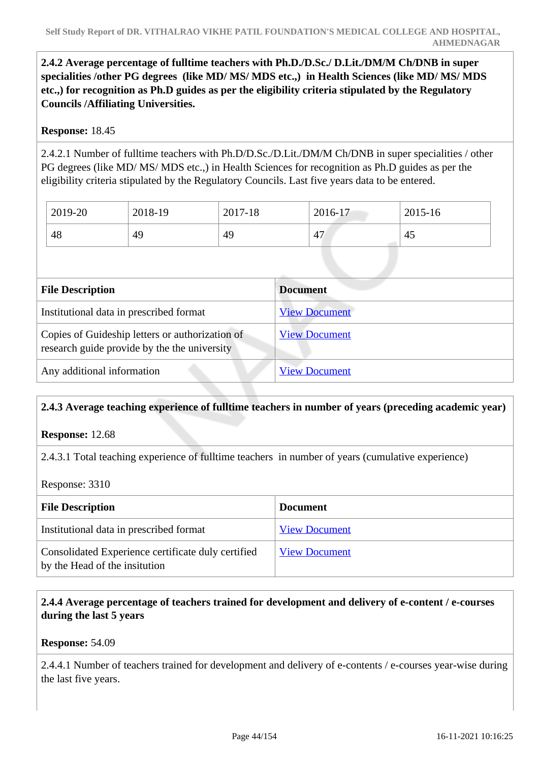**2.4.2 Average percentage of fulltime teachers with Ph.D./D.Sc./ D.Lit./DM/M Ch/DNB in super specialities /other PG degrees (like MD/ MS/ MDS etc.,) in Health Sciences (like MD/ MS/ MDS etc.,) for recognition as Ph.D guides as per the eligibility criteria stipulated by the Regulatory Councils /Affiliating Universities.**

# **Response:** 18.45

2.4.2.1 Number of fulltime teachers with Ph.D/D.Sc./D.Lit./DM/M Ch/DNB in super specialities / other PG degrees (like MD/ MS/ MDS etc.,) in Health Sciences for recognition as Ph.D guides as per the eligibility criteria stipulated by the Regulatory Councils. Last five years data to be entered.

| 2019-20 | 2018-19 | 2017-18 | 2016-17 | 2015-16 |
|---------|---------|---------|---------|---------|
| 48      | 49      | 49      | 47      | 45      |

| <b>File Description</b>                                                                         | <b>Document</b>      |  |
|-------------------------------------------------------------------------------------------------|----------------------|--|
| Institutional data in prescribed format                                                         | <b>View Document</b> |  |
| Copies of Guideship letters or authorization of<br>research guide provide by the the university | <b>View Document</b> |  |
| Any additional information                                                                      | <b>View Document</b> |  |

# **2.4.3 Average teaching experience of fulltime teachers in number of years (preceding academic year)**

**Response:** 12.68

2.4.3.1 Total teaching experience of fulltime teachers in number of years (cumulative experience)

Response: 3310

| <b>File Description</b>                                                             | <b>Document</b>      |
|-------------------------------------------------------------------------------------|----------------------|
| Institutional data in prescribed format                                             | <b>View Document</b> |
| Consolidated Experience certificate duly certified<br>by the Head of the insitution | <b>View Document</b> |

# **2.4.4 Average percentage of teachers trained for development and delivery of e-content / e-courses during the last 5 years**

**Response:** 54.09

2.4.4.1 Number of teachers trained for development and delivery of e-contents / e-courses year-wise during the last five years.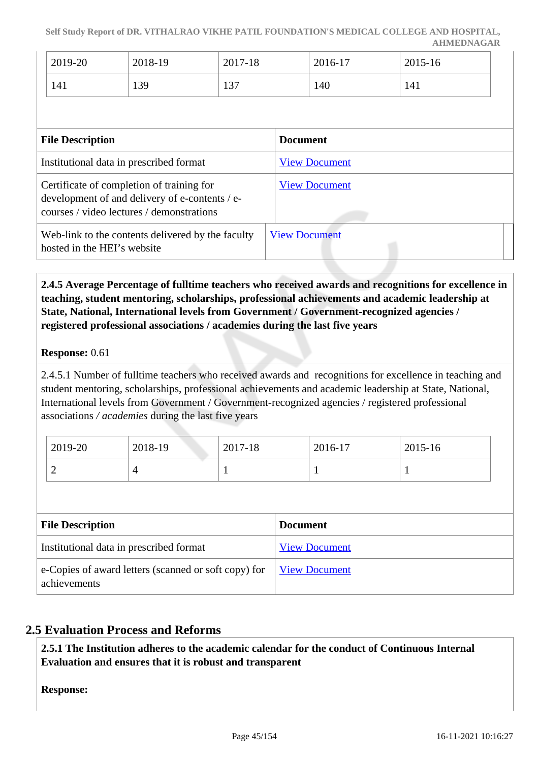**Self Study Report of DR. VITHALRAO VIKHE PATIL FOUNDATION'S MEDICAL COLLEGE AND HOSPITAL, AHMEDNAGAR**

| 2019-20 | 2018-19 | 2017-18         | 2016-17 | 2015-16 |
|---------|---------|-----------------|---------|---------|
| 141     | 139     | $\sim$<br>1 J I | 140     | 141     |

| <b>File Description</b>                                                                                                                  | <b>Document</b>      |
|------------------------------------------------------------------------------------------------------------------------------------------|----------------------|
| Institutional data in prescribed format                                                                                                  | <b>View Document</b> |
| Certificate of completion of training for<br>development of and delivery of e-contents / e-<br>courses / video lectures / demonstrations | <b>View Document</b> |
| Web-link to the contents delivered by the faculty<br>hosted in the HEI's website                                                         | <b>View Document</b> |

 **2.4.5 Average Percentage of fulltime teachers who received awards and recognitions for excellence in teaching, student mentoring, scholarships, professional achievements and academic leadership at State, National, International levels from Government / Government-recognized agencies / registered professional associations / academies during the last five years**

#### **Response:** 0.61

2.4.5.1 Number of fulltime teachers who received awards and recognitions for excellence in teaching and student mentoring, scholarships, professional achievements and academic leadership at State, National, International levels from Government / Government-recognized agencies / registered professional associations */ academies* during the last five years

| 2019-20 | 2018-19 | 2017-18 | 2016-17 | 2015-16 |
|---------|---------|---------|---------|---------|
| ∼       |         |         |         |         |

| <b>File Description</b>                                              | <b>Document</b>      |
|----------------------------------------------------------------------|----------------------|
| Institutional data in prescribed format                              | <b>View Document</b> |
| e-Copies of award letters (scanned or soft copy) for<br>achievements | <b>View Document</b> |

# **2.5 Evaluation Process and Reforms**

 **2.5.1 The Institution adheres to the academic calendar for the conduct of Continuous Internal Evaluation and ensures that it is robust and transparent**

**Response:**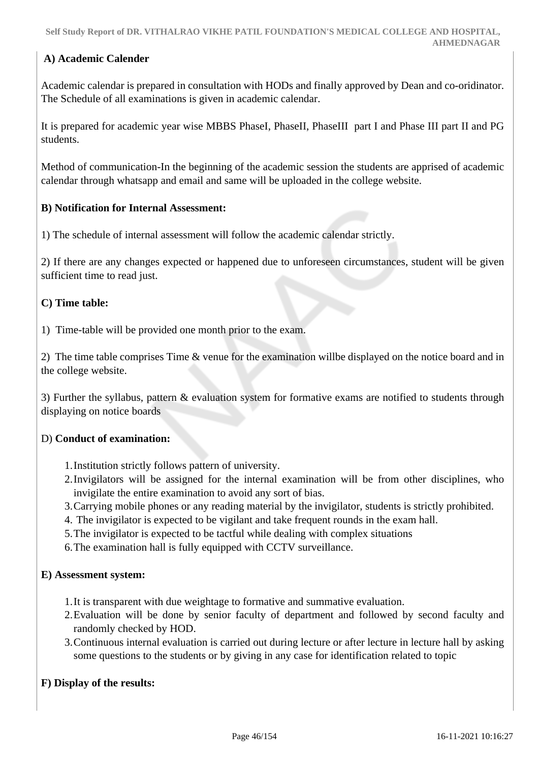# **A) Academic Calender**

Academic calendar is prepared in consultation with HODs and finally approved by Dean and co-oridinator. The Schedule of all examinations is given in academic calendar.

It is prepared for academic year wise MBBS PhaseI, PhaseII, PhaseIII part I and Phase III part II and PG students.

Method of communication-In the beginning of the academic session the students are apprised of academic calendar through whatsapp and email and same will be uploaded in the college website.

### **B) Notification for Internal Assessment:**

1) The schedule of internal assessment will follow the academic calendar strictly.

2) If there are any changes expected or happened due to unforeseen circumstances, student will be given sufficient time to read just.

#### **C) Time table:**

1) Time-table will be provided one month prior to the exam.

2) The time table comprises Time & venue for the examination willbe displayed on the notice board and in the college website.

3) Further the syllabus, pattern & evaluation system for formative exams are notified to students through displaying on notice boards

#### D) **Conduct of examination:**

- 1.Institution strictly follows pattern of university.
- 2.Invigilators will be assigned for the internal examination will be from other disciplines, who invigilate the entire examination to avoid any sort of bias.
- 3.Carrying mobile phones or any reading material by the invigilator, students is strictly prohibited.
- 4. The invigilator is expected to be vigilant and take frequent rounds in the exam hall.
- 5.The invigilator is expected to be tactful while dealing with complex situations

6.The examination hall is fully equipped with CCTV surveillance.

#### **E) Assessment system:**

- 1.It is transparent with due weightage to formative and summative evaluation.
- 2.Evaluation will be done by senior faculty of department and followed by second faculty and randomly checked by HOD.
- 3.Continuous internal evaluation is carried out during lecture or after lecture in lecture hall by asking some questions to the students or by giving in any case for identification related to topic

#### **F) Display of the results:**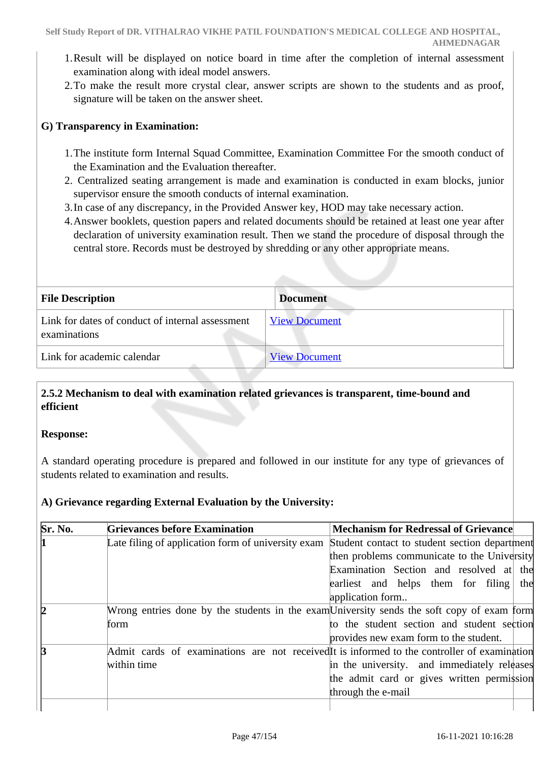- 1.Result will be displayed on notice board in time after the completion of internal assessment examination along with ideal model answers.
- 2.To make the result more crystal clear, answer scripts are shown to the students and as proof, signature will be taken on the answer sheet.

# **G) Transparency in Examination:**

- 1.The institute form Internal Squad Committee, Examination Committee For the smooth conduct of the Examination and the Evaluation thereafter.
- 2. Centralized seating arrangement is made and examination is conducted in exam blocks, junior supervisor ensure the smooth conducts of internal examination.
- 3.In case of any discrepancy, in the Provided Answer key, HOD may take necessary action.
- 4.Answer booklets, question papers and related documents should be retained at least one year after declaration of university examination result. Then we stand the procedure of disposal through the central store. Records must be destroyed by shredding or any other appropriate means.

| <b>File Description</b>                                          | <b>Document</b>      |
|------------------------------------------------------------------|----------------------|
| Link for dates of conduct of internal assessment<br>examinations | <b>View Document</b> |
| Link for academic calendar                                       | <b>View Document</b> |

# **2.5.2 Mechanism to deal with examination related grievances is transparent, time-bound and efficient**

### **Response:**

A standard operating procedure is prepared and followed in our institute for any type of grievances of students related to examination and results.

### **A) Grievance regarding External Evaluation by the University:**

| Sr. No. | <b>Grievances before Examination</b>                                                         | <b>Mechanism for Redressal of Grievance</b>   |  |
|---------|----------------------------------------------------------------------------------------------|-----------------------------------------------|--|
|         | Late filing of application form of university exam                                           | Student contact to student section department |  |
|         |                                                                                              | then problems communicate to the University   |  |
|         |                                                                                              | Examination Section and resolved at the       |  |
|         |                                                                                              | earliest and helps them for filing the        |  |
|         |                                                                                              | application form                              |  |
| 12      | Wrong entries done by the students in the examUniversity sends the soft copy of exam form    |                                               |  |
|         | form                                                                                         | to the student section and student section    |  |
|         |                                                                                              | provides new exam form to the student.        |  |
| ß       | Admit cards of examinations are not received It is informed to the controller of examination |                                               |  |
|         | within time                                                                                  | in the university. and immediately releases   |  |
|         |                                                                                              | the admit card or gives written permission    |  |
|         |                                                                                              | through the e-mail                            |  |
|         |                                                                                              |                                               |  |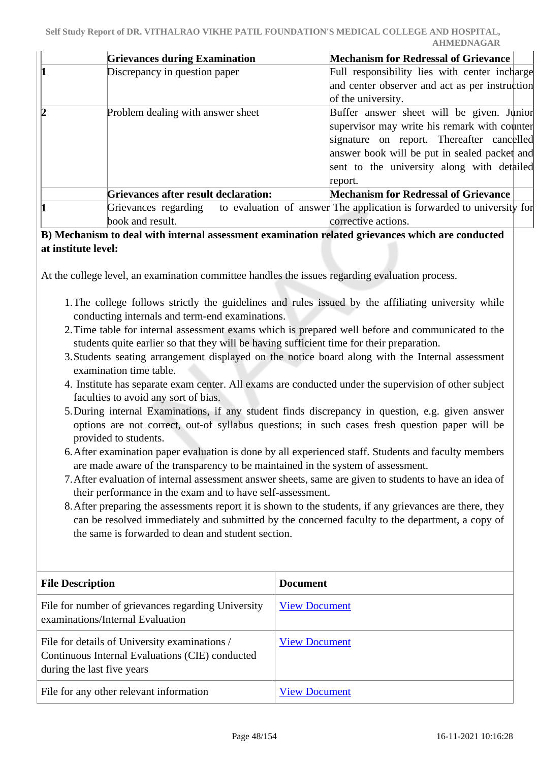|   | <b>Grievances during Examination</b> | <b>Mechanism for Redressal of Grievance</b>                                                 |
|---|--------------------------------------|---------------------------------------------------------------------------------------------|
|   | Discrepancy in question paper        | Full responsibility lies with center incharge                                               |
|   |                                      | and center observer and act as per instruction                                              |
|   |                                      | of the university.                                                                          |
| Þ | Problem dealing with answer sheet    | Buffer answer sheet will be given. Junior                                                   |
|   |                                      | supervisor may write his remark with counter                                                |
|   |                                      | signature on report. Thereafter cancelled                                                   |
|   |                                      | answer book will be put in sealed packet and                                                |
|   |                                      | sent to the university along with detailed                                                  |
|   |                                      | report.                                                                                     |
|   | Grievances after result declaration: | <b>Mechanism for Redressal of Grievance</b>                                                 |
|   |                                      | Grievances regarding to evaluation of answer The application is forwarded to university for |
|   | book and result.                     | corrective actions.                                                                         |

### **B) Mechanism to deal with internal assessment examination related grievances which are conducted at institute level:**

At the college level, an examination committee handles the issues regarding evaluation process.

- 1.The college follows strictly the guidelines and rules issued by the affiliating university while conducting internals and term-end examinations.
- 2.Time table for internal assessment exams which is prepared well before and communicated to the students quite earlier so that they will be having sufficient time for their preparation.
- 3.Students seating arrangement displayed on the notice board along with the Internal assessment examination time table.
- 4. Institute has separate exam center. All exams are conducted under the supervision of other subject faculties to avoid any sort of bias.
- 5.During internal Examinations, if any student finds discrepancy in question, e.g. given answer options are not correct, out-of syllabus questions; in such cases fresh question paper will be provided to students.
- 6.After examination paper evaluation is done by all experienced staff. Students and faculty members are made aware of the transparency to be maintained in the system of assessment.
- 7.After evaluation of internal assessment answer sheets, same are given to students to have an idea of their performance in the exam and to have self-assessment.
- 8.After preparing the assessments report it is shown to the students, if any grievances are there, they can be resolved immediately and submitted by the concerned faculty to the department, a copy of the same is forwarded to dean and student section.

| <b>File Description</b>                                                                                                        | <b>Document</b>      |
|--------------------------------------------------------------------------------------------------------------------------------|----------------------|
| File for number of grievances regarding University<br>examinations/Internal Evaluation                                         | <b>View Document</b> |
| File for details of University examinations /<br>Continuous Internal Evaluations (CIE) conducted<br>during the last five years | <b>View Document</b> |
| File for any other relevant information                                                                                        | <b>View Document</b> |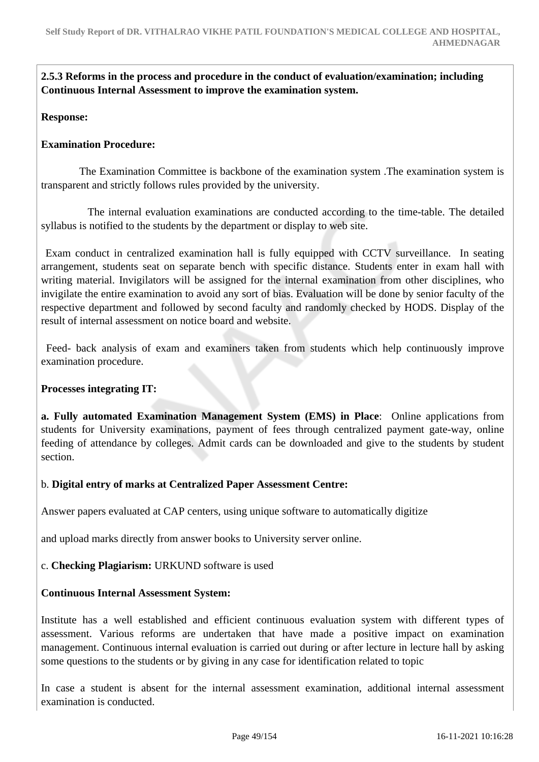**2.5.3 Reforms in the process and procedure in the conduct of evaluation/examination; including Continuous Internal Assessment to improve the examination system.**

**Response:** 

### **Examination Procedure:**

 The Examination Committee is backbone of the examination system .The examination system is transparent and strictly follows rules provided by the university.

 The internal evaluation examinations are conducted according to the time-table. The detailed syllabus is notified to the students by the department or display to web site.

 Exam conduct in centralized examination hall is fully equipped with CCTV surveillance. In seating arrangement, students seat on separate bench with specific distance. Students enter in exam hall with writing material. Invigilators will be assigned for the internal examination from other disciplines, who invigilate the entire examination to avoid any sort of bias. Evaluation will be done by senior faculty of the respective department and followed by second faculty and randomly checked by HODS. Display of the result of internal assessment on notice board and website.

 Feed- back analysis of exam and examiners taken from students which help continuously improve examination procedure.

### **Processes integrating IT:**

**a. Fully automated Examination Management System (EMS) in Place**: Online applications from students for University examinations, payment of fees through centralized payment gate-way, online feeding of attendance by colleges. Admit cards can be downloaded and give to the students by student section.

# b. **Digital entry of marks at Centralized Paper Assessment Centre:**

Answer papers evaluated at CAP centers, using unique software to automatically digitize

and upload marks directly from answer books to University server online.

# c. **Checking Plagiarism:** URKUND software is used

### **Continuous Internal Assessment System:**

Institute has a well established and efficient continuous evaluation system with different types of assessment. Various reforms are undertaken that have made a positive impact on examination management. Continuous internal evaluation is carried out during or after lecture in lecture hall by asking some questions to the students or by giving in any case for identification related to topic

In case a student is absent for the internal assessment examination, additional internal assessment examination is conducted.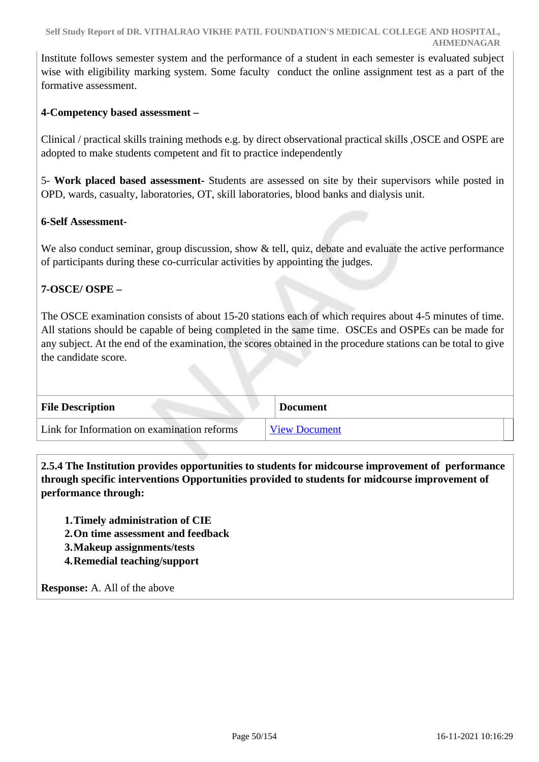Institute follows semester system and the performance of a student in each semester is evaluated subject wise with eligibility marking system. Some faculty conduct the online assignment test as a part of the formative assessment.

# **4-Competency based assessment –**

Clinical / practical skills training methods e.g. by direct observational practical skills ,OSCE and OSPE are adopted to make students competent and fit to practice independently

5- **Work placed based assessment-** Students are assessed on site by their supervisors while posted in OPD, wards, casualty, laboratories, OT, skill laboratories, blood banks and dialysis unit.

### **6-Self Assessment-**

We also conduct seminar, group discussion, show  $\&$  tell, quiz, debate and evaluate the active performance of participants during these co-curricular activities by appointing the judges.

### **7-OSCE/ OSPE –**

The OSCE examination consists of about 15-20 stations each of which requires about 4-5 minutes of time. All stations should be capable of being completed in the same time. OSCEs and OSPEs can be made for any subject. At the end of the examination, the scores obtained in the procedure stations can be total to give the candidate score.

| <b>File Description</b>                     | <b>Document</b>      |
|---------------------------------------------|----------------------|
| Link for Information on examination reforms | <b>View Document</b> |

 **2.5.4 The Institution provides opportunities to students for midcourse improvement of performance through specific interventions Opportunities provided to students for midcourse improvement of performance through:**

**1.Timely administration of CIE**

- **2.On time assessment and feedback**
- **3.Makeup assignments/tests**
- **4.Remedial teaching/support**

**Response:** A. All of the above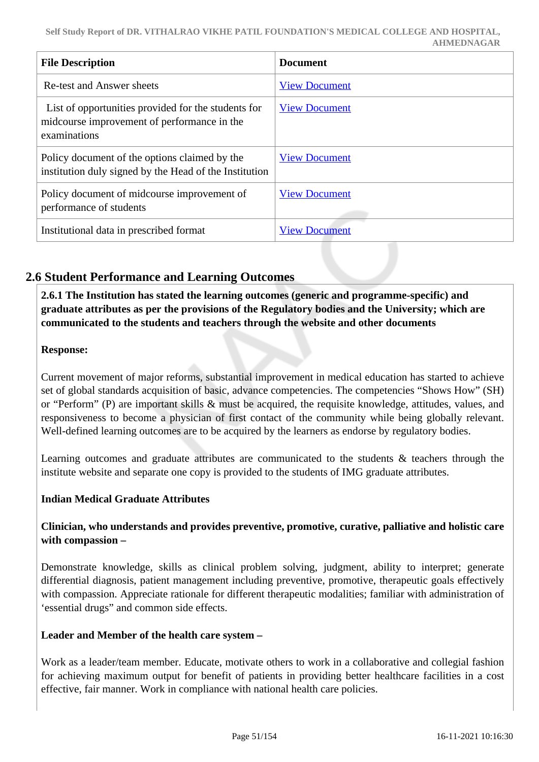| <b>File Description</b>                                                                                            | <b>Document</b>      |
|--------------------------------------------------------------------------------------------------------------------|----------------------|
| <b>Re-test and Answer sheets</b>                                                                                   | <b>View Document</b> |
| List of opportunities provided for the students for<br>midcourse improvement of performance in the<br>examinations | <b>View Document</b> |
| Policy document of the options claimed by the<br>institution duly signed by the Head of the Institution            | <b>View Document</b> |
| Policy document of midcourse improvement of<br>performance of students                                             | <b>View Document</b> |
| Institutional data in prescribed format                                                                            | <b>View Document</b> |

# **2.6 Student Performance and Learning Outcomes**

 **2.6.1 The Institution has stated the learning outcomes (generic and programme-specific) and graduate attributes as per the provisions of the Regulatory bodies and the University; which are communicated to the students and teachers through the website and other documents**

### **Response:**

Current movement of major reforms, substantial improvement in medical education has started to achieve set of global standards acquisition of basic, advance competencies. The competencies "Shows How" (SH) or "Perform" (P) are important skills & must be acquired, the requisite knowledge, attitudes, values, and responsiveness to become a physician of first contact of the community while being globally relevant. Well-defined learning outcomes are to be acquired by the learners as endorse by regulatory bodies.

Learning outcomes and graduate attributes are communicated to the students & teachers through the institute website and separate one copy is provided to the students of IMG graduate attributes.

### **Indian Medical Graduate Attributes**

### **Clinician, who understands and provides preventive, promotive, curative, palliative and holistic care with compassion –**

Demonstrate knowledge, skills as clinical problem solving, judgment, ability to interpret; generate differential diagnosis, patient management including preventive, promotive, therapeutic goals effectively with compassion. Appreciate rationale for different therapeutic modalities; familiar with administration of 'essential drugs" and common side effects.

### **Leader and Member of the health care system –**

Work as a leader/team member. Educate, motivate others to work in a collaborative and collegial fashion for achieving maximum output for benefit of patients in providing better healthcare facilities in a cost effective, fair manner. Work in compliance with national health care policies.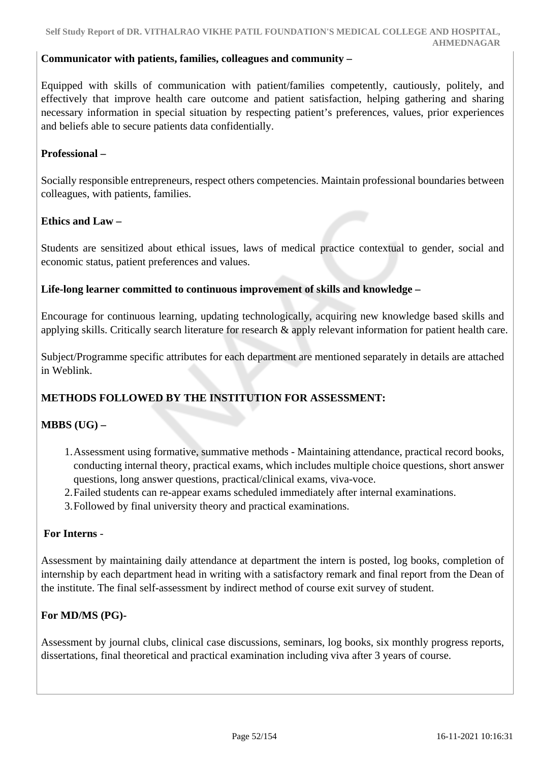### **Communicator with patients, families, colleagues and community –**

Equipped with skills of communication with patient/families competently, cautiously, politely, and effectively that improve health care outcome and patient satisfaction, helping gathering and sharing necessary information in special situation by respecting patient's preferences, values, prior experiences and beliefs able to secure patients data confidentially.

### **Professional –**

Socially responsible entrepreneurs, respect others competencies. Maintain professional boundaries between colleagues, with patients, families.

### **Ethics and Law –**

Students are sensitized about ethical issues, laws of medical practice contextual to gender, social and economic status, patient preferences and values.

### **Life-long learner committed to continuous improvement of skills and knowledge –**

Encourage for continuous learning, updating technologically, acquiring new knowledge based skills and applying skills. Critically search literature for research & apply relevant information for patient health care.

Subject/Programme specific attributes for each department are mentioned separately in details are attached in Weblink.

# **METHODS FOLLOWED BY THE INSTITUTION FOR ASSESSMENT:**

# **MBBS (UG) –**

- 1.Assessment using formative, summative methods Maintaining attendance, practical record books, conducting internal theory, practical exams, which includes multiple choice questions, short answer questions, long answer questions, practical/clinical exams, viva-voce.
- 2.Failed students can re-appear exams scheduled immediately after internal examinations.
- 3.Followed by final university theory and practical examinations.

### **For Interns** -

Assessment by maintaining daily attendance at department the intern is posted, log books, completion of internship by each department head in writing with a satisfactory remark and final report from the Dean of the institute. The final self-assessment by indirect method of course exit survey of student.

### **For MD/MS (PG)-**

Assessment by journal clubs, clinical case discussions, seminars, log books, six monthly progress reports, dissertations, final theoretical and practical examination including viva after 3 years of course.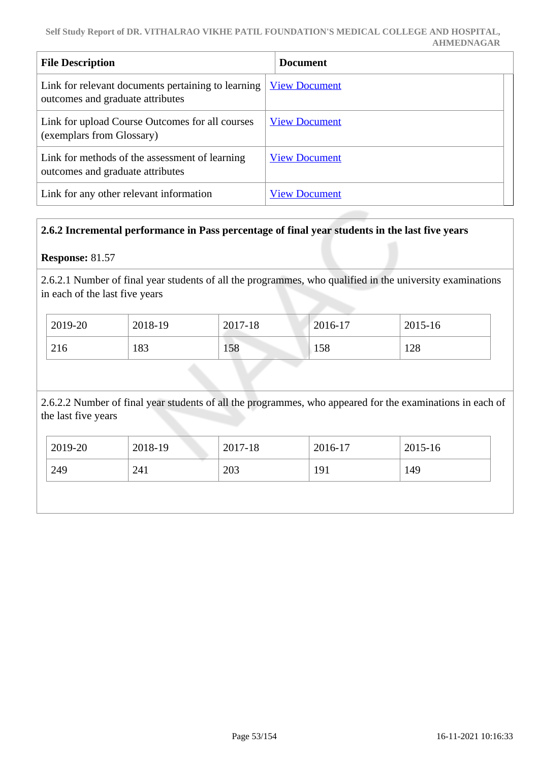| <b>File Description</b>                                                                | <b>Document</b>      |
|----------------------------------------------------------------------------------------|----------------------|
| Link for relevant documents pertaining to learning<br>outcomes and graduate attributes | <b>View Document</b> |
| Link for upload Course Outcomes for all courses<br>(exemplars from Glossary)           | <b>View Document</b> |
| Link for methods of the assessment of learning<br>outcomes and graduate attributes     | <b>View Document</b> |
| Link for any other relevant information                                                | <b>View Document</b> |

# **2.6.2 Incremental performance in Pass percentage of final year students in the last five years**

### **Response:** 81.57

2.6.2.1 Number of final year students of all the programmes, who qualified in the university examinations in each of the last five years

| 2019-20 | 2018-19 | 2017-18 | $2016-17$ | 2015-16 |
|---------|---------|---------|-----------|---------|
| 216     | 183     | 158     | 158       | 128     |

2.6.2.2 Number of final year students of all the programmes, who appeared for the examinations in each of the last five years

| 2019-20 | 2018-19 | 2017-18 | 2016-17 | 2015-16 |
|---------|---------|---------|---------|---------|
| 249     | 241     | 203     | 191     | 149     |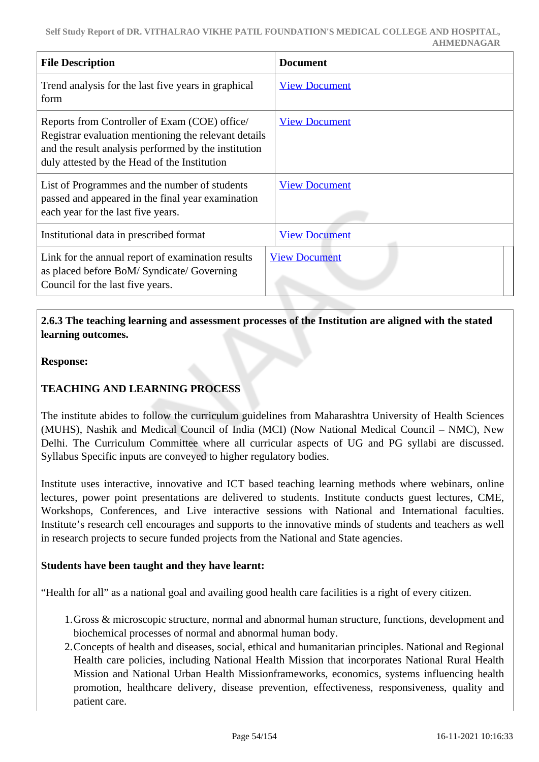| <b>File Description</b>                                                                                                                                                                                       | <b>Document</b>      |
|---------------------------------------------------------------------------------------------------------------------------------------------------------------------------------------------------------------|----------------------|
| Trend analysis for the last five years in graphical<br>form                                                                                                                                                   | <b>View Document</b> |
| Reports from Controller of Exam (COE) office/<br>Registrar evaluation mentioning the relevant details<br>and the result analysis performed by the institution<br>duly attested by the Head of the Institution | <b>View Document</b> |
| List of Programmes and the number of students<br>passed and appeared in the final year examination<br>each year for the last five years.                                                                      | <b>View Document</b> |
| Institutional data in prescribed format                                                                                                                                                                       | <b>View Document</b> |
| Link for the annual report of examination results<br>as placed before BoM/Syndicate/Governing<br>Council for the last five years.                                                                             | <b>View Document</b> |

# **2.6.3 The teaching learning and assessment processes of the Institution are aligned with the stated learning outcomes.**

### **Response:**

# **TEACHING AND LEARNING PROCESS**

The institute abides to follow the curriculum guidelines from Maharashtra University of Health Sciences (MUHS), Nashik and Medical Council of India (MCI) (Now National Medical Council – NMC), New Delhi. The Curriculum Committee where all curricular aspects of UG and PG syllabi are discussed. Syllabus Specific inputs are conveyed to higher regulatory bodies.

Institute uses interactive, innovative and ICT based teaching learning methods where webinars, online lectures, power point presentations are delivered to students. Institute conducts guest lectures, CME, Workshops, Conferences, and Live interactive sessions with National and International faculties. Institute's research cell encourages and supports to the innovative minds of students and teachers as well in research projects to secure funded projects from the National and State agencies.

### **Students have been taught and they have learnt:**

"Health for all" as a national goal and availing good health care facilities is a right of every citizen.

- 1.Gross & microscopic structure, normal and abnormal human structure, functions, development and biochemical processes of normal and abnormal human body.
- 2.Concepts of health and diseases, social, ethical and humanitarian principles. National and Regional Health care policies, including National Health Mission that incorporates National Rural Health Mission and National Urban Health Missionframeworks, economics, systems influencing health promotion, healthcare delivery, disease prevention, effectiveness, responsiveness, quality and patient care.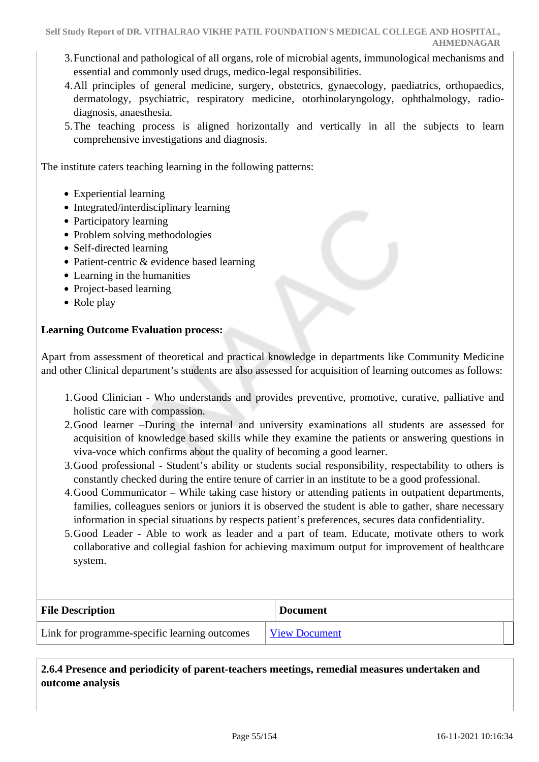- 3.Functional and pathological of all organs, role of microbial agents, immunological mechanisms and essential and commonly used drugs, medico-legal responsibilities.
- 4.All principles of general medicine, surgery, obstetrics, gynaecology, paediatrics, orthopaedics, dermatology, psychiatric, respiratory medicine, otorhinolaryngology, ophthalmology, radiodiagnosis, anaesthesia.
- 5.The teaching process is aligned horizontally and vertically in all the subjects to learn comprehensive investigations and diagnosis.

The institute caters teaching learning in the following patterns:

- Experiential learning
- Integrated/interdisciplinary learning
- Participatory learning
- Problem solving methodologies
- Self-directed learning
- Patient-centric & evidence based learning
- Learning in the humanities
- Project-based learning
- Role play

### **Learning Outcome Evaluation process:**

Apart from assessment of theoretical and practical knowledge in departments like Community Medicine and other Clinical department's students are also assessed for acquisition of learning outcomes as follows:

- 1.Good Clinician Who understands and provides preventive, promotive, curative, palliative and holistic care with compassion.
- 2.Good learner –During the internal and university examinations all students are assessed for acquisition of knowledge based skills while they examine the patients or answering questions in viva-voce which confirms about the quality of becoming a good learner.
- 3.Good professional Student's ability or students social responsibility, respectability to others is constantly checked during the entire tenure of carrier in an institute to be a good professional.
- 4.Good Communicator While taking case history or attending patients in outpatient departments, families, colleagues seniors or juniors it is observed the student is able to gather, share necessary information in special situations by respects patient's preferences, secures data confidentiality.
- 5.Good Leader Able to work as leader and a part of team. Educate, motivate others to work collaborative and collegial fashion for achieving maximum output for improvement of healthcare system.

| <b>File Description</b>                       | <b>Document</b>      |
|-----------------------------------------------|----------------------|
| Link for programme-specific learning outcomes | <b>View Document</b> |

 **2.6.4 Presence and periodicity of parent-teachers meetings, remedial measures undertaken and outcome analysis**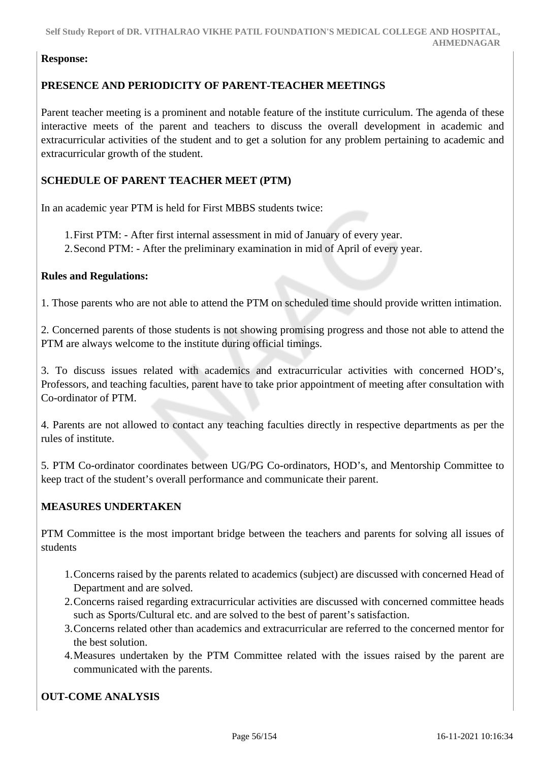### **Response:**

### **PRESENCE AND PERIODICITY OF PARENT-TEACHER MEETINGS**

Parent teacher meeting is a prominent and notable feature of the institute curriculum. The agenda of these interactive meets of the parent and teachers to discuss the overall development in academic and extracurricular activities of the student and to get a solution for any problem pertaining to academic and extracurricular growth of the student.

# **SCHEDULE OF PARENT TEACHER MEET (PTM)**

In an academic year PTM is held for First MBBS students twice:

- 1.First PTM: After first internal assessment in mid of January of every year.
- 2.Second PTM: After the preliminary examination in mid of April of every year.

### **Rules and Regulations:**

1. Those parents who are not able to attend the PTM on scheduled time should provide written intimation.

2. Concerned parents of those students is not showing promising progress and those not able to attend the PTM are always welcome to the institute during official timings.

3. To discuss issues related with academics and extracurricular activities with concerned HOD's, Professors, and teaching faculties, parent have to take prior appointment of meeting after consultation with Co-ordinator of PTM.

4. Parents are not allowed to contact any teaching faculties directly in respective departments as per the rules of institute.

5. PTM Co-ordinator coordinates between UG/PG Co-ordinators, HOD's, and Mentorship Committee to keep tract of the student's overall performance and communicate their parent.

# **MEASURES UNDERTAKEN**

PTM Committee is the most important bridge between the teachers and parents for solving all issues of students

- 1.Concerns raised by the parents related to academics (subject) are discussed with concerned Head of Department and are solved.
- 2.Concerns raised regarding extracurricular activities are discussed with concerned committee heads such as Sports/Cultural etc. and are solved to the best of parent's satisfaction.
- 3.Concerns related other than academics and extracurricular are referred to the concerned mentor for the best solution.
- 4.Measures undertaken by the PTM Committee related with the issues raised by the parent are communicated with the parents.

# **OUT-COME ANALYSIS**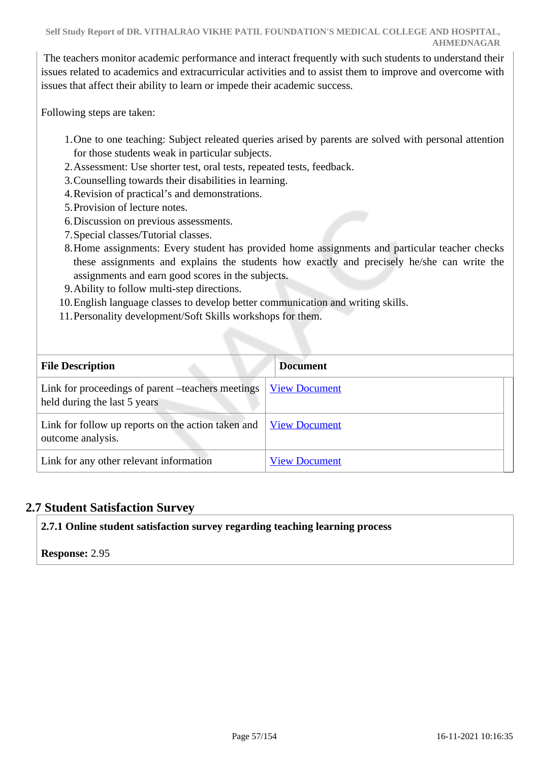The teachers monitor academic performance and interact frequently with such students to understand their issues related to academics and extracurricular activities and to assist them to improve and overcome with issues that affect their ability to learn or impede their academic success.

Following steps are taken:

- 1.One to one teaching: Subject releated queries arised by parents are solved with personal attention for those students weak in particular subjects.
- 2.Assessment: Use shorter test, oral tests, repeated tests, feedback.
- 3.Counselling towards their disabilities in learning.
- 4.Revision of practical's and demonstrations.
- 5.Provision of lecture notes.
- 6.Discussion on previous assessments.
- 7.Special classes/Tutorial classes.
- 8.Home assignments: Every student has provided home assignments and particular teacher checks these assignments and explains the students how exactly and precisely he/she can write the assignments and earn good scores in the subjects.
- 9.Ability to follow multi-step directions.
- 10.English language classes to develop better communication and writing skills.
- 11.Personality development/Soft Skills workshops for them.

| <b>File Description</b>                                                           | <b>Document</b>      |
|-----------------------------------------------------------------------------------|----------------------|
| Link for proceedings of parent –teachers meetings<br>held during the last 5 years | <b>View Document</b> |
| Link for follow up reports on the action taken and<br>outcome analysis.           | <b>View Document</b> |
| Link for any other relevant information                                           | <b>View Document</b> |

# **2.7 Student Satisfaction Survey**

# **2.7.1 Online student satisfaction survey regarding teaching learning process**

# **Response:** 2.95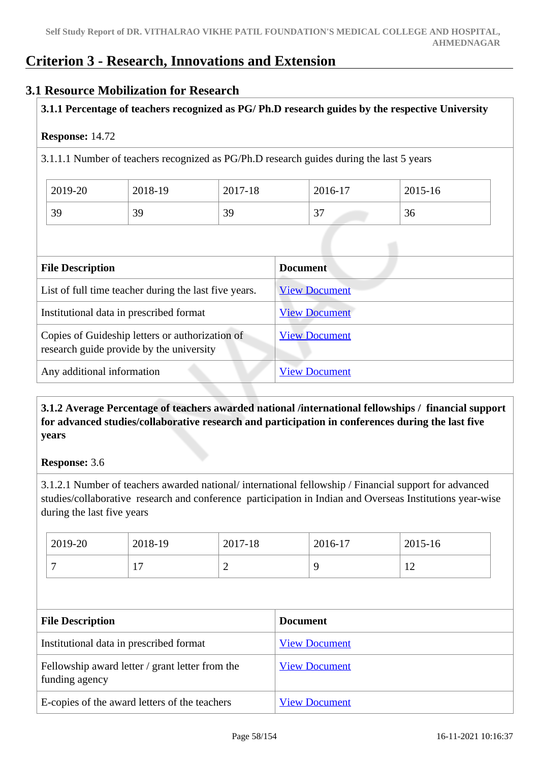# **Criterion 3 - Research, Innovations and Extension**

# **3.1 Resource Mobilization for Research**

# **3.1.1 Percentage of teachers recognized as PG/ Ph.D research guides by the respective University**

### **Response:** 14.72

3.1.1.1 Number of teachers recognized as PG/Ph.D research guides during the last 5 years

| 2019-20 | 2018-19 | 2017-18 | 2016-17                          | 2015-16 |
|---------|---------|---------|----------------------------------|---------|
| 39      | 39      | 39      | $\gamma$ $\tau$<br>$\mathcal{L}$ | 36      |

| <b>File Description</b>                                                                     | <b>Document</b>      |
|---------------------------------------------------------------------------------------------|----------------------|
| List of full time teacher during the last five years.                                       | <b>View Document</b> |
| Institutional data in prescribed format                                                     | <b>View Document</b> |
| Copies of Guideship letters or authorization of<br>research guide provide by the university | <b>View Document</b> |
| Any additional information                                                                  | <b>View Document</b> |

# **3.1.2 Average Percentage of teachers awarded national /international fellowships / financial support for advanced studies/collaborative research and participation in conferences during the last five years**

### **Response:** 3.6

3.1.2.1 Number of teachers awarded national/ international fellowship / Financial support for advanced studies/collaborative research and conference participation in Indian and Overseas Institutions year-wise during the last five years

| 2019-20 | 2018-19 | 2017-18 | 2016-17 | $2015 - 16$                      |
|---------|---------|---------|---------|----------------------------------|
|         | −       | -       |         | 1 <sup>2</sup><br>$\overline{1}$ |

| <b>File Description</b>                                           | <b>Document</b>      |
|-------------------------------------------------------------------|----------------------|
| Institutional data in prescribed format                           | <b>View Document</b> |
| Fellowship award letter / grant letter from the<br>funding agency | <b>View Document</b> |
| E-copies of the award letters of the teachers                     | <b>View Document</b> |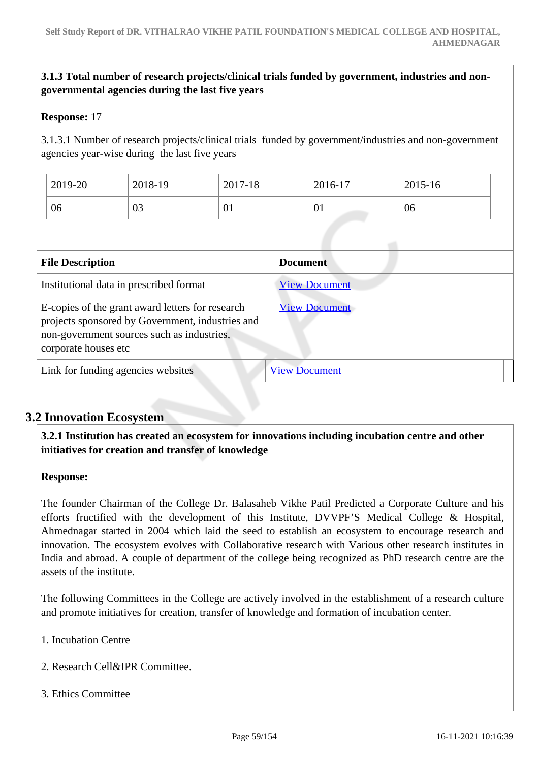# **3.1.3 Total number of research projects/clinical trials funded by government, industries and nongovernmental agencies during the last five years**

### **Response:** 17

3.1.3.1 Number of research projects/clinical trials funded by government/industries and non-government agencies year-wise during the last five years

| 2019-20 | 2018-19 | 2017-18        | 2016-17 | 2015-16 |
|---------|---------|----------------|---------|---------|
| 06      | 03      | $\Omega$<br>UI | 01      | 06      |

| <b>File Description</b>                                                                                                                                                    | <b>Document</b>      |
|----------------------------------------------------------------------------------------------------------------------------------------------------------------------------|----------------------|
| Institutional data in prescribed format                                                                                                                                    | <b>View Document</b> |
| E-copies of the grant award letters for research<br>projects sponsored by Government, industries and<br>non-government sources such as industries,<br>corporate houses etc | <b>View Document</b> |
| Link for funding agencies websites                                                                                                                                         | <b>View Document</b> |

# **3.2 Innovation Ecosystem**

 **3.2.1 Institution has created an ecosystem for innovations including incubation centre and other initiatives for creation and transfer of knowledge**

#### **Response:**

The founder Chairman of the College Dr. Balasaheb Vikhe Patil Predicted a Corporate Culture and his efforts fructified with the development of this Institute, DVVPF'S Medical College & Hospital, Ahmednagar started in 2004 which laid the seed to establish an ecosystem to encourage research and innovation. The ecosystem evolves with Collaborative research with Various other research institutes in India and abroad. A couple of department of the college being recognized as PhD research centre are the assets of the institute.

The following Committees in the College are actively involved in the establishment of a research culture and promote initiatives for creation, transfer of knowledge and formation of incubation center.

- 1. Incubation Centre
- 2. Research Cell&IPR Committee.
- 3. Ethics Committee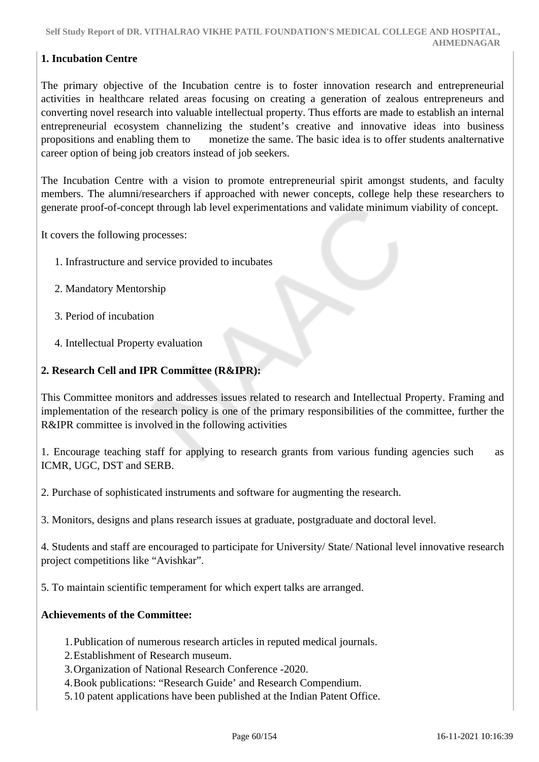### **1. Incubation Centre**

The primary objective of the Incubation centre is to foster innovation research and entrepreneurial activities in healthcare related areas focusing on creating a generation of zealous entrepreneurs and converting novel research into valuable intellectual property. Thus efforts are made to establish an internal entrepreneurial ecosystem channelizing the student's creative and innovative ideas into business propositions and enabling them to monetize the same. The basic idea is to offer students analternative career option of being job creators instead of job seekers.

The Incubation Centre with a vision to promote entrepreneurial spirit amongst students, and faculty members. The alumni/researchers if approached with newer concepts, college help these researchers to generate proof-of-concept through lab level experimentations and validate minimum viability of concept.

It covers the following processes:

- 1. Infrastructure and service provided to incubates
- 2. Mandatory Mentorship
- 3. Period of incubation
- 4. Intellectual Property evaluation

#### **2. Research Cell and IPR Committee (R&IPR):**

This Committee monitors and addresses issues related to research and Intellectual Property. Framing and implementation of the research policy is one of the primary responsibilities of the committee, further the R&IPR committee is involved in the following activities

1. Encourage teaching staff for applying to research grants from various funding agencies such as ICMR, UGC, DST and SERB.

2. Purchase of sophisticated instruments and software for augmenting the research.

3. Monitors, designs and plans research issues at graduate, postgraduate and doctoral level.

4. Students and staff are encouraged to participate for University/ State/ National level innovative research project competitions like "Avishkar".

5. To maintain scientific temperament for which expert talks are arranged.

### **Achievements of the Committee:**

- 1.Publication of numerous research articles in reputed medical journals.
- 2.Establishment of Research museum.
- 3.Organization of National Research Conference -2020.
- 4.Book publications: "Research Guide' and Research Compendium.
- 5.10 patent applications have been published at the Indian Patent Office.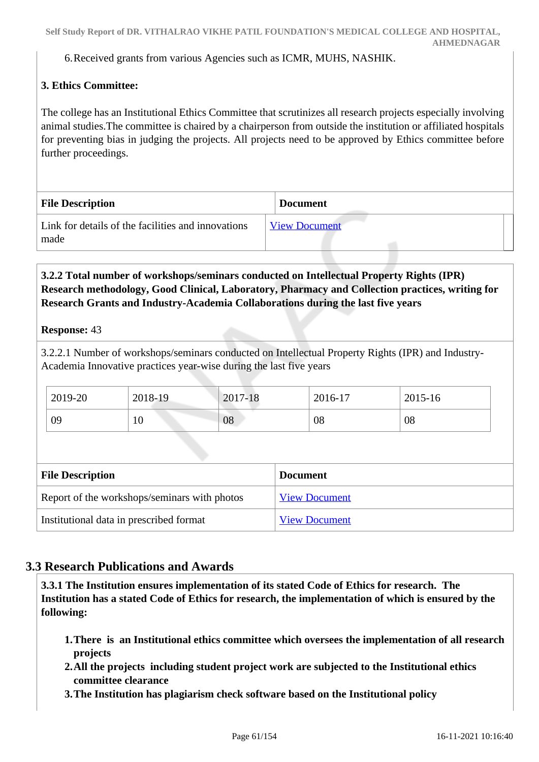6.Received grants from various Agencies such as ICMR, MUHS, NASHIK.

# **3. Ethics Committee:**

The college has an Institutional Ethics Committee that scrutinizes all research projects especially involving animal studies.The committee is chaired by a chairperson from outside the institution or affiliated hospitals for preventing bias in judging the projects. All projects need to be approved by Ethics committee before further proceedings.

| <b>File Description</b>                                    | <b>Document</b>      |
|------------------------------------------------------------|----------------------|
| Link for details of the facilities and innovations<br>made | <b>View Document</b> |

## **3.2.2 Total number of workshops/seminars conducted on Intellectual Property Rights (IPR) Research methodology, Good Clinical, Laboratory, Pharmacy and Collection practices, writing for Research Grants and Industry-Academia Collaborations during the last five years**

**Response:** 43

3.2.2.1 Number of workshops/seminars conducted on Intellectual Property Rights (IPR) and Industry-Academia Innovative practices year-wise during the last five years

| 2019-20 | 2018-19 | 2017-18 | 2016-17 | 2015-16 |
|---------|---------|---------|---------|---------|
| 09      | ΙV      | 08      | 08      | 08      |

| <b>File Description</b>                      | <b>Document</b>      |
|----------------------------------------------|----------------------|
| Report of the workshops/seminars with photos | <b>View Document</b> |
| Institutional data in prescribed format      | <b>View Document</b> |

# **3.3 Research Publications and Awards**

 **3.3.1 The Institution ensures implementation of its stated Code of Ethics for research. The Institution has a stated Code of Ethics for research, the implementation of which is ensured by the following:**

- **1.There is an Institutional ethics committee which oversees the implementation of all research projects**
- **2.All the projects including student project work are subjected to the Institutional ethics committee clearance**
- **3.The Institution has plagiarism check software based on the Institutional policy**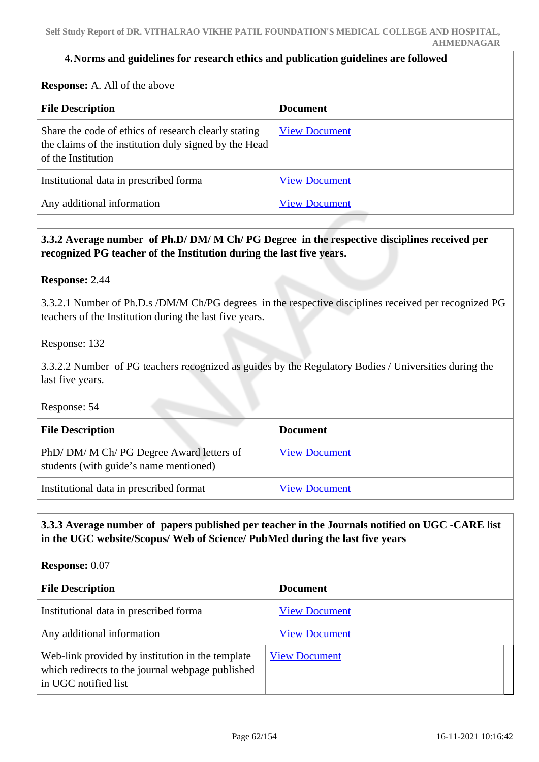#### **4.Norms and guidelines for research ethics and publication guidelines are followed**

**Response:** A. All of the above

| <b>File Description</b>                                                                                                             | <b>Document</b>      |
|-------------------------------------------------------------------------------------------------------------------------------------|----------------------|
| Share the code of ethics of research clearly stating<br>the claims of the institution duly signed by the Head<br>of the Institution | <b>View Document</b> |
| Institutional data in prescribed forma                                                                                              | <b>View Document</b> |
| Any additional information                                                                                                          | <b>View Document</b> |

### **3.3.2 Average number of Ph.D/ DM/ M Ch/ PG Degree in the respective disciplines received per recognized PG teacher of the Institution during the last five years.**

**Response:** 2.44

3.3.2.1 Number of Ph.D.s /DM/M Ch/PG degrees in the respective disciplines received per recognized PG teachers of the Institution during the last five years.

Response: 132

3.3.2.2 Number of PG teachers recognized as guides by the Regulatory Bodies / Universities during the last five years.

Response: 54

| <b>File Description</b>                                                          | <b>Document</b>      |
|----------------------------------------------------------------------------------|----------------------|
| PhD/DM/M Ch/PG Degree Award letters of<br>students (with guide's name mentioned) | <b>View Document</b> |
| Institutional data in prescribed format                                          | <b>View Document</b> |

## **3.3.3 Average number of papers published per teacher in the Journals notified on UGC -CARE list in the UGC website/Scopus/ Web of Science/ PubMed during the last five years**

**Response:** 0.07

| <b>File Description</b>                                                                                                      | <b>Document</b>      |
|------------------------------------------------------------------------------------------------------------------------------|----------------------|
| Institutional data in prescribed forma                                                                                       | <b>View Document</b> |
| Any additional information                                                                                                   | <b>View Document</b> |
| Web-link provided by institution in the template<br>which redirects to the journal webpage published<br>in UGC notified list | <b>View Document</b> |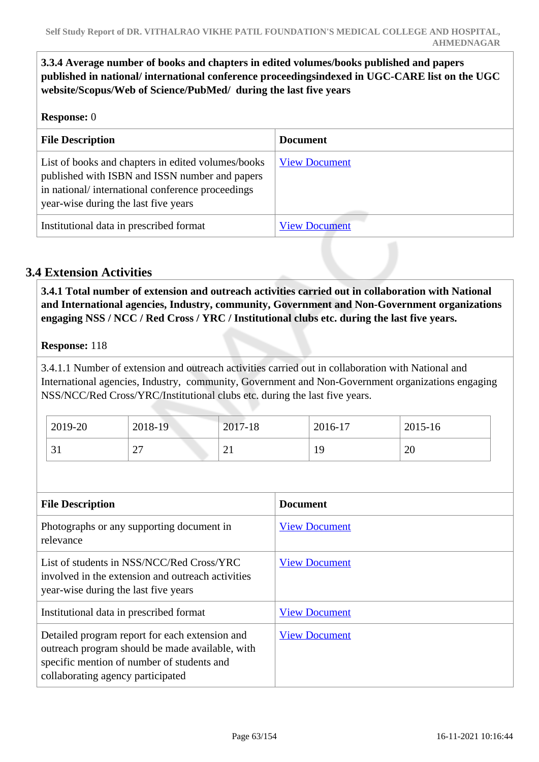**3.3.4 Average number of books and chapters in edited volumes/books published and papers published in national/ international conference proceedingsindexed in UGC-CARE list on the UGC website/Scopus/Web of Science/PubMed/ during the last five years**

### **Response:** 0

| <b>File Description</b>                                                                                                                                                                          | <b>Document</b>      |
|--------------------------------------------------------------------------------------------------------------------------------------------------------------------------------------------------|----------------------|
| List of books and chapters in edited volumes/books<br>published with ISBN and ISSN number and papers<br>in national/international conference proceedings<br>year-wise during the last five years | <b>View Document</b> |
| Institutional data in prescribed format                                                                                                                                                          | <b>View Document</b> |

# **3.4 Extension Activities**

 **3.4.1 Total number of extension and outreach activities carried out in collaboration with National and International agencies, Industry, community, Government and Non-Government organizations engaging NSS / NCC / Red Cross / YRC / Institutional clubs etc. during the last five years.**

### **Response:** 118

3.4.1.1 Number of extension and outreach activities carried out in collaboration with National and International agencies, Industry, community, Government and Non-Government organizations engaging NSS/NCC/Red Cross/YRC/Institutional clubs etc. during the last five years.

| 2019-20      | 2018-19     | 2017-18                 | 2016-17 | 2015-16 |
|--------------|-------------|-------------------------|---------|---------|
| $\sim$<br>JI | $\cap$<br>∠ | $\bigcap$ 1<br>$\sim$ 1 | 19      | 20      |

| <b>File Description</b>                                                                                                                                                              | <b>Document</b>      |
|--------------------------------------------------------------------------------------------------------------------------------------------------------------------------------------|----------------------|
| Photographs or any supporting document in<br>relevance                                                                                                                               | <b>View Document</b> |
| List of students in NSS/NCC/Red Cross/YRC<br>involved in the extension and outreach activities<br>year-wise during the last five years                                               | <b>View Document</b> |
| Institutional data in prescribed format                                                                                                                                              | <b>View Document</b> |
| Detailed program report for each extension and<br>outreach program should be made available, with<br>specific mention of number of students and<br>collaborating agency participated | <b>View Document</b> |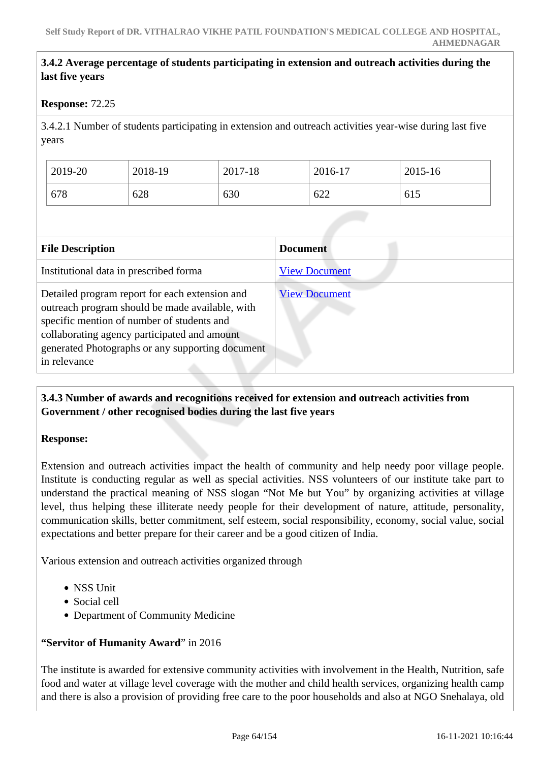## **3.4.2 Average percentage of students participating in extension and outreach activities during the last five years**

### **Response:** 72.25

3.4.2.1 Number of students participating in extension and outreach activities year-wise during last five years

| 2019-20 | 2018-19 | 2017-18 | 2016-17 | 2015-16 |
|---------|---------|---------|---------|---------|
| 678     | 628     | 630     | 622     | 615     |

| <b>File Description</b>                                                                                                                                                                                                                                             | <b>Document</b>      |
|---------------------------------------------------------------------------------------------------------------------------------------------------------------------------------------------------------------------------------------------------------------------|----------------------|
| Institutional data in prescribed forma                                                                                                                                                                                                                              | <b>View Document</b> |
| Detailed program report for each extension and<br>outreach program should be made available, with<br>specific mention of number of students and<br>collaborating agency participated and amount<br>generated Photographs or any supporting document<br>in relevance | <b>View Document</b> |

# **3.4.3 Number of awards and recognitions received for extension and outreach activities from Government / other recognised bodies during the last five years**

### **Response:**

Extension and outreach activities impact the health of community and help needy poor village people. Institute is conducting regular as well as special activities. NSS volunteers of our institute take part to understand the practical meaning of NSS slogan "Not Me but You" by organizing activities at village level, thus helping these illiterate needy people for their development of nature, attitude, personality, communication skills, better commitment, self esteem, social responsibility, economy, social value, social expectations and better prepare for their career and be a good citizen of India.

Various extension and outreach activities organized through

- NSS Unit
- Social cell
- Department of Community Medicine

# **"Servitor of Humanity Award**" in 2016

The institute is awarded for extensive community activities with involvement in the Health, Nutrition, safe food and water at village level coverage with the mother and child health services, organizing health camp and there is also a provision of providing free care to the poor households and also at NGO Snehalaya, old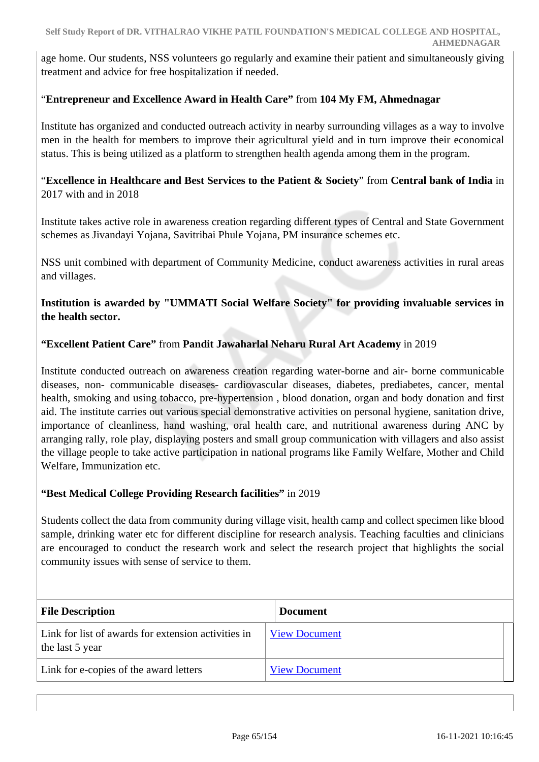age home. Our students, NSS volunteers go regularly and examine their patient and simultaneously giving treatment and advice for free hospitalization if needed.

### "**Entrepreneur and Excellence Award in Health Care"** from **104 My FM, Ahmednagar**

Institute has organized and conducted outreach activity in nearby surrounding villages as a way to involve men in the health for members to improve their agricultural yield and in turn improve their economical status. This is being utilized as a platform to strengthen health agenda among them in the program.

"**Excellence in Healthcare and Best Services to the Patient & Society**" from **Central bank of India** in 2017 with and in 2018

Institute takes active role in awareness creation regarding different types of Central and State Government schemes as Jivandayi Yojana, Savitribai Phule Yojana, PM insurance schemes etc.

NSS unit combined with department of Community Medicine, conduct awareness activities in rural areas and villages.

### **Institution is awarded by "UMMATI Social Welfare Society" for providing invaluable services in the health sector.**

### **"Excellent Patient Care"** from **Pandit Jawaharlal Neharu Rural Art Academy** in 2019

Institute conducted outreach on awareness creation regarding water-borne and air- borne communicable diseases, non- communicable diseases- cardiovascular diseases, diabetes, prediabetes, cancer, mental health, smoking and using tobacco, pre-hypertension , blood donation, organ and body donation and first aid. The institute carries out various special demonstrative activities on personal hygiene, sanitation drive, importance of cleanliness, hand washing, oral health care, and nutritional awareness during ANC by arranging rally, role play, displaying posters and small group communication with villagers and also assist the village people to take active participation in national programs like Family Welfare, Mother and Child Welfare, Immunization etc.

### **"Best Medical College Providing Research facilities"** in 2019

Students collect the data from community during village visit, health camp and collect specimen like blood sample, drinking water etc for different discipline for research analysis. Teaching faculties and clinicians are encouraged to conduct the research work and select the research project that highlights the social community issues with sense of service to them.

| <b>File Description</b>                                                | <b>Document</b>      |
|------------------------------------------------------------------------|----------------------|
| Link for list of awards for extension activities in<br>the last 5 year | <b>View Document</b> |
| Link for e-copies of the award letters                                 | <b>View Document</b> |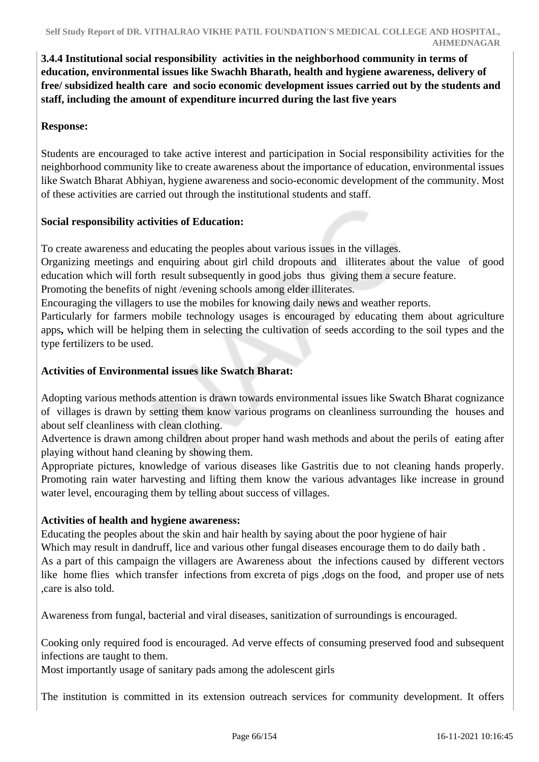**3.4.4 Institutional social responsibility activities in the neighborhood community in terms of education, environmental issues like Swachh Bharath, health and hygiene awareness, delivery of free/ subsidized health care and socio economic development issues carried out by the students and staff, including the amount of expenditure incurred during the last five years** 

# **Response:**

Students are encouraged to take active interest and participation in Social responsibility activities for the neighborhood community like to create awareness about the importance of education, environmental issues like Swatch Bharat Abhiyan, hygiene awareness and socio-economic development of the community. Most of these activities are carried out through the institutional students and staff.

# **Social responsibility activities of Education:**

To create awareness and educating the peoples about various issues in the villages.

Organizing meetings and enquiring about girl child dropouts and illiterates about the value of good education which will forth result subsequently in good jobs thus giving them a secure feature.

Promoting the benefits of night /evening schools among elder illiterates.

Encouraging the villagers to use the mobiles for knowing daily news and weather reports.

Particularly for farmers mobile technology usages is encouraged by educating them about agriculture apps**,** which will be helping them in selecting the cultivation of seeds according to the soil types and the type fertilizers to be used.

# **Activities of Environmental issues like Swatch Bharat:**

Adopting various methods attention is drawn towards environmental issues like Swatch Bharat cognizance of villages is drawn by setting them know various programs on cleanliness surrounding the houses and about self cleanliness with clean clothing.

Advertence is drawn among children about proper hand wash methods and about the perils of eating after playing without hand cleaning by showing them.

Appropriate pictures, knowledge of various diseases like Gastritis due to not cleaning hands properly. Promoting rain water harvesting and lifting them know the various advantages like increase in ground water level, encouraging them by telling about success of villages.

# **Activities of health and hygiene awareness:**

Educating the peoples about the skin and hair health by saying about the poor hygiene of hair Which may result in dandruff, lice and various other fungal diseases encourage them to do daily bath. As a part of this campaign the villagers are Awareness about the infections caused by different vectors like home flies which transfer infections from excreta of pigs ,dogs on the food, and proper use of nets ,care is also told.

Awareness from fungal, bacterial and viral diseases, sanitization of surroundings is encouraged.

Cooking only required food is encouraged. Ad verve effects of consuming preserved food and subsequent infections are taught to them.

Most importantly usage of sanitary pads among the adolescent girls

The institution is committed in its extension outreach services for community development. It offers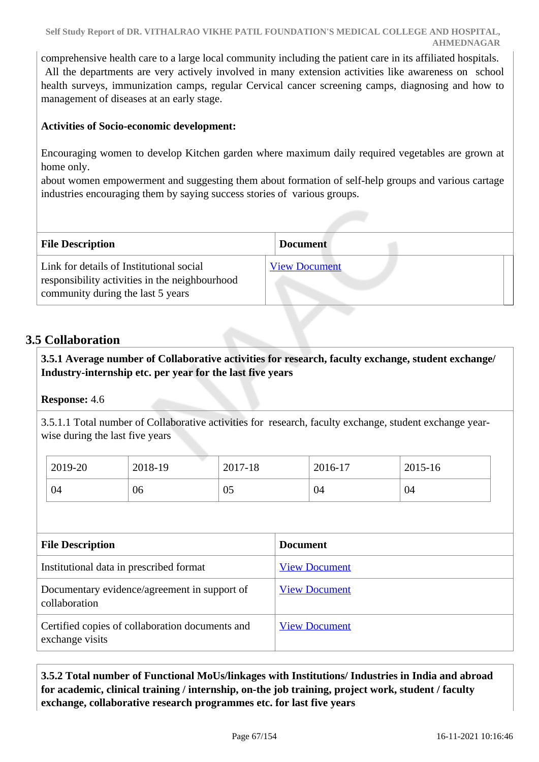comprehensive health care to a large local community including the patient care in its affiliated hospitals. All the departments are very actively involved in many extension activities like awareness on school health surveys, immunization camps, regular Cervical cancer screening camps, diagnosing and how to management of diseases at an early stage.

# **Activities of Socio-economic development:**

Encouraging women to develop Kitchen garden where maximum daily required vegetables are grown at home only.

about women empowerment and suggesting them about formation of self-help groups and various cartage industries encouraging them by saying success stories of various groups.

| <b>File Description</b>                                                                                                         | <b>Document</b>      |
|---------------------------------------------------------------------------------------------------------------------------------|----------------------|
| Link for details of Institutional social<br>responsibility activities in the neighbourhood<br>community during the last 5 years | <b>View Document</b> |

# **3.5 Collaboration**

 **3.5.1 Average number of Collaborative activities for research, faculty exchange, student exchange/ Industry-internship etc. per year for the last five years** 

# **Response:** 4.6

3.5.1.1 Total number of Collaborative activities for research, faculty exchange, student exchange yearwise during the last five years

| 2019-20 | 2018-19 | 2017-18 | 2016-17 | 2015-16 |
|---------|---------|---------|---------|---------|
| 04      | 06      | 05      | 04      | 04      |

| <b>File Description</b>                                            | <b>Document</b>      |
|--------------------------------------------------------------------|----------------------|
| Institutional data in prescribed format                            | <b>View Document</b> |
| Documentary evidence/agreement in support of<br>collaboration      | <b>View Document</b> |
| Certified copies of collaboration documents and<br>exchange visits | <b>View Document</b> |

# **3.5.2 Total number of Functional MoUs/linkages with Institutions/ Industries in India and abroad for academic, clinical training / internship, on-the job training, project work, student / faculty exchange, collaborative research programmes etc. for last five years**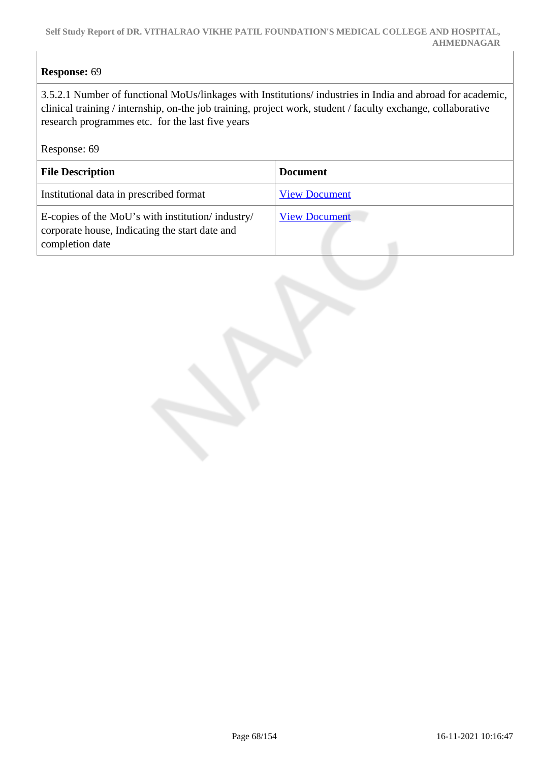# **Response:** 69

3.5.2.1 Number of functional MoUs/linkages with Institutions/ industries in India and abroad for academic, clinical training / internship, on-the job training, project work, student / faculty exchange, collaborative research programmes etc. for the last five years

Response: 69

| <b>File Description</b>                                                                                               | <b>Document</b>      |
|-----------------------------------------------------------------------------------------------------------------------|----------------------|
| Institutional data in prescribed format                                                                               | <b>View Document</b> |
| E-copies of the MoU's with institution/industry/<br>corporate house, Indicating the start date and<br>completion date | <b>View Document</b> |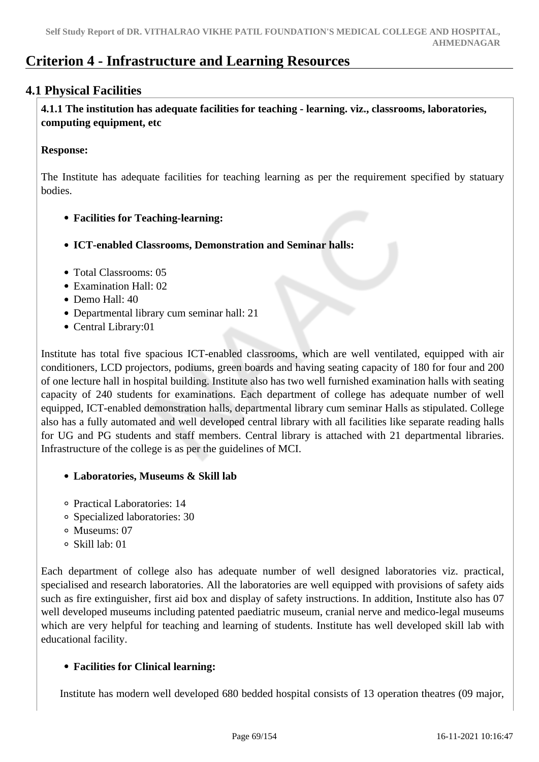# **Criterion 4 - Infrastructure and Learning Resources**

# **4.1 Physical Facilities**

 **4.1.1 The institution has adequate facilities for teaching - learning. viz., classrooms, laboratories, computing equipment, etc**

### **Response:**

The Institute has adequate facilities for teaching learning as per the requirement specified by statuary bodies.

- **Facilities for Teaching-learning:**
- **ICT-enabled Classrooms, Demonstration and Seminar halls:**
- Total Classrooms: 05
- Examination Hall: 02
- Demo Hall: 40
- Departmental library cum seminar hall: 21
- Central Library:01

Institute has total five spacious ICT-enabled classrooms, which are well ventilated, equipped with air conditioners, LCD projectors, podiums, green boards and having seating capacity of 180 for four and 200 of one lecture hall in hospital building. Institute also has two well furnished examination halls with seating capacity of 240 students for examinations. Each department of college has adequate number of well equipped, ICT-enabled demonstration halls, departmental library cum seminar Halls as stipulated. College also has a fully automated and well developed central library with all facilities like separate reading halls for UG and PG students and staff members. Central library is attached with 21 departmental libraries. Infrastructure of the college is as per the guidelines of MCI.

### **Laboratories, Museums & Skill lab**

- Practical Laboratories: 14
- Specialized laboratories: 30
- Museums: 07
- Skill lab: 01

Each department of college also has adequate number of well designed laboratories viz. practical, specialised and research laboratories. All the laboratories are well equipped with provisions of safety aids such as fire extinguisher, first aid box and display of safety instructions. In addition, Institute also has 07 well developed museums including patented paediatric museum, cranial nerve and medico-legal museums which are very helpful for teaching and learning of students. Institute has well developed skill lab with educational facility.

# **Facilities for Clinical learning:**

Institute has modern well developed 680 bedded hospital consists of 13 operation theatres (09 major,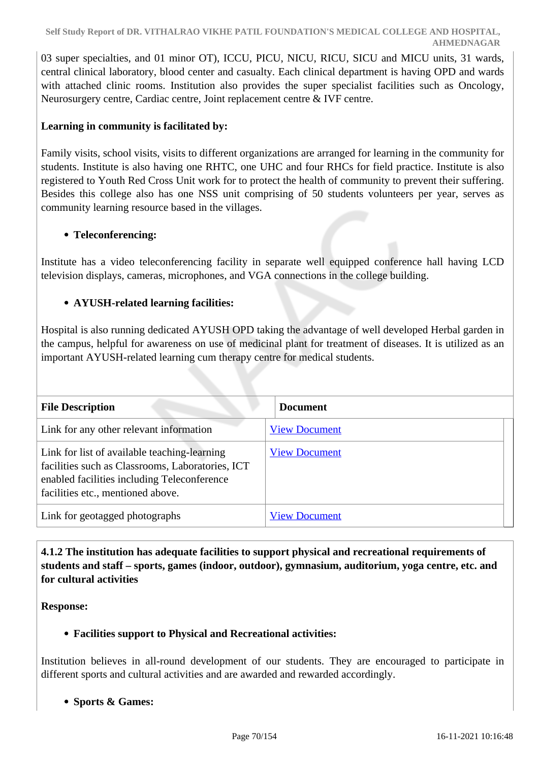03 super specialties, and 01 minor OT), ICCU, PICU, NICU, RICU, SICU and MICU units, 31 wards, central clinical laboratory, blood center and casualty. Each clinical department is having OPD and wards with attached clinic rooms. Institution also provides the super specialist facilities such as Oncology, Neurosurgery centre, Cardiac centre, Joint replacement centre & IVF centre.

# **Learning in community is facilitated by:**

Family visits, school visits, visits to different organizations are arranged for learning in the community for students. Institute is also having one RHTC, one UHC and four RHCs for field practice. Institute is also registered to Youth Red Cross Unit work for to protect the health of community to prevent their suffering. Besides this college also has one NSS unit comprising of 50 students volunteers per year, serves as community learning resource based in the villages.

### **Teleconferencing:**

Institute has a video teleconferencing facility in separate well equipped conference hall having LCD television displays, cameras, microphones, and VGA connections in the college building.

### **AYUSH-related learning facilities:**

Hospital is also running dedicated AYUSH OPD taking the advantage of well developed Herbal garden in the campus, helpful for awareness on use of medicinal plant for treatment of diseases. It is utilized as an important AYUSH-related learning cum therapy centre for medical students.

| <b>File Description</b>                                                                                                                                                              | <b>Document</b>      |  |
|--------------------------------------------------------------------------------------------------------------------------------------------------------------------------------------|----------------------|--|
| Link for any other relevant information                                                                                                                                              | <b>View Document</b> |  |
| Link for list of available teaching-learning<br>facilities such as Classrooms, Laboratories, ICT<br>enabled facilities including Teleconference<br>facilities etc., mentioned above. | <b>View Document</b> |  |
| Link for geotagged photographs                                                                                                                                                       | <b>View Document</b> |  |

 **4.1.2 The institution has adequate facilities to support physical and recreational requirements of students and staff – sports, games (indoor, outdoor), gymnasium, auditorium, yoga centre, etc. and for cultural activities**

**Response:** 

# **Facilities support to Physical and Recreational activities:**

Institution believes in all-round development of our students. They are encouraged to participate in different sports and cultural activities and are awarded and rewarded accordingly.

**Sports & Games:**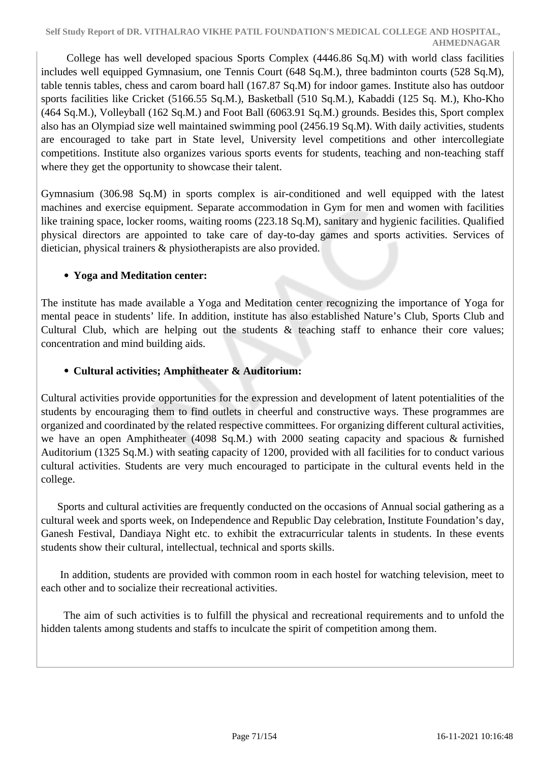College has well developed spacious Sports Complex (4446.86 Sq.M) with world class facilities includes well equipped Gymnasium, one Tennis Court (648 Sq.M.), three badminton courts (528 Sq.M), table tennis tables, chess and carom board hall (167.87 Sq.M) for indoor games. Institute also has outdoor sports facilities like Cricket (5166.55 Sq.M.), Basketball (510 Sq.M.), Kabaddi (125 Sq. M.), Kho-Kho (464 Sq.M.), Volleyball (162 Sq.M.) and Foot Ball (6063.91 Sq.M.) grounds. Besides this, Sport complex also has an Olympiad size well maintained swimming pool (2456.19 Sq.M). With daily activities, students are encouraged to take part in State level, University level competitions and other intercollegiate competitions. Institute also organizes various sports events for students, teaching and non-teaching staff where they get the opportunity to showcase their talent.

Gymnasium (306.98 Sq.M) in sports complex is air-conditioned and well equipped with the latest machines and exercise equipment. Separate accommodation in Gym for men and women with facilities like training space, locker rooms, waiting rooms (223.18 Sq.M), sanitary and hygienic facilities. Qualified physical directors are appointed to take care of day-to-day games and sports activities. Services of dietician, physical trainers & physiotherapists are also provided.

# **Yoga and Meditation center:**

The institute has made available a Yoga and Meditation center recognizing the importance of Yoga for mental peace in students' life. In addition, institute has also established Nature's Club, Sports Club and Cultural Club, which are helping out the students & teaching staff to enhance their core values; concentration and mind building aids.

# **Cultural activities; Amphitheater & Auditorium:**

Cultural activities provide opportunities for the expression and development of latent potentialities of the students by encouraging them to find outlets in cheerful and constructive ways. These programmes are organized and coordinated by the related respective committees. For organizing different cultural activities, we have an open Amphitheater (4098 Sq.M.) with 2000 seating capacity and spacious & furnished Auditorium (1325 Sq.M.) with seating capacity of 1200, provided with all facilities for to conduct various cultural activities. Students are very much encouraged to participate in the cultural events held in the college.

 Sports and cultural activities are frequently conducted on the occasions of Annual social gathering as a cultural week and sports week, on Independence and Republic Day celebration, Institute Foundation's day, Ganesh Festival, Dandiaya Night etc. to exhibit the extracurricular talents in students. In these events students show their cultural, intellectual, technical and sports skills.

 In addition, students are provided with common room in each hostel for watching television, meet to each other and to socialize their recreational activities.

 The aim of such activities is to fulfill the physical and recreational requirements and to unfold the hidden talents among students and staffs to inculcate the spirit of competition among them.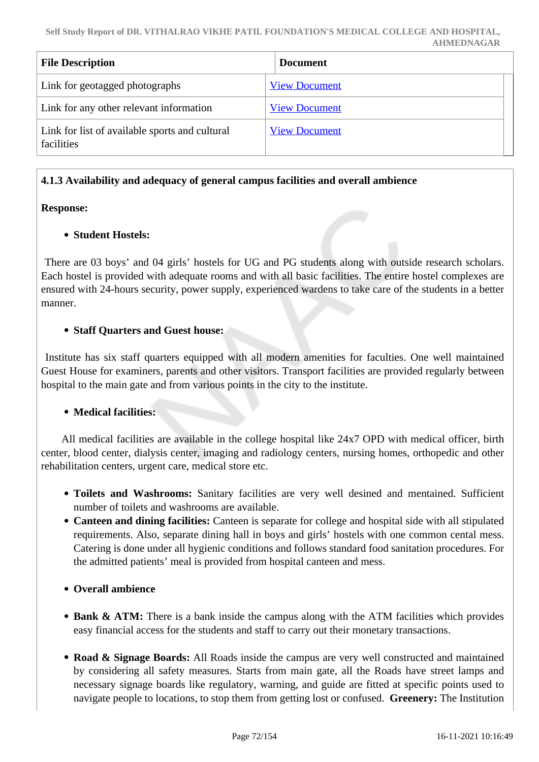| <b>File Description</b>                                      | <b>Document</b>      |  |
|--------------------------------------------------------------|----------------------|--|
| Link for geotagged photographs                               | <b>View Document</b> |  |
| Link for any other relevant information                      | <b>View Document</b> |  |
| Link for list of available sports and cultural<br>facilities | <b>View Document</b> |  |

### **4.1.3 Availability and adequacy of general campus facilities and overall ambience**

### **Response:**

# **Student Hostels:**

 There are 03 boys' and 04 girls' hostels for UG and PG students along with outside research scholars. Each hostel is provided with adequate rooms and with all basic facilities. The entire hostel complexes are ensured with 24-hours security, power supply, experienced wardens to take care of the students in a better manner.

### **Staff Quarters and Guest house:**

 Institute has six staff quarters equipped with all modern amenities for faculties. One well maintained Guest House for examiners, parents and other visitors. Transport facilities are provided regularly between hospital to the main gate and from various points in the city to the institute.

# **Medical facilities:**

 All medical facilities are available in the college hospital like 24x7 OPD with medical officer, birth center, blood center, dialysis center, imaging and radiology centers, nursing homes, orthopedic and other rehabilitation centers, urgent care, medical store etc.

- **Toilets and Washrooms:** Sanitary facilities are very well desined and mentained. Sufficient number of toilets and washrooms are available.
- **Canteen and dining facilities:** Canteen is separate for college and hospital side with all stipulated requirements. Also, separate dining hall in boys and girls' hostels with one common cental mess. Catering is done under all hygienic conditions and follows standard food sanitation procedures. For the admitted patients' meal is provided from hospital canteen and mess.

### **Overall ambience**

- **Bank & ATM:** There is a bank inside the campus along with the ATM facilities which provides easy financial access for the students and staff to carry out their monetary transactions.
- **Road & Signage Boards:** All Roads inside the campus are very well constructed and maintained by considering all safety measures. Starts from main gate, all the Roads have street lamps and necessary signage boards like regulatory, warning, and guide are fitted at specific points used to navigate people to locations, to stop them from getting lost or confused. **Greenery:** The Institution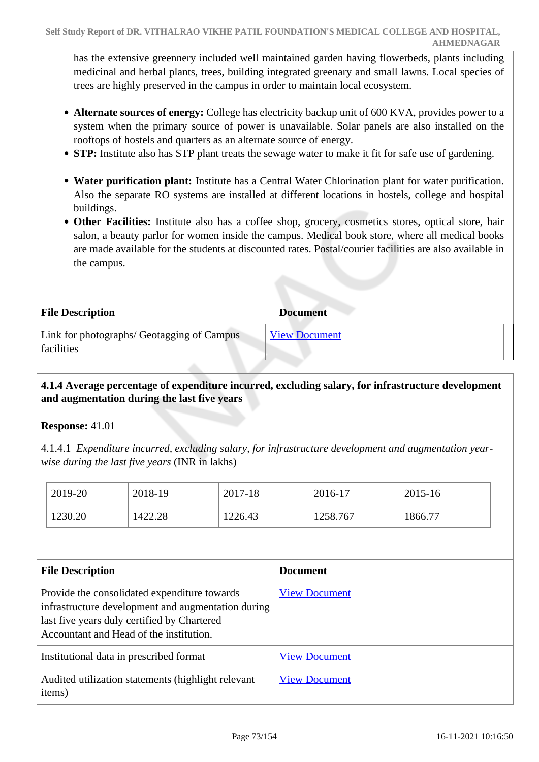has the extensive greennery included well maintained garden having flowerbeds, plants including medicinal and herbal plants, trees, building integrated greenary and small lawns. Local species of trees are highly preserved in the campus in order to maintain local ecosystem.

- **Alternate sources of energy:** College has electricity backup unit of 600 KVA, provides power to a system when the primary source of power is unavailable. Solar panels are also installed on the rooftops of hostels and quarters as an alternate source of energy.
- **STP:** Institute also has STP plant treats the sewage water to make it fit for safe use of gardening.
- **Water purification plant:** Institute has a Central Water Chlorination plant for water purification. Also the separate RO systems are installed at different locations in hostels, college and hospital buildings.
- **Other Facilities:** Institute also has a coffee shop, grocery, cosmetics stores, optical store, hair salon, a beauty parlor for women inside the campus. Medical book store, where all medical books are made available for the students at discounted rates. Postal/courier facilities are also available in the campus.

| <b>File Description</b>                                  | <b>Document</b>      |  |
|----------------------------------------------------------|----------------------|--|
| Link for photographs/ Geotagging of Campus<br>facilities | <b>View Document</b> |  |

# **4.1.4 Average percentage of expenditure incurred, excluding salary, for infrastructure development and augmentation during the last five years**

# **Response:** 41.01

4.1.4.1 *Expenditure incurred, excluding salary, for infrastructure development and augmentation yearwise during the last five years* (INR in lakhs)

| 2019-20 | 2018-19 | 2017-18 | 2016-17  | 2015-16 |
|---------|---------|---------|----------|---------|
| 1230.20 | 1422.28 | 1226.43 | 1258.767 | 1866.77 |

| <b>File Description</b>                                                                                                                                                                      | <b>Document</b>      |
|----------------------------------------------------------------------------------------------------------------------------------------------------------------------------------------------|----------------------|
| Provide the consolidated expenditure towards<br>infrastructure development and augmentation during<br>last five years duly certified by Chartered<br>Accountant and Head of the institution. | <b>View Document</b> |
| Institutional data in prescribed format                                                                                                                                                      | <b>View Document</b> |
| Audited utilization statements (highlight relevant<br>items)                                                                                                                                 | <b>View Document</b> |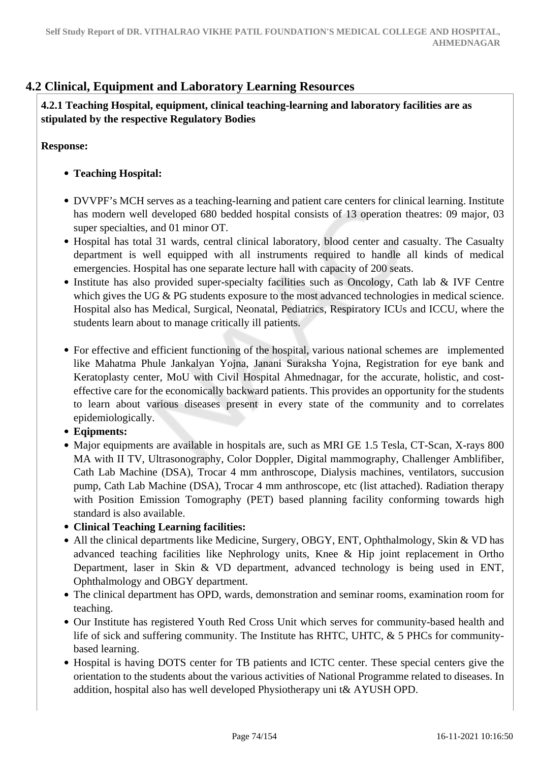# **4.2 Clinical, Equipment and Laboratory Learning Resources**

 **4.2.1 Teaching Hospital, equipment, clinical teaching-learning and laboratory facilities are as stipulated by the respective Regulatory Bodies** 

**Response:** 

- **Teaching Hospital:**
- DVVPF's MCH serves as a teaching-learning and patient care centers for clinical learning. Institute has modern well developed 680 bedded hospital consists of 13 operation theatres: 09 major, 03 super specialties, and 01 minor OT.
- Hospital has total 31 wards, central clinical laboratory, blood center and casualty. The Casualty department is well equipped with all instruments required to handle all kinds of medical emergencies. Hospital has one separate lecture hall with capacity of 200 seats.
- Institute has also provided super-specialty facilities such as Oncology, Cath lab & IVF Centre which gives the UG & PG students exposure to the most advanced technologies in medical science. Hospital also has Medical, Surgical, Neonatal, Pediatrics, Respiratory ICUs and ICCU, where the students learn about to manage critically ill patients.
- For effective and efficient functioning of the hospital, various national schemes are implemented like Mahatma Phule Jankalyan Yojna, Janani Suraksha Yojna, Registration for eye bank and Keratoplasty center, MoU with Civil Hospital Ahmednagar, for the accurate, holistic, and costeffective care for the economically backward patients. This provides an opportunity for the students to learn about various diseases present in every state of the community and to correlates epidemiologically.
- **Eqipments:**
- Major equipments are available in hospitals are, such as MRI GE 1.5 Tesla, CT-Scan, X-rays 800 MA with II TV, Ultrasonography, Color Doppler, Digital mammography, Challenger Amblifiber, Cath Lab Machine (DSA), Trocar 4 mm anthroscope, Dialysis machines, ventilators, succusion pump, Cath Lab Machine (DSA), Trocar 4 mm anthroscope, etc (list attached). Radiation therapy with Position Emission Tomography (PET) based planning facility conforming towards high standard is also available.
- **Clinical Teaching Learning facilities:**
- All the clinical departments like Medicine, Surgery, OBGY, ENT, Ophthalmology, Skin & VD has advanced teaching facilities like Nephrology units, Knee & Hip joint replacement in Ortho Department, laser in Skin & VD department, advanced technology is being used in ENT, Ophthalmology and OBGY department.
- The clinical department has OPD, wards, demonstration and seminar rooms, examination room for teaching.
- Our Institute has registered Youth Red Cross Unit which serves for community-based health and life of sick and suffering community. The Institute has RHTC, UHTC, & 5 PHCs for communitybased learning.
- Hospital is having DOTS center for TB patients and ICTC center. These special centers give the orientation to the students about the various activities of National Programme related to diseases. In addition, hospital also has well developed Physiotherapy uni t& AYUSH OPD.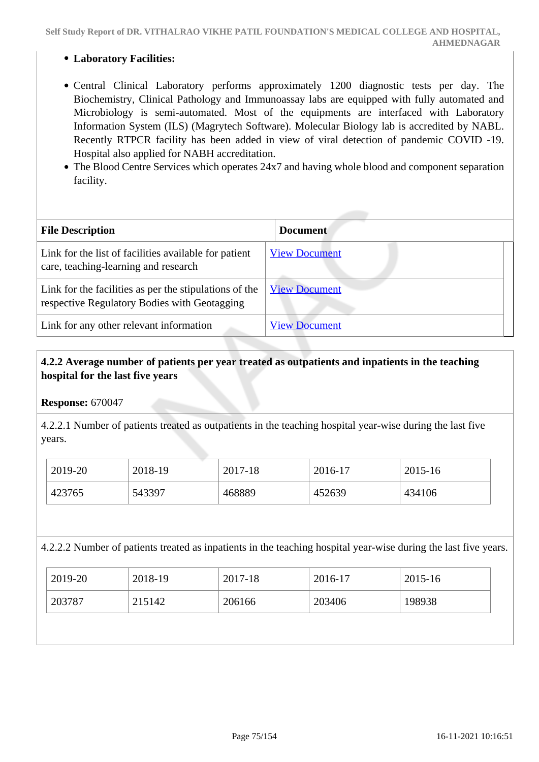**Self Study Report of DR. VITHALRAO VIKHE PATIL FOUNDATION'S MEDICAL COLLEGE AND HOSPITAL, AHMEDNAGAR**

#### **Laboratory Facilities:**

- Central Clinical Laboratory performs approximately 1200 diagnostic tests per day. The Biochemistry, Clinical Pathology and Immunoassay labs are equipped with fully automated and Microbiology is semi-automated. Most of the equipments are interfaced with Laboratory Information System (ILS) (Magrytech Software). Molecular Biology lab is accredited by NABL. Recently RTPCR facility has been added in view of viral detection of pandemic COVID -19. Hospital also applied for NABH accreditation.
- The Blood Centre Services which operates 24x7 and having whole blood and component separation facility.

| <b>File Description</b>                                                                                | <b>Document</b>      |
|--------------------------------------------------------------------------------------------------------|----------------------|
| Link for the list of facilities available for patient<br>care, teaching-learning and research          | <b>View Document</b> |
| Link for the facilities as per the stipulations of the<br>respective Regulatory Bodies with Geotagging | <b>View Document</b> |
| Link for any other relevant information                                                                | <b>View Document</b> |

## **4.2.2 Average number of patients per year treated as outpatients and inpatients in the teaching hospital for the last five years**

**Response:** 670047

4.2.2.1 Number of patients treated as outpatients in the teaching hospital year-wise during the last five years.

| 2019-20 | 2018-19 | 2017-18 | 2016-17 | 2015-16 |
|---------|---------|---------|---------|---------|
| 423765  | 543397  | 468889  | 452639  | 434106  |

4.2.2.2 Number of patients treated as inpatients in the teaching hospital year-wise during the last five years.

| 2019-20 | 2018-19 | 2017-18 | 2016-17 | 2015-16 |
|---------|---------|---------|---------|---------|
| 203787  | 215142  | 206166  | 203406  | 198938  |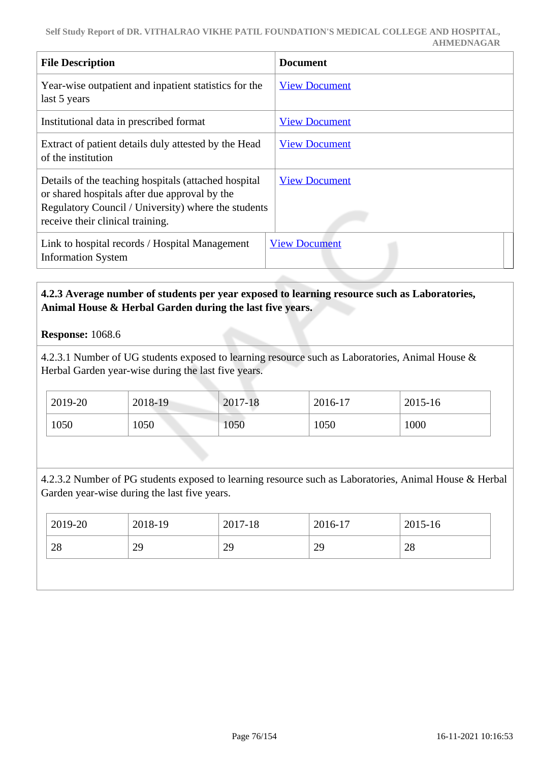| <b>File Description</b>                                                                                                                                                                          | <b>Document</b>      |
|--------------------------------------------------------------------------------------------------------------------------------------------------------------------------------------------------|----------------------|
| Year-wise outpatient and inpatient statistics for the<br>last 5 years                                                                                                                            | <b>View Document</b> |
| Institutional data in prescribed format                                                                                                                                                          | <b>View Document</b> |
| Extract of patient details duly attested by the Head<br>of the institution                                                                                                                       | <b>View Document</b> |
| Details of the teaching hospitals (attached hospital<br>or shared hospitals after due approval by the<br>Regulatory Council / University) where the students<br>receive their clinical training. | <b>View Document</b> |
| Link to hospital records / Hospital Management<br><b>Information System</b>                                                                                                                      | <b>View Document</b> |

## **4.2.3 Average number of students per year exposed to learning resource such as Laboratories, Animal House & Herbal Garden during the last five years.**

## **Response:** 1068.6

4.2.3.1 Number of UG students exposed to learning resource such as Laboratories, Animal House & Herbal Garden year-wise during the last five years.

| 2019-20 | 2018-19 | 2017-18 | 2016-17 | 2015-16 |
|---------|---------|---------|---------|---------|
| 1050    | 1050    | 1050    | 1050    | 1000    |

4.2.3.2 Number of PG students exposed to learning resource such as Laboratories, Animal House & Herbal Garden year-wise during the last five years.

| 2019-20 | 2018-19 | 2017-18 | 2016-17 | 2015-16 |
|---------|---------|---------|---------|---------|
| 28      | 29      | 29      | 29      | 28      |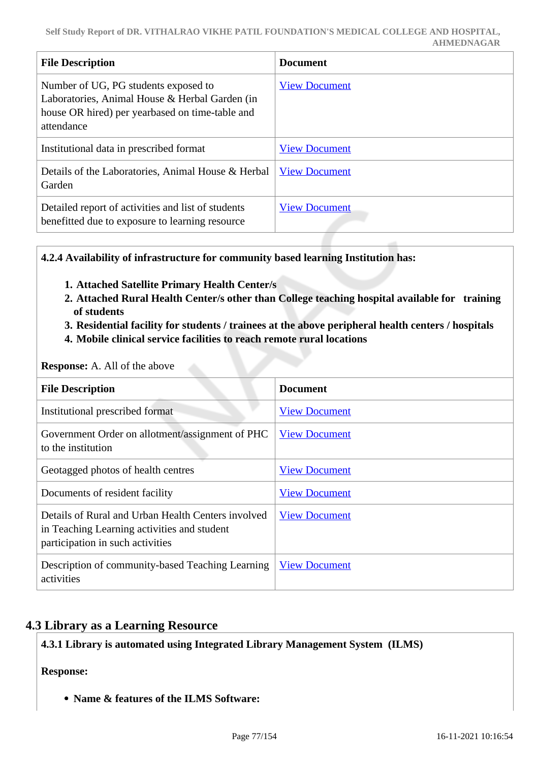| <b>File Description</b>                                                                                                                                 | <b>Document</b>      |
|---------------------------------------------------------------------------------------------------------------------------------------------------------|----------------------|
| Number of UG, PG students exposed to<br>Laboratories, Animal House & Herbal Garden (in<br>house OR hired) per yearbased on time-table and<br>attendance | <b>View Document</b> |
| Institutional data in prescribed format                                                                                                                 | <b>View Document</b> |
| Details of the Laboratories, Animal House & Herbal<br>Garden                                                                                            | <b>View Document</b> |
| Detailed report of activities and list of students<br>benefitted due to exposure to learning resource                                                   | <b>View Document</b> |

**4.2.4 Availability of infrastructure for community based learning Institution has:**

- **1. Attached Satellite Primary Health Center/s**
- **2. Attached Rural Health Center/s other than College teaching hospital available for training of students**
- **3. Residential facility for students / trainees at the above peripheral health centers / hospitals**
- **4. Mobile clinical service facilities to reach remote rural locations**

#### **Response:** A. All of the above

| <b>File Description</b>                                                                                                               | <b>Document</b>      |
|---------------------------------------------------------------------------------------------------------------------------------------|----------------------|
| Institutional prescribed format                                                                                                       | <b>View Document</b> |
| Government Order on allotment/assignment of PHC<br>to the institution                                                                 | <b>View Document</b> |
| Geotagged photos of health centres                                                                                                    | <b>View Document</b> |
| Documents of resident facility                                                                                                        | <b>View Document</b> |
| Details of Rural and Urban Health Centers involved<br>in Teaching Learning activities and student<br>participation in such activities | <b>View Document</b> |
| Description of community-based Teaching Learning<br>activities                                                                        | <b>View Document</b> |

# **4.3 Library as a Learning Resource**

**4.3.1 Library is automated using Integrated Library Management System (ILMS)**

#### **Response:**

**Name & features of the ILMS Software:**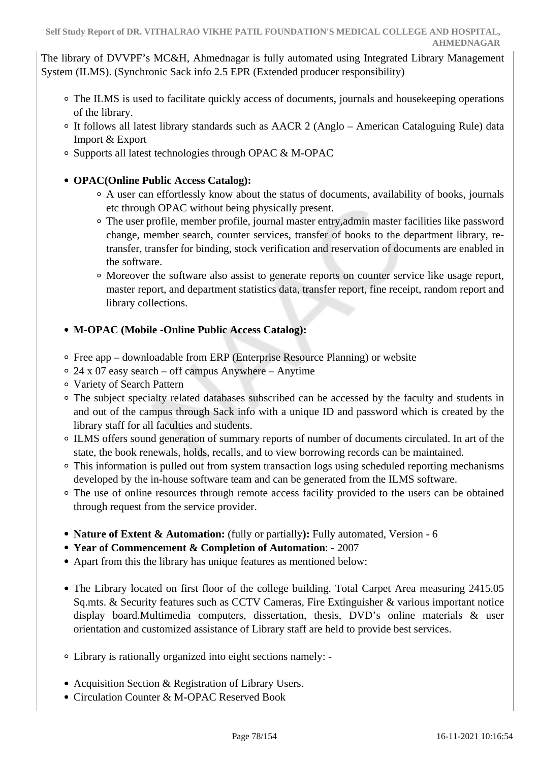The library of DVVPF's MC&H, Ahmednagar is fully automated using Integrated Library Management System (ILMS). (Synchronic Sack info 2.5 EPR (Extended producer responsibility)

- The ILMS is used to facilitate quickly access of documents, journals and housekeeping operations of the library.
- It follows all latest library standards such as AACR 2 (Anglo American Cataloguing Rule) data Import & Export
- Supports all latest technologies through OPAC & M-OPAC
- **OPAC(Online Public Access Catalog):**
	- A user can effortlessly know about the status of documents, availability of books, journals etc through OPAC without being physically present.
	- The user profile, member profile, journal master entry,admin master facilities like password change, member search, counter services, transfer of books to the department library, retransfer, transfer for binding, stock verification and reservation of documents are enabled in the software.
	- Moreover the software also assist to generate reports on counter service like usage report, master report, and department statistics data, transfer report, fine receipt, random report and library collections.

# **M-OPAC (Mobile -Online Public Access Catalog):**

- Free app downloadable from ERP (Enterprise Resource Planning) or website
- $\circ$  24 x 07 easy search off campus Anywhere Anytime
- Variety of Search Pattern
- The subject specialty related databases subscribed can be accessed by the faculty and students in and out of the campus through Sack info with a unique ID and password which is created by the library staff for all faculties and students.
- ILMS offers sound generation of summary reports of number of documents circulated. In art of the state, the book renewals, holds, recalls, and to view borrowing records can be maintained.
- This information is pulled out from system transaction logs using scheduled reporting mechanisms developed by the in-house software team and can be generated from the ILMS software.
- The use of online resources through remote access facility provided to the users can be obtained through request from the service provider.
- **Nature of Extent & Automation:** (fully or partially): Fully automated, Version 6
- **Year of Commencement & Completion of Automation**: 2007
- Apart from this the library has unique features as mentioned below:
- The Library located on first floor of the college building. Total Carpet Area measuring 2415.05 Sq.mts. & Security features such as CCTV Cameras, Fire Extinguisher & various important notice display board.Multimedia computers, dissertation, thesis, DVD's online materials & user orientation and customized assistance of Library staff are held to provide best services.
- Library is rationally organized into eight sections namely: -
- Acquisition Section & Registration of Library Users.
- Circulation Counter & M-OPAC Reserved Book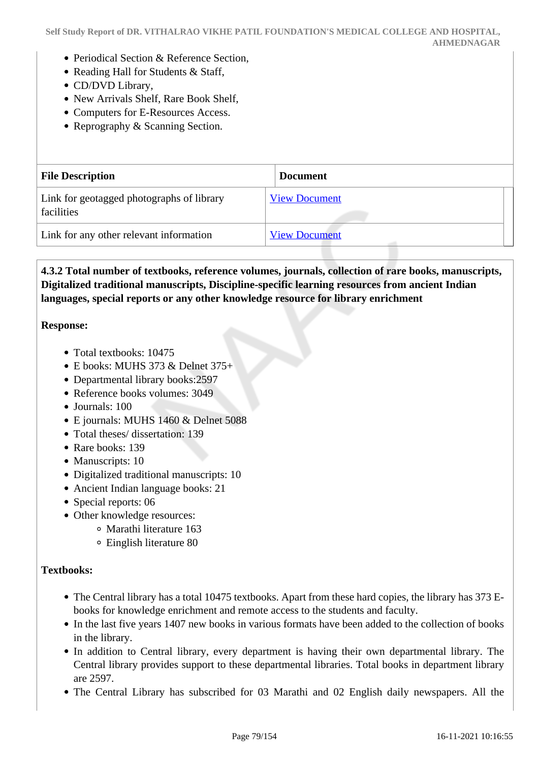- Periodical Section & Reference Section,
- Reading Hall for Students & Staff,
- CD/DVD Library,
- New Arrivals Shelf, Rare Book Shelf,
- Computers for E-Resources Access.
- Reprography & Scanning Section.

| <b>File Description</b>                                 | <b>Document</b>      |
|---------------------------------------------------------|----------------------|
| Link for geotagged photographs of library<br>facilities | <b>View Document</b> |
| Link for any other relevant information                 | <b>View Document</b> |

# **4.3.2 Total number of textbooks, reference volumes, journals, collection of rare books, manuscripts, Digitalized traditional manuscripts, Discipline-specific learning resources from ancient Indian languages, special reports or any other knowledge resource for library enrichment**

#### **Response:**

- Total textbooks: 10475
- E books: MUHS 373 & Delnet 375+
- Departmental library books:2597
- Reference books volumes: 3049
- Journals: 100
- E journals: MUHS 1460 & Delnet 5088
- Total theses/ dissertation: 139
- Rare books: 139
- Manuscripts: 10
- Digitalized traditional manuscripts: 10
- Ancient Indian language books: 21
- Special reports: 06
- Other knowledge resources:
	- Marathi literature 163
		- Einglish literature 80

#### **Textbooks:**

- The Central library has a total 10475 textbooks. Apart from these hard copies, the library has 373 Ebooks for knowledge enrichment and remote access to the students and faculty.
- In the last five years 1407 new books in various formats have been added to the collection of books in the library.
- In addition to Central library, every department is having their own departmental library. The Central library provides support to these departmental libraries. Total books in department library are 2597.
- The Central Library has subscribed for 03 Marathi and 02 English daily newspapers. All the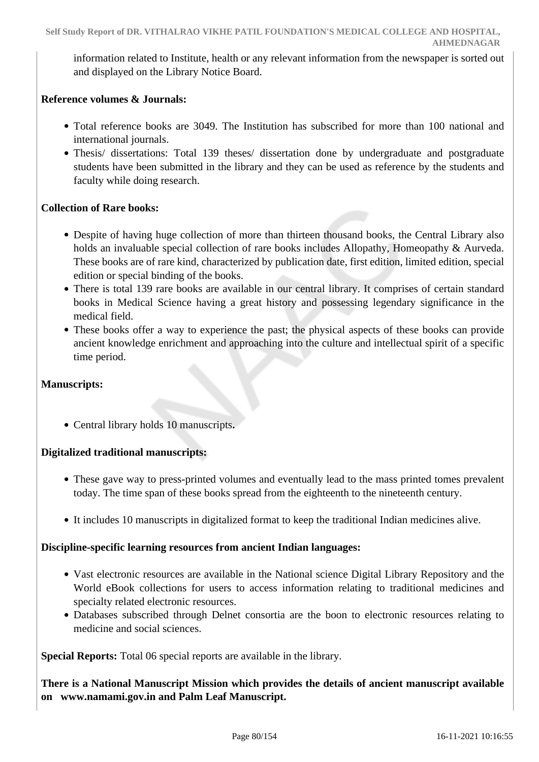information related to Institute, health or any relevant information from the newspaper is sorted out and displayed on the Library Notice Board.

### **Reference volumes & Journals:**

- Total reference books are 3049. The Institution has subscribed for more than 100 national and international journals.
- Thesis/ dissertations: Total 139 theses/ dissertation done by undergraduate and postgraduate students have been submitted in the library and they can be used as reference by the students and faculty while doing research.

## **Collection of Rare books:**

- Despite of having huge collection of more than thirteen thousand books, the Central Library also holds an invaluable special collection of rare books includes Allopathy, Homeopathy & Aurveda. These books are of rare kind, characterized by publication date, first edition, limited edition, special edition or special binding of the books.
- There is total 139 rare books are available in our central library. It comprises of certain standard books in Medical Science having a great history and possessing legendary significance in the medical field.
- These books offer a way to experience the past; the physical aspects of these books can provide ancient knowledge enrichment and approaching into the culture and intellectual spirit of a specific time period.

#### **Manuscripts:**

Central library holds 10 manuscripts**.** 

# **Digitalized traditional manuscripts:**

- These gave way to press-printed volumes and eventually lead to the mass printed tomes prevalent today. The time span of these books spread from the eighteenth to the nineteenth century.
- It includes 10 manuscripts in digitalized format to keep the traditional Indian medicines alive.

#### **Discipline-specific learning resources from ancient Indian languages:**

- Vast electronic resources are available in the National science Digital Library Repository and the World eBook collections for users to access information relating to traditional medicines and specialty related electronic resources.
- Databases subscribed through Delnet consortia are the boon to electronic resources relating to medicine and social sciences.

**Special Reports:** Total 06 special reports are available in the library.

**There is a National Manuscript Mission which provides the details of ancient manuscript available on www.namami.gov.in and Palm Leaf Manuscript.**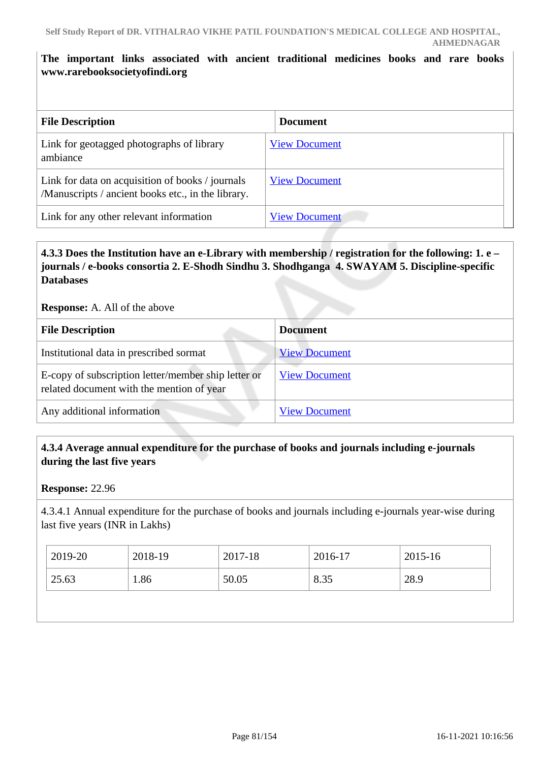# **The important links associated with ancient traditional medicines books and rare books www.rarebooksocietyofindi.org**

| <b>File Description</b>                                                                                | <b>Document</b>      |
|--------------------------------------------------------------------------------------------------------|----------------------|
| Link for geotagged photographs of library<br>ambiance                                                  | <b>View Document</b> |
| Link for data on acquisition of books / journals<br>/Manuscripts / ancient books etc., in the library. | <b>View Document</b> |
| Link for any other relevant information                                                                | <b>View Document</b> |

# **4.3.3 Does the Institution have an e-Library with membership / registration for the following: 1. e – journals / e-books consortia 2. E-Shodh Sindhu 3. Shodhganga 4. SWAYAM 5. Discipline-specific Databases**

#### **Response:** A. All of the above

| <b>File Description</b>                                                                          | <b>Document</b>      |
|--------------------------------------------------------------------------------------------------|----------------------|
| Institutional data in prescribed sormat                                                          | <b>View Document</b> |
| E-copy of subscription letter/member ship letter or<br>related document with the mention of year | <b>View Document</b> |
| Any additional information                                                                       | <b>View Document</b> |

## **4.3.4 Average annual expenditure for the purchase of books and journals including e-journals during the last five years**

**Response:** 22.96

4.3.4.1 Annual expenditure for the purchase of books and journals including e-journals year-wise during last five years (INR in Lakhs)

| 2019-20 | 2018-19 | 2017-18 | 2016-17 | 2015-16 |
|---------|---------|---------|---------|---------|
| 25.63   | 1.86    | 50.05   | 8.35    | 28.9    |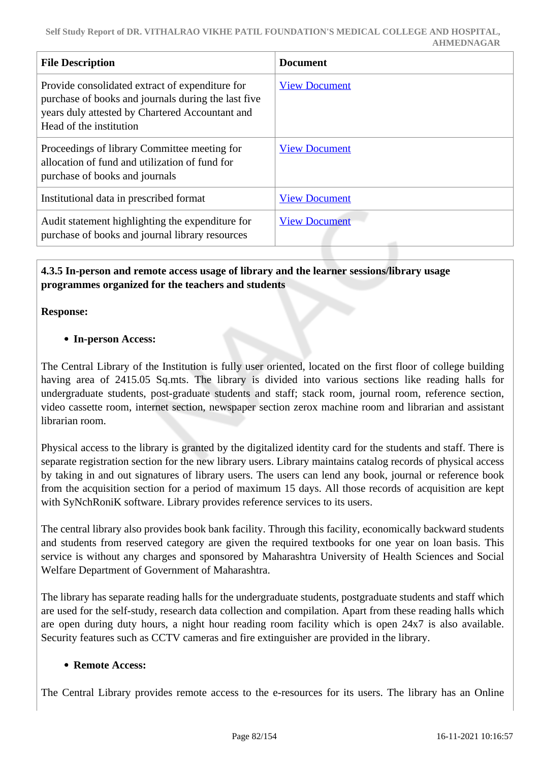| <b>File Description</b>                                                                                                                                                              | Document             |
|--------------------------------------------------------------------------------------------------------------------------------------------------------------------------------------|----------------------|
| Provide consolidated extract of expenditure for<br>purchase of books and journals during the last five<br>years duly attested by Chartered Accountant and<br>Head of the institution | <b>View Document</b> |
| Proceedings of library Committee meeting for<br>allocation of fund and utilization of fund for<br>purchase of books and journals                                                     | <b>View Document</b> |
| Institutional data in prescribed format                                                                                                                                              | <b>View Document</b> |
| Audit statement highlighting the expenditure for<br>purchase of books and journal library resources                                                                                  | <b>View Document</b> |

## **4.3.5 In-person and remote access usage of library and the learner sessions/library usage programmes organized for the teachers and students**

#### **Response:**

## **In-person Access:**

The Central Library of the Institution is fully user oriented, located on the first floor of college building having area of 2415.05 Sq.mts. The library is divided into various sections like reading halls for undergraduate students, post-graduate students and staff; stack room, journal room, reference section, video cassette room, internet section, newspaper section zerox machine room and librarian and assistant librarian room.

Physical access to the library is granted by the digitalized identity card for the students and staff. There is separate registration section for the new library users. Library maintains catalog records of physical access by taking in and out signatures of library users. The users can lend any book, journal or reference book from the acquisition section for a period of maximum 15 days. All those records of acquisition are kept with SyNchRoniK software. Library provides reference services to its users.

The central library also provides book bank facility. Through this facility, economically backward students and students from reserved category are given the required textbooks for one year on loan basis. This service is without any charges and sponsored by Maharashtra University of Health Sciences and Social Welfare Department of Government of Maharashtra.

The library has separate reading halls for the undergraduate students, postgraduate students and staff which are used for the self-study, research data collection and compilation. Apart from these reading halls which are open during duty hours, a night hour reading room facility which is open 24x7 is also available. Security features such as CCTV cameras and fire extinguisher are provided in the library.

#### **Remote Access:**

The Central Library provides remote access to the e-resources for its users. The library has an Online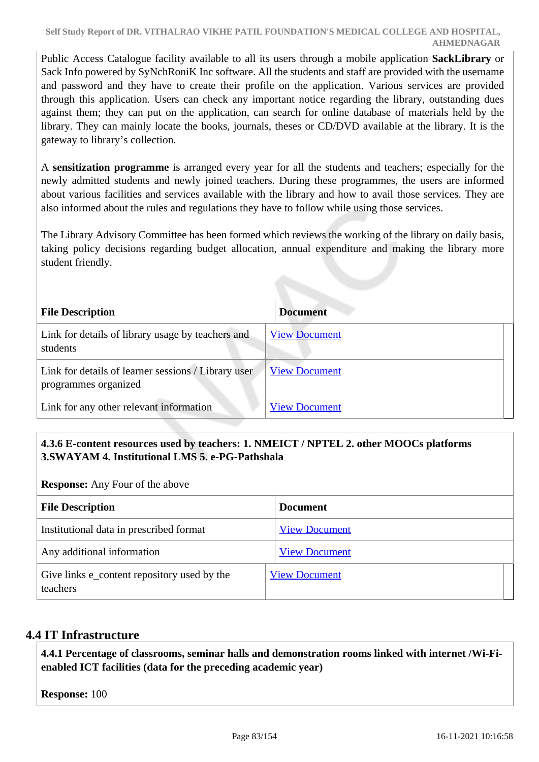#### **Self Study Report of DR. VITHALRAO VIKHE PATIL FOUNDATION'S MEDICAL COLLEGE AND HOSPITAL, AHMEDNAGAR**

Public Access Catalogue facility available to all its users through a mobile application **SackLibrary** or Sack Info powered by SyNchRoniK Inc software. All the students and staff are provided with the username and password and they have to create their profile on the application. Various services are provided through this application. Users can check any important notice regarding the library, outstanding dues against them; they can put on the application, can search for online database of materials held by the library. They can mainly locate the books, journals, theses or CD/DVD available at the library. It is the gateway to library's collection.

A **sensitization programme** is arranged every year for all the students and teachers; especially for the newly admitted students and newly joined teachers. During these programmes, the users are informed about various facilities and services available with the library and how to avail those services. They are also informed about the rules and regulations they have to follow while using those services.

The Library Advisory Committee has been formed which reviews the working of the library on daily basis, taking policy decisions regarding budget allocation, annual expenditure and making the library more student friendly.

| <b>File Description</b>                                                     | <b>Document</b>      |
|-----------------------------------------------------------------------------|----------------------|
| Link for details of library usage by teachers and<br>students               | <b>View Document</b> |
| Link for details of learner sessions / Library user<br>programmes organized | <b>View Document</b> |
| Link for any other relevant information                                     | <b>View Document</b> |

# **4.3.6 E-content resources used by teachers: 1. NMEICT / NPTEL 2. other MOOCs platforms 3.SWAYAM 4. Institutional LMS 5. e-PG-Pathshala**

**Response:** Any Four of the above

| <b>File Description</b>                                 | <b>Document</b>      |
|---------------------------------------------------------|----------------------|
| Institutional data in prescribed format                 | <b>View Document</b> |
| Any additional information                              | <b>View Document</b> |
| Give links e_content repository used by the<br>teachers | <b>View Document</b> |

# **4.4 IT Infrastructure**

 **4.4.1 Percentage of classrooms, seminar halls and demonstration rooms linked with internet /Wi-Fienabled ICT facilities (data for the preceding academic year)**

**Response:** 100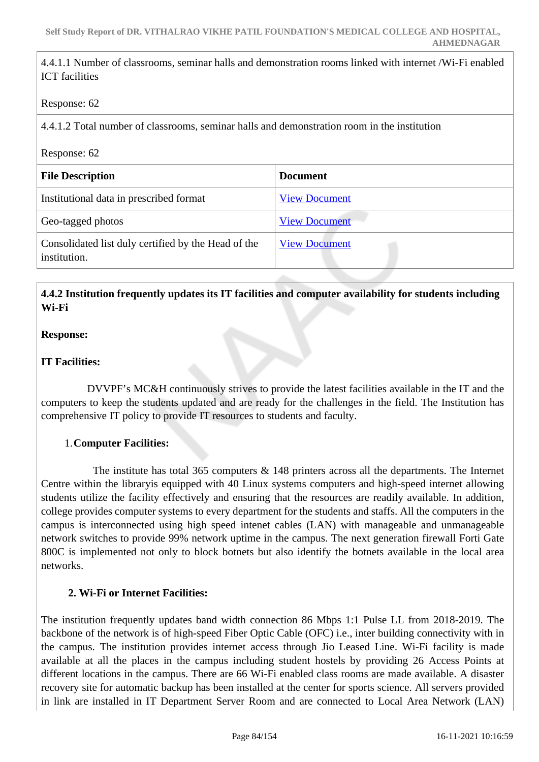4.4.1.1 Number of classrooms, seminar halls and demonstration rooms linked with internet /Wi-Fi enabled ICT facilities

#### Response: 62

4.4.1.2 Total number of classrooms, seminar halls and demonstration room in the institution

#### Response: 62

| <b>File Description</b>                                             | <b>Document</b>      |
|---------------------------------------------------------------------|----------------------|
| Institutional data in prescribed format                             | <b>View Document</b> |
| Geo-tagged photos                                                   | <b>View Document</b> |
| Consolidated list duly certified by the Head of the<br>institution. | <b>View Document</b> |

## **4.4.2 Institution frequently updates its IT facilities and computer availability for students including Wi-Fi**

#### **Response:**

#### **IT Facilities:**

 DVVPF's MC&H continuously strives to provide the latest facilities available in the IT and the computers to keep the students updated and are ready for the challenges in the field. The Institution has comprehensive IT policy to provide IT resources to students and faculty.

#### 1.**Computer Facilities:**

 The institute has total 365 computers & 148 printers across all the departments. The Internet Centre within the libraryis equipped with 40 Linux systems computers and high-speed internet allowing students utilize the facility effectively and ensuring that the resources are readily available. In addition, college provides computer systems to every department for the students and staffs. All the computers in the campus is interconnected using high speed intenet cables (LAN) with manageable and unmanageable network switches to provide 99% network uptime in the campus. The next generation firewall Forti Gate 800C is implemented not only to block botnets but also identify the botnets available in the local area networks.

#### **2. Wi-Fi or Internet Facilities:**

The institution frequently updates band width connection 86 Mbps 1:1 Pulse LL from 2018-2019. The backbone of the network is of high-speed Fiber Optic Cable (OFC) i.e., inter building connectivity with in the campus. The institution provides internet access through Jio Leased Line. Wi-Fi facility is made available at all the places in the campus including student hostels by providing 26 Access Points at different locations in the campus. There are 66 Wi-Fi enabled class rooms are made available. A disaster recovery site for automatic backup has been installed at the center for sports science. All servers provided in link are installed in IT Department Server Room and are connected to Local Area Network (LAN)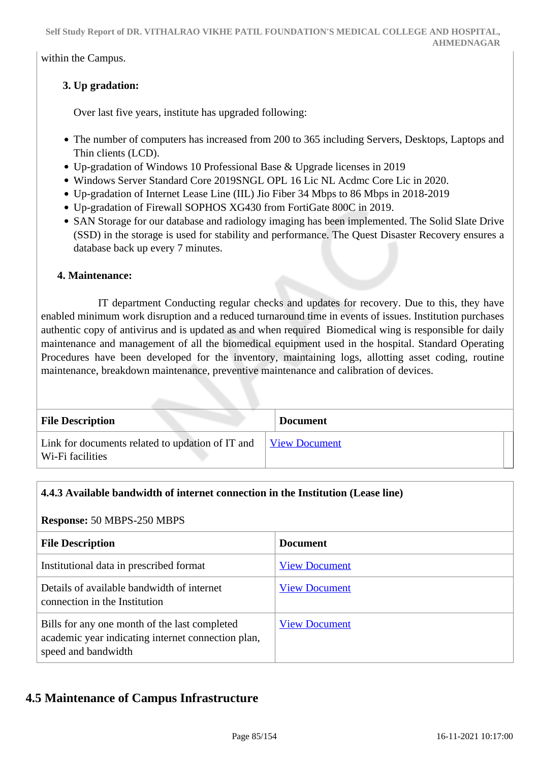within the Campus.

# **3. Up gradation:**

Over last five years, institute has upgraded following:

- The number of computers has increased from 200 to 365 including Servers, Desktops, Laptops and Thin clients (LCD).
- Up-gradation of Windows 10 Professional Base & Upgrade licenses in 2019
- Windows Server Standard Core 2019SNGL OPL 16 Lic NL Acdmc Core Lic in 2020.
- Up-gradation of Internet Lease Line (IIL) Jio Fiber 34 Mbps to 86 Mbps in 2018-2019
- Up-gradation of Firewall SOPHOS XG430 from FortiGate 800C in 2019.
- SAN Storage for our database and radiology imaging has been implemented. The Solid Slate Drive (SSD) in the storage is used for stability and performance. The Quest Disaster Recovery ensures a database back up every 7 minutes.

#### **4. Maintenance:**

 IT department Conducting regular checks and updates for recovery. Due to this, they have enabled minimum work disruption and a reduced turnaround time in events of issues. Institution purchases authentic copy of antivirus and is updated as and when required Biomedical wing is responsible for daily maintenance and management of all the biomedical equipment used in the hospital. Standard Operating Procedures have been developed for the inventory, maintaining logs, allotting asset coding, routine maintenance, breakdown maintenance, preventive maintenance and calibration of devices.

| <b>File Description</b>                                              | <b>Document</b>      |
|----------------------------------------------------------------------|----------------------|
| Link for documents related to updation of IT and<br>Wi-Fi facilities | <b>View Document</b> |

# **4.4.3 Available bandwidth of internet connection in the Institution (Lease line)**

#### **Response:** 50 MBPS-250 MBPS

| <b>File Description</b>                                                                                                    | <b>Document</b>      |
|----------------------------------------------------------------------------------------------------------------------------|----------------------|
| Institutional data in prescribed format                                                                                    | <b>View Document</b> |
| Details of available bandwidth of internet<br>connection in the Institution                                                | <b>View Document</b> |
| Bills for any one month of the last completed<br>academic year indicating internet connection plan,<br>speed and bandwidth | <b>View Document</b> |

# **4.5 Maintenance of Campus Infrastructure**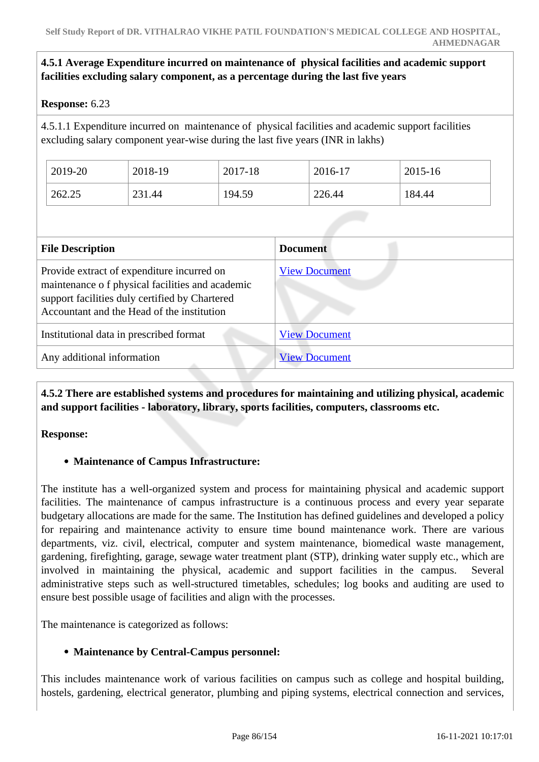## **4.5.1 Average Expenditure incurred on maintenance of physical facilities and academic support facilities excluding salary component, as a percentage during the last five years**

#### **Response:** 6.23

4.5.1.1 Expenditure incurred on maintenance of physical facilities and academic support facilities excluding salary component year-wise during the last five years (INR in lakhs)

| 2019-20 | 2018-19 | 2017-18 | 2016-17 | 2015-16 |
|---------|---------|---------|---------|---------|
| 262.25  | 231.44  | 194.59  | 226.44  | 184.44  |

| <b>File Description</b>                                                                                                                                                                       | <b>Document</b>      |
|-----------------------------------------------------------------------------------------------------------------------------------------------------------------------------------------------|----------------------|
| Provide extract of expenditure incurred on<br>maintenance of physical facilities and academic<br>support facilities duly certified by Chartered<br>Accountant and the Head of the institution | <b>View Document</b> |
| Institutional data in prescribed format                                                                                                                                                       | <b>View Document</b> |
| Any additional information                                                                                                                                                                    | <b>View Document</b> |

 **4.5.2 There are established systems and procedures for maintaining and utilizing physical, academic and support facilities - laboratory, library, sports facilities, computers, classrooms etc.**

**Response:** 

#### **Maintenance of Campus Infrastructure:**

The institute has a well-organized system and process for maintaining physical and academic support facilities. The maintenance of campus infrastructure is a continuous process and every year separate budgetary allocations are made for the same. The Institution has defined guidelines and developed a policy for repairing and maintenance activity to ensure time bound maintenance work. There are various departments, viz. civil, electrical, computer and system maintenance, biomedical waste management, gardening, firefighting, garage, sewage water treatment plant (STP), drinking water supply etc., which are involved in maintaining the physical, academic and support facilities in the campus. Several administrative steps such as well-structured timetables, schedules; log books and auditing are used to ensure best possible usage of facilities and align with the processes.

The maintenance is categorized as follows:

#### **Maintenance by Central-Campus personnel:**

This includes maintenance work of various facilities on campus such as college and hospital building, hostels, gardening, electrical generator, plumbing and piping systems, electrical connection and services,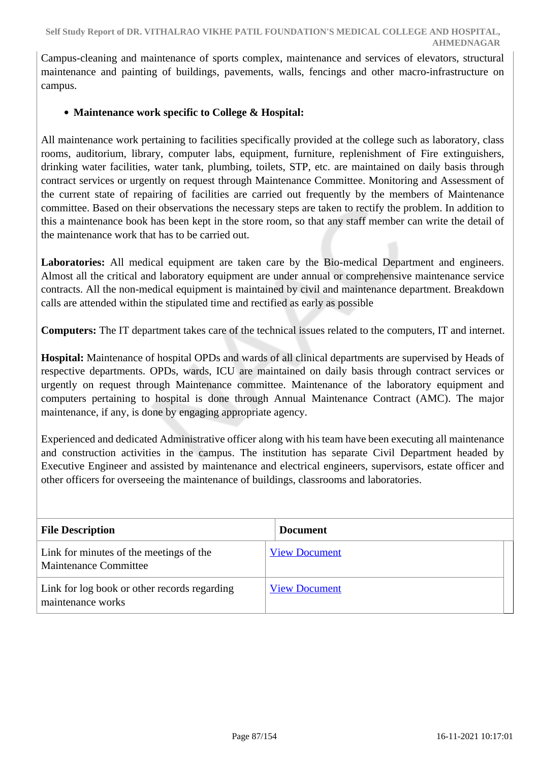Campus-cleaning and maintenance of sports complex, maintenance and services of elevators, structural maintenance and painting of buildings, pavements, walls, fencings and other macro-infrastructure on campus.

## **Maintenance work specific to College & Hospital:**

All maintenance work pertaining to facilities specifically provided at the college such as laboratory, class rooms, auditorium, library, computer labs, equipment, furniture, replenishment of Fire extinguishers, drinking water facilities, water tank, plumbing, toilets, STP, etc. are maintained on daily basis through contract services or urgently on request through Maintenance Committee. Monitoring and Assessment of the current state of repairing of facilities are carried out frequently by the members of Maintenance committee. Based on their observations the necessary steps are taken to rectify the problem. In addition to this a maintenance book has been kept in the store room, so that any staff member can write the detail of the maintenance work that has to be carried out.

**Laboratories:** All medical equipment are taken care by the Bio-medical Department and engineers. Almost all the critical and laboratory equipment are under annual or comprehensive maintenance service contracts. All the non-medical equipment is maintained by civil and maintenance department. Breakdown calls are attended within the stipulated time and rectified as early as possible

**Computers:** The IT department takes care of the technical issues related to the computers, IT and internet.

**Hospital:** Maintenance of hospital OPDs and wards of all clinical departments are supervised by Heads of respective departments. OPDs, wards, ICU are maintained on daily basis through contract services or urgently on request through Maintenance committee. Maintenance of the laboratory equipment and computers pertaining to hospital is done through Annual Maintenance Contract (AMC). The major maintenance, if any, is done by engaging appropriate agency.

Experienced and dedicated Administrative officer along with his team have been executing all maintenance and construction activities in the campus. The institution has separate Civil Department headed by Executive Engineer and assisted by maintenance and electrical engineers, supervisors, estate officer and other officers for overseeing the maintenance of buildings, classrooms and laboratories.

| <b>File Description</b>                                                 | <b>Document</b>      |
|-------------------------------------------------------------------------|----------------------|
| Link for minutes of the meetings of the<br><b>Maintenance Committee</b> | <b>View Document</b> |
| Link for log book or other records regarding<br>maintenance works       | <b>View Document</b> |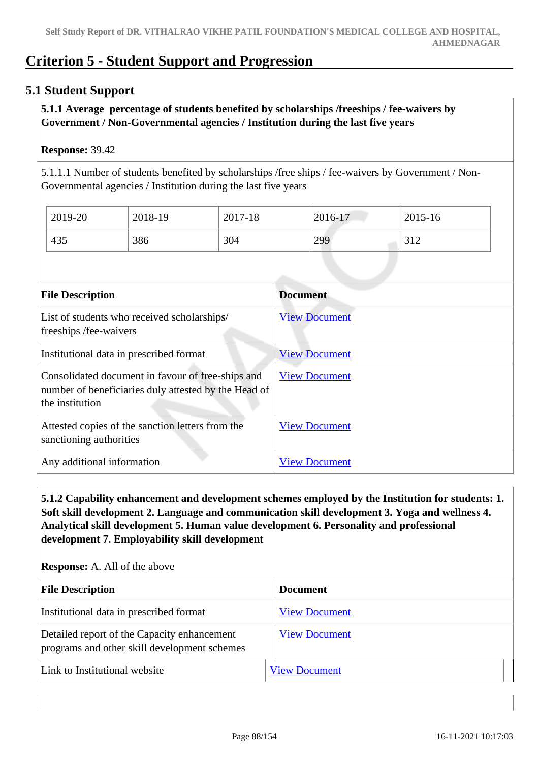# **Criterion 5 - Student Support and Progression**

# **5.1 Student Support**

### **5.1.1 Average percentage of students benefited by scholarships /freeships / fee-waivers by Government / Non-Governmental agencies / Institution during the last five years**

#### **Response:** 39.42

5.1.1.1 Number of students benefited by scholarships /free ships / fee-waivers by Government / Non-Governmental agencies / Institution during the last five years

| 2019-20 | 2018-19 | 2017-18 | 2016-17 | 2015-16             |
|---------|---------|---------|---------|---------------------|
| 435     | 386     | 304     | 299     | 210<br>$\perp$<br>◡ |

| <b>File Description</b>                                                                                                      | <b>Document</b>      |
|------------------------------------------------------------------------------------------------------------------------------|----------------------|
| List of students who received scholarships/<br>freeships /fee-waivers                                                        | <b>View Document</b> |
| Institutional data in prescribed format                                                                                      | <b>View Document</b> |
| Consolidated document in favour of free-ships and<br>number of beneficiaries duly attested by the Head of<br>the institution | <b>View Document</b> |
| Attested copies of the sanction letters from the<br>sanctioning authorities                                                  | <b>View Document</b> |
| Any additional information                                                                                                   | <b>View Document</b> |

 **5.1.2 Capability enhancement and development schemes employed by the Institution for students: 1. Soft skill development 2. Language and communication skill development 3. Yoga and wellness 4. Analytical skill development 5. Human value development 6. Personality and professional development 7. Employability skill development**

| <b>File Description</b>                                                                     | <b>Document</b>      |  |
|---------------------------------------------------------------------------------------------|----------------------|--|
| Institutional data in prescribed format                                                     | <b>View Document</b> |  |
| Detailed report of the Capacity enhancement<br>programs and other skill development schemes | <b>View Document</b> |  |
| Link to Institutional website                                                               | <b>View Document</b> |  |

**Response:** A. All of the above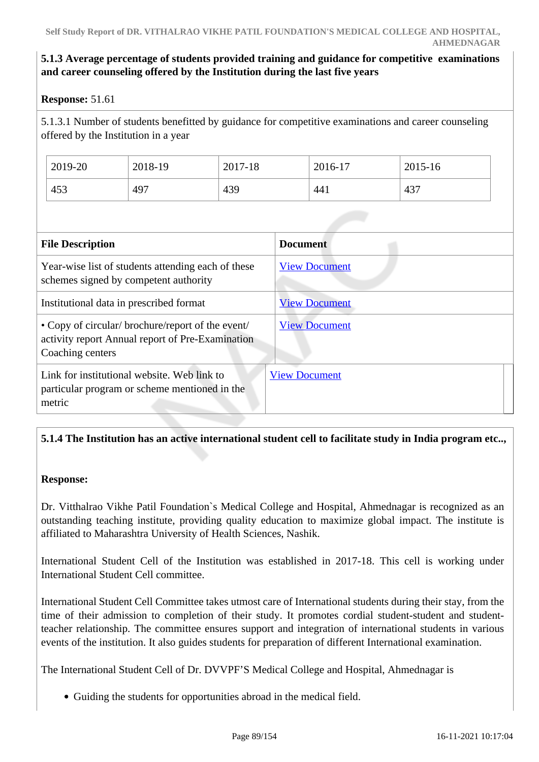# **5.1.3 Average percentage of students provided training and guidance for competitive examinations and career counseling offered by the Institution during the last five years**

## **Response:** 51.61

5.1.3.1 Number of students benefitted by guidance for competitive examinations and career counseling offered by the Institution in a year

| 2019-20 | 2018-19 | 2017-18 | 2016-17 | 2015-16 |
|---------|---------|---------|---------|---------|
| 453     | 497     | 439     | 441     | 437     |

| <b>File Description</b>                                                                                                   | <b>Document</b>      |
|---------------------------------------------------------------------------------------------------------------------------|----------------------|
| Year-wise list of students attending each of these<br>schemes signed by competent authority                               | <b>View Document</b> |
| Institutional data in prescribed format                                                                                   | <b>View Document</b> |
| • Copy of circular/ brochure/report of the event/<br>activity report Annual report of Pre-Examination<br>Coaching centers | <b>View Document</b> |
| Link for institutional website. Web link to<br>particular program or scheme mentioned in the<br>metric                    | <b>View Document</b> |

# **5.1.4 The Institution has an active international student cell to facilitate study in India program etc..,**

#### **Response:**

Dr. Vitthalrao Vikhe Patil Foundation`s Medical College and Hospital, Ahmednagar is recognized as an outstanding teaching institute, providing quality education to maximize global impact. The institute is affiliated to Maharashtra University of Health Sciences, Nashik.

International Student Cell of the Institution was established in 2017-18. This cell is working under International Student Cell committee.

International Student Cell Committee takes utmost care of International students during their stay, from the time of their admission to completion of their study. It promotes cordial student-student and studentteacher relationship. The committee ensures support and integration of international students in various events of the institution. It also guides students for preparation of different International examination.

The International Student Cell of Dr. DVVPF'S Medical College and Hospital, Ahmednagar is

Guiding the students for opportunities abroad in the medical field.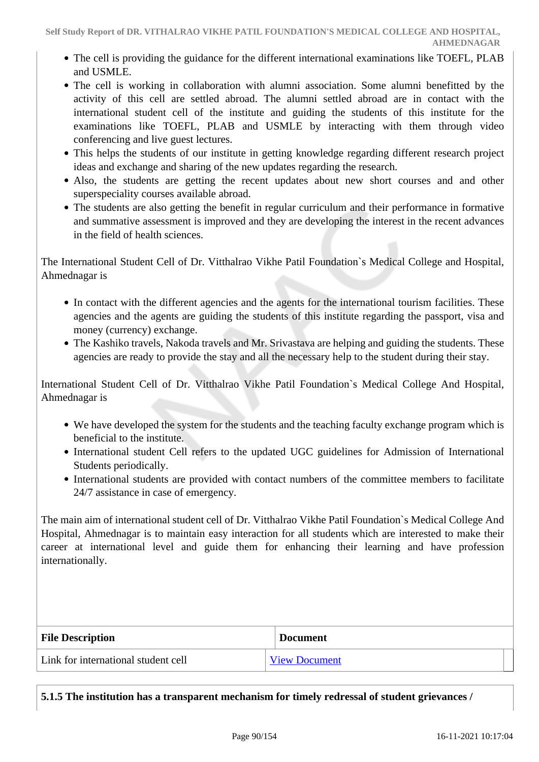- The cell is providing the guidance for the different international examinations like TOEFL, PLAB and USMLE.
- The cell is working in collaboration with alumni association. Some alumni benefitted by the activity of this cell are settled abroad. The alumni settled abroad are in contact with the international student cell of the institute and guiding the students of this institute for the examinations like TOEFL, PLAB and USMLE by interacting with them through video conferencing and live guest lectures.
- This helps the students of our institute in getting knowledge regarding different research project ideas and exchange and sharing of the new updates regarding the research.
- Also, the students are getting the recent updates about new short courses and and other superspeciality courses available abroad.
- The students are also getting the benefit in regular curriculum and their performance in formative and summative assessment is improved and they are developing the interest in the recent advances in the field of health sciences.

The International Student Cell of Dr. Vitthalrao Vikhe Patil Foundation`s Medical College and Hospital, Ahmednagar is

- In contact with the different agencies and the agents for the international tourism facilities. These agencies and the agents are guiding the students of this institute regarding the passport, visa and money (currency) exchange.
- The Kashiko travels, Nakoda travels and Mr. Srivastava are helping and guiding the students. These agencies are ready to provide the stay and all the necessary help to the student during their stay.

International Student Cell of Dr. Vitthalrao Vikhe Patil Foundation`s Medical College And Hospital, Ahmednagar is

- We have developed the system for the students and the teaching faculty exchange program which is beneficial to the institute.
- International student Cell refers to the updated UGC guidelines for Admission of International Students periodically.
- International students are provided with contact numbers of the committee members to facilitate 24/7 assistance in case of emergency.

The main aim of international student cell of Dr. Vitthalrao Vikhe Patil Foundation`s Medical College And Hospital, Ahmednagar is to maintain easy interaction for all students which are interested to make their career at international level and guide them for enhancing their learning and have profession internationally.

| <b>File Description</b>             | <b>Document</b>      |
|-------------------------------------|----------------------|
| Link for international student cell | <b>View Document</b> |

**5.1.5 The institution has a transparent mechanism for timely redressal of student grievances /**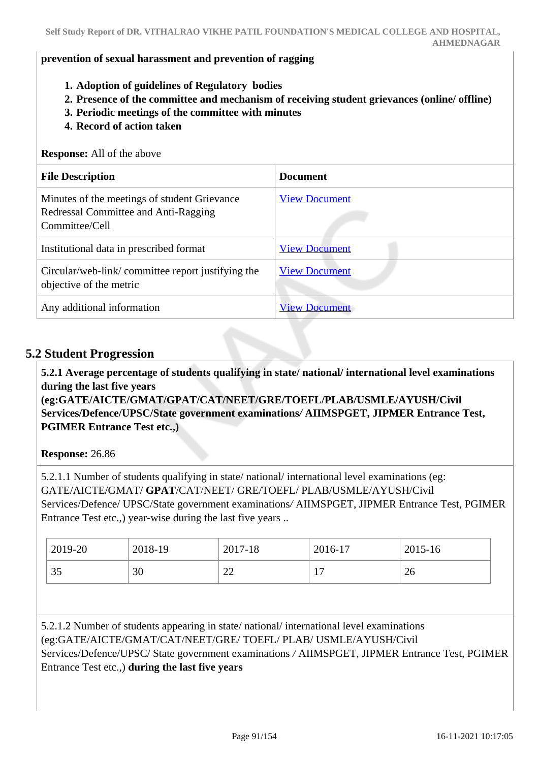#### **prevention of sexual harassment and prevention of ragging**

- **1. Adoption of guidelines of Regulatory bodies**
- **2. Presence of the committee and mechanism of receiving student grievances (online/ offline)**
- **3. Periodic meetings of the committee with minutes**
- **4. Record of action taken**

**Response:** All of the above

| <b>File Description</b>                                                                                | <b>Document</b>      |
|--------------------------------------------------------------------------------------------------------|----------------------|
| Minutes of the meetings of student Grievance<br>Redressal Committee and Anti-Ragging<br>Committee/Cell | <b>View Document</b> |
| Institutional data in prescribed format                                                                | <b>View Document</b> |
| Circular/web-link/committee report justifying the<br>objective of the metric                           | <b>View Document</b> |
| Any additional information                                                                             | <b>View Document</b> |

## **5.2 Student Progression**

 **5.2.1 Average percentage of students qualifying in state/ national/ international level examinations during the last five years**

**(eg:GATE/AICTE/GMAT/GPAT/CAT/NEET/GRE/TOEFL/PLAB/USMLE/AYUSH/Civil Services/Defence/UPSC/State government examinations***/* **AIIMSPGET, JIPMER Entrance Test, PGIMER Entrance Test etc.,)**

**Response:** 26.86

5.2.1.1 Number of students qualifying in state/ national/ international level examinations (eg: GATE/AICTE/GMAT/ **GPAT**/CAT/NEET/ GRE/TOEFL/ PLAB/USMLE/AYUSH/Civil Services/Defence/ UPSC/State government examinations*/* AIIMSPGET, JIPMER Entrance Test, PGIMER Entrance Test etc.,) year-wise during the last five years ..

| 2019-20             | 2018-19 | 2017-18       | 2016-17                        | 2015-16 |
|---------------------|---------|---------------|--------------------------------|---------|
| $\sim$ $\sim$<br>υJ | 30      | $\sim$<br>سىس | $\overline{ }$<br>$\mathbf{r}$ | 26      |

5.2.1.2 Number of students appearing in state/ national/ international level examinations (eg:GATE/AICTE/GMAT/CAT/NEET/GRE/ TOEFL/ PLAB/ USMLE/AYUSH/Civil Services/Defence/UPSC/ State government examinations */* AIIMSPGET, JIPMER Entrance Test, PGIMER Entrance Test etc.,) **during the last five years**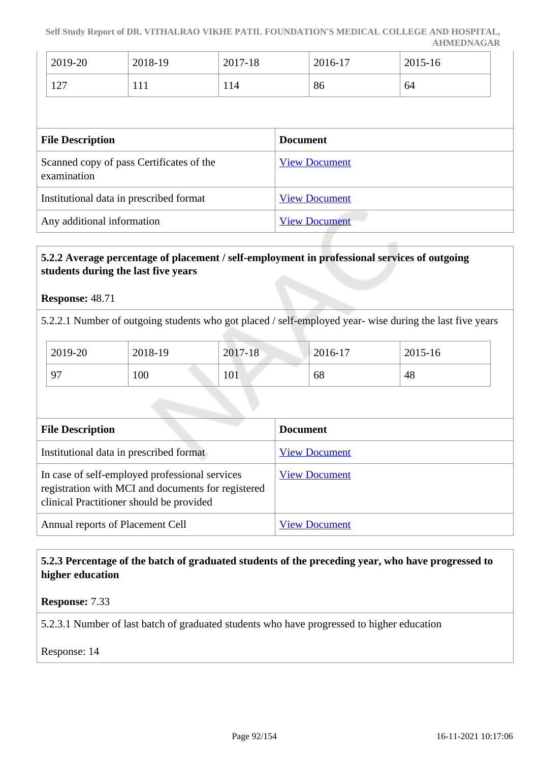**Self Study Report of DR. VITHALRAO VIKHE PATIL FOUNDATION'S MEDICAL COLLEGE AND HOSPITAL, AHMEDNAGAR**

| 2019-20                                  | 2018-19 | 2017-18 | 2016-17 | 2015-16 |
|------------------------------------------|---------|---------|---------|---------|
| $1 \cap \Box$<br>$\perp$ $\perp$ $\perp$ | 1 1 1   | 114     | 86      | 64      |

| <b>File Description</b>                                 | <b>Document</b>      |
|---------------------------------------------------------|----------------------|
| Scanned copy of pass Certificates of the<br>examination | <b>View Document</b> |
| Institutional data in prescribed format                 | <b>View Document</b> |
| Any additional information                              | <b>View Document</b> |

## **5.2.2 Average percentage of placement / self-employment in professional services of outgoing students during the last five years**

#### **Response:** 48.71

5.2.2.1 Number of outgoing students who got placed / self-employed year- wise during the last five years

| 2019-20 | 2018-19 | 2017-18 | $2016 - 17$ | 2015-16 |
|---------|---------|---------|-------------|---------|
| 07      | 100     | 101     | 68          | 48      |

| <b>File Description</b>                                                                                                                          | <b>Document</b>      |
|--------------------------------------------------------------------------------------------------------------------------------------------------|----------------------|
| Institutional data in prescribed format                                                                                                          | <b>View Document</b> |
| In case of self-employed professional services<br>registration with MCI and documents for registered<br>clinical Practitioner should be provided | <b>View Document</b> |
| Annual reports of Placement Cell                                                                                                                 | <b>View Document</b> |

#### **5.2.3 Percentage of the batch of graduated students of the preceding year, who have progressed to higher education**

**Response:** 7.33

5.2.3.1 Number of last batch of graduated students who have progressed to higher education

Response: 14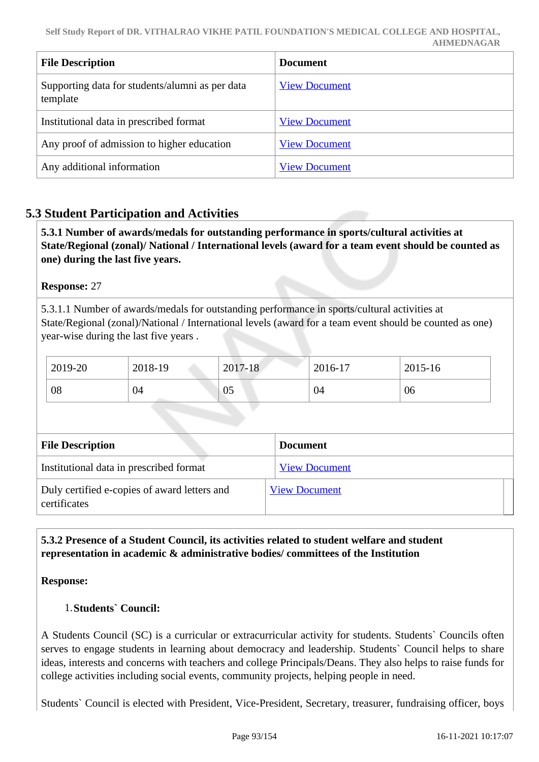| <b>File Description</b>                                     | <b>Document</b>      |
|-------------------------------------------------------------|----------------------|
| Supporting data for students/alumni as per data<br>template | <b>View Document</b> |
| Institutional data in prescribed format                     | <b>View Document</b> |
| Any proof of admission to higher education                  | <b>View Document</b> |
| Any additional information                                  | <b>View Document</b> |

# **5.3 Student Participation and Activities**

 **5.3.1 Number of awards/medals for outstanding performance in sports/cultural activities at State/Regional (zonal)/ National / International levels (award for a team event should be counted as one) during the last five years.**

## **Response:** 27

5.3.1.1 Number of awards/medals for outstanding performance in sports/cultural activities at State/Regional (zonal)/National / International levels (award for a team event should be counted as one) year-wise during the last five years .

| 2019-20 | 2018-19 | 2017-18 | 2016-17 | 2015-16 |
|---------|---------|---------|---------|---------|
| 08      | 04      | 05      | 04      | 06      |

| <b>File Description</b>                                      | <b>Document</b>      |
|--------------------------------------------------------------|----------------------|
| Institutional data in prescribed format                      | <b>View Document</b> |
| Duly certified e-copies of award letters and<br>certificates | <b>View Document</b> |

# **5.3.2 Presence of a Student Council, its activities related to student welfare and student representation in academic & administrative bodies/ committees of the Institution**

#### **Response:**

#### 1.**Students` Council:**

A Students Council (SC) is a curricular or extracurricular activity for students. Students` Councils often serves to engage students in learning about democracy and leadership. Students` Council helps to share ideas, interests and concerns with teachers and college Principals/Deans. They also helps to raise funds for college activities including social events, community projects, helping people in need.

Students` Council is elected with President, Vice-President, Secretary, treasurer, fundraising officer, boys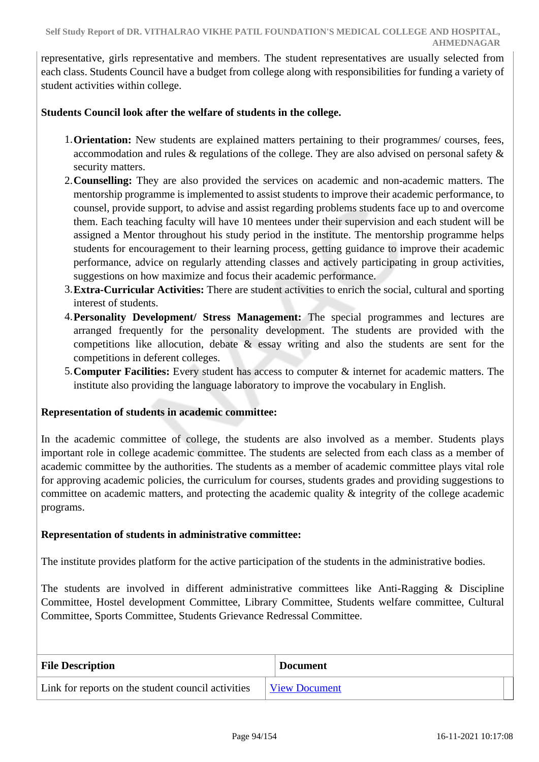representative, girls representative and members. The student representatives are usually selected from each class. Students Council have a budget from college along with responsibilities for funding a variety of student activities within college.

## **Students Council look after the welfare of students in the college.**

- 1.**Orientation:** New students are explained matters pertaining to their programmes/ courses, fees, accommodation and rules & regulations of the college. They are also advised on personal safety & security matters.
- 2.**Counselling:** They are also provided the services on academic and non-academic matters. The mentorship programme is implemented to assist students to improve their academic performance, to counsel, provide support, to advise and assist regarding problems students face up to and overcome them. Each teaching faculty will have 10 mentees under their supervision and each student will be assigned a Mentor throughout his study period in the institute. The mentorship programme helps students for encouragement to their learning process, getting guidance to improve their academic performance, advice on regularly attending classes and actively participating in group activities, suggestions on how maximize and focus their academic performance.
- 3.**Extra-Curricular Activities:** There are student activities to enrich the social, cultural and sporting interest of students.
- 4.**Personality Development/ Stress Management:** The special programmes and lectures are arranged frequently for the personality development. The students are provided with the competitions like allocution, debate & essay writing and also the students are sent for the competitions in deferent colleges.
- 5.**Computer Facilities:** Every student has access to computer & internet for academic matters. The institute also providing the language laboratory to improve the vocabulary in English.

#### **Representation of students in academic committee:**

In the academic committee of college, the students are also involved as a member. Students plays important role in college academic committee. The students are selected from each class as a member of academic committee by the authorities. The students as a member of academic committee plays vital role for approving academic policies, the curriculum for courses, students grades and providing suggestions to committee on academic matters, and protecting the academic quality & integrity of the college academic programs.

#### **Representation of students in administrative committee:**

The institute provides platform for the active participation of the students in the administrative bodies.

The students are involved in different administrative committees like Anti-Ragging & Discipline Committee, Hostel development Committee, Library Committee, Students welfare committee, Cultural Committee, Sports Committee, Students Grievance Redressal Committee.

| <b>File Description</b>                            | <b>Document</b>      |
|----------------------------------------------------|----------------------|
| Link for reports on the student council activities | <b>View Document</b> |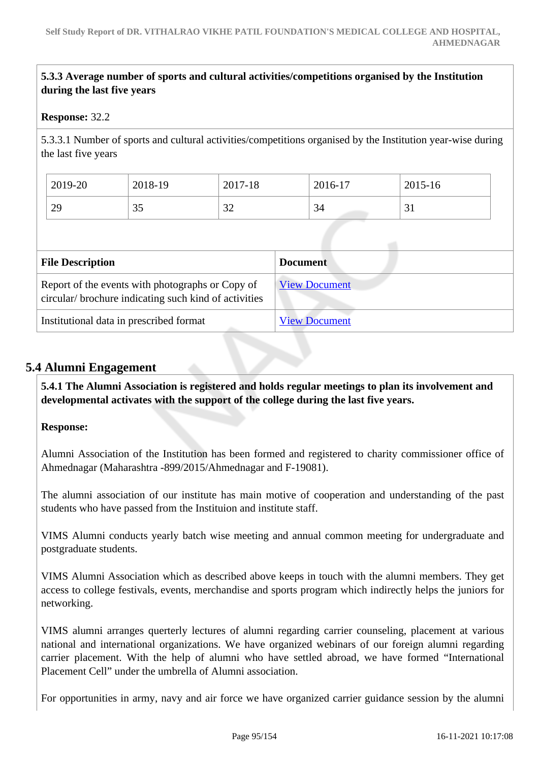# **5.3.3 Average number of sports and cultural activities/competitions organised by the Institution during the last five years**

#### **Response:** 32.2

5.3.3.1 Number of sports and cultural activities/competitions organised by the Institution year-wise during the last five years

| 2019-20          | 2018-19  | 2017-18       | 2016-17 | 2015-16 |
|------------------|----------|---------------|---------|---------|
| $\gamma$ Q<br>42 | つよ<br>IJ | $\cap$<br>ے ر | 34      | ◡▴      |

| <b>File Description</b>                                                                                  | <b>Document</b>      |
|----------------------------------------------------------------------------------------------------------|----------------------|
| Report of the events with photographs or Copy of<br>circular/brochure indicating such kind of activities | <b>View Document</b> |
| Institutional data in prescribed format                                                                  | <b>View Document</b> |

## **5.4 Alumni Engagement**

 **5.4.1 The Alumni Association is registered and holds regular meetings to plan its involvement and developmental activates with the support of the college during the last five years.** 

#### **Response:**

Alumni Association of the Institution has been formed and registered to charity commissioner office of Ahmednagar (Maharashtra -899/2015/Ahmednagar and F-19081).

The alumni association of our institute has main motive of cooperation and understanding of the past students who have passed from the Instituion and institute staff.

VIMS Alumni conducts yearly batch wise meeting and annual common meeting for undergraduate and postgraduate students.

VIMS Alumni Association which as described above keeps in touch with the alumni members. They get access to college festivals, events, merchandise and sports program which indirectly helps the juniors for networking.

VIMS alumni arranges querterly lectures of alumni regarding carrier counseling, placement at various national and international organizations. We have organized webinars of our foreign alumni regarding carrier placement. With the help of alumni who have settled abroad, we have formed "International Placement Cell" under the umbrella of Alumni association.

For opportunities in army, navy and air force we have organized carrier guidance session by the alumni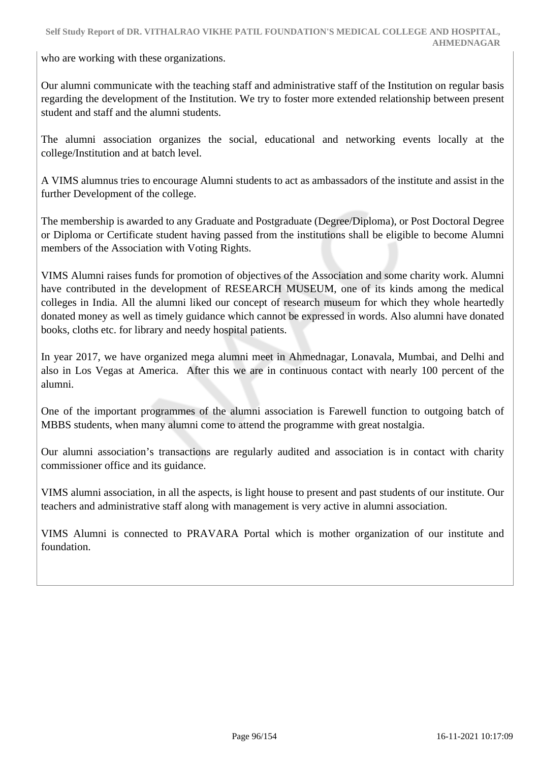who are working with these organizations.

Our alumni communicate with the teaching staff and administrative staff of the Institution on regular basis regarding the development of the Institution. We try to foster more extended relationship between present student and staff and the alumni students.

The alumni association organizes the social, educational and networking events locally at the college/Institution and at batch level.

A VIMS alumnus tries to encourage Alumni students to act as ambassadors of the institute and assist in the further Development of the college.

The membership is awarded to any Graduate and Postgraduate (Degree/Diploma), or Post Doctoral Degree or Diploma or Certificate student having passed from the institutions shall be eligible to become Alumni members of the Association with Voting Rights.

VIMS Alumni raises funds for promotion of objectives of the Association and some charity work. Alumni have contributed in the development of RESEARCH MUSEUM, one of its kinds among the medical colleges in India. All the alumni liked our concept of research museum for which they whole heartedly donated money as well as timely guidance which cannot be expressed in words. Also alumni have donated books, cloths etc. for library and needy hospital patients.

In year 2017, we have organized mega alumni meet in Ahmednagar, Lonavala, Mumbai, and Delhi and also in Los Vegas at America. After this we are in continuous contact with nearly 100 percent of the alumni.

One of the important programmes of the alumni association is Farewell function to outgoing batch of MBBS students, when many alumni come to attend the programme with great nostalgia.

Our alumni association's transactions are regularly audited and association is in contact with charity commissioner office and its guidance.

VIMS alumni association, in all the aspects, is light house to present and past students of our institute. Our teachers and administrative staff along with management is very active in alumni association.

VIMS Alumni is connected to PRAVARA Portal which is mother organization of our institute and foundation.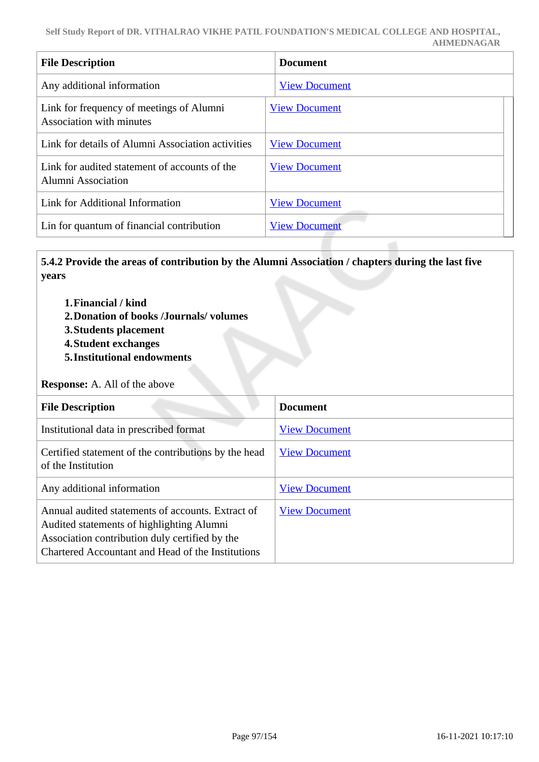| <b>File Description</b>                                              | <b>Document</b>      |
|----------------------------------------------------------------------|----------------------|
| Any additional information                                           | <b>View Document</b> |
| Link for frequency of meetings of Alumni<br>Association with minutes | <b>View Document</b> |
| Link for details of Alumni Association activities                    | <b>View Document</b> |
| Link for audited statement of accounts of the<br>Alumni Association  | <b>View Document</b> |
| Link for Additional Information                                      | <b>View Document</b> |
| Lin for quantum of financial contribution                            | <b>View Document</b> |

 **5.4.2 Provide the areas of contribution by the Alumni Association / chapters during the last five years**

- **1.Financial / kind**
- **2.Donation of books /Journals/ volumes**
- **3.Students placement**
- **4.Student exchanges**
- **5.Institutional endowments**

**Response:** A. All of the above

| <b>File Description</b>                                                                                                                                                                               | <b>Document</b>      |
|-------------------------------------------------------------------------------------------------------------------------------------------------------------------------------------------------------|----------------------|
| Institutional data in prescribed format                                                                                                                                                               | <b>View Document</b> |
| Certified statement of the contributions by the head<br>of the Institution                                                                                                                            | <b>View Document</b> |
| Any additional information                                                                                                                                                                            | <b>View Document</b> |
| Annual audited statements of accounts. Extract of<br>Audited statements of highlighting Alumni<br>Association contribution duly certified by the<br>Chartered Accountant and Head of the Institutions | <b>View Document</b> |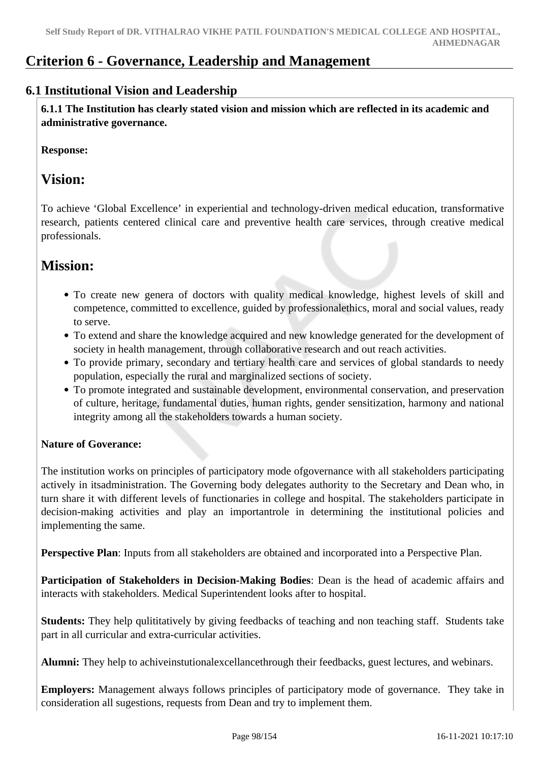# **Criterion 6 - Governance, Leadership and Management**

# **6.1 Institutional Vision and Leadership**

 **6.1.1 The Institution has clearly stated vision and mission which are reflected in its academic and administrative governance.**

**Response:** 

# **Vision:**

To achieve 'Global Excellence' in experiential and technology-driven medical education, transformative research, patients centered clinical care and preventive health care services, through creative medical professionals.

# **Mission:**

- To create new genera of doctors with quality medical knowledge, highest levels of skill and competence, committed to excellence, guided by professionalethics, moral and social values, ready to serve.
- To extend and share the knowledge acquired and new knowledge generated for the development of society in health management, through collaborative research and out reach activities.
- To provide primary, secondary and tertiary health care and services of global standards to needy population, especially the rural and marginalized sections of society.
- To promote integrated and sustainable development, environmental conservation, and preservation of culture, heritage, fundamental duties, human rights, gender sensitization, harmony and national integrity among all the stakeholders towards a human society.

# **Nature of Goverance:**

The institution works on principles of participatory mode ofgovernance with all stakeholders participating actively in itsadministration. The Governing body delegates authority to the Secretary and Dean who, in turn share it with different levels of functionaries in college and hospital. The stakeholders participate in decision-making activities and play an importantrole in determining the institutional policies and implementing the same.

**Perspective Plan**: Inputs from all stakeholders are obtained and incorporated into a Perspective Plan.

**Participation of Stakeholders in Decision-Making Bodies**: Dean is the head of academic affairs and interacts with stakeholders. Medical Superintendent looks after to hospital.

**Students:** They help qulititatively by giving feedbacks of teaching and non teaching staff. Students take part in all curricular and extra-curricular activities.

**Alumni:** They help to achiveinstutionalexcellancethrough their feedbacks, guest lectures, and webinars.

**Employers:** Management always follows principles of participatory mode of governance. They take in consideration all sugestions, requests from Dean and try to implement them.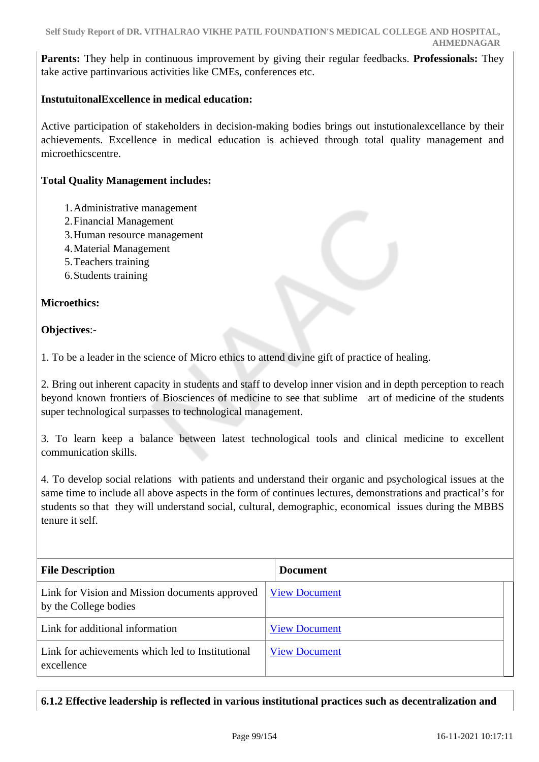**Parents:** They help in continuous improvement by giving their regular feedbacks. **Professionals:** They take active partinvarious activities like CMEs, conferences etc.

#### **InstutuitonalExcellence in medical education:**

Active participation of stakeholders in decision-making bodies brings out instutionalexcellance by their achievements. Excellence in medical education is achieved through total quality management and microethicscentre.

#### **Total Quality Management includes:**

- 1.Administrative management
- 2.Financial Management
- 3.Human resource management
- 4.Material Management
- 5.Teachers training
- 6.Students training

#### **Microethics:**

#### **Objectives**:-

1. To be a leader in the science of Micro ethics to attend divine gift of practice of healing.

2. Bring out inherent capacity in students and staff to develop inner vision and in depth perception to reach beyond known frontiers of Biosciences of medicine to see that sublime art of medicine of the students super technological surpasses to technological management.

3. To learn keep a balance between latest technological tools and clinical medicine to excellent communication skills.

4. To develop social relations with patients and understand their organic and psychological issues at the same time to include all above aspects in the form of continues lectures, demonstrations and practical's for students so that they will understand social, cultural, demographic, economical issues during the MBBS tenure it self.

| <b>File Description</b>                                                 | <b>Document</b>      |
|-------------------------------------------------------------------------|----------------------|
| Link for Vision and Mission documents approved<br>by the College bodies | <b>View Document</b> |
| Link for additional information                                         | <b>View Document</b> |
| Link for achievements which led to Institutional<br>excellence          | <b>View Document</b> |

# **6.1.2 Effective leadership is reflected in various institutional practices such as decentralization and**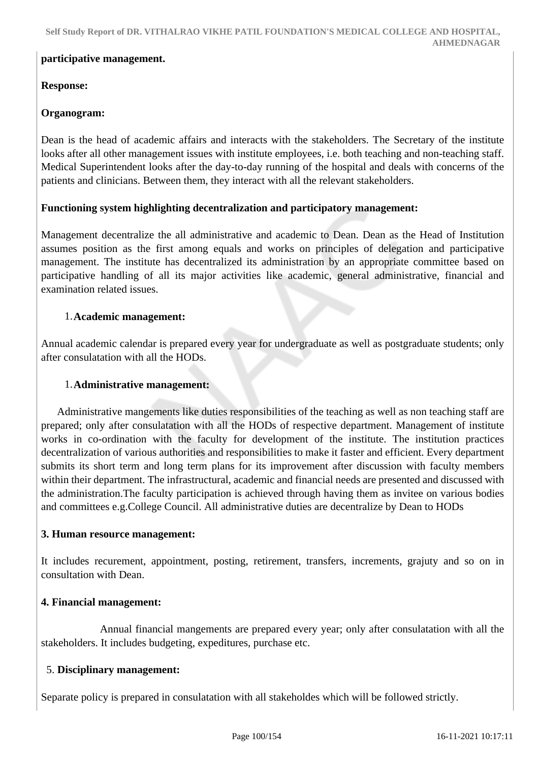#### **participative management.**

## **Response:**

### **Organogram:**

Dean is the head of academic affairs and interacts with the stakeholders. The Secretary of the institute looks after all other management issues with institute employees, i.e. both teaching and non-teaching staff. Medical Superintendent looks after the day-to-day running of the hospital and deals with concerns of the patients and clinicians. Between them, they interact with all the relevant stakeholders.

## **Functioning system highlighting decentralization and participatory management:**

Management decentralize the all administrative and academic to Dean. Dean as the Head of Institution assumes position as the first among equals and works on principles of delegation and participative management. The institute has decentralized its administration by an appropriate committee based on participative handling of all its major activities like academic, general administrative, financial and examination related issues.

#### 1.**Academic management:**

Annual academic calendar is prepared every year for undergraduate as well as postgraduate students; only after consulatation with all the HODs.

#### 1.**Administrative management:**

 Administrative mangements like duties responsibilities of the teaching as well as non teaching staff are prepared; only after consulatation with all the HODs of respective department. Management of institute works in co-ordination with the faculty for development of the institute. The institution practices decentralization of various authorities and responsibilities to make it faster and efficient. Every department submits its short term and long term plans for its improvement after discussion with faculty members within their department. The infrastructural, academic and financial needs are presented and discussed with the administration.The faculty participation is achieved through having them as invitee on various bodies and committees e.g.College Council. All administrative duties are decentralize by Dean to HODs

#### **3. Human resource management:**

It includes recurement, appointment, posting, retirement, transfers, increments, grajuty and so on in consultation with Dean.

#### **4. Financial management:**

 Annual financial mangements are prepared every year; only after consulatation with all the stakeholders. It includes budgeting, expeditures, purchase etc.

#### 5. **Disciplinary management:**

Separate policy is prepared in consulatation with all stakeholdes which will be followed strictly.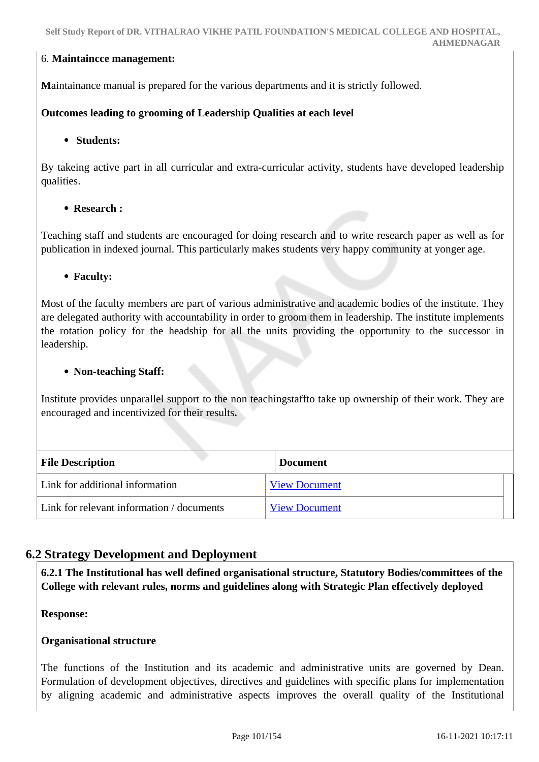#### 6. **Maintaincce management:**

**M**aintainance manual is prepared for the various departments and it is strictly followed.

### **Outcomes leading to grooming of Leadership Qualities at each level**

#### **Students:**

By takeing active part in all curricular and extra-curricular activity, students have developed leadership qualities.

#### **Research :**

Teaching staff and students are encouraged for doing research and to write research paper as well as for publication in indexed journal. This particularly makes students very happy community at yonger age.

#### **Faculty:**

Most of the faculty members are part of various administrative and academic bodies of the institute. They are delegated authority with accountability in order to groom them in leadership. The institute implements the rotation policy for the headship for all the units providing the opportunity to the successor in leadership.

#### **Non-teaching Staff:**

Institute provides unparallel support to the non teachingstaffto take up ownership of their work. They are encouraged and incentivized for their results**.**

| <b>File Description</b>                   | <b>Document</b>      |
|-------------------------------------------|----------------------|
| Link for additional information           | <b>View Document</b> |
| Link for relevant information / documents | <b>View Document</b> |

# **6.2 Strategy Development and Deployment**

 **6.2.1 The Institutional has well defined organisational structure, Statutory Bodies/committees of the College with relevant rules, norms and guidelines along with Strategic Plan effectively deployed**

#### **Response:**

#### **Organisational structure**

The functions of the Institution and its academic and administrative units are governed by Dean. Formulation of development objectives, directives and guidelines with specific plans for implementation by aligning academic and administrative aspects improves the overall quality of the Institutional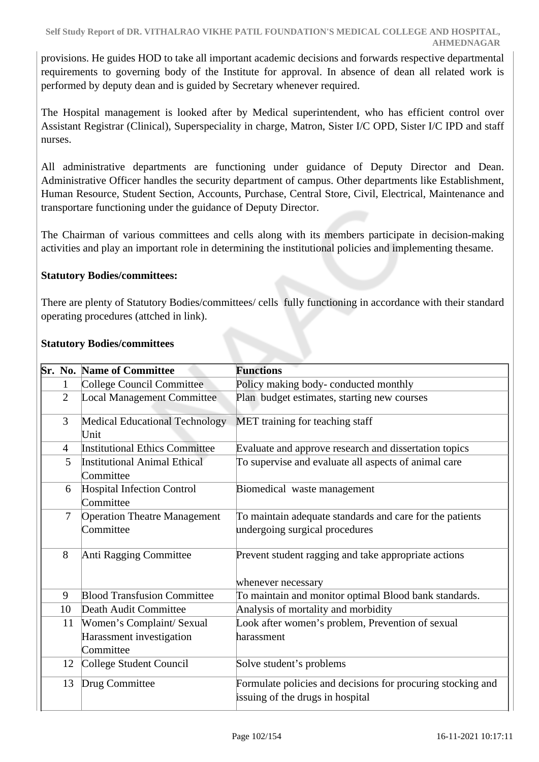provisions. He guides HOD to take all important academic decisions and forwards respective departmental requirements to governing body of the Institute for approval. In absence of dean all related work is performed by deputy dean and is guided by Secretary whenever required.

The Hospital management is looked after by Medical superintendent, who has efficient control over Assistant Registrar (Clinical), Superspeciality in charge, Matron, Sister I/C OPD, Sister I/C IPD and staff nurses.

All administrative departments are functioning under guidance of Deputy Director and Dean. Administrative Officer handles the security department of campus. Other departments like Establishment, Human Resource, Student Section, Accounts, Purchase, Central Store, Civil, Electrical, Maintenance and transportare functioning under the guidance of Deputy Director.

The Chairman of various committees and cells along with its members participate in decision-making activities and play an important role in determining the institutional policies and implementing thesame.

## **Statutory Bodies/committees:**

There are plenty of Statutory Bodies/committees/ cells fully functioning in accordance with their standard operating procedures (attched in link).

|                | <b>Sr. No. Name of Committee</b>                 | <b>Functions</b>                                                                                |
|----------------|--------------------------------------------------|-------------------------------------------------------------------------------------------------|
| 1              | <b>College Council Committee</b>                 | Policy making body-conducted monthly                                                            |
| $\overline{2}$ | <b>Local Management Committee</b>                | Plan budget estimates, starting new courses                                                     |
| 3              | <b>Medical Educational Technology</b><br>Unit    | MET training for teaching staff                                                                 |
| $\overline{4}$ | <b>Institutional Ethics Committee</b>            | Evaluate and approve research and dissertation topics                                           |
| 5              | <b>Institutional Animal Ethical</b><br>Committee | To supervise and evaluate all aspects of animal care                                            |
| 6              | <b>Hospital Infection Control</b><br>Committee   | Biomedical waste management                                                                     |
| $\overline{7}$ | <b>Operation Theatre Management</b>              | To maintain adequate standards and care for the patients                                        |
|                | Committee                                        | undergoing surgical procedures                                                                  |
| 8              | Anti Ragging Committee                           | Prevent student ragging and take appropriate actions<br>whenever necessary                      |
| 9              | <b>Blood Transfusion Committee</b>               | To maintain and monitor optimal Blood bank standards.                                           |
| 10             | Death Audit Committee                            | Analysis of mortality and morbidity                                                             |
| 11             | Women's Complaint/ Sexual                        | Look after women's problem, Prevention of sexual                                                |
|                | Harassment investigation<br>Committee            | harassment                                                                                      |
| 12             | College Student Council                          | Solve student's problems                                                                        |
| 13             | Drug Committee                                   | Formulate policies and decisions for procuring stocking and<br>issuing of the drugs in hospital |

#### **Statutory Bodies/committees**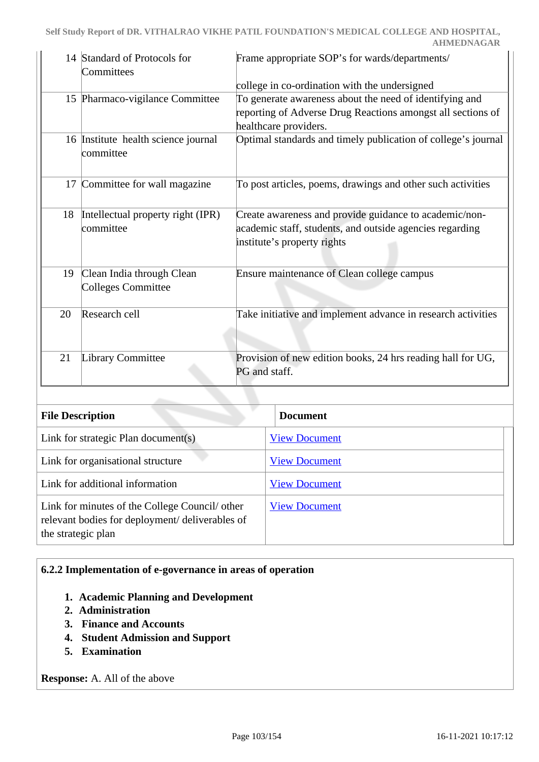|    | 14 Standard of Protocols for<br>Committees             | Frame appropriate SOP's for wards/departments/                                                                                                    |
|----|--------------------------------------------------------|---------------------------------------------------------------------------------------------------------------------------------------------------|
|    |                                                        | college in co-ordination with the undersigned                                                                                                     |
|    | 15 Pharmaco-vigilance Committee                        | To generate awareness about the need of identifying and<br>reporting of Adverse Drug Reactions amongst all sections of<br>healthcare providers.   |
|    | 16 Institute health science journal<br>committee       | Optimal standards and timely publication of college's journal                                                                                     |
|    | 17 Committee for wall magazine                         | To post articles, poems, drawings and other such activities                                                                                       |
| 18 | Intellectual property right (IPR)<br>committee         | Create awareness and provide guidance to academic/non-<br>academic staff, students, and outside agencies regarding<br>institute's property rights |
| 19 | Clean India through Clean<br><b>Colleges Committee</b> | Ensure maintenance of Clean college campus                                                                                                        |
| 20 | Research cell                                          | Take initiative and implement advance in research activities                                                                                      |
| 21 | <b>Library Committee</b>                               | Provision of new edition books, 24 hrs reading hall for UG,<br>PG and staff.                                                                      |

| <b>File Description</b>                                                                                                 | <b>Document</b>      |
|-------------------------------------------------------------------------------------------------------------------------|----------------------|
| Link for strategic Plan document(s)                                                                                     | <b>View Document</b> |
| Link for organisational structure                                                                                       | <b>View Document</b> |
| Link for additional information                                                                                         | <b>View Document</b> |
| Link for minutes of the College Council/ other<br>relevant bodies for deployment/ deliverables of<br>the strategic plan | <b>View Document</b> |

#### **6.2.2 Implementation of e-governance in areas of operation**

- **1. Academic Planning and Development**
- **2. Administration**
- **3. Finance and Accounts**
- **4. Student Admission and Support**
- **5. Examination**

**Response:** A. All of the above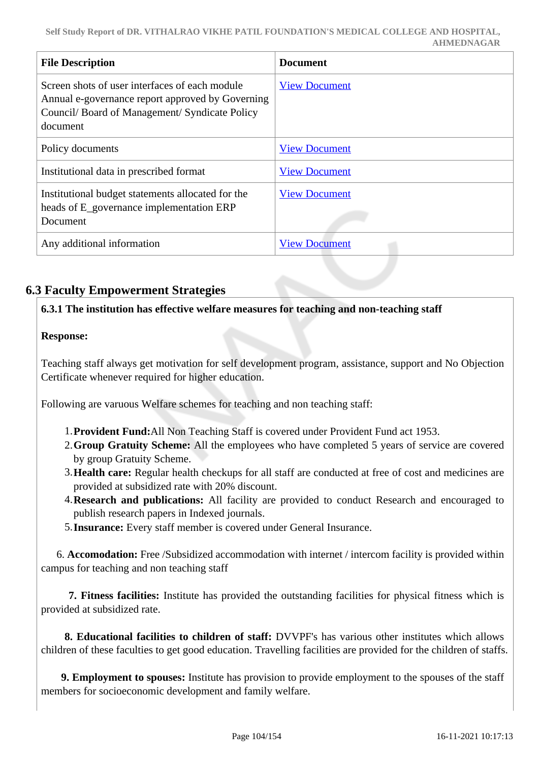| <b>File Description</b>                                                                                                                                        | <b>Document</b>      |
|----------------------------------------------------------------------------------------------------------------------------------------------------------------|----------------------|
| Screen shots of user interfaces of each module<br>Annual e-governance report approved by Governing<br>Council/Board of Management/Syndicate Policy<br>document | <b>View Document</b> |
| Policy documents                                                                                                                                               | <b>View Document</b> |
| Institutional data in prescribed format                                                                                                                        | <b>View Document</b> |
| Institutional budget statements allocated for the<br>heads of E_governance implementation ERP<br>Document                                                      | <b>View Document</b> |
| Any additional information                                                                                                                                     | <b>View Document</b> |

# **6.3 Faculty Empowerment Strategies**

**6.3.1 The institution has effective welfare measures for teaching and non-teaching staff**

# **Response:**

Teaching staff always get motivation for self development program, assistance, support and No Objection Certificate whenever required for higher education.

Following are varuous Welfare schemes for teaching and non teaching staff:

- 1.**Provident Fund:**All Non Teaching Staff is covered under Provident Fund act 1953.
- 2.**Group Gratuity Scheme:** All the employees who have completed 5 years of service are covered by group Gratuity Scheme.
- 3.**Health care:** Regular health checkups for all staff are conducted at free of cost and medicines are provided at subsidized rate with 20% discount.
- 4.**Research and publications:** All facility are provided to conduct Research and encouraged to publish research papers in Indexed journals.
- 5.**Insurance:** Every staff member is covered under General Insurance.

 6. **Accomodation:** Free /Subsidized accommodation with internet / intercom facility is provided within campus for teaching and non teaching staff

 **7. Fitness facilities:** Institute has provided the outstanding facilities for physical fitness which is provided at subsidized rate.

 **8. Educational facilities to children of staff:** DVVPF's has various other institutes which allows children of these faculties to get good education. Travelling facilities are provided for the children of staffs.

 **9. Employment to spouses:** Institute has provision to provide employment to the spouses of the staff members for socioeconomic development and family welfare.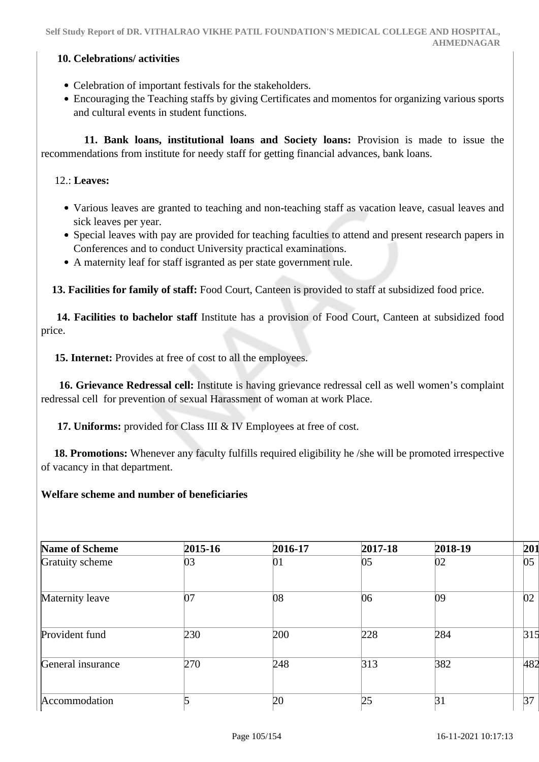#### **10. Celebrations/ activities**

- Celebration of important festivals for the stakeholders.
- Encouraging the Teaching staffs by giving Certificates and momentos for organizing various sports and cultural events in student functions.

 **11. Bank loans, institutional loans and Society loans:** Provision is made to issue the recommendations from institute for needy staff for getting financial advances, bank loans.

### 12.: **Leaves:**

- Various leaves are granted to teaching and non-teaching staff as vacation leave, casual leaves and sick leaves per year.
- Special leaves with pay are provided for teaching faculties to attend and present research papers in Conferences and to conduct University practical examinations.
- A maternity leaf for staff isgranted as per state government rule.

 **13. Facilities for family of staff:** Food Court, Canteen is provided to staff at subsidized food price.

 **14. Facilities to bachelor staff** Institute has a provision of Food Court, Canteen at subsidized food price.

 **15. Internet:** Provides at free of cost to all the employees.

 **16. Grievance Redressal cell:** Institute is having grievance redressal cell as well women's complaint redressal cell for prevention of sexual Harassment of woman at work Place.

 **17. Uniforms:** provided for Class III & IV Employees at free of cost.

 **18. Promotions:** Whenever any faculty fulfills required eligibility he /she will be promoted irrespective of vacancy in that department.

#### **Welfare scheme and number of beneficiaries**

| Name of Scheme    | 2015-16 | 2016-17 | 2017-18 | 2018-19 | 201 |
|-------------------|---------|---------|---------|---------|-----|
| Gratuity scheme   | 03      | 01      | 05      | 02      | 05  |
| Maternity leave   | 07      | 08      | 06      | 09      | 02  |
| Provident fund    | 230     | 200     | 228     | 284     | 315 |
| General insurance | 270     | 248     | 313     | 382     | 482 |
| Accommodation     |         | 20      | 25      | 31      | 37  |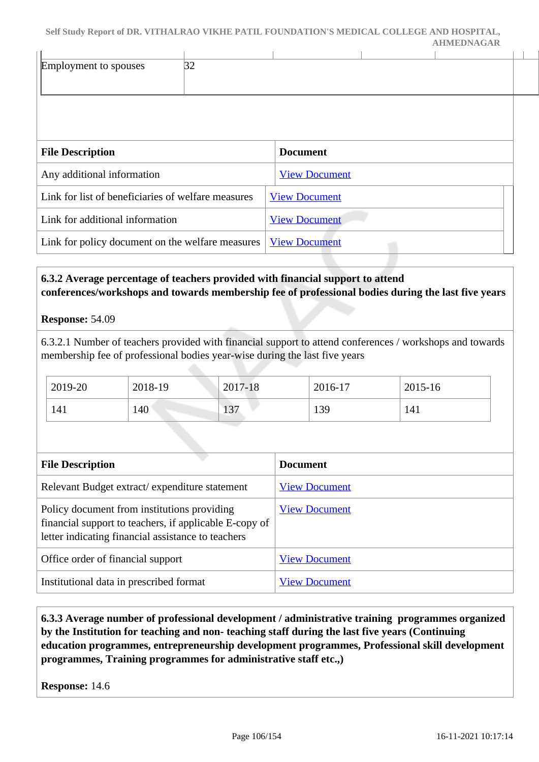|                                                    |    | Self Study Report of DR. VITHALRAO VIKHE PATIL FOUNDATION'S MEDICAL COLLEGE AND HOSPITAL, | <b>AHMEDNAGAR</b> |  |
|----------------------------------------------------|----|-------------------------------------------------------------------------------------------|-------------------|--|
| Employment to spouses                              | 32 |                                                                                           |                   |  |
|                                                    |    | <b>Document</b>                                                                           |                   |  |
| <b>File Description</b>                            |    |                                                                                           |                   |  |
| Any additional information                         |    | <b>View Document</b>                                                                      |                   |  |
| Link for list of beneficiaries of welfare measures |    | <b>View Document</b>                                                                      |                   |  |
| Link for additional information                    |    | <b>View Document</b>                                                                      |                   |  |
| Link for policy document on the welfare measures   |    | <b>View Document</b>                                                                      |                   |  |

# **6.3.2 Average percentage of teachers provided with financial support to attend conferences/workshops and towards membership fee of professional bodies during the last five years**

#### **Response:** 54.09

6.3.2.1 Number of teachers provided with financial support to attend conferences / workshops and towards membership fee of professional bodies year-wise during the last five years

| 2019-20 | 2018-19 | 2017-18         | 2016-17 | 2015-16 |
|---------|---------|-----------------|---------|---------|
| 141     | 140     | $\Omega$<br>1J. | 139     | 141     |

| <b>File Description</b>                                                                                                                                     | <b>Document</b>      |
|-------------------------------------------------------------------------------------------------------------------------------------------------------------|----------------------|
| Relevant Budget extract/expenditure statement                                                                                                               | <b>View Document</b> |
| Policy document from institutions providing<br>financial support to teachers, if applicable E-copy of<br>letter indicating financial assistance to teachers | <b>View Document</b> |
| Office order of financial support                                                                                                                           | <b>View Document</b> |
| Institutional data in prescribed format                                                                                                                     | <b>View Document</b> |

 **6.3.3 Average number of professional development / administrative training programmes organized by the Institution for teaching and non- teaching staff during the last five years (Continuing education programmes, entrepreneurship development programmes, Professional skill development programmes, Training programmes for administrative staff etc.,)**

**Response:** 14.6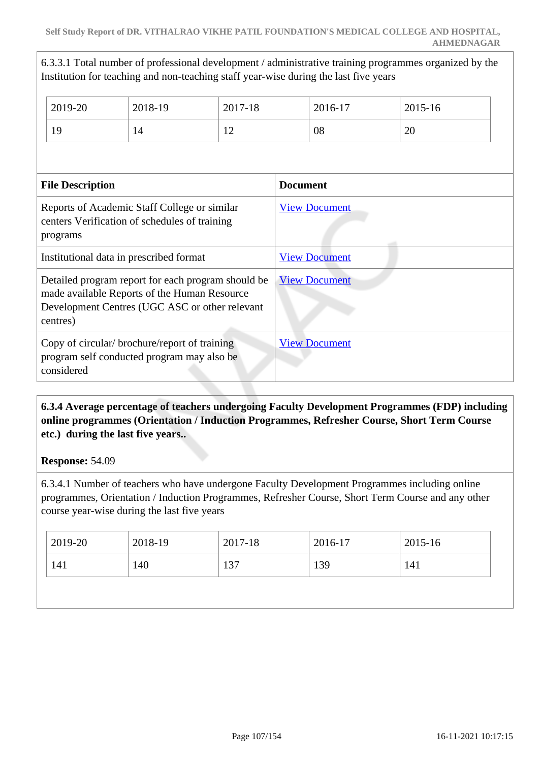6.3.3.1 Total number of professional development / administrative training programmes organized by the Institution for teaching and non-teaching staff year-wise during the last five years

|                                                                                                           | 2019-20                                                                                                                                                          | 2018-19 | 2017-18              |                      | 2016-17              | 2015-16 |
|-----------------------------------------------------------------------------------------------------------|------------------------------------------------------------------------------------------------------------------------------------------------------------------|---------|----------------------|----------------------|----------------------|---------|
|                                                                                                           | 19                                                                                                                                                               | 14      | 12                   |                      | 08                   | 20      |
|                                                                                                           |                                                                                                                                                                  |         |                      |                      |                      |         |
|                                                                                                           | <b>File Description</b>                                                                                                                                          |         |                      | <b>Document</b>      |                      |         |
| Reports of Academic Staff College or similar<br>centers Verification of schedules of training<br>programs |                                                                                                                                                                  |         | <b>View Document</b> |                      |                      |         |
|                                                                                                           | Institutional data in prescribed format                                                                                                                          |         |                      |                      | <b>View Document</b> |         |
|                                                                                                           | Detailed program report for each program should be<br>made available Reports of the Human Resource<br>Development Centres (UGC ASC or other relevant<br>centres) |         |                      |                      | <b>View Document</b> |         |
| Copy of circular/brochure/report of training<br>program self conducted program may also be<br>considered  |                                                                                                                                                                  |         |                      | <b>View Document</b> |                      |         |

# **6.3.4 Average percentage of teachers undergoing Faculty Development Programmes (FDP) including online programmes (Orientation / Induction Programmes, Refresher Course, Short Term Course etc.) during the last five years..**

#### **Response:** 54.09

6.3.4.1 Number of teachers who have undergone Faculty Development Programmes including online programmes, Orientation / Induction Programmes, Refresher Course, Short Term Course and any other course year-wise during the last five years

| 2019-20 | 2018-19 | 2017-18 | 2016-17 | 2015-16 |
|---------|---------|---------|---------|---------|
| 141     | 140     | 137     | 139     | 141     |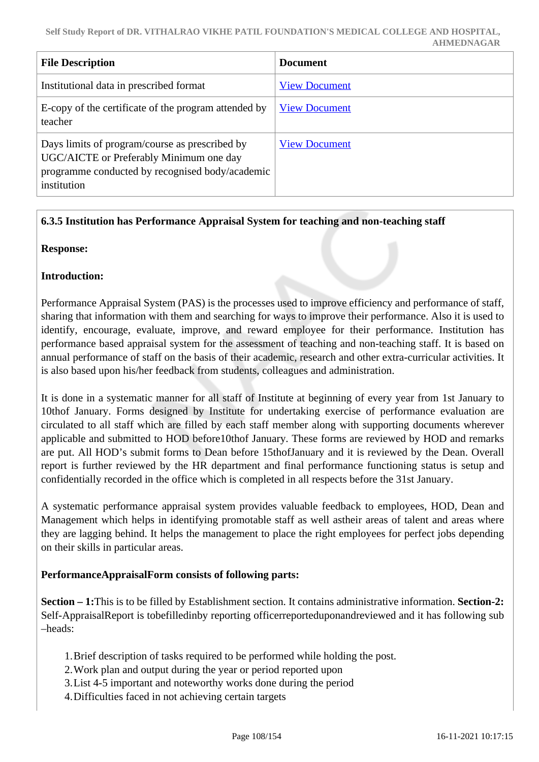| <b>File Description</b>                                                                                                                                     | <b>Document</b>      |
|-------------------------------------------------------------------------------------------------------------------------------------------------------------|----------------------|
| Institutional data in prescribed format                                                                                                                     | <b>View Document</b> |
| E-copy of the certificate of the program attended by<br>teacher                                                                                             | <b>View Document</b> |
| Days limits of program/course as prescribed by<br>UGC/AICTE or Preferably Minimum one day<br>programme conducted by recognised body/academic<br>institution | <b>View Document</b> |

## **6.3.5 Institution has Performance Appraisal System for teaching and non-teaching staff**

**Response:** 

#### **Introduction:**

Performance Appraisal System (PAS) is the processes used to improve efficiency and performance of staff, sharing that information with them and searching for ways to improve their performance. Also it is used to identify, encourage, evaluate, improve, and reward employee for their performance. Institution has performance based appraisal system for the assessment of teaching and non-teaching staff. It is based on annual performance of staff on the basis of their academic, research and other extra-curricular activities. It is also based upon his/her feedback from students, colleagues and administration.

It is done in a systematic manner for all staff of Institute at beginning of every year from 1st January to 10thof January. Forms designed by Institute for undertaking exercise of performance evaluation are circulated to all staff which are filled by each staff member along with supporting documents wherever applicable and submitted to HOD before10thof January. These forms are reviewed by HOD and remarks are put. All HOD's submit forms to Dean before 15thofJanuary and it is reviewed by the Dean. Overall report is further reviewed by the HR department and final performance functioning status is setup and confidentially recorded in the office which is completed in all respects before the 31st January.

A systematic performance appraisal system provides valuable feedback to employees, HOD, Dean and Management which helps in identifying promotable staff as well astheir areas of talent and areas where they are lagging behind. It helps the management to place the right employees for perfect jobs depending on their skills in particular areas.

#### **PerformanceAppraisalForm consists of following parts:**

**Section – 1:**This is to be filled by Establishment section. It contains administrative information. **Section-2:** Self-AppraisalReport is tobefilledinby reporting officerreporteduponandreviewed and it has following sub –heads:

- 1.Brief description of tasks required to be performed while holding the post.
- 2.Work plan and output during the year or period reported upon
- 3.List 4-5 important and noteworthy works done during the period
- 4.Difficulties faced in not achieving certain targets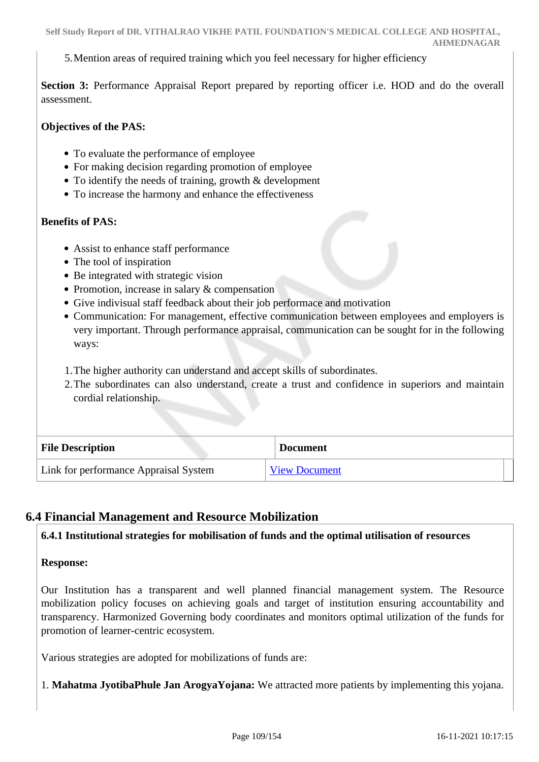5.Mention areas of required training which you feel necessary for higher efficiency

Section 3: Performance Appraisal Report prepared by reporting officer *i.e.* HOD and do the overall assessment.

#### **Objectives of the PAS:**

- To evaluate the performance of employee
- For making decision regarding promotion of employee
- To identify the needs of training, growth & development
- To increase the harmony and enhance the effectiveness

#### **Benefits of PAS:**

- Assist to enhance staff performance
- The tool of inspiration
- Be integrated with strategic vision
- Promotion, increase in salary & compensation
- Give indivisual staff feedback about their job performace and motivation
- Communication: For management, effective communication between employees and employers is very important. Through performance appraisal, communication can be sought for in the following ways:
- 1.The higher authority can understand and accept skills of subordinates.
- 2.The subordinates can also understand, create a trust and confidence in superiors and maintain cordial relationship.

| <b>File Description</b>               | <b>Document</b>      |
|---------------------------------------|----------------------|
| Link for performance Appraisal System | <b>View Document</b> |

### **6.4 Financial Management and Resource Mobilization**

### **6.4.1 Institutional strategies for mobilisation of funds and the optimal utilisation of resources**

**Response:** 

Our Institution has a transparent and well planned financial management system. The Resource mobilization policy focuses on achieving goals and target of institution ensuring accountability and transparency. Harmonized Governing body coordinates and monitors optimal utilization of the funds for promotion of learner-centric ecosystem.

Various strategies are adopted for mobilizations of funds are:

1. **Mahatma JyotibaPhule Jan ArogyaYojana:** We attracted more patients by implementing this yojana.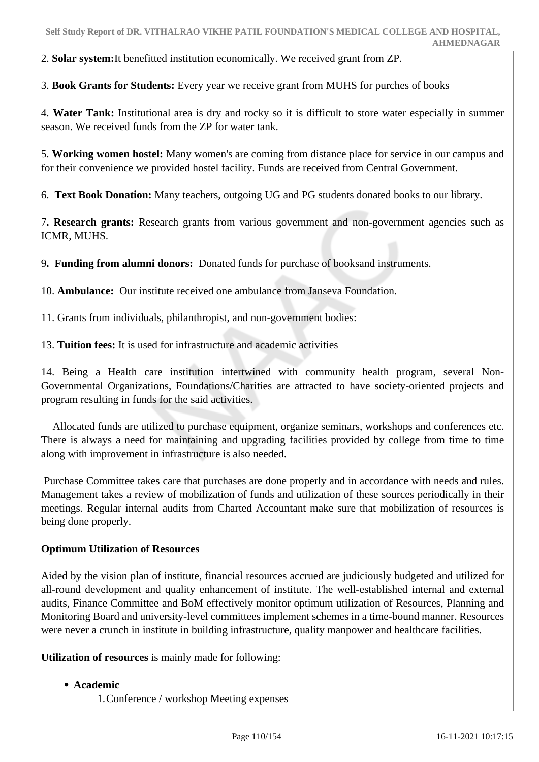2. **Solar system:**It benefitted institution economically. We received grant from ZP.

3. **Book Grants for Students:** Every year we receive grant from MUHS for purches of books

4. **Water Tank:** Institutional area is dry and rocky so it is difficult to store water especially in summer season. We received funds from the ZP for water tank.

5. **Working women hostel:** Many women's are coming from distance place for service in our campus and for their convenience we provided hostel facility. Funds are received from Central Government.

6. **Text Book Donation:** Many teachers, outgoing UG and PG students donated books to our library.

7**. Research grants:** Research grants from various government and non-government agencies such as ICMR, MUHS.

9**. Funding from alumni donors:** Donated funds for purchase of booksand instruments.

10. **Ambulance:** Our institute received one ambulance from Janseva Foundation.

11. Grants from individuals, philanthropist, and non-government bodies:

13. **Tuition fees:** It is used for infrastructure and academic activities

14. Being a Health care institution intertwined with community health program, several Non-Governmental Organizations, Foundations/Charities are attracted to have society-oriented projects and program resulting in funds for the said activities.

 Allocated funds are utilized to purchase equipment, organize seminars, workshops and conferences etc. There is always a need for maintaining and upgrading facilities provided by college from time to time along with improvement in infrastructure is also needed.

 Purchase Committee takes care that purchases are done properly and in accordance with needs and rules. Management takes a review of mobilization of funds and utilization of these sources periodically in their meetings. Regular internal audits from Charted Accountant make sure that mobilization of resources is being done properly.

# **Optimum Utilization of Resources**

Aided by the vision plan of institute, financial resources accrued are judiciously budgeted and utilized for all-round development and quality enhancement of institute. The well-established internal and external audits, Finance Committee and BoM effectively monitor optimum utilization of Resources, Planning and Monitoring Board and university-level committees implement schemes in a time-bound manner. Resources were never a crunch in institute in building infrastructure, quality manpower and healthcare facilities.

**Utilization of resources** is mainly made for following:

### **Academic**

1.Conference / workshop Meeting expenses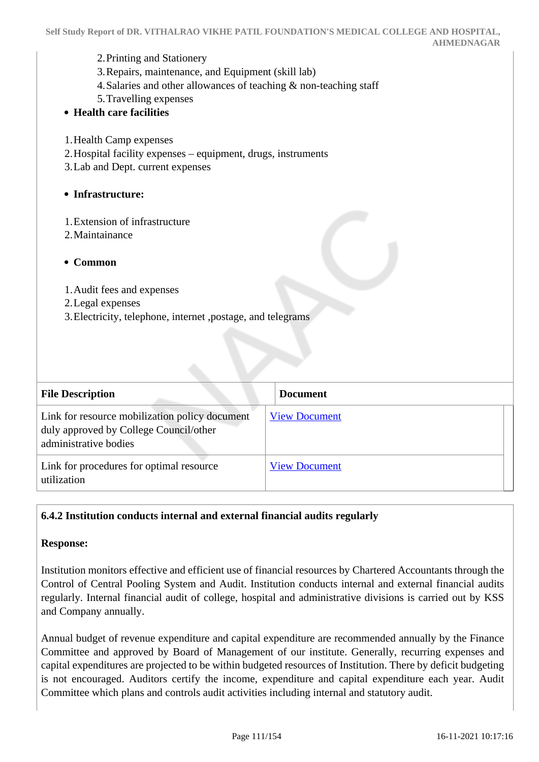- 2.Printing and Stationery
- 3.Repairs, maintenance, and Equipment (skill lab)
- 4.Salaries and other allowances of teaching & non-teaching staff
- 5.Travelling expenses
- **Health care facilities**
- 1.Health Camp expenses
- 2.Hospital facility expenses equipment, drugs, instruments
- 3.Lab and Dept. current expenses

#### **Infrastructure:**

- 1.Extension of infrastructure
- 2.Maintainance

#### **Common**

- 1.Audit fees and expenses
- 2.Legal expenses
- 3.Electricity, telephone, internet ,postage, and telegrams

| <b>File Description</b>                                                                                           | <b>Document</b>      |
|-------------------------------------------------------------------------------------------------------------------|----------------------|
| Link for resource mobilization policy document<br>duly approved by College Council/other<br>administrative bodies | <b>View Document</b> |
| Link for procedures for optimal resource<br>utilization                                                           | <b>View Document</b> |

### **6.4.2 Institution conducts internal and external financial audits regularly**

#### **Response:**

Institution monitors effective and efficient use of financial resources by Chartered Accountants through the Control of Central Pooling System and Audit. Institution conducts internal and external financial audits regularly. Internal financial audit of college, hospital and administrative divisions is carried out by KSS and Company annually.

Annual budget of revenue expenditure and capital expenditure are recommended annually by the Finance Committee and approved by Board of Management of our institute. Generally, recurring expenses and capital expenditures are projected to be within budgeted resources of Institution. There by deficit budgeting is not encouraged. Auditors certify the income, expenditure and capital expenditure each year. Audit Committee which plans and controls audit activities including internal and statutory audit.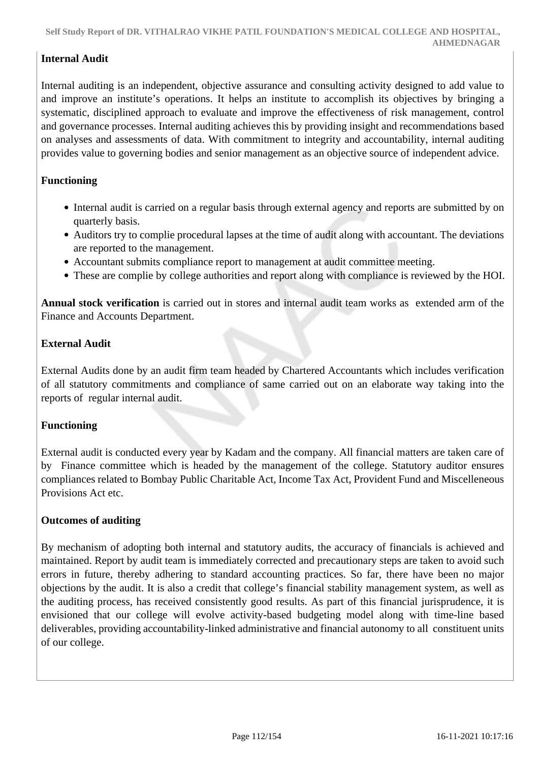# **Internal Audit**

Internal auditing is an independent, objective assurance and consulting activity designed to add value to and improve an institute's operations. It helps an institute to accomplish its objectives by bringing a systematic, disciplined approach to evaluate and improve the effectiveness of risk management, control and governance processes. Internal auditing achieves this by providing insight and recommendations based on analyses and assessments of data. With commitment to integrity and accountability, internal auditing provides value to governing bodies and senior management as an objective source of independent advice.

### **Functioning**

- Internal audit is carried on a regular basis through external agency and reports are submitted by on quarterly basis.
- Auditors try to complie procedural lapses at the time of audit along with accountant. The deviations are reported to the management.
- Accountant submits compliance report to management at audit committee meeting.
- These are complie by college authorities and report along with compliance is reviewed by the HOI.

**Annual stock verification** is carried out in stores and internal audit team works as extended arm of the Finance and Accounts Department.

### **External Audit**

External Audits done by an audit firm team headed by Chartered Accountants which includes verification of all statutory commitments and compliance of same carried out on an elaborate way taking into the reports of regular internal audit.

### **Functioning**

External audit is conducted every year by Kadam and the company. All financial matters are taken care of by Finance committee which is headed by the management of the college. Statutory auditor ensures compliances related to Bombay Public Charitable Act, Income Tax Act, Provident Fund and Miscelleneous Provisions Act etc.

### **Outcomes of auditing**

By mechanism of adopting both internal and statutory audits, the accuracy of financials is achieved and maintained. Report by audit team is immediately corrected and precautionary steps are taken to avoid such errors in future, thereby adhering to standard accounting practices. So far, there have been no major objections by the audit. It is also a credit that college's financial stability management system, as well as the auditing process, has received consistently good results. As part of this financial jurisprudence, it is envisioned that our college will evolve activity-based budgeting model along with time-line based deliverables, providing accountability-linked administrative and financial autonomy to all constituent units of our college.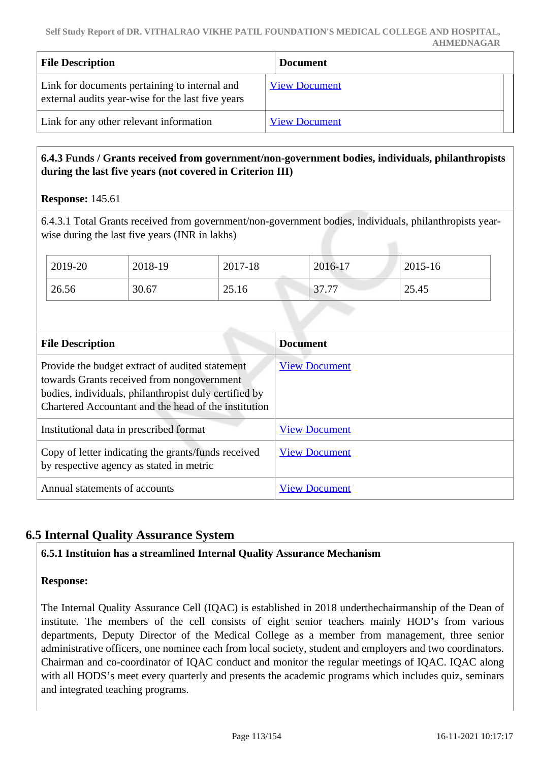| <b>File Description</b>                                                                            | <b>Document</b>      |
|----------------------------------------------------------------------------------------------------|----------------------|
| Link for documents pertaining to internal and<br>external audits year-wise for the last five years | <b>View Document</b> |
| Link for any other relevant information                                                            | <b>View Document</b> |

# **6.4.3 Funds / Grants received from government/non-government bodies, individuals, philanthropists during the last five years (not covered in Criterion III)**

| <b>Response: 145.61</b> |  |
|-------------------------|--|
|-------------------------|--|

6.4.3.1 Total Grants received from government/non-government bodies, individuals, philanthropists yearwise during the last five years (INR in lakhs)

| 2019-20 | 2018-19 | 2017-18 | $2016 - 17$ | 2015-16 |
|---------|---------|---------|-------------|---------|
| 26.56   | 30.67   | 25.16   | 37.77       | 25.45   |

| <b>File Description</b>                                                                                                                                                                                        | <b>Document</b>      |
|----------------------------------------------------------------------------------------------------------------------------------------------------------------------------------------------------------------|----------------------|
| Provide the budget extract of audited statement<br>towards Grants received from nongovernment<br>bodies, individuals, philanthropist duly certified by<br>Chartered Accountant and the head of the institution | <b>View Document</b> |
| Institutional data in prescribed format                                                                                                                                                                        | <b>View Document</b> |
| Copy of letter indicating the grants/funds received<br>by respective agency as stated in metric                                                                                                                | <b>View Document</b> |
| Annual statements of accounts                                                                                                                                                                                  | <b>View Document</b> |

# **6.5 Internal Quality Assurance System**

# **6.5.1 Instituion has a streamlined Internal Quality Assurance Mechanism**

### **Response:**

The Internal Quality Assurance Cell (IQAC) is established in 2018 underthechairmanship of the Dean of institute. The members of the cell consists of eight senior teachers mainly HOD's from various departments, Deputy Director of the Medical College as a member from management, three senior administrative officers, one nominee each from local society, student and employers and two coordinators. Chairman and co-coordinator of IQAC conduct and monitor the regular meetings of IQAC. IQAC along with all HODS's meet every quarterly and presents the academic programs which includes quiz, seminars and integrated teaching programs.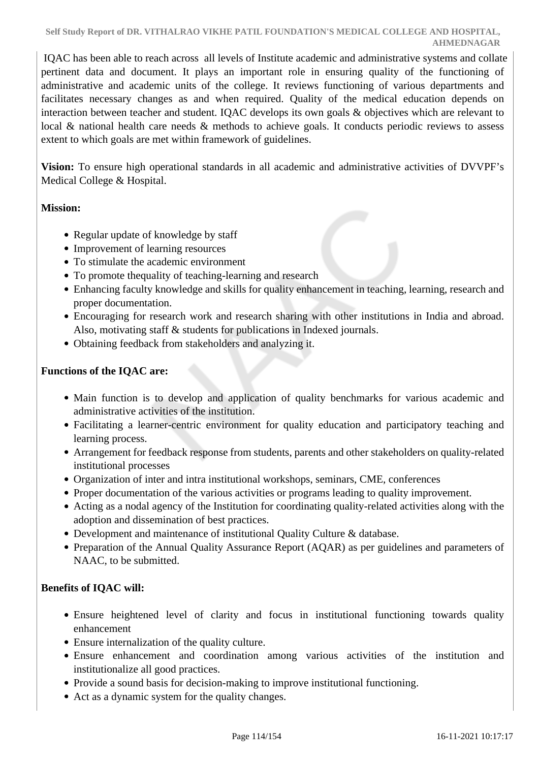IQAC has been able to reach across all levels of Institute academic and administrative systems and collate pertinent data and document. It plays an important role in ensuring quality of the functioning of administrative and academic units of the college. It reviews functioning of various departments and facilitates necessary changes as and when required. Quality of the medical education depends on interaction between teacher and student. IQAC develops its own goals & objectives which are relevant to local & national health care needs & methods to achieve goals. It conducts periodic reviews to assess extent to which goals are met within framework of guidelines.

**Vision:** To ensure high operational standards in all academic and administrative activities of DVVPF's Medical College & Hospital.

### **Mission:**

- Regular update of knowledge by staff
- Improvement of learning resources
- To stimulate the academic environment
- To promote thequality of teaching-learning and research
- Enhancing faculty knowledge and skills for quality enhancement in teaching, learning, research and proper documentation.
- Encouraging for research work and research sharing with other institutions in India and abroad. Also, motivating staff & students for publications in Indexed journals.
- Obtaining feedback from stakeholders and analyzing it.

# **Functions of the IQAC are:**

- Main function is to develop and application of quality benchmarks for various academic and administrative activities of the institution.
- Facilitating a learner-centric environment for quality education and participatory teaching and learning process.
- Arrangement for feedback response from students, parents and other stakeholders on quality-related institutional processes
- Organization of inter and intra institutional workshops, seminars, CME, conferences
- Proper documentation of the various activities or programs leading to quality improvement.
- Acting as a nodal agency of the Institution for coordinating quality-related activities along with the adoption and dissemination of best practices.
- Development and maintenance of institutional Quality Culture & database.
- Preparation of the Annual Quality Assurance Report (AQAR) as per guidelines and parameters of NAAC, to be submitted.

# **Benefits of IQAC will:**

- Ensure heightened level of clarity and focus in institutional functioning towards quality enhancement
- Ensure internalization of the quality culture.
- Ensure enhancement and coordination among various activities of the institution and institutionalize all good practices.
- Provide a sound basis for decision-making to improve institutional functioning.
- Act as a dynamic system for the quality changes.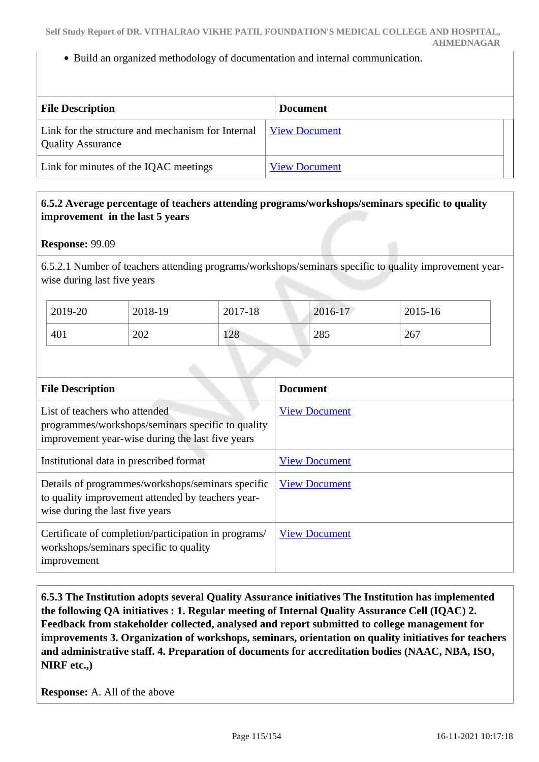Build an organized methodology of documentation and internal communication.

| <b>File Description</b>                                                       | <b>Document</b>      |
|-------------------------------------------------------------------------------|----------------------|
| Link for the structure and mechanism for Internal<br><b>Quality Assurance</b> | <b>View Document</b> |
| Link for minutes of the IQAC meetings                                         | <b>View Document</b> |

### **6.5.2 Average percentage of teachers attending programs/workshops/seminars specific to quality improvement in the last 5 years**

#### **Response:** 99.09

6.5.2.1 Number of teachers attending programs/workshops/seminars specific to quality improvement yearwise during last five years

| 2019-20 | 2018-19 | 2017-18 | 2016-17 | 2015-16 |
|---------|---------|---------|---------|---------|
| 401     | 202     | 128     | 285     | 267     |

| <b>File Description</b>                                                                                                                   | <b>Document</b>      |
|-------------------------------------------------------------------------------------------------------------------------------------------|----------------------|
| List of teachers who attended<br>programmes/workshops/seminars specific to quality<br>improvement year-wise during the last five years    | <b>View Document</b> |
| Institutional data in prescribed format                                                                                                   | <b>View Document</b> |
| Details of programmes/workshops/seminars specific<br>to quality improvement attended by teachers year-<br>wise during the last five years | <b>View Document</b> |
| Certificate of completion/participation in programs/<br>workshops/seminars specific to quality<br>improvement                             | <b>View Document</b> |

 **6.5.3 The Institution adopts several Quality Assurance initiatives The Institution has implemented the following QA initiatives : 1. Regular meeting of Internal Quality Assurance Cell (IQAC) 2. Feedback from stakeholder collected, analysed and report submitted to college management for improvements 3. Organization of workshops, seminars, orientation on quality initiatives for teachers and administrative staff. 4. Preparation of documents for accreditation bodies (NAAC, NBA, ISO, NIRF etc.,)** 

**Response:** A. All of the above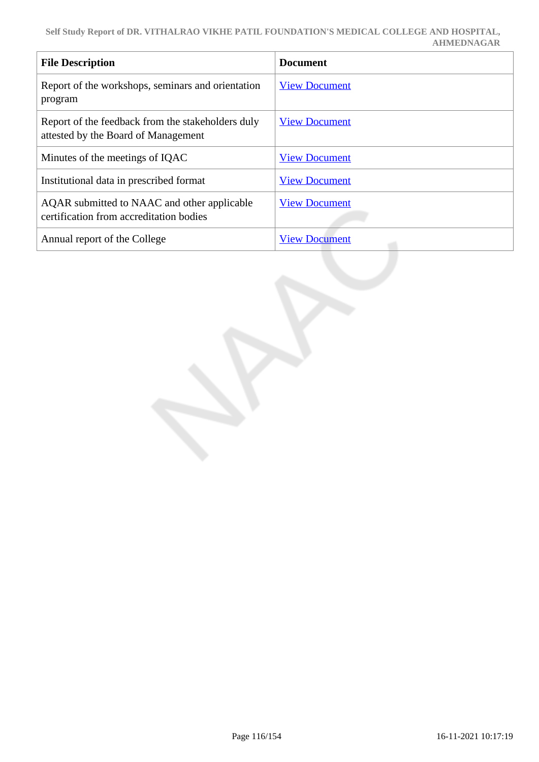| <b>File Description</b>                                                                  | <b>Document</b>      |
|------------------------------------------------------------------------------------------|----------------------|
| Report of the workshops, seminars and orientation<br>program                             | <b>View Document</b> |
| Report of the feedback from the stakeholders duly<br>attested by the Board of Management | <b>View Document</b> |
| Minutes of the meetings of IQAC                                                          | <b>View Document</b> |
| Institutional data in prescribed format                                                  | <b>View Document</b> |
| AQAR submitted to NAAC and other applicable<br>certification from accreditation bodies   | <b>View Document</b> |
| Annual report of the College                                                             | <b>View Document</b> |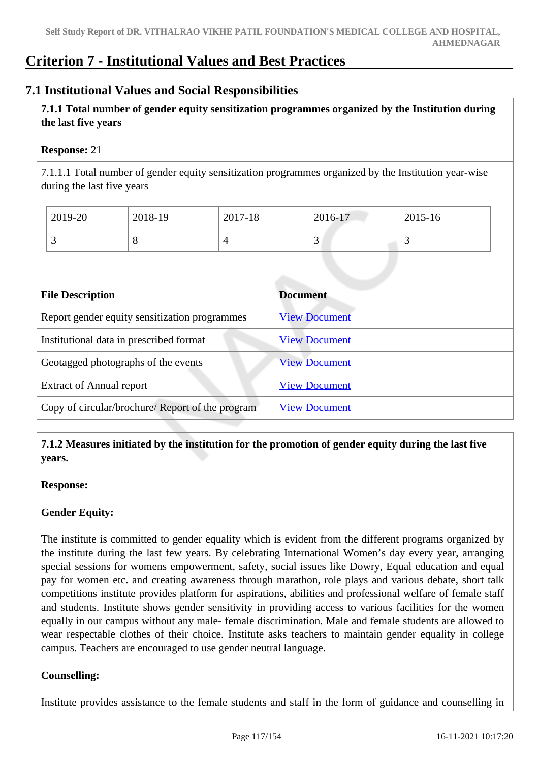# **Criterion 7 - Institutional Values and Best Practices**

# **7.1 Institutional Values and Social Responsibilities**

 **7.1.1 Total number of gender equity sensitization programmes organized by the Institution during the last five years** 

### **Response:** 21

7.1.1.1 Total number of gender equity sensitization programmes organized by the Institution year-wise during the last five years

| 2019-20 | 2018-19 | 2017-18 | 2016-17 | $12015 - 16$ |
|---------|---------|---------|---------|--------------|
|         |         | 4       | ັ       | ັ            |

| <b>File Description</b>                          | <b>Document</b>      |
|--------------------------------------------------|----------------------|
| Report gender equity sensitization programmes    | <b>View Document</b> |
| Institutional data in prescribed format          | <b>View Document</b> |
| Geotagged photographs of the events              | <b>View Document</b> |
| <b>Extract of Annual report</b>                  | <b>View Document</b> |
| Copy of circular/brochure/ Report of the program | <b>View Document</b> |

 **7.1.2 Measures initiated by the institution for the promotion of gender equity during the last five years.**

### **Response:**

# **Gender Equity:**

The institute is committed to gender equality which is evident from the different programs organized by the institute during the last few years. By celebrating International Women's day every year, arranging special sessions for womens empowerment, safety, social issues like Dowry, Equal education and equal pay for women etc. and creating awareness through marathon, role plays and various debate, short talk competitions institute provides platform for aspirations, abilities and professional welfare of female staff and students. Institute shows gender sensitivity in providing access to various facilities for the women equally in our campus without any male- female discrimination. Male and female students are allowed to wear respectable clothes of their choice. Institute asks teachers to maintain gender equality in college campus. Teachers are encouraged to use gender neutral language.

# **Counselling:**

Institute provides assistance to the female students and staff in the form of guidance and counselling in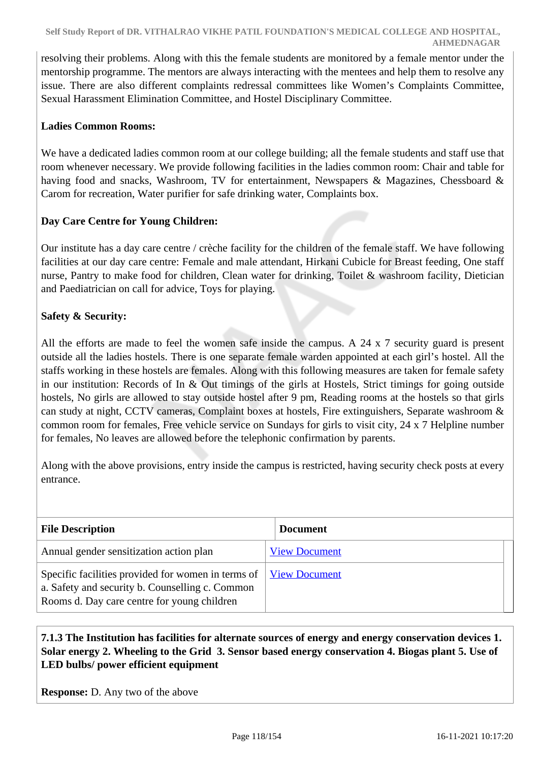resolving their problems. Along with this the female students are monitored by a female mentor under the mentorship programme. The mentors are always interacting with the mentees and help them to resolve any issue. There are also different complaints redressal committees like Women's Complaints Committee, Sexual Harassment Elimination Committee, and Hostel Disciplinary Committee.

### **Ladies Common Rooms:**

We have a dedicated ladies common room at our college building; all the female students and staff use that room whenever necessary. We provide following facilities in the ladies common room: Chair and table for having food and snacks, Washroom, TV for entertainment, Newspapers & Magazines, Chessboard & Carom for recreation, Water purifier for safe drinking water, Complaints box.

### **Day Care Centre for Young Children:**

Our institute has a day care centre / crèche facility for the children of the female staff. We have following facilities at our day care centre: Female and male attendant, Hirkani Cubicle for Breast feeding, One staff nurse, Pantry to make food for children, Clean water for drinking, Toilet & washroom facility, Dietician and Paediatrician on call for advice, Toys for playing.

### **Safety & Security:**

All the efforts are made to feel the women safe inside the campus. A 24 x 7 security guard is present outside all the ladies hostels. There is one separate female warden appointed at each girl's hostel. All the staffs working in these hostels are females. Along with this following measures are taken for female safety in our institution: Records of In & Out timings of the girls at Hostels, Strict timings for going outside hostels, No girls are allowed to stay outside hostel after 9 pm, Reading rooms at the hostels so that girls can study at night, CCTV cameras, Complaint boxes at hostels, Fire extinguishers, Separate washroom & common room for females, Free vehicle service on Sundays for girls to visit city, 24 x 7 Helpline number for females, No leaves are allowed before the telephonic confirmation by parents.

Along with the above provisions, entry inside the campus is restricted, having security check posts at every entrance.

| <b>File Description</b>                                                                                                                              | <b>Document</b>      |
|------------------------------------------------------------------------------------------------------------------------------------------------------|----------------------|
| Annual gender sensitization action plan                                                                                                              | <b>View Document</b> |
| Specific facilities provided for women in terms of<br>a. Safety and security b. Counselling c. Common<br>Rooms d. Day care centre for young children | <b>View Document</b> |

### **7.1.3 The Institution has facilities for alternate sources of energy and energy conservation devices 1. Solar energy 2. Wheeling to the Grid 3. Sensor based energy conservation 4. Biogas plant 5. Use of LED bulbs/ power efficient equipment**

**Response:** D. Any two of the above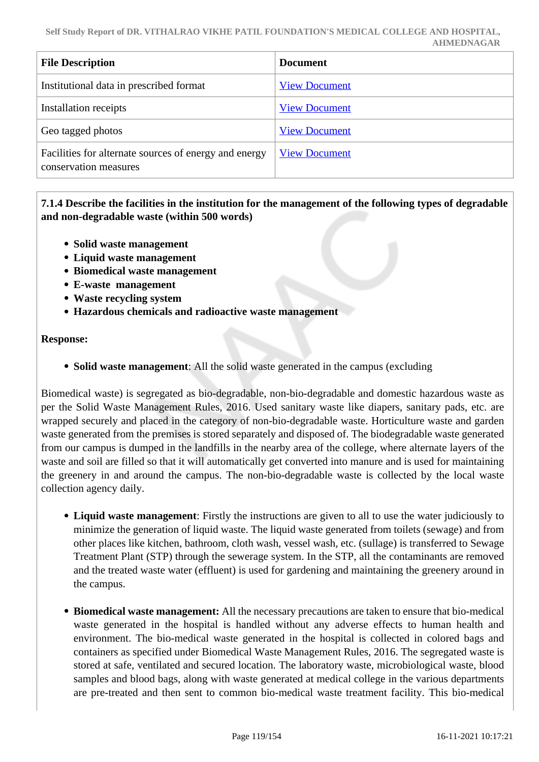| <b>File Description</b>                                                        | <b>Document</b>      |
|--------------------------------------------------------------------------------|----------------------|
| Institutional data in prescribed format                                        | <b>View Document</b> |
| Installation receipts                                                          | <b>View Document</b> |
| Geo tagged photos                                                              | <b>View Document</b> |
| Facilities for alternate sources of energy and energy<br>conservation measures | <b>View Document</b> |

 **7.1.4 Describe the facilities in the institution for the management of the following types of degradable and non-degradable waste (within 500 words)**

- **Solid waste management**
- **Liquid waste management**
- **Biomedical waste management**
- **E-waste management**
- **Waste recycling system**
- **Hazardous chemicals and radioactive waste management**

#### **Response:**

**Solid waste management**: All the solid waste generated in the campus (excluding

Biomedical waste) is segregated as bio-degradable, non-bio-degradable and domestic hazardous waste as per the Solid Waste Management Rules, 2016. Used sanitary waste like diapers, sanitary pads, etc. are wrapped securely and placed in the category of non-bio-degradable waste. Horticulture waste and garden waste generated from the premises is stored separately and disposed of. The biodegradable waste generated from our campus is dumped in the landfills in the nearby area of the college, where alternate layers of the waste and soil are filled so that it will automatically get converted into manure and is used for maintaining the greenery in and around the campus. The non-bio-degradable waste is collected by the local waste collection agency daily.

- **Liquid waste management**: Firstly the instructions are given to all to use the water judiciously to minimize the generation of liquid waste. The liquid waste generated from toilets (sewage) and from other places like kitchen, bathroom, cloth wash, vessel wash, etc. (sullage) is transferred to Sewage Treatment Plant (STP) through the sewerage system. In the STP, all the contaminants are removed and the treated waste water (effluent) is used for gardening and maintaining the greenery around in the campus.
- **Biomedical waste management:** All the necessary precautions are taken to ensure that bio-medical waste generated in the hospital is handled without any adverse effects to human health and environment. The bio-medical waste generated in the hospital is collected in colored bags and containers as specified under Biomedical Waste Management Rules, 2016. The segregated waste is stored at safe, ventilated and secured location. The laboratory waste, microbiological waste, blood samples and blood bags, along with waste generated at medical college in the various departments are pre-treated and then sent to common bio-medical waste treatment facility. This bio-medical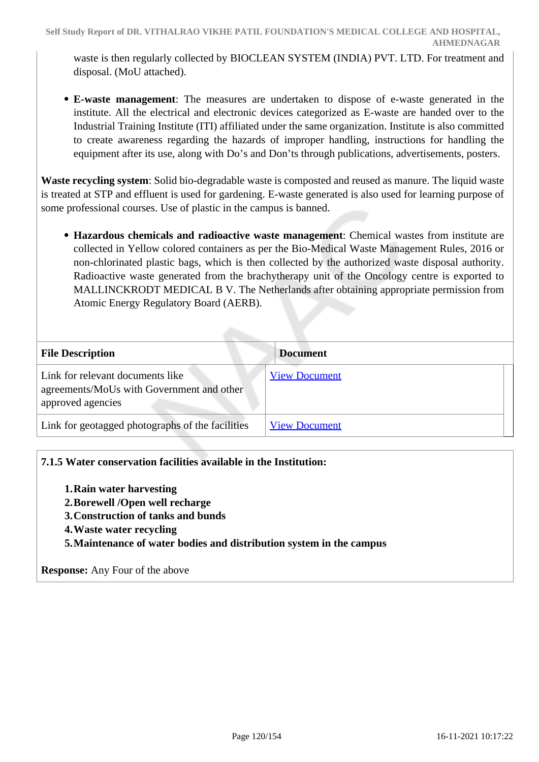waste is then regularly collected by BIOCLEAN SYSTEM (INDIA) PVT. LTD. For treatment and disposal. (MoU attached).

**E-waste management**: The measures are undertaken to dispose of e-waste generated in the institute. All the electrical and electronic devices categorized as E-waste are handed over to the Industrial Training Institute (ITI) affiliated under the same organization. Institute is also committed to create awareness regarding the hazards of improper handling, instructions for handling the equipment after its use, along with Do's and Don'ts through publications, advertisements, posters.

**Waste recycling system**: Solid bio-degradable waste is composted and reused as manure. The liquid waste is treated at STP and effluent is used for gardening. E-waste generated is also used for learning purpose of some professional courses. Use of plastic in the campus is banned.

**Hazardous chemicals and radioactive waste management**: Chemical wastes from institute are collected in Yellow colored containers as per the Bio-Medical Waste Management Rules, 2016 or non-chlorinated plastic bags, which is then collected by the authorized waste disposal authority. Radioactive waste generated from the brachytherapy unit of the Oncology centre is exported to MALLINCKRODT MEDICAL B V. The Netherlands after obtaining appropriate permission from Atomic Energy Regulatory Board (AERB).

| <b>File Description</b>                                                                            | <b>Document</b>      |
|----------------------------------------------------------------------------------------------------|----------------------|
| Link for relevant documents like<br>agreements/MoUs with Government and other<br>approved agencies | <b>View Document</b> |
| Link for geotagged photographs of the facilities                                                   | <b>View Document</b> |

# **7.1.5 Water conservation facilities available in the Institution:**

- **1.Rain water harvesting**
- **2.Borewell /Open well recharge**
- **3.Construction of tanks and bunds**
- **4.Waste water recycling**
- **5.Maintenance of water bodies and distribution system in the campus**

**Response:** Any Four of the above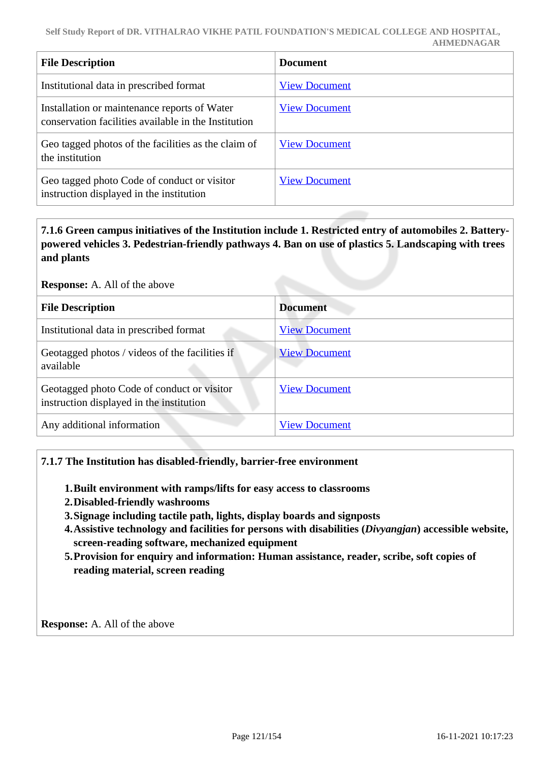| <b>File Description</b>                                                                              | <b>Document</b>      |
|------------------------------------------------------------------------------------------------------|----------------------|
| Institutional data in prescribed format                                                              | <b>View Document</b> |
| Installation or maintenance reports of Water<br>conservation facilities available in the Institution | <b>View Document</b> |
| Geo tagged photos of the facilities as the claim of<br>the institution                               | <b>View Document</b> |
| Geo tagged photo Code of conduct or visitor<br>instruction displayed in the institution              | <b>View Document</b> |

 **7.1.6 Green campus initiatives of the Institution include 1. Restricted entry of automobiles 2. Batterypowered vehicles 3. Pedestrian-friendly pathways 4. Ban on use of plastics 5. Landscaping with trees and plants** 

#### **Response:** A. All of the above

| <b>File Description</b>                                                                | <b>Document</b>      |
|----------------------------------------------------------------------------------------|----------------------|
| Institutional data in prescribed format                                                | <b>View Document</b> |
| Geotagged photos / videos of the facilities if<br>available                            | <b>View Document</b> |
| Geotagged photo Code of conduct or visitor<br>instruction displayed in the institution | <b>View Document</b> |
| Any additional information                                                             | <b>View Document</b> |

### **7.1.7 The Institution has disabled-friendly, barrier-free environment**

- **1.Built environment with ramps/lifts for easy access to classrooms**
- **2.Disabled-friendly washrooms**
- **3.Signage including tactile path, lights, display boards and signposts**
- **4.Assistive technology and facilities for persons with disabilities (***Divyangjan***) accessible website, screen-reading software, mechanized equipment**
- **5.Provision for enquiry and information: Human assistance, reader, scribe, soft copies of reading material, screen reading**

**Response:** A. All of the above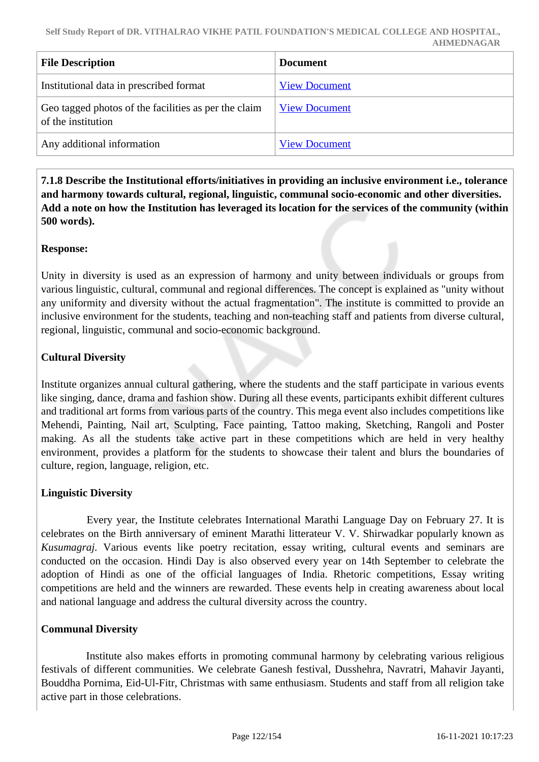| <b>File Description</b>                                                    | <b>Document</b>      |
|----------------------------------------------------------------------------|----------------------|
| Institutional data in prescribed format                                    | <b>View Document</b> |
| Geo tagged photos of the facilities as per the claim<br>of the institution | <b>View Document</b> |
| Any additional information                                                 | <b>View Document</b> |

 **7.1.8 Describe the Institutional efforts/initiatives in providing an inclusive environment i.e., tolerance and harmony towards cultural, regional, linguistic, communal socio-economic and other diversities. Add a note on how the Institution has leveraged its location for the services of the community (within 500 words).**

### **Response:**

Unity in diversity is used as an expression of harmony and unity between individuals or groups from various linguistic, cultural, communal and regional differences. The concept is explained as "unity without any uniformity and diversity without the actual fragmentation". The institute is committed to provide an inclusive environment for the students, teaching and non-teaching staff and patients from diverse cultural, regional, linguistic, communal and socio-economic background.

# **Cultural Diversity**

Institute organizes annual cultural gathering, where the students and the staff participate in various events like singing, dance, drama and fashion show. During all these events, participants exhibit different cultures and traditional art forms from various parts of the country. This mega event also includes competitions like Mehendi, Painting, Nail art, Sculpting, Face painting, Tattoo making, Sketching, Rangoli and Poster making. As all the students take active part in these competitions which are held in very healthy environment, provides a platform for the students to showcase their talent and blurs the boundaries of culture, region, language, religion, etc.

# **Linguistic Diversity**

 Every year, the Institute celebrates International Marathi Language Day on February 27. It is celebrates on the Birth anniversary of eminent Marathi litterateur V. V. Shirwadkar popularly known as *Kusumagraj.* Various events like poetry recitation, essay writing, cultural events and seminars are conducted on the occasion. Hindi Day is also observed every year on 14th September to celebrate the adoption of Hindi as one of the official languages of India. Rhetoric competitions, Essay writing competitions are held and the winners are rewarded. These events help in creating awareness about local and national language and address the cultural diversity across the country.

### **Communal Diversity**

 Institute also makes efforts in promoting communal harmony by celebrating various religious festivals of different communities. We celebrate Ganesh festival, Dusshehra, Navratri, Mahavir Jayanti, Bouddha Pornima, Eid-Ul-Fitr, Christmas with same enthusiasm. Students and staff from all religion take active part in those celebrations.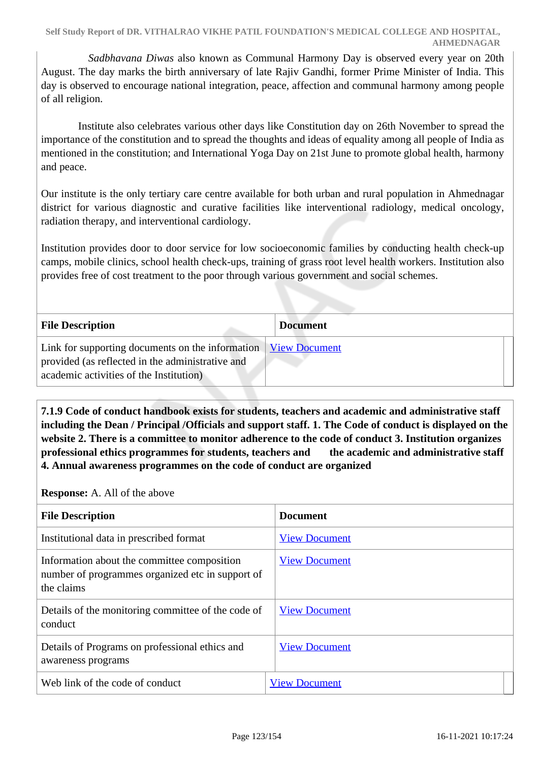*Sadbhavana Diwas* also known as Communal Harmony Day is observed every year on 20th August. The day marks the birth anniversary of late Rajiv Gandhi, former Prime Minister of India. This day is observed to encourage national integration, peace, affection and communal harmony among people of all religion.

 Institute also celebrates various other days like Constitution day on 26th November to spread the importance of the constitution and to spread the thoughts and ideas of equality among all people of India as mentioned in the constitution; and International Yoga Day on 21st June to promote global health, harmony and peace.

Our institute is the only tertiary care centre available for both urban and rural population in Ahmednagar district for various diagnostic and curative facilities like interventional radiology, medical oncology, radiation therapy, and interventional cardiology.

Institution provides door to door service for low socioeconomic families by conducting health check-up camps, mobile clinics, school health check-ups, training of grass root level health workers. Institution also provides free of cost treatment to the poor through various government and social schemes.

| <b>File Description</b>                                                                                                                                                | <b>Document</b> |
|------------------------------------------------------------------------------------------------------------------------------------------------------------------------|-----------------|
| Link for supporting documents on the information   <u>View Document</u><br>provided (as reflected in the administrative and<br>academic activities of the Institution) |                 |

 **7.1.9 Code of conduct handbook exists for students, teachers and academic and administrative staff including the Dean / Principal /Officials and support staff. 1. The Code of conduct is displayed on the website 2. There is a committee to monitor adherence to the code of conduct 3. Institution organizes professional ethics programmes for students, teachers and the academic and administrative staff 4. Annual awareness programmes on the code of conduct are organized**

**Response:** A. All of the above

| <b>File Description</b>                                                                                       | <b>Document</b>      |
|---------------------------------------------------------------------------------------------------------------|----------------------|
| Institutional data in prescribed format                                                                       | <b>View Document</b> |
| Information about the committee composition<br>number of programmes organized etc in support of<br>the claims | <b>View Document</b> |
| Details of the monitoring committee of the code of<br>conduct                                                 | <b>View Document</b> |
| Details of Programs on professional ethics and<br>awareness programs                                          | <b>View Document</b> |
| Web link of the code of conduct                                                                               | <b>View Document</b> |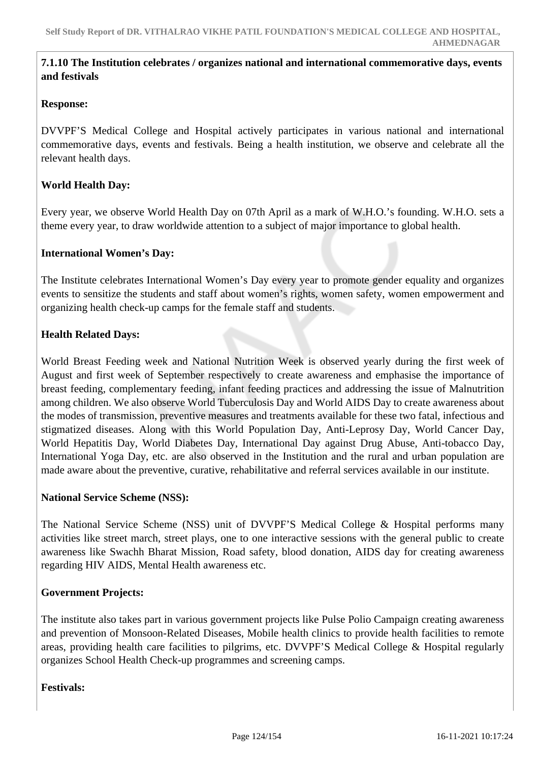### **7.1.10 The Institution celebrates / organizes national and international commemorative days, events and festivals**

### **Response:**

DVVPF'S Medical College and Hospital actively participates in various national and international commemorative days, events and festivals. Being a health institution, we observe and celebrate all the relevant health days.

### **World Health Day:**

Every year, we observe World Health Day on 07th April as a mark of W.H.O.'s founding. W.H.O. sets a theme every year, to draw worldwide attention to a subject of major importance to global health.

#### **International Women's Day:**

The Institute celebrates International Women's Day every year to promote gender equality and organizes events to sensitize the students and staff about women's rights, women safety, women empowerment and organizing health check-up camps for the female staff and students.

#### **Health Related Days:**

World Breast Feeding week and National Nutrition Week is observed yearly during the first week of August and first week of September respectively to create awareness and emphasise the importance of breast feeding, complementary feeding, infant feeding practices and addressing the issue of Malnutrition among children. We also observe World Tuberculosis Day and World AIDS Day to create awareness about the modes of transmission, preventive measures and treatments available for these two fatal, infectious and stigmatized diseases. Along with this World Population Day, Anti-Leprosy Day, World Cancer Day, World Hepatitis Day, World Diabetes Day, International Day against Drug Abuse, Anti-tobacco Day, International Yoga Day, etc. are also observed in the Institution and the rural and urban population are made aware about the preventive, curative, rehabilitative and referral services available in our institute.

#### **National Service Scheme (NSS):**

The National Service Scheme (NSS) unit of DVVPF'S Medical College & Hospital performs many activities like street march, street plays, one to one interactive sessions with the general public to create awareness like Swachh Bharat Mission, Road safety, blood donation, AIDS day for creating awareness regarding HIV AIDS, Mental Health awareness etc.

#### **Government Projects:**

The institute also takes part in various government projects like Pulse Polio Campaign creating awareness and prevention of Monsoon-Related Diseases, Mobile health clinics to provide health facilities to remote areas, providing health care facilities to pilgrims, etc. DVVPF'S Medical College & Hospital regularly organizes School Health Check-up programmes and screening camps.

**Festivals:**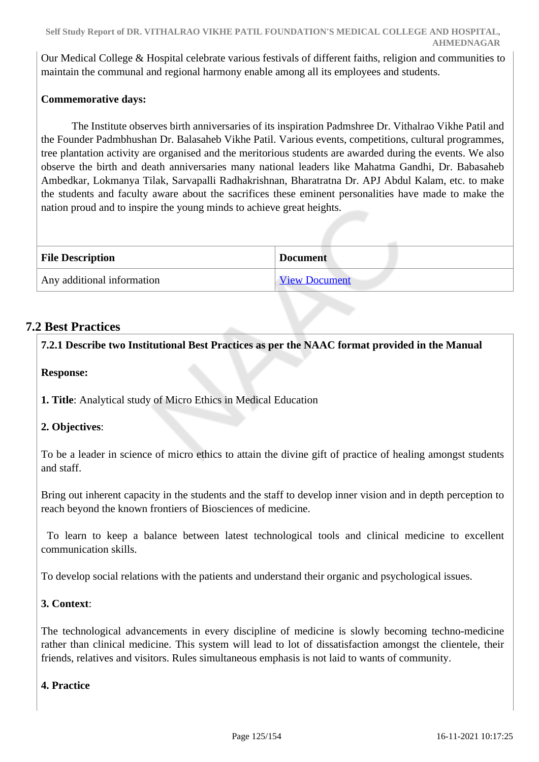Our Medical College & Hospital celebrate various festivals of different faiths, religion and communities to maintain the communal and regional harmony enable among all its employees and students.

# **Commemorative days:**

 The Institute observes birth anniversaries of its inspiration Padmshree Dr. Vithalrao Vikhe Patil and the Founder Padmbhushan Dr. Balasaheb Vikhe Patil. Various events, competitions, cultural programmes, tree plantation activity are organised and the meritorious students are awarded during the events. We also observe the birth and death anniversaries many national leaders like Mahatma Gandhi, Dr. Babasaheb Ambedkar, Lokmanya Tilak, Sarvapalli Radhakrishnan, Bharatratna Dr. APJ Abdul Kalam, etc. to make the students and faculty aware about the sacrifices these eminent personalities have made to make the nation proud and to inspire the young minds to achieve great heights.

| <b>File Description</b>    | <b>Document</b>      |
|----------------------------|----------------------|
| Any additional information | <b>View Document</b> |

# **7.2 Best Practices**

**7.2.1 Describe two Institutional Best Practices as per the NAAC format provided in the Manual**

# **Response:**

**1. Title**: Analytical study of Micro Ethics in Medical Education

# **2. Objectives**:

To be a leader in science of micro ethics to attain the divine gift of practice of healing amongst students and staff.

Bring out inherent capacity in the students and the staff to develop inner vision and in depth perception to reach beyond the known frontiers of Biosciences of medicine.

 To learn to keep a balance between latest technological tools and clinical medicine to excellent communication skills.

To develop social relations with the patients and understand their organic and psychological issues.

# **3. Context**:

The technological advancements in every discipline of medicine is slowly becoming techno-medicine rather than clinical medicine. This system will lead to lot of dissatisfaction amongst the clientele, their friends, relatives and visitors. Rules simultaneous emphasis is not laid to wants of community.

# **4. Practice**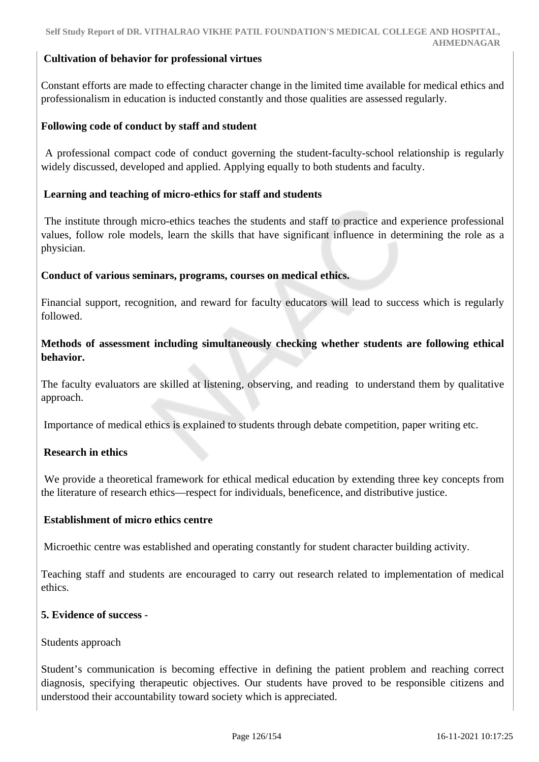### **Cultivation of behavior for professional virtues**

Constant efforts are made to effecting character change in the limited time available for medical ethics and professionalism in education is inducted constantly and those qualities are assessed regularly.

#### **Following code of conduct by staff and student**

 A professional compact code of conduct governing the student-faculty-school relationship is regularly widely discussed, developed and applied. Applying equally to both students and faculty.

#### **Learning and teaching of micro-ethics for staff and students**

 The institute through micro-ethics teaches the students and staff to practice and experience professional values, follow role models, learn the skills that have significant influence in determining the role as a physician.

#### **Conduct of various seminars, programs, courses on medical ethics.**

Financial support, recognition, and reward for faculty educators will lead to success which is regularly followed.

### **Methods of assessment including simultaneously checking whether students are following ethical behavior.**

The faculty evaluators are skilled at listening, observing, and reading to understand them by qualitative approach.

Importance of medical ethics is explained to students through debate competition, paper writing etc.

### **Research in ethics**

 We provide a theoretical framework for ethical medical education by extending three key concepts from the literature of research ethics—respect for individuals, beneficence, and distributive justice.

#### **Establishment of micro ethics centre**

Microethic centre was established and operating constantly for student character building activity.

Teaching staff and students are encouraged to carry out research related to implementation of medical ethics.

#### **5. Evidence of success** -

#### Students approach

Student's communication is becoming effective in defining the patient problem and reaching correct diagnosis, specifying therapeutic objectives. Our students have proved to be responsible citizens and understood their accountability toward society which is appreciated.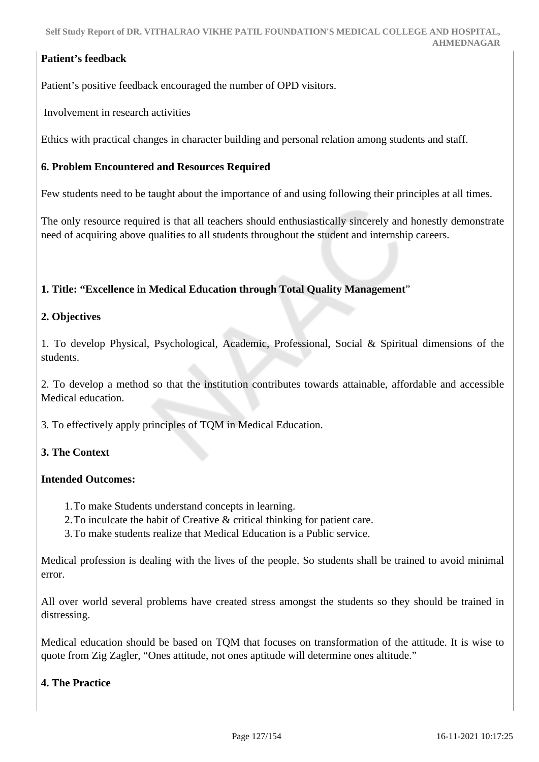# **Patient's feedback**

Patient's positive feedback encouraged the number of OPD visitors.

Involvement in research activities

Ethics with practical changes in character building and personal relation among students and staff.

### **6. Problem Encountered and Resources Required**

Few students need to be taught about the importance of and using following their principles at all times.

The only resource required is that all teachers should enthusiastically sincerely and honestly demonstrate need of acquiring above qualities to all students throughout the student and internship careers.

### **1. Title: "Excellence in Medical Education through Total Quality Management**"

### **2. Objectives**

1. To develop Physical, Psychological, Academic, Professional, Social & Spiritual dimensions of the students.

2. To develop a method so that the institution contributes towards attainable, affordable and accessible Medical education.

3. To effectively apply principles of TQM in Medical Education.

# **3. The Context**

### **Intended Outcomes:**

- 1.To make Students understand concepts in learning.
- 2.To inculcate the habit of Creative & critical thinking for patient care.
- 3.To make students realize that Medical Education is a Public service.

Medical profession is dealing with the lives of the people. So students shall be trained to avoid minimal error.

All over world several problems have created stress amongst the students so they should be trained in distressing.

Medical education should be based on TQM that focuses on transformation of the attitude. It is wise to quote from Zig Zagler, "Ones attitude, not ones aptitude will determine ones altitude."

### **4. The Practice**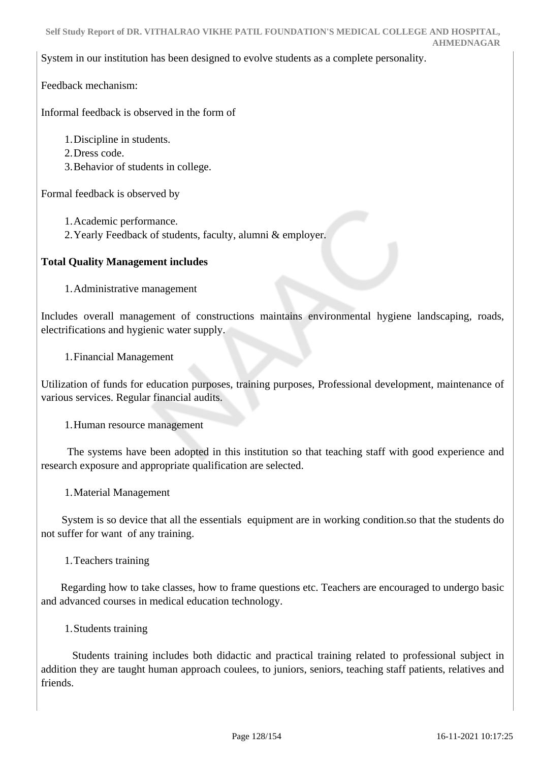System in our institution has been designed to evolve students as a complete personality.

Feedback mechanism:

Informal feedback is observed in the form of

1.Discipline in students.

- 2.Dress code.
- 3.Behavior of students in college.

Formal feedback is observed by

1.Academic performance.

2.Yearly Feedback of students, faculty, alumni & employer.

# **Total Quality Management includes**

1.Administrative management

Includes overall management of constructions maintains environmental hygiene landscaping, roads, electrifications and hygienic water supply.

1.Financial Management

Utilization of funds for education purposes, training purposes, Professional development, maintenance of various services. Regular financial audits.

1.Human resource management

 The systems have been adopted in this institution so that teaching staff with good experience and research exposure and appropriate qualification are selected.

1.Material Management

 System is so device that all the essentials equipment are in working condition.so that the students do not suffer for want of any training.

1.Teachers training

 Regarding how to take classes, how to frame questions etc. Teachers are encouraged to undergo basic and advanced courses in medical education technology.

1.Students training

 Students training includes both didactic and practical training related to professional subject in addition they are taught human approach coulees, to juniors, seniors, teaching staff patients, relatives and friends.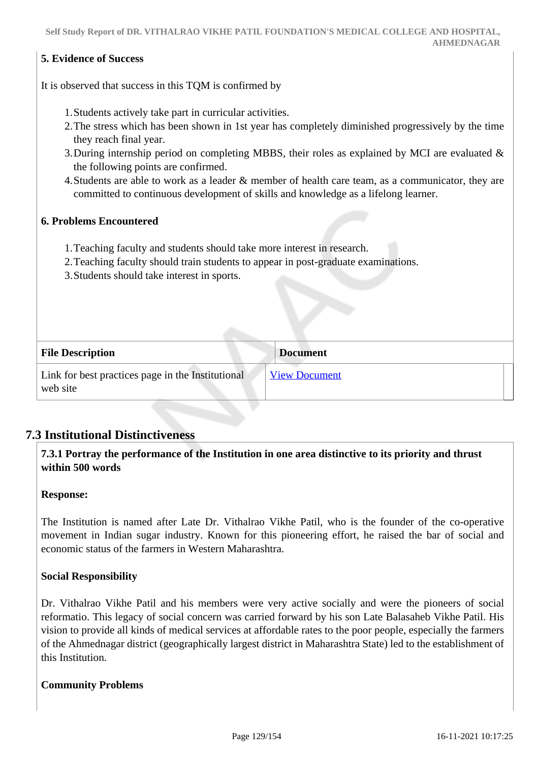### **5. Evidence of Success**

It is observed that success in this TQM is confirmed by

- 1.Students actively take part in curricular activities.
- 2.The stress which has been shown in 1st year has completely diminished progressively by the time they reach final year.
- 3.During internship period on completing MBBS, their roles as explained by MCI are evaluated & the following points are confirmed.
- 4.Students are able to work as a leader & member of health care team, as a communicator, they are committed to continuous development of skills and knowledge as a lifelong learner.

#### **6. Problems Encountered**

- 1.Teaching faculty and students should take more interest in research.
- 2.Teaching faculty should train students to appear in post-graduate examinations.
- 3.Students should take interest in sports.

| <b>File Description</b>                                       | <b>Document</b>      |
|---------------------------------------------------------------|----------------------|
| Link for best practices page in the Institutional<br>web site | <b>View Document</b> |

# **7.3 Institutional Distinctiveness**

### **7.3.1 Portray the performance of the Institution in one area distinctive to its priority and thrust within 500 words**

#### **Response:**

The Institution is named after Late Dr. Vithalrao Vikhe Patil, who is the founder of the co-operative movement in Indian sugar industry. Known for this pioneering effort, he raised the bar of social and economic status of the farmers in Western Maharashtra.

### **Social Responsibility**

Dr. Vithalrao Vikhe Patil and his members were very active socially and were the pioneers of social reformatio. This legacy of social concern was carried forward by his son Late Balasaheb Vikhe Patil. His vision to provide all kinds of medical services at affordable rates to the poor people, especially the farmers of the Ahmednagar district (geographically largest district in Maharashtra State) led to the establishment of this Institution.

#### **Community Problems**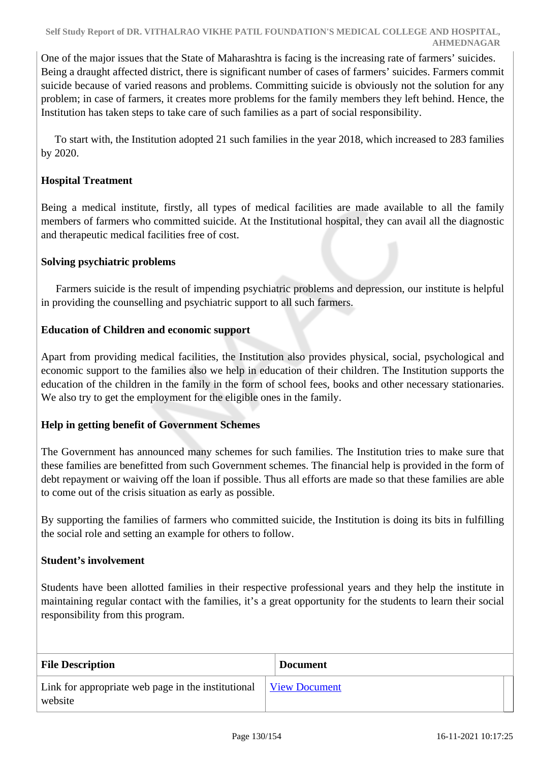One of the major issues that the State of Maharashtra is facing is the increasing rate of farmers' suicides. Being a draught affected district, there is significant number of cases of farmers' suicides. Farmers commit suicide because of varied reasons and problems. Committing suicide is obviously not the solution for any problem; in case of farmers, it creates more problems for the family members they left behind. Hence, the Institution has taken steps to take care of such families as a part of social responsibility.

 To start with, the Institution adopted 21 such families in the year 2018, which increased to 283 families by 2020.

### **Hospital Treatment**

Being a medical institute, firstly, all types of medical facilities are made available to all the family members of farmers who committed suicide. At the Institutional hospital, they can avail all the diagnostic and therapeutic medical facilities free of cost.

### **Solving psychiatric problems**

 Farmers suicide is the result of impending psychiatric problems and depression, our institute is helpful in providing the counselling and psychiatric support to all such farmers.

### **Education of Children and economic support**

Apart from providing medical facilities, the Institution also provides physical, social, psychological and economic support to the families also we help in education of their children. The Institution supports the education of the children in the family in the form of school fees, books and other necessary stationaries. We also try to get the employment for the eligible ones in the family.

### **Help in getting benefit of Government Schemes**

The Government has announced many schemes for such families. The Institution tries to make sure that these families are benefitted from such Government schemes. The financial help is provided in the form of debt repayment or waiving off the loan if possible. Thus all efforts are made so that these families are able to come out of the crisis situation as early as possible.

By supporting the families of farmers who committed suicide, the Institution is doing its bits in fulfilling the social role and setting an example for others to follow.

### **Student's involvement**

Students have been allotted families in their respective professional years and they help the institute in maintaining regular contact with the families, it's a great opportunity for the students to learn their social responsibility from this program.

| <b>File Description</b>                                                                                      | <b>Document</b> |
|--------------------------------------------------------------------------------------------------------------|-----------------|
| Link for appropriate web page in the institutional $\sqrt{\frac{V_{\text{icW}}}{V_{\text{icW}}}}$<br>website |                 |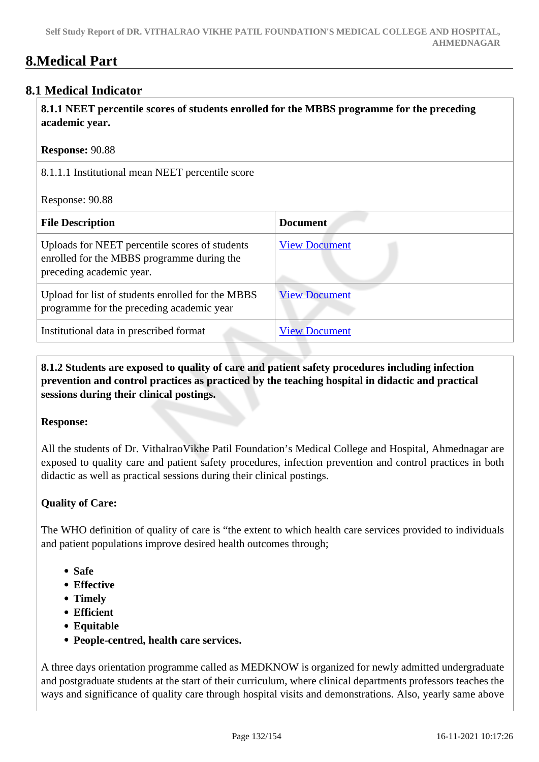# **8.Medical Part**

# **8.1 Medical Indicator**

 **8.1.1 NEET percentile scores of students enrolled for the MBBS programme for the preceding academic year.**

| <b>Response: 90.88</b> |  |
|------------------------|--|
|------------------------|--|

8.1.1.1 Institutional mean NEET percentile score

Response: 90.88

| <b>File Description</b>                                                                                                  | <b>Document</b>      |
|--------------------------------------------------------------------------------------------------------------------------|----------------------|
| Uploads for NEET percentile scores of students<br>enrolled for the MBBS programme during the<br>preceding academic year. | <b>View Document</b> |
| Upload for list of students enrolled for the MBBS<br>programme for the preceding academic year                           | <b>View Document</b> |
| Institutional data in prescribed format                                                                                  | <b>View Document</b> |

 **8.1.2 Students are exposed to quality of care and patient safety procedures including infection prevention and control practices as practiced by the teaching hospital in didactic and practical sessions during their clinical postings.**

### **Response:**

All the students of Dr. VithalraoVikhe Patil Foundation's Medical College and Hospital, Ahmednagar are exposed to quality care and patient safety procedures, infection prevention and control practices in both didactic as well as practical sessions during their clinical postings.

# **Quality of Care:**

The WHO definition of quality of care is "the extent to which health care services provided to individuals and patient populations improve desired health outcomes through;

- **Safe**
- **Effective**
- **Timely**
- **Efficient**
- **Equitable**
- **People-centred, health care services.**

A three days orientation programme called as MEDKNOW is organized for newly admitted undergraduate and postgraduate students at the start of their curriculum, where clinical departments professors teaches the ways and significance of quality care through hospital visits and demonstrations. Also, yearly same above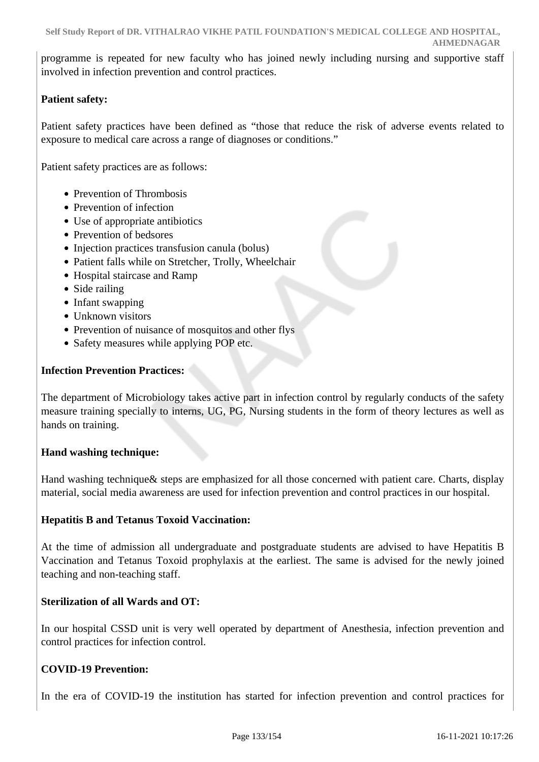programme is repeated for new faculty who has joined newly including nursing and supportive staff involved in infection prevention and control practices.

# **Patient safety:**

Patient safety practices have been defined as "those that reduce the risk of adverse events related to exposure to medical care across a range of diagnoses or conditions."

Patient safety practices are as follows:

- Prevention of Thrombosis
- Prevention of infection
- Use of appropriate antibiotics
- Prevention of bedsores
- Injection practices transfusion canula (bolus)
- Patient falls while on Stretcher, Trolly, Wheelchair
- Hospital staircase and Ramp
- Side railing
- Infant swapping
- Unknown visitors
- Prevention of nuisance of mosquitos and other flys
- Safety measures while applying POP etc.

### **Infection Prevention Practices:**

The department of Microbiology takes active part in infection control by regularly conducts of the safety measure training specially to interns, UG, PG, Nursing students in the form of theory lectures as well as hands on training.

### **Hand washing technique:**

Hand washing technique& steps are emphasized for all those concerned with patient care. Charts, display material, social media awareness are used for infection prevention and control practices in our hospital.

### **Hepatitis B and Tetanus Toxoid Vaccination:**

At the time of admission all undergraduate and postgraduate students are advised to have Hepatitis B Vaccination and Tetanus Toxoid prophylaxis at the earliest. The same is advised for the newly joined teaching and non-teaching staff.

### **Sterilization of all Wards and OT:**

In our hospital CSSD unit is very well operated by department of Anesthesia, infection prevention and control practices for infection control.

# **COVID-19 Prevention:**

In the era of COVID-19 the institution has started for infection prevention and control practices for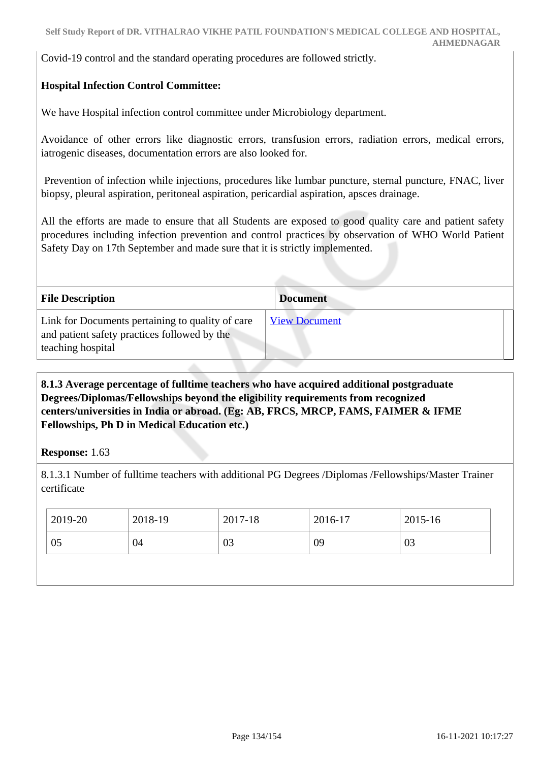Covid-19 control and the standard operating procedures are followed strictly.

# **Hospital Infection Control Committee:**

We have Hospital infection control committee under Microbiology department.

Avoidance of other errors like diagnostic errors, transfusion errors, radiation errors, medical errors, iatrogenic diseases, documentation errors are also looked for.

 Prevention of infection while injections, procedures like lumbar puncture, sternal puncture, FNAC, liver biopsy, pleural aspiration, peritoneal aspiration, pericardial aspiration, apsces drainage.

All the efforts are made to ensure that all Students are exposed to good quality care and patient safety procedures including infection prevention and control practices by observation of WHO World Patient Safety Day on 17th September and made sure that it is strictly implemented.

| <b>File Description</b>                                                                                               | <b>Document</b>      |  |
|-----------------------------------------------------------------------------------------------------------------------|----------------------|--|
| Link for Documents pertaining to quality of care<br>and patient safety practices followed by the<br>teaching hospital | <b>View Document</b> |  |

 **8.1.3 Average percentage of fulltime teachers who have acquired additional postgraduate Degrees/Diplomas/Fellowships beyond the eligibility requirements from recognized centers/universities in India or abroad. (Eg: AB, FRCS, MRCP, FAMS, FAIMER & IFME Fellowships, Ph D in Medical Education etc.)**

### **Response:** 1.63

8.1.3.1 Number of fulltime teachers with additional PG Degrees /Diplomas /Fellowships/Master Trainer certificate

| 2019-20 | 2018-19 | 2017-18 | 2016-17 | 2015-16 |
|---------|---------|---------|---------|---------|
| 05      | 04      | 03      | 09      | 03      |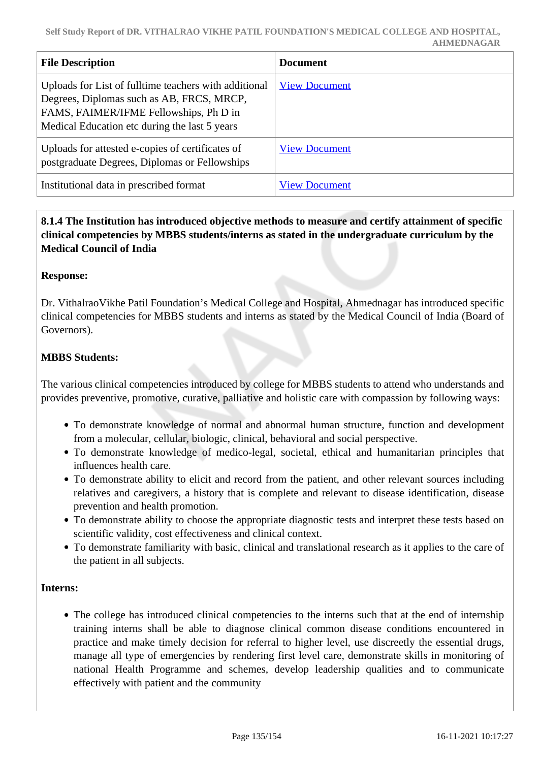| <b>File Description</b>                                                                                                                                                                       | <b>Document</b>      |
|-----------------------------------------------------------------------------------------------------------------------------------------------------------------------------------------------|----------------------|
| Uploads for List of fulltime teachers with additional<br>Degrees, Diplomas such as AB, FRCS, MRCP,<br>FAMS, FAIMER/IFME Fellowships, Ph D in<br>Medical Education etc during the last 5 years | <b>View Document</b> |
| Uploads for attested e-copies of certificates of<br>postgraduate Degrees, Diplomas or Fellowships                                                                                             | <b>View Document</b> |
| Institutional data in prescribed format                                                                                                                                                       | <b>View Document</b> |

 **8.1.4 The Institution has introduced objective methods to measure and certify attainment of specific clinical competencies by MBBS students/interns as stated in the undergraduate curriculum by the Medical Council of India**

### **Response:**

Dr. VithalraoVikhe Patil Foundation's Medical College and Hospital, Ahmednagar has introduced specific clinical competencies for MBBS students and interns as stated by the Medical Council of India (Board of Governors).

### **MBBS Students:**

The various clinical competencies introduced by college for MBBS students to attend who understands and provides preventive, promotive, curative, palliative and holistic care with compassion by following ways:

- To demonstrate knowledge of normal and abnormal human structure, function and development from a molecular, cellular, biologic, clinical, behavioral and social perspective.
- To demonstrate knowledge of medico-legal, societal, ethical and humanitarian principles that influences health care.
- To demonstrate ability to elicit and record from the patient, and other relevant sources including relatives and caregivers, a history that is complete and relevant to disease identification, disease prevention and health promotion.
- To demonstrate ability to choose the appropriate diagnostic tests and interpret these tests based on scientific validity, cost effectiveness and clinical context.
- To demonstrate familiarity with basic, clinical and translational research as it applies to the care of the patient in all subjects.

#### **Interns:**

• The college has introduced clinical competencies to the interns such that at the end of internship training interns shall be able to diagnose clinical common disease conditions encountered in practice and make timely decision for referral to higher level, use discreetly the essential drugs, manage all type of emergencies by rendering first level care, demonstrate skills in monitoring of national Health Programme and schemes, develop leadership qualities and to communicate effectively with patient and the community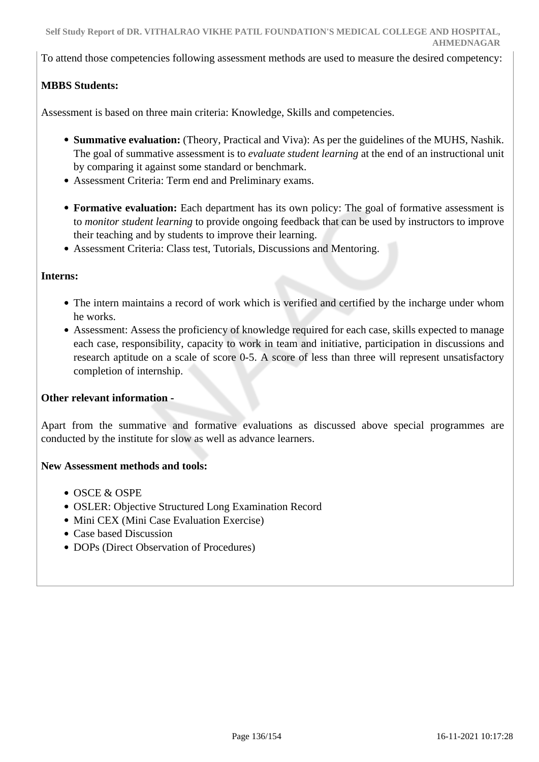To attend those competencies following assessment methods are used to measure the desired competency:

# **MBBS Students:**

Assessment is based on three main criteria: Knowledge, Skills and competencies.

- **Summative evaluation:** (Theory, Practical and Viva): As per the guidelines of the MUHS, Nashik. The goal of summative assessment is to *evaluate student learning* at the end of an instructional unit by comparing it against some standard or benchmark.
- Assessment Criteria: Term end and Preliminary exams.
- **Formative evaluation:** Each department has its own policy: The goal of formative assessment is to *monitor student learning* to provide ongoing feedback that can be used by instructors to improve their teaching and by students to improve their learning.

Assessment Criteria: Class test, Tutorials, Discussions and Mentoring.

#### **Interns:**

- The intern maintains a record of work which is verified and certified by the incharge under whom he works.
- Assessment: Assess the proficiency of knowledge required for each case, skills expected to manage each case, responsibility, capacity to work in team and initiative, participation in discussions and research aptitude on a scale of score 0-5. A score of less than three will represent unsatisfactory completion of internship.

### **Other relevant information -**

Apart from the summative and formative evaluations as discussed above special programmes are conducted by the institute for slow as well as advance learners.

#### **New Assessment methods and tools:**

- OSCE & OSPE
- OSLER: Objective Structured Long Examination Record
- Mini CEX (Mini Case Evaluation Exercise)
- Case based Discussion
- DOPs (Direct Observation of Procedures)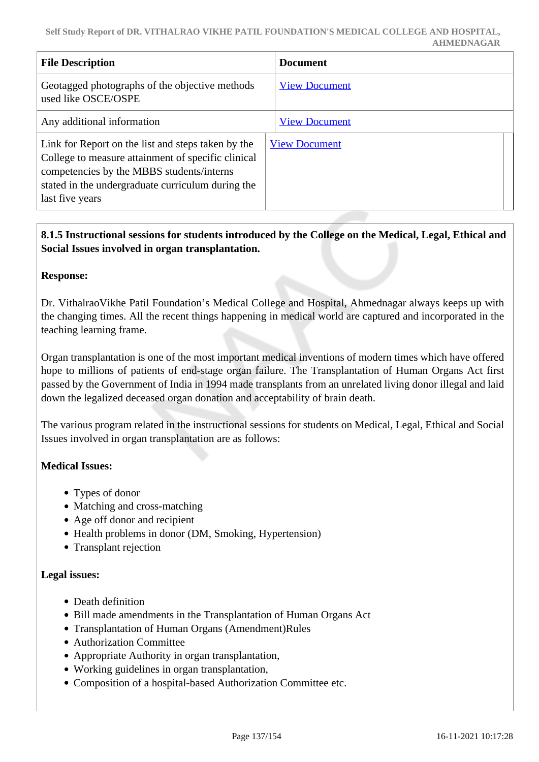| <b>File Description</b>                                                                                                                                                                                                       | <b>Document</b>      |
|-------------------------------------------------------------------------------------------------------------------------------------------------------------------------------------------------------------------------------|----------------------|
| Geotagged photographs of the objective methods<br>used like OSCE/OSPE                                                                                                                                                         | <b>View Document</b> |
| Any additional information                                                                                                                                                                                                    | <b>View Document</b> |
| Link for Report on the list and steps taken by the<br>College to measure attainment of specific clinical<br>competencies by the MBBS students/interns<br>stated in the undergraduate curriculum during the<br>last five years | <b>View Document</b> |

# **8.1.5 Instructional sessions for students introduced by the College on the Medical, Legal, Ethical and Social Issues involved in organ transplantation.**

### **Response:**

Dr. VithalraoVikhe Patil Foundation's Medical College and Hospital, Ahmednagar always keeps up with the changing times. All the recent things happening in medical world are captured and incorporated in the teaching learning frame.

Organ transplantation is one of the most important medical inventions of modern times which have offered hope to millions of patients of end-stage organ failure. The Transplantation of Human Organs Act first passed by the Government of India in 1994 made transplants from an unrelated living donor illegal and laid down the legalized deceased organ donation and acceptability of brain death.

The various program related in the instructional sessions for students on Medical, Legal, Ethical and Social Issues involved in organ transplantation are as follows:

### **Medical Issues:**

- Types of donor
- Matching and cross-matching
- Age off donor and recipient
- Health problems in donor (DM, Smoking, Hypertension)
- Transplant rejection

### **Legal issues:**

- Death definition
- Bill made amendments in the Transplantation of Human Organs Act
- Transplantation of Human Organs (Amendment)Rules
- Authorization Committee
- Appropriate Authority in organ transplantation,
- Working guidelines in organ transplantation,
- Composition of a hospital-based Authorization Committee etc.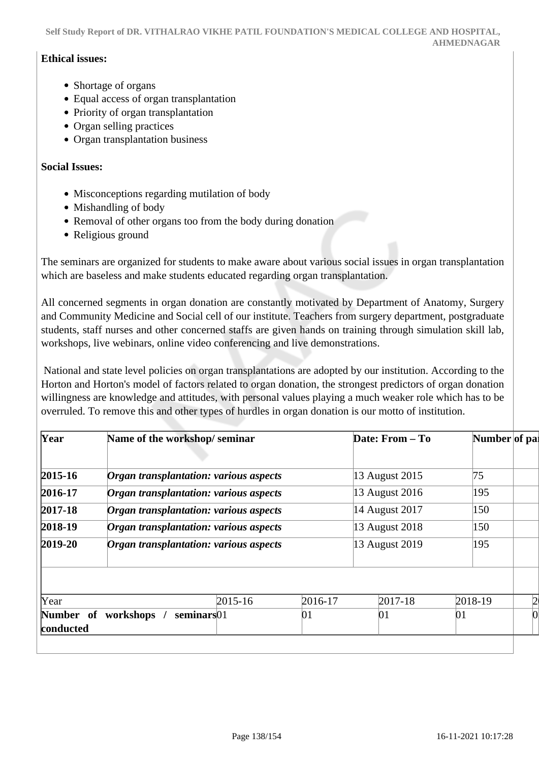**Self Study Report of DR. VITHALRAO VIKHE PATIL FOUNDATION'S MEDICAL COLLEGE AND HOSPITAL, AHMEDNAGAR**

#### **Ethical issues:**

- Shortage of organs
- Equal access of organ transplantation
- Priority of organ transplantation
- Organ selling practices
- Organ transplantation business

#### **Social Issues:**

- Misconceptions regarding mutilation of body
- Mishandling of body
- Removal of other organs too from the body during donation
- Religious ground

The seminars are organized for students to make aware about various social issues in organ transplantation which are baseless and make students educated regarding organ transplantation.

All concerned segments in organ donation are constantly motivated by Department of Anatomy, Surgery and Community Medicine and Social cell of our institute. Teachers from surgery department, postgraduate students, staff nurses and other concerned staffs are given hands on training through simulation skill lab, workshops, live webinars, online video conferencing and live demonstrations.

 National and state level policies on organ transplantations are adopted by our institution. According to the Horton and Horton's model of factors related to organ donation, the strongest predictors of organ donation willingness are knowledge and attitudes, with personal values playing a much weaker role which has to be overruled. To remove this and other types of hurdles in organ donation is our motto of institution.

| Year                   | Name of the workshop/seminar                                                                                               |         |                                                    | Date: From - To | Number of pal |                |
|------------------------|----------------------------------------------------------------------------------------------------------------------------|---------|----------------------------------------------------|-----------------|---------------|----------------|
| $2015 - 16$            | Organ transplantation: various aspects                                                                                     |         |                                                    | 13 August 2015  | 75            |                |
| 2016-17                | Organ transplantation: various aspects<br>Organ transplantation: various aspects<br>Organ transplantation: various aspects |         | 13 August 2016<br>14 August 2017<br>13 August 2018 | 195             |               |                |
| $2017 - 18$            |                                                                                                                            |         |                                                    | 150             |               |                |
| 2018-19                |                                                                                                                            |         |                                                    | 150             |               |                |
| $2019 - 20$            | Organ transplantation: various aspects                                                                                     |         |                                                    | 13 August 2019  | 195           |                |
|                        |                                                                                                                            |         |                                                    |                 |               |                |
| Year                   |                                                                                                                            | 2015-16 | 2016-17                                            | $2017 - 18$     | 2018-19       | $\overline{2}$ |
| Number of<br>conducted | workshops /<br>seminars01                                                                                                  |         | 01                                                 | 01              | 01            |                |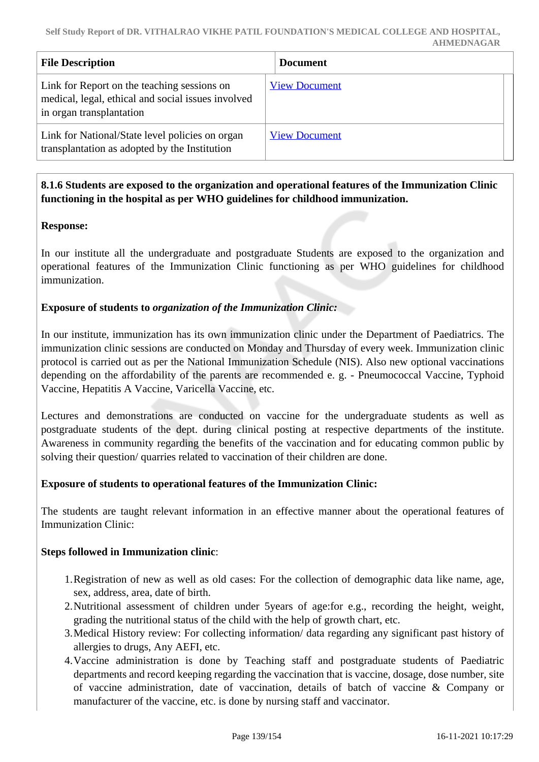| <b>File Description</b>                                                                                                       | <b>Document</b>      |
|-------------------------------------------------------------------------------------------------------------------------------|----------------------|
| Link for Report on the teaching sessions on<br>medical, legal, ethical and social issues involved<br>in organ transplantation | <b>View Document</b> |
| Link for National/State level policies on organ<br>transplantation as adopted by the Institution                              | <b>View Document</b> |

### **8.1.6 Students are exposed to the organization and operational features of the Immunization Clinic functioning in the hospital as per WHO guidelines for childhood immunization.**

### **Response:**

In our institute all the undergraduate and postgraduate Students are exposed to the organization and operational features of the Immunization Clinic functioning as per WHO guidelines for childhood immunization.

### **Exposure of students to** *organization of the Immunization Clinic:*

In our institute, immunization has its own immunization clinic under the Department of Paediatrics. The immunization clinic sessions are conducted on Monday and Thursday of every week. Immunization clinic protocol is carried out as per the National Immunization Schedule (NIS). Also new optional vaccinations depending on the affordability of the parents are recommended e. g. - Pneumococcal Vaccine, Typhoid Vaccine, Hepatitis A Vaccine, Varicella Vaccine, etc.

Lectures and demonstrations are conducted on vaccine for the undergraduate students as well as postgraduate students of the dept. during clinical posting at respective departments of the institute. Awareness in community regarding the benefits of the vaccination and for educating common public by solving their question/ quarries related to vaccination of their children are done.

# **Exposure of students to operational features of the Immunization Clinic:**

The students are taught relevant information in an effective manner about the operational features of Immunization Clinic:

### **Steps followed in Immunization clinic**:

- 1.Registration of new as well as old cases: For the collection of demographic data like name, age, sex, address, area, date of birth.
- 2.Nutritional assessment of children under 5years of age:for e.g., recording the height, weight, grading the nutritional status of the child with the help of growth chart, etc.
- 3.Medical History review: For collecting information/ data regarding any significant past history of allergies to drugs, Any AEFI, etc.
- 4.Vaccine administration is done by Teaching staff and postgraduate students of Paediatric departments and record keeping regarding the vaccination that is vaccine, dosage, dose number, site of vaccine administration, date of vaccination, details of batch of vaccine & Company or manufacturer of the vaccine, etc. is done by nursing staff and vaccinator.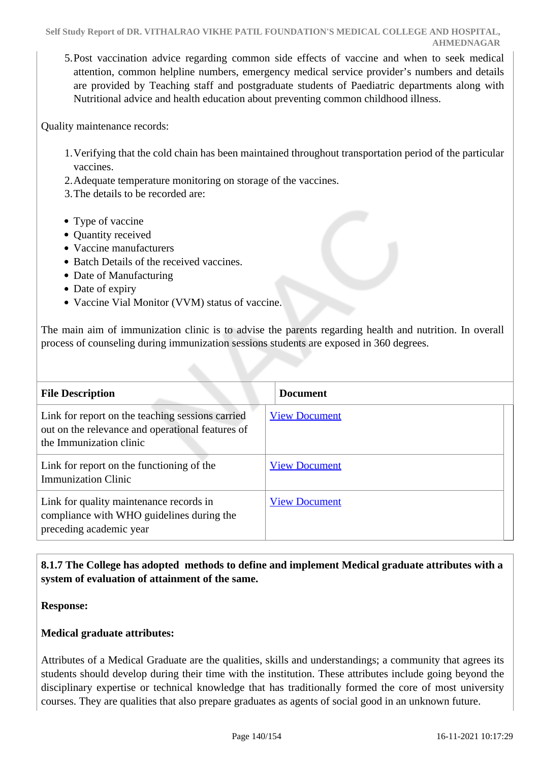5.Post vaccination advice regarding common side effects of vaccine and when to seek medical attention, common helpline numbers, emergency medical service provider's numbers and details are provided by Teaching staff and postgraduate students of Paediatric departments along with Nutritional advice and health education about preventing common childhood illness.

Quality maintenance records:

- 1.Verifying that the cold chain has been maintained throughout transportation period of the particular vaccines.
- 2.Adequate temperature monitoring on storage of the vaccines.
- 3.The details to be recorded are:
- Type of vaccine
- Quantity received
- Vaccine manufacturers
- Batch Details of the received vaccines.
- Date of Manufacturing
- Date of expiry
- Vaccine Vial Monitor (VVM) status of vaccine.

The main aim of immunization clinic is to advise the parents regarding health and nutrition. In overall process of counseling during immunization sessions students are exposed in 360 degrees.

| <b>File Description</b>                                                                                                         | <b>Document</b>      |
|---------------------------------------------------------------------------------------------------------------------------------|----------------------|
| Link for report on the teaching sessions carried<br>out on the relevance and operational features of<br>the Immunization clinic | <b>View Document</b> |
| Link for report on the functioning of the<br><b>Immunization Clinic</b>                                                         | <b>View Document</b> |
| Link for quality maintenance records in<br>compliance with WHO guidelines during the<br>preceding academic year                 | <b>View Document</b> |

# **8.1.7 The College has adopted methods to define and implement Medical graduate attributes with a system of evaluation of attainment of the same.**

**Response:** 

### **Medical graduate attributes:**

Attributes of a Medical Graduate are the qualities, skills and understandings; a community that agrees its students should develop during their time with the institution. These attributes include going beyond the disciplinary expertise or technical knowledge that has traditionally formed the core of most university courses. They are qualities that also prepare graduates as agents of social good in an unknown future.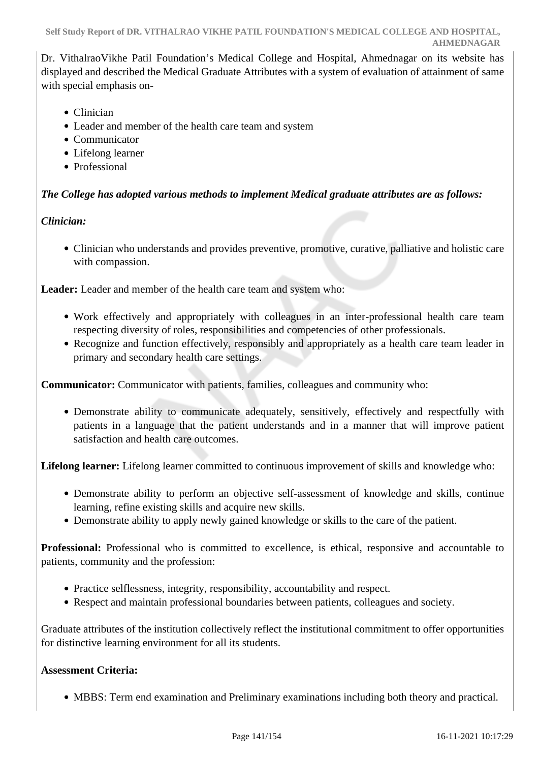Dr. VithalraoVikhe Patil Foundation's Medical College and Hospital, Ahmednagar on its website has displayed and described the Medical Graduate Attributes with a system of evaluation of attainment of same with special emphasis on-

- Clinician
- Leader and member of the health care team and system
- Communicator
- Lifelong learner
- Professional

# *The College has adopted various methods to implement Medical graduate attributes are as follows:*

# *Clinician:*

Clinician who understands and provides preventive, promotive, curative, palliative and holistic care with compassion.

**Leader:** Leader and member of the health care team and system who:

- Work effectively and appropriately with colleagues in an inter-professional health care team respecting diversity of roles, responsibilities and competencies of other professionals.
- Recognize and function effectively, responsibly and appropriately as a health care team leader in primary and secondary health care settings.

**Communicator:** Communicator with patients, families, colleagues and community who:

Demonstrate ability to communicate adequately, sensitively, effectively and respectfully with patients in a language that the patient understands and in a manner that will improve patient satisfaction and health care outcomes.

**Lifelong learner:** Lifelong learner committed to continuous improvement of skills and knowledge who:

- Demonstrate ability to perform an objective self-assessment of knowledge and skills, continue learning, refine existing skills and acquire new skills.
- Demonstrate ability to apply newly gained knowledge or skills to the care of the patient.

**Professional:** Professional who is committed to excellence, is ethical, responsive and accountable to patients, community and the profession:

- Practice selflessness, integrity, responsibility, accountability and respect.
- Respect and maintain professional boundaries between patients, colleagues and society.

Graduate attributes of the institution collectively reflect the institutional commitment to offer opportunities for distinctive learning environment for all its students.

# **Assessment Criteria:**

MBBS: Term end examination and Preliminary examinations including both theory and practical.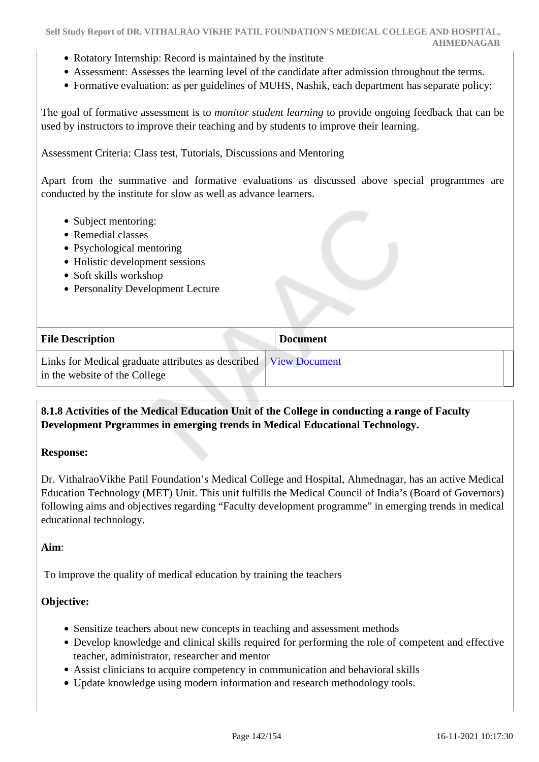- Rotatory Internship: Record is maintained by the institute
- Assessment: Assesses the learning level of the candidate after admission throughout the terms.
- Formative evaluation: as per guidelines of MUHS, Nashik, each department has separate policy:

The goal of formative assessment is to *monitor student learning* to provide ongoing feedback that can be used by instructors to improve their teaching and by students to improve their learning.

Assessment Criteria: Class test, Tutorials, Discussions and Mentoring

Apart from the summative and formative evaluations as discussed above special programmes are conducted by the institute for slow as well as advance learners.

- Subject mentoring:
- Remedial classes
- Psychological mentoring
- Holistic development sessions
- Soft skills workshop
- Personality Development Lecture

| <b>File Description</b>                                                                             | <b>Document</b> |
|-----------------------------------------------------------------------------------------------------|-----------------|
| Links for Medical graduate attributes as described   View Document<br>in the website of the College |                 |

### **8.1.8 Activities of the Medical Education Unit of the College in conducting a range of Faculty Development Prgrammes in emerging trends in Medical Educational Technology.**

#### **Response:**

Dr. VithalraoVikhe Patil Foundation's Medical College and Hospital, Ahmednagar, has an active Medical Education Technology (MET) Unit. This unit fulfills the Medical Council of India's (Board of Governors) following aims and objectives regarding "Faculty development programme" in emerging trends in medical educational technology.

#### **Aim**:

To improve the quality of medical education by training the teachers

### **Objective:**

- Sensitize teachers about new concepts in teaching and assessment methods
- Develop knowledge and clinical skills required for performing the role of competent and effective teacher, administrator, researcher and mentor
- Assist clinicians to acquire competency in communication and behavioral skills
- Update knowledge using modern information and research methodology tools.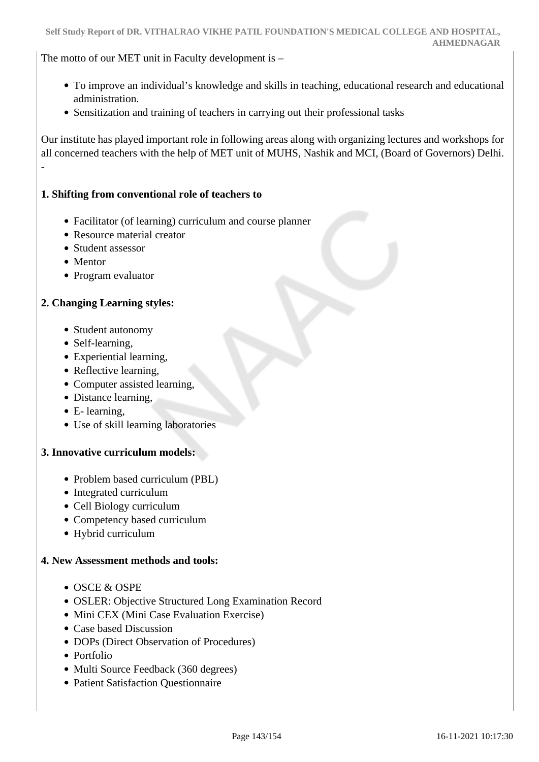The motto of our MET unit in Faculty development is –

- To improve an individual's knowledge and skills in teaching, educational research and educational administration.
- Sensitization and training of teachers in carrying out their professional tasks

Our institute has played important role in following areas along with organizing lectures and workshops for all concerned teachers with the help of MET unit of MUHS, Nashik and MCI, (Board of Governors) Delhi. -

### **1. Shifting from conventional role of teachers to**

- Facilitator (of learning) curriculum and course planner
- Resource material creator
- Student assessor
- Mentor
- Program evaluator

### **2. Changing Learning styles:**

- Student autonomy
- Self-learning,
- Experiential learning,
- Reflective learning,
- Computer assisted learning,
- Distance learning,
- E- learning,
- Use of skill learning laboratories

### **3. Innovative curriculum models:**

- Problem based curriculum (PBL)
- Integrated curriculum
- Cell Biology curriculum
- Competency based curriculum
- Hybrid curriculum

### **4. New Assessment methods and tools:**

- $\bullet$  OSCE & OSPE
- OSLER: Objective Structured Long Examination Record
- Mini CEX (Mini Case Evaluation Exercise)
- Case based Discussion
- DOPs (Direct Observation of Procedures)
- Portfolio
- Multi Source Feedback (360 degrees)
- Patient Satisfaction Ouestionnaire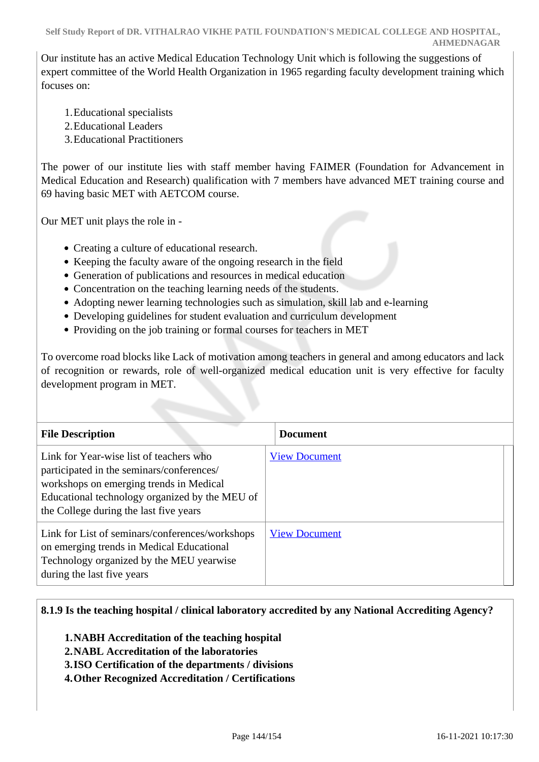Our institute has an active Medical Education Technology Unit which is following the suggestions of expert committee of the World Health Organization in 1965 regarding faculty development training which focuses on:

- 1.Educational specialists
- 2.Educational Leaders
- 3.Educational Practitioners

The power of our institute lies with staff member having FAIMER (Foundation for Advancement in Medical Education and Research) qualification with 7 members have advanced MET training course and 69 having basic MET with AETCOM course.

Our MET unit plays the role in -

- Creating a culture of educational research.
- Keeping the faculty aware of the ongoing research in the field
- Generation of publications and resources in medical education
- Concentration on the teaching learning needs of the students.
- Adopting newer learning technologies such as simulation, skill lab and e-learning
- Developing guidelines for student evaluation and curriculum development
- Providing on the job training or formal courses for teachers in MET

To overcome road blocks like Lack of motivation among teachers in general and among educators and lack of recognition or rewards, role of well-organized medical education unit is very effective for faculty development program in MET.

| <b>File Description</b>                                                                                                                                                                                                     | <b>Document</b>      |  |  |
|-----------------------------------------------------------------------------------------------------------------------------------------------------------------------------------------------------------------------------|----------------------|--|--|
| Link for Year-wise list of teachers who<br>participated in the seminars/conferences/<br>workshops on emerging trends in Medical<br>Educational technology organized by the MEU of<br>the College during the last five years | <b>View Document</b> |  |  |
| Link for List of seminars/conferences/workshops<br>on emerging trends in Medical Educational<br>Technology organized by the MEU yearwise<br>during the last five years                                                      | <b>View Document</b> |  |  |

# **8.1.9 Is the teaching hospital / clinical laboratory accredited by any National Accrediting Agency?**

- **1.NABH Accreditation of the teaching hospital**
- **2.NABL Accreditation of the laboratories**
- **3.ISO Certification of the departments / divisions**
- **4.Other Recognized Accreditation / Certifications**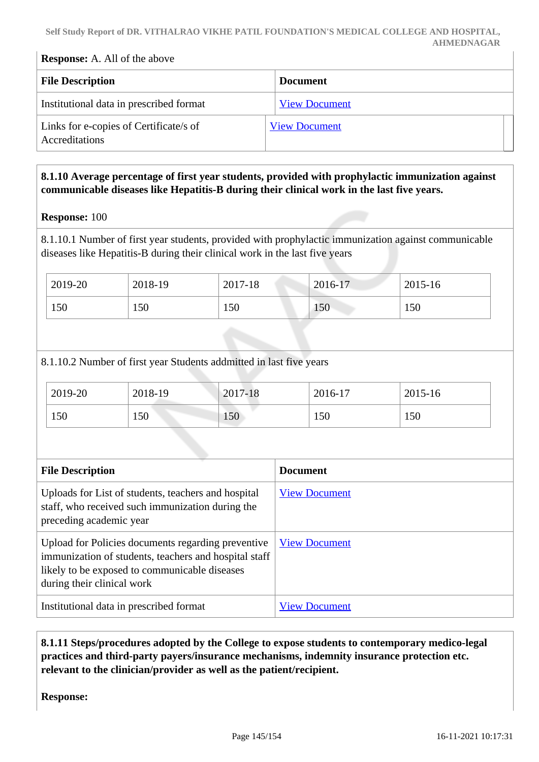#### **Response:** A. All of the above

| <b>File Description</b>                                  | <b>Document</b>      |
|----------------------------------------------------------|----------------------|
| Institutional data in prescribed format                  | <b>View Document</b> |
| Links for e-copies of Certificate/s of<br>Accreditations | <b>View Document</b> |

#### **8.1.10 Average percentage of first year students, provided with prophylactic immunization against communicable diseases like Hepatitis-B during their clinical work in the last five years.**

#### **Response:** 100

8.1.10.1 Number of first year students, provided with prophylactic immunization against communicable diseases like Hepatitis-B during their clinical work in the last five years

| 2019-20 | 2018-19 | 2017-18 | 2016-17 | $2015 - 16$ |
|---------|---------|---------|---------|-------------|
| 150     | 150     | 150     | 150     | 150         |

8.1.10.2 Number of first year Students addmitted in last five years

| 2019-20 | 2018-19 | $2017 - 18$ | 2016-17 | 2015-16 |
|---------|---------|-------------|---------|---------|
| 150     | 150     | 150         | 150     | 150     |

| <b>File Description</b>                                                                                                                                                                    | <b>Document</b>      |
|--------------------------------------------------------------------------------------------------------------------------------------------------------------------------------------------|----------------------|
| Uploads for List of students, teachers and hospital<br>staff, who received such immunization during the<br>preceding academic year                                                         | <b>View Document</b> |
| Upload for Policies documents regarding preventive<br>immunization of students, teachers and hospital staff<br>likely to be exposed to communicable diseases<br>during their clinical work | <b>View Document</b> |
| Institutional data in prescribed format                                                                                                                                                    | <b>View Document</b> |

 **8.1.11 Steps/procedures adopted by the College to expose students to contemporary medico-legal practices and third-party payers/insurance mechanisms, indemnity insurance protection etc. relevant to the clinician/provider as well as the patient/recipient.** 

**Response:**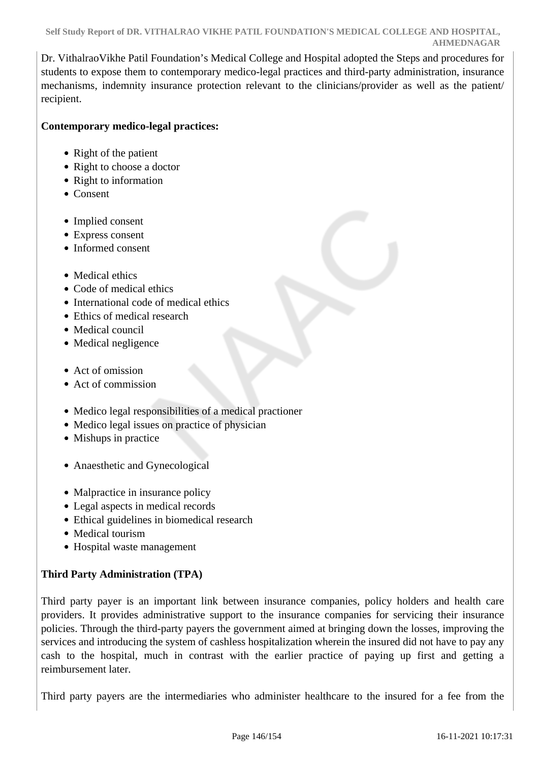Dr. VithalraoVikhe Patil Foundation's Medical College and Hospital adopted the Steps and procedures for students to expose them to contemporary medico-legal practices and third-party administration, insurance mechanisms, indemnity insurance protection relevant to the clinicians/provider as well as the patient/ recipient.

#### **Contemporary medico-legal practices:**

- Right of the patient
- Right to choose a doctor
- Right to information
- Consent
- Implied consent
- Express consent
- Informed consent
- Medical ethics
- Code of medical ethics
- International code of medical ethics
- Ethics of medical research
- Medical council
- Medical negligence
- Act of omission
- Act of commission
- Medico legal responsibilities of a medical practioner
- Medico legal issues on practice of physician
- Mishups in practice
- Anaesthetic and Gynecological
- Malpractice in insurance policy
- Legal aspects in medical records
- Ethical guidelines in biomedical research
- Medical tourism
- Hospital waste management

### **Third Party Administration (TPA)**

Third party payer is an important link between insurance companies, policy holders and health care providers. It provides administrative support to the insurance companies for servicing their insurance policies. Through the third-party payers the government aimed at bringing down the losses, improving the services and introducing the system of cashless hospitalization wherein the insured did not have to pay any cash to the hospital, much in contrast with the earlier practice of paying up first and getting a reimbursement later.

Third party payers are the intermediaries who administer healthcare to the insured for a fee from the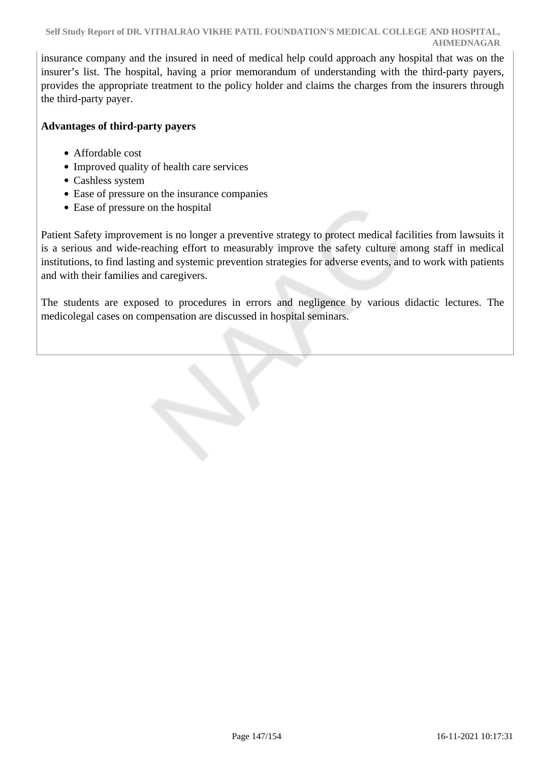insurance company and the insured in need of medical help could approach any hospital that was on the insurer's list. The hospital, having a prior memorandum of understanding with the third-party payers, provides the appropriate treatment to the policy holder and claims the charges from the insurers through the third-party payer.

#### **Advantages of third-party payers**

- Affordable cost
- Improved quality of health care services
- Cashless system
- Ease of pressure on the insurance companies
- Ease of pressure on the hospital

Patient Safety improvement is no longer a preventive strategy to protect medical facilities from lawsuits it is a serious and wide-reaching effort to measurably improve the safety culture among staff in medical institutions, to find lasting and systemic prevention strategies for adverse events, and to work with patients and with their families and caregivers.

The students are exposed to procedures in errors and negligence by various didactic lectures. The medicolegal cases on compensation are discussed in hospital seminars.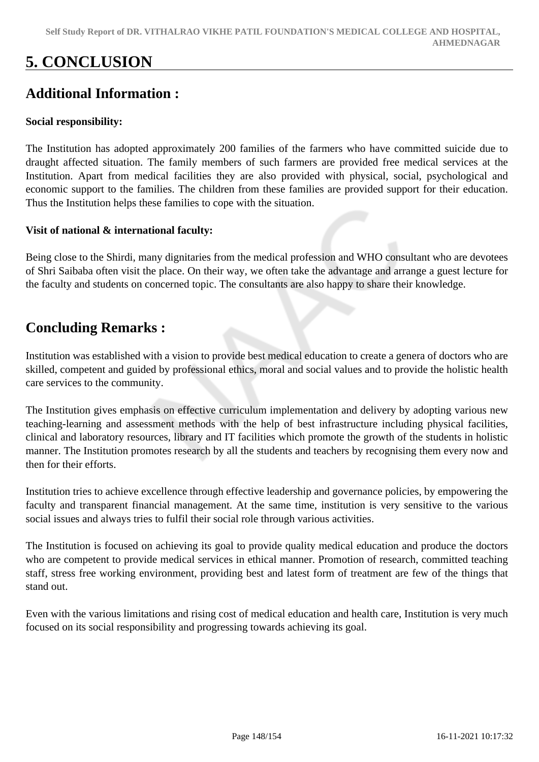# **5. CONCLUSION**

## **Additional Information :**

### **Social responsibility:**

The Institution has adopted approximately 200 families of the farmers who have committed suicide due to draught affected situation. The family members of such farmers are provided free medical services at the Institution. Apart from medical facilities they are also provided with physical, social, psychological and economic support to the families. The children from these families are provided support for their education. Thus the Institution helps these families to cope with the situation.

#### **Visit of national & international faculty:**

Being close to the Shirdi, many dignitaries from the medical profession and WHO consultant who are devotees of Shri Saibaba often visit the place. On their way, we often take the advantage and arrange a guest lecture for the faculty and students on concerned topic. The consultants are also happy to share their knowledge.

## **Concluding Remarks :**

Institution was established with a vision to provide best medical education to create a genera of doctors who are skilled, competent and guided by professional ethics, moral and social values and to provide the holistic health care services to the community.

The Institution gives emphasis on effective curriculum implementation and delivery by adopting various new teaching-learning and assessment methods with the help of best infrastructure including physical facilities, clinical and laboratory resources, library and IT facilities which promote the growth of the students in holistic manner. The Institution promotes research by all the students and teachers by recognising them every now and then for their efforts.

Institution tries to achieve excellence through effective leadership and governance policies, by empowering the faculty and transparent financial management. At the same time, institution is very sensitive to the various social issues and always tries to fulfil their social role through various activities.

The Institution is focused on achieving its goal to provide quality medical education and produce the doctors who are competent to provide medical services in ethical manner. Promotion of research, committed teaching staff, stress free working environment, providing best and latest form of treatment are few of the things that stand out.

Even with the various limitations and rising cost of medical education and health care, Institution is very much focused on its social responsibility and progressing towards achieving its goal.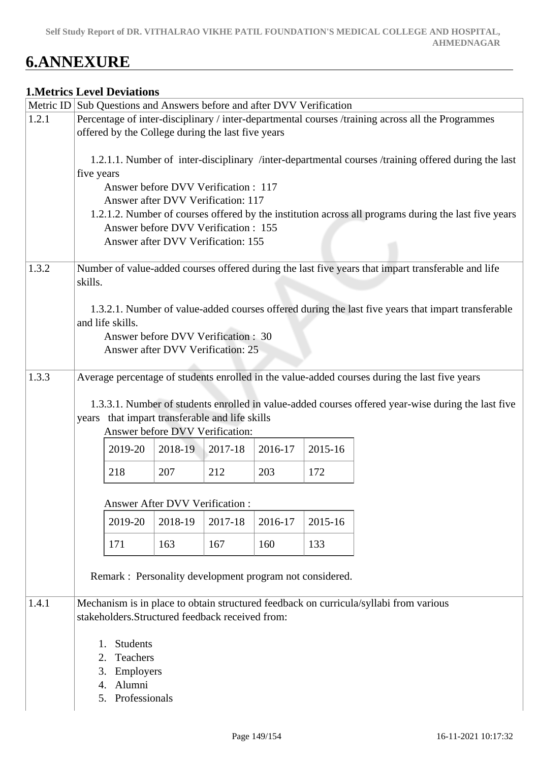# **6.ANNEXURE**

#### **1.Metrics Level Deviations**

|       | Metric ID Sub Questions and Answers before and after DVV Verification                                                                                  |               |                                                          |         |         |         |                                                                                                      |  |
|-------|--------------------------------------------------------------------------------------------------------------------------------------------------------|---------------|----------------------------------------------------------|---------|---------|---------|------------------------------------------------------------------------------------------------------|--|
| 1.2.1 |                                                                                                                                                        |               |                                                          |         |         |         |                                                                                                      |  |
|       | Percentage of inter-disciplinary / inter-departmental courses /training across all the Programmes<br>offered by the College during the last five years |               |                                                          |         |         |         |                                                                                                      |  |
|       |                                                                                                                                                        |               |                                                          |         |         |         |                                                                                                      |  |
|       |                                                                                                                                                        |               |                                                          |         |         |         | 1.2.1.1. Number of inter-disciplinary /inter-departmental courses /training offered during the last  |  |
|       | five years                                                                                                                                             |               |                                                          |         |         |         |                                                                                                      |  |
|       |                                                                                                                                                        |               | Answer before DVV Verification : 117                     |         |         |         |                                                                                                      |  |
|       |                                                                                                                                                        |               | Answer after DVV Verification: 117                       |         |         |         |                                                                                                      |  |
|       |                                                                                                                                                        |               |                                                          |         |         |         | 1.2.1.2. Number of courses offered by the institution across all programs during the last five years |  |
|       |                                                                                                                                                        |               | Answer before DVV Verification: 155                      |         |         |         |                                                                                                      |  |
|       |                                                                                                                                                        |               | Answer after DVV Verification: 155                       |         |         |         |                                                                                                      |  |
|       |                                                                                                                                                        |               |                                                          |         |         |         |                                                                                                      |  |
| 1.3.2 |                                                                                                                                                        |               |                                                          |         |         |         | Number of value-added courses offered during the last five years that impart transferable and life   |  |
|       | skills.                                                                                                                                                |               |                                                          |         |         |         |                                                                                                      |  |
|       |                                                                                                                                                        |               |                                                          |         |         |         |                                                                                                      |  |
|       |                                                                                                                                                        |               |                                                          |         |         |         | 1.3.2.1. Number of value-added courses offered during the last five years that impart transferable   |  |
|       | and life skills.                                                                                                                                       |               |                                                          |         |         |         |                                                                                                      |  |
|       |                                                                                                                                                        |               | Answer before DVV Verification : 30                      |         |         |         |                                                                                                      |  |
|       |                                                                                                                                                        |               | Answer after DVV Verification: 25                        |         |         |         |                                                                                                      |  |
| 1.3.3 |                                                                                                                                                        |               |                                                          |         |         |         | Average percentage of students enrolled in the value-added courses during the last five years        |  |
|       |                                                                                                                                                        |               |                                                          |         |         |         |                                                                                                      |  |
|       |                                                                                                                                                        |               |                                                          |         |         |         | 1.3.3.1. Number of students enrolled in value-added courses offered year-wise during the last five   |  |
|       | years                                                                                                                                                  |               | that impart transferable and life skills                 |         |         |         |                                                                                                      |  |
|       |                                                                                                                                                        |               | Answer before DVV Verification:                          |         |         |         |                                                                                                      |  |
|       |                                                                                                                                                        | 2019-20       | 2018-19                                                  | 2017-18 | 2016-17 | 2015-16 |                                                                                                      |  |
|       |                                                                                                                                                        |               |                                                          |         |         |         |                                                                                                      |  |
|       | 218                                                                                                                                                    |               | 207                                                      | 212     | 203     | 172     |                                                                                                      |  |
|       |                                                                                                                                                        |               |                                                          |         |         |         |                                                                                                      |  |
|       |                                                                                                                                                        |               | Answer After DVV Verification :                          |         |         |         |                                                                                                      |  |
|       |                                                                                                                                                        | 2019-20       | 2018-19                                                  | 2017-18 | 2016-17 | 2015-16 |                                                                                                      |  |
|       | 171                                                                                                                                                    |               | 163                                                      | 167     | 160     | 133     |                                                                                                      |  |
|       |                                                                                                                                                        |               |                                                          |         |         |         |                                                                                                      |  |
|       |                                                                                                                                                        |               | Remark : Personality development program not considered. |         |         |         |                                                                                                      |  |
|       |                                                                                                                                                        |               |                                                          |         |         |         |                                                                                                      |  |
| 1.4.1 |                                                                                                                                                        |               |                                                          |         |         |         | Mechanism is in place to obtain structured feedback on curricula/syllabi from various                |  |
|       |                                                                                                                                                        |               | stakeholders.Structured feedback received from:          |         |         |         |                                                                                                      |  |
|       |                                                                                                                                                        |               |                                                          |         |         |         |                                                                                                      |  |
|       | 1.                                                                                                                                                     | Students      |                                                          |         |         |         |                                                                                                      |  |
|       | 2.                                                                                                                                                     | Teachers      |                                                          |         |         |         |                                                                                                      |  |
|       | 3.                                                                                                                                                     | Employers     |                                                          |         |         |         |                                                                                                      |  |
|       | 4.                                                                                                                                                     | Alumni        |                                                          |         |         |         |                                                                                                      |  |
|       | 5.                                                                                                                                                     | Professionals |                                                          |         |         |         |                                                                                                      |  |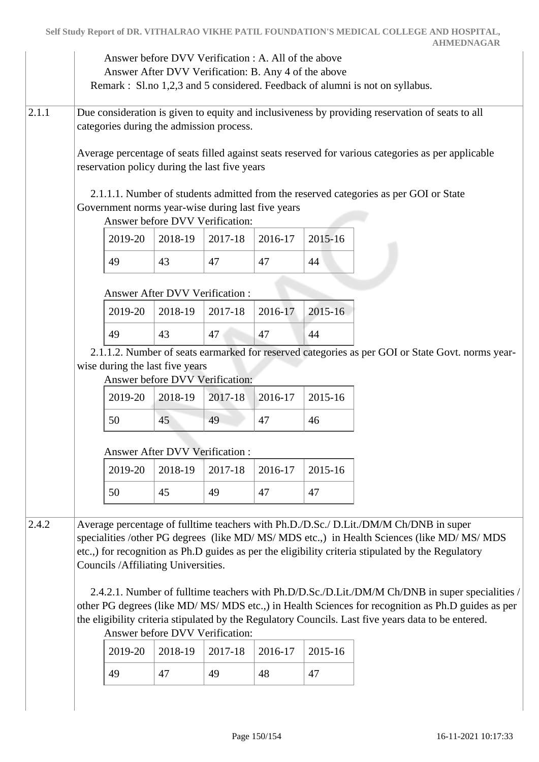|       |                                                                                                                                                                                                                                                   |                                       |                                                      |                                                                                      | Answer before DVV Verification : A. All of the above<br>Answer After DVV Verification: B. Any 4 of the above |               | Remark : Sl.no 1,2,3 and 5 considered. Feedback of alumni is not on syllabus.                                                                                                                                                                                                                                                                                                                                                                                                                                                                                                                                |  |  |  |
|-------|---------------------------------------------------------------------------------------------------------------------------------------------------------------------------------------------------------------------------------------------------|---------------------------------------|------------------------------------------------------|--------------------------------------------------------------------------------------|--------------------------------------------------------------------------------------------------------------|---------------|--------------------------------------------------------------------------------------------------------------------------------------------------------------------------------------------------------------------------------------------------------------------------------------------------------------------------------------------------------------------------------------------------------------------------------------------------------------------------------------------------------------------------------------------------------------------------------------------------------------|--|--|--|
| 2.1.1 | Due consideration is given to equity and inclusiveness by providing reservation of seats to all<br>categories during the admission process.<br>Average percentage of seats filled against seats reserved for various categories as per applicable |                                       |                                                      |                                                                                      |                                                                                                              |               |                                                                                                                                                                                                                                                                                                                                                                                                                                                                                                                                                                                                              |  |  |  |
|       |                                                                                                                                                                                                                                                   |                                       |                                                      | reservation policy during the last five years                                        |                                                                                                              |               |                                                                                                                                                                                                                                                                                                                                                                                                                                                                                                                                                                                                              |  |  |  |
|       |                                                                                                                                                                                                                                                   |                                       |                                                      | Government norms year-wise during last five years<br>Answer before DVV Verification: |                                                                                                              |               | 2.1.1.1. Number of students admitted from the reserved categories as per GOI or State                                                                                                                                                                                                                                                                                                                                                                                                                                                                                                                        |  |  |  |
|       |                                                                                                                                                                                                                                                   | 2019-20                               | 2018-19                                              | 2017-18                                                                              | 2016-17                                                                                                      | 2015-16       |                                                                                                                                                                                                                                                                                                                                                                                                                                                                                                                                                                                                              |  |  |  |
|       |                                                                                                                                                                                                                                                   | 49                                    | 43                                                   | 47                                                                                   | 47                                                                                                           | 44            |                                                                                                                                                                                                                                                                                                                                                                                                                                                                                                                                                                                                              |  |  |  |
|       |                                                                                                                                                                                                                                                   |                                       | <b>Answer After DVV Verification:</b>                |                                                                                      |                                                                                                              |               |                                                                                                                                                                                                                                                                                                                                                                                                                                                                                                                                                                                                              |  |  |  |
|       |                                                                                                                                                                                                                                                   | 2019-20                               | 2018-19                                              | 2017-18                                                                              | 2016-17                                                                                                      | 2015-16       |                                                                                                                                                                                                                                                                                                                                                                                                                                                                                                                                                                                                              |  |  |  |
|       |                                                                                                                                                                                                                                                   | 49                                    | 43                                                   | 47                                                                                   | 47                                                                                                           | 44            |                                                                                                                                                                                                                                                                                                                                                                                                                                                                                                                                                                                                              |  |  |  |
|       |                                                                                                                                                                                                                                                   |                                       | wise during the last five years                      | Answer before DVV Verification:                                                      |                                                                                                              |               | 2.1.1.2. Number of seats earmarked for reserved categories as per GOI or State Govt. norms year-                                                                                                                                                                                                                                                                                                                                                                                                                                                                                                             |  |  |  |
|       |                                                                                                                                                                                                                                                   | 2019-20                               | 2018-19                                              | 2017-18                                                                              | 2016-17                                                                                                      | 2015-16       |                                                                                                                                                                                                                                                                                                                                                                                                                                                                                                                                                                                                              |  |  |  |
|       |                                                                                                                                                                                                                                                   | 50                                    | 45                                                   | 49                                                                                   | 47                                                                                                           | 46            |                                                                                                                                                                                                                                                                                                                                                                                                                                                                                                                                                                                                              |  |  |  |
|       |                                                                                                                                                                                                                                                   | <b>Answer After DVV Verification:</b> |                                                      |                                                                                      |                                                                                                              |               |                                                                                                                                                                                                                                                                                                                                                                                                                                                                                                                                                                                                              |  |  |  |
|       |                                                                                                                                                                                                                                                   | 2019-20                               | 2018-19                                              | 2017-18                                                                              | 2016-17                                                                                                      | 2015-16       |                                                                                                                                                                                                                                                                                                                                                                                                                                                                                                                                                                                                              |  |  |  |
|       |                                                                                                                                                                                                                                                   | 50                                    | 45                                                   | 49                                                                                   | 47                                                                                                           | 47            |                                                                                                                                                                                                                                                                                                                                                                                                                                                                                                                                                                                                              |  |  |  |
| 2.4.2 |                                                                                                                                                                                                                                                   | 2019-20<br>49                         | Councils /Affiliating Universities.<br>2018-19<br>47 | Answer before DVV Verification:<br>2017-18<br>49                                     | 2016-17<br>48                                                                                                | 2015-16<br>47 | Average percentage of fulltime teachers with Ph.D./D.Sc./ D.Lit./DM/M Ch/DNB in super<br>specialities /other PG degrees (like MD/ MS/ MDS etc.,) in Health Sciences (like MD/ MS/ MDS)<br>etc.,) for recognition as Ph.D guides as per the eligibility criteria stipulated by the Regulatory<br>2.4.2.1. Number of fulltime teachers with Ph.D/D.Sc./D.Lit./DM/M Ch/DNB in super specialities /<br>other PG degrees (like MD/ MS/ MDS etc.,) in Health Sciences for recognition as Ph.D guides as per<br>the eligibility criteria stipulated by the Regulatory Councils. Last five years data to be entered. |  |  |  |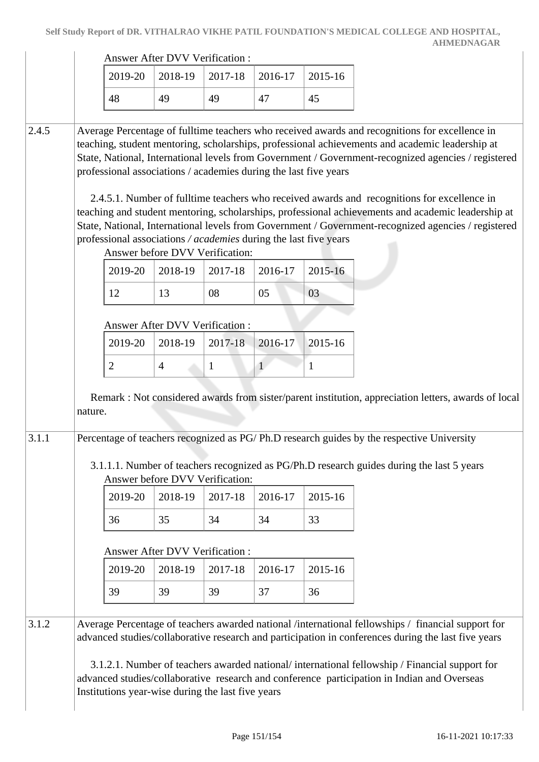|       |         |                                                                                                                                      | <b>Answer After DVV Verification:</b> |         |              |              |                                                                                                                                                                                                                                                                                                                                                                                                                                                                                                                                                                                                                      |  |
|-------|---------|--------------------------------------------------------------------------------------------------------------------------------------|---------------------------------------|---------|--------------|--------------|----------------------------------------------------------------------------------------------------------------------------------------------------------------------------------------------------------------------------------------------------------------------------------------------------------------------------------------------------------------------------------------------------------------------------------------------------------------------------------------------------------------------------------------------------------------------------------------------------------------------|--|
|       |         | 2019-20                                                                                                                              | 2018-19                               | 2017-18 | 2016-17      | 2015-16      |                                                                                                                                                                                                                                                                                                                                                                                                                                                                                                                                                                                                                      |  |
|       |         | 48                                                                                                                                   | 49                                    | 49      | 47           | 45           |                                                                                                                                                                                                                                                                                                                                                                                                                                                                                                                                                                                                                      |  |
| 2.4.5 |         | professional associations / academies during the last five years<br>professional associations / academies during the last five years | Answer before DVV Verification:       |         |              |              | Average Percentage of fulltime teachers who received awards and recognitions for excellence in<br>teaching, student mentoring, scholarships, professional achievements and academic leadership at<br>State, National, International levels from Government / Government-recognized agencies / registered<br>2.4.5.1. Number of fulltime teachers who received awards and recognitions for excellence in<br>teaching and student mentoring, scholarships, professional achievements and academic leadership at<br>State, National, International levels from Government / Government-recognized agencies / registered |  |
|       |         | 2019-20                                                                                                                              | 2018-19                               | 2017-18 | 2016-17      | 2015-16      |                                                                                                                                                                                                                                                                                                                                                                                                                                                                                                                                                                                                                      |  |
|       |         | 12                                                                                                                                   | 13                                    | 08      | 05           | 03           |                                                                                                                                                                                                                                                                                                                                                                                                                                                                                                                                                                                                                      |  |
|       |         |                                                                                                                                      | Answer After DVV Verification :       |         |              |              |                                                                                                                                                                                                                                                                                                                                                                                                                                                                                                                                                                                                                      |  |
|       |         | 2019-20                                                                                                                              | 2018-19                               | 2017-18 | 2016-17      | 2015-16      |                                                                                                                                                                                                                                                                                                                                                                                                                                                                                                                                                                                                                      |  |
|       |         | $\overline{2}$                                                                                                                       | $\overline{4}$                        | 1       | $\mathbf{1}$ | $\mathbf{1}$ |                                                                                                                                                                                                                                                                                                                                                                                                                                                                                                                                                                                                                      |  |
| 3.1.1 | nature. |                                                                                                                                      |                                       |         |              |              | Remark : Not considered awards from sister/parent institution, appreciation letters, awards of local<br>Percentage of teachers recognized as PG/Ph.D research guides by the respective University<br>3.1.1.1. Number of teachers recognized as PG/Ph.D research guides during the last 5 years                                                                                                                                                                                                                                                                                                                       |  |
|       |         |                                                                                                                                      | Answer before DVV Verification:       |         |              |              |                                                                                                                                                                                                                                                                                                                                                                                                                                                                                                                                                                                                                      |  |
|       |         | 2019-20                                                                                                                              | 2018-19                               | 2017-18 | 2016-17      | 2015-16      |                                                                                                                                                                                                                                                                                                                                                                                                                                                                                                                                                                                                                      |  |
|       |         | 36                                                                                                                                   | 35                                    | 34      | 34           | 33           |                                                                                                                                                                                                                                                                                                                                                                                                                                                                                                                                                                                                                      |  |
|       |         |                                                                                                                                      | Answer After DVV Verification :       |         |              |              |                                                                                                                                                                                                                                                                                                                                                                                                                                                                                                                                                                                                                      |  |
|       |         | 2019-20                                                                                                                              | 2018-19                               | 2017-18 | 2016-17      | 2015-16      |                                                                                                                                                                                                                                                                                                                                                                                                                                                                                                                                                                                                                      |  |
|       |         | 39                                                                                                                                   | 39                                    | 39      | 37           | 36           |                                                                                                                                                                                                                                                                                                                                                                                                                                                                                                                                                                                                                      |  |
| 3.1.2 |         |                                                                                                                                      |                                       |         |              |              | Average Percentage of teachers awarded national /international fellowships / financial support for<br>advanced studies/collaborative research and participation in conferences during the last five years                                                                                                                                                                                                                                                                                                                                                                                                            |  |
|       |         | Institutions year-wise during the last five years                                                                                    |                                       |         |              |              | 3.1.2.1. Number of teachers awarded national/international fellowship / Financial support for<br>advanced studies/collaborative research and conference participation in Indian and Overseas                                                                                                                                                                                                                                                                                                                                                                                                                         |  |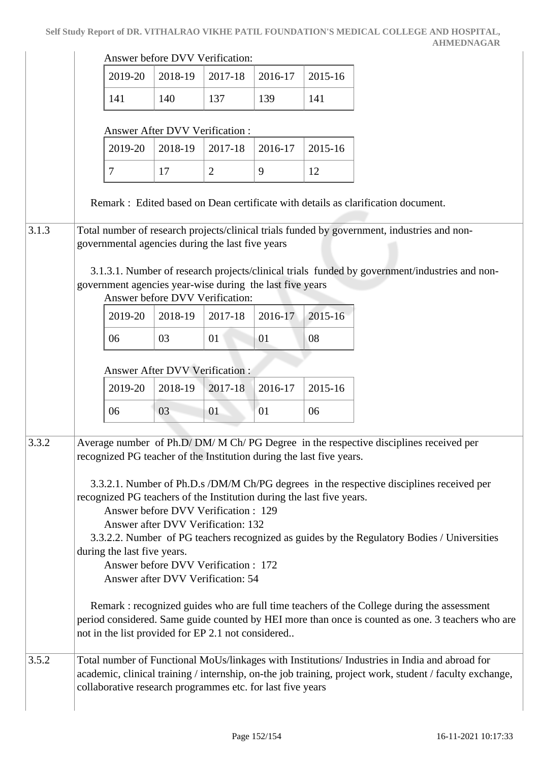|       |                                                                                                                                                                                                                                                       |                                                                                                                                                                   | Answer before DVV Verification:                  |                |                                                            |                                                                      |                                                                                                                                                                                                            |  |  |  |
|-------|-------------------------------------------------------------------------------------------------------------------------------------------------------------------------------------------------------------------------------------------------------|-------------------------------------------------------------------------------------------------------------------------------------------------------------------|--------------------------------------------------|----------------|------------------------------------------------------------|----------------------------------------------------------------------|------------------------------------------------------------------------------------------------------------------------------------------------------------------------------------------------------------|--|--|--|
|       |                                                                                                                                                                                                                                                       | 2019-20                                                                                                                                                           | 2018-19                                          | 2017-18        | 2016-17                                                    | 2015-16                                                              |                                                                                                                                                                                                            |  |  |  |
|       |                                                                                                                                                                                                                                                       | 141                                                                                                                                                               | 140                                              | 137            | 139                                                        | 141                                                                  |                                                                                                                                                                                                            |  |  |  |
|       |                                                                                                                                                                                                                                                       |                                                                                                                                                                   | Answer After DVV Verification:                   |                |                                                            |                                                                      |                                                                                                                                                                                                            |  |  |  |
|       |                                                                                                                                                                                                                                                       | 2019-20                                                                                                                                                           | 2018-19                                          | 2017-18        | 2016-17                                                    | 2015-16                                                              |                                                                                                                                                                                                            |  |  |  |
|       | $\tau$                                                                                                                                                                                                                                                |                                                                                                                                                                   | 17                                               | $\overline{2}$ | 9                                                          | 12                                                                   |                                                                                                                                                                                                            |  |  |  |
|       |                                                                                                                                                                                                                                                       |                                                                                                                                                                   |                                                  |                |                                                            |                                                                      | Remark : Edited based on Dean certificate with details as clarification document.                                                                                                                          |  |  |  |
| 3.1.3 |                                                                                                                                                                                                                                                       |                                                                                                                                                                   |                                                  |                |                                                            |                                                                      | Total number of research projects/clinical trials funded by government, industries and non-                                                                                                                |  |  |  |
|       |                                                                                                                                                                                                                                                       |                                                                                                                                                                   | governmental agencies during the last five years |                |                                                            |                                                                      |                                                                                                                                                                                                            |  |  |  |
|       |                                                                                                                                                                                                                                                       |                                                                                                                                                                   |                                                  |                |                                                            |                                                                      | 3.1.3.1. Number of research projects/clinical trials funded by government/industries and non-                                                                                                              |  |  |  |
|       |                                                                                                                                                                                                                                                       |                                                                                                                                                                   |                                                  |                | government agencies year-wise during the last five years   |                                                                      |                                                                                                                                                                                                            |  |  |  |
|       |                                                                                                                                                                                                                                                       |                                                                                                                                                                   | Answer before DVV Verification:                  |                |                                                            |                                                                      |                                                                                                                                                                                                            |  |  |  |
|       |                                                                                                                                                                                                                                                       | 2019-20                                                                                                                                                           | 2018-19                                          | 2017-18        | 2016-17                                                    | 2015-16                                                              |                                                                                                                                                                                                            |  |  |  |
|       |                                                                                                                                                                                                                                                       | 06                                                                                                                                                                | 03                                               | 01             | 01                                                         | 08                                                                   |                                                                                                                                                                                                            |  |  |  |
|       |                                                                                                                                                                                                                                                       |                                                                                                                                                                   |                                                  |                |                                                            |                                                                      |                                                                                                                                                                                                            |  |  |  |
|       |                                                                                                                                                                                                                                                       |                                                                                                                                                                   | <b>Answer After DVV Verification:</b>            |                |                                                            |                                                                      |                                                                                                                                                                                                            |  |  |  |
|       |                                                                                                                                                                                                                                                       | 2019-20                                                                                                                                                           | 2018-19                                          | 2017-18        | 2016-17                                                    | 2015-16                                                              |                                                                                                                                                                                                            |  |  |  |
|       |                                                                                                                                                                                                                                                       | 06                                                                                                                                                                | 03                                               | 01             | 01                                                         | 06                                                                   |                                                                                                                                                                                                            |  |  |  |
|       |                                                                                                                                                                                                                                                       |                                                                                                                                                                   |                                                  |                |                                                            |                                                                      |                                                                                                                                                                                                            |  |  |  |
| 3.3.2 |                                                                                                                                                                                                                                                       |                                                                                                                                                                   |                                                  |                |                                                            | recognized PG teacher of the Institution during the last five years. | Average number of Ph.D/DM/M Ch/PG Degree in the respective disciplines received per                                                                                                                        |  |  |  |
|       |                                                                                                                                                                                                                                                       |                                                                                                                                                                   |                                                  |                |                                                            |                                                                      |                                                                                                                                                                                                            |  |  |  |
|       |                                                                                                                                                                                                                                                       |                                                                                                                                                                   |                                                  |                |                                                            |                                                                      |                                                                                                                                                                                                            |  |  |  |
|       |                                                                                                                                                                                                                                                       | 3.3.2.1. Number of Ph.D.s /DM/M Ch/PG degrees in the respective disciplines received per<br>recognized PG teachers of the Institution during the last five years. |                                                  |                |                                                            |                                                                      |                                                                                                                                                                                                            |  |  |  |
|       | Answer before DVV Verification : 129                                                                                                                                                                                                                  |                                                                                                                                                                   |                                                  |                |                                                            |                                                                      |                                                                                                                                                                                                            |  |  |  |
|       | Answer after DVV Verification: 132                                                                                                                                                                                                                    |                                                                                                                                                                   |                                                  |                |                                                            |                                                                      |                                                                                                                                                                                                            |  |  |  |
|       | 3.3.2.2. Number of PG teachers recognized as guides by the Regulatory Bodies / Universities                                                                                                                                                           |                                                                                                                                                                   |                                                  |                |                                                            |                                                                      |                                                                                                                                                                                                            |  |  |  |
|       |                                                                                                                                                                                                                                                       | during the last five years.                                                                                                                                       |                                                  |                |                                                            |                                                                      |                                                                                                                                                                                                            |  |  |  |
|       |                                                                                                                                                                                                                                                       | Answer before DVV Verification: 172<br>Answer after DVV Verification: 54                                                                                          |                                                  |                |                                                            |                                                                      |                                                                                                                                                                                                            |  |  |  |
|       |                                                                                                                                                                                                                                                       |                                                                                                                                                                   |                                                  |                |                                                            |                                                                      |                                                                                                                                                                                                            |  |  |  |
|       | Remark : recognized guides who are full time teachers of the College during the assessment<br>period considered. Same guide counted by HEI more than once is counted as one. 3 teachers who are<br>not in the list provided for EP 2.1 not considered |                                                                                                                                                                   |                                                  |                |                                                            |                                                                      |                                                                                                                                                                                                            |  |  |  |
| 3.5.2 |                                                                                                                                                                                                                                                       |                                                                                                                                                                   |                                                  |                |                                                            |                                                                      |                                                                                                                                                                                                            |  |  |  |
|       |                                                                                                                                                                                                                                                       |                                                                                                                                                                   |                                                  |                | collaborative research programmes etc. for last five years |                                                                      | Total number of Functional MoUs/linkages with Institutions/ Industries in India and abroad for<br>academic, clinical training / internship, on-the job training, project work, student / faculty exchange, |  |  |  |
|       |                                                                                                                                                                                                                                                       |                                                                                                                                                                   |                                                  |                |                                                            |                                                                      |                                                                                                                                                                                                            |  |  |  |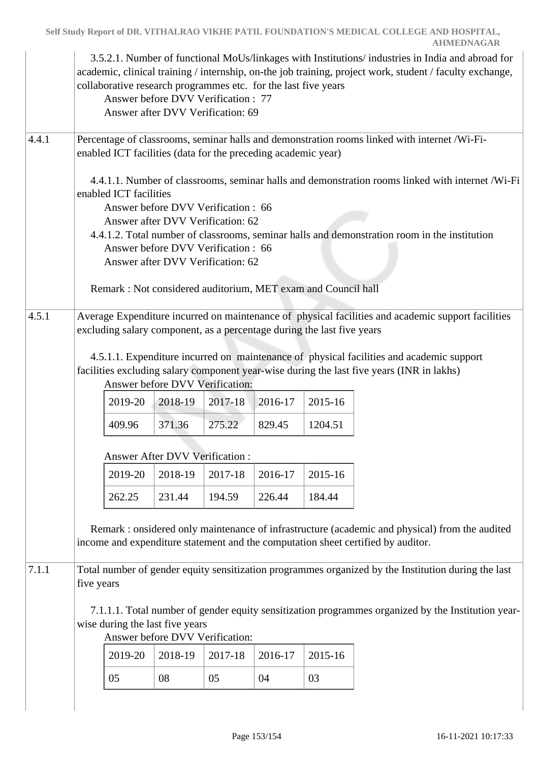|       |                                                                                                                                                                  |         | collaborative research programmes etc. for the last five years<br>Answer before DVV Verification: 77<br>Answer after DVV Verification: 69 |         |         |                                                                        | 3.5.2.1. Number of functional MoUs/linkages with Institutions/ industries in India and abroad for<br>academic, clinical training / internship, on-the job training, project work, student / faculty exchange, |  |  |  |
|-------|------------------------------------------------------------------------------------------------------------------------------------------------------------------|---------|-------------------------------------------------------------------------------------------------------------------------------------------|---------|---------|------------------------------------------------------------------------|---------------------------------------------------------------------------------------------------------------------------------------------------------------------------------------------------------------|--|--|--|
| 4.4.1 | Percentage of classrooms, seminar halls and demonstration rooms linked with internet /Wi-Fi-<br>enabled ICT facilities (data for the preceding academic year)    |         |                                                                                                                                           |         |         |                                                                        |                                                                                                                                                                                                               |  |  |  |
|       | 4.4.1.1. Number of classrooms, seminar halls and demonstration rooms linked with internet /Wi-Fi<br>enabled ICT facilities<br>Answer before DVV Verification: 66 |         |                                                                                                                                           |         |         |                                                                        |                                                                                                                                                                                                               |  |  |  |
|       |                                                                                                                                                                  |         | Answer after DVV Verification: 62                                                                                                         |         |         |                                                                        |                                                                                                                                                                                                               |  |  |  |
|       |                                                                                                                                                                  |         | Answer before DVV Verification: 66                                                                                                        |         |         |                                                                        | 4.4.1.2. Total number of classrooms, seminar halls and demonstration room in the institution                                                                                                                  |  |  |  |
|       |                                                                                                                                                                  |         | Answer after DVV Verification: 62                                                                                                         |         |         |                                                                        |                                                                                                                                                                                                               |  |  |  |
|       |                                                                                                                                                                  |         |                                                                                                                                           |         |         | Remark: Not considered auditorium, MET exam and Council hall           |                                                                                                                                                                                                               |  |  |  |
| 4.5.1 |                                                                                                                                                                  |         |                                                                                                                                           |         |         |                                                                        | Average Expenditure incurred on maintenance of physical facilities and academic support facilities                                                                                                            |  |  |  |
|       |                                                                                                                                                                  |         |                                                                                                                                           |         |         | excluding salary component, as a percentage during the last five years |                                                                                                                                                                                                               |  |  |  |
|       |                                                                                                                                                                  |         |                                                                                                                                           |         |         |                                                                        | 4.5.1.1. Expenditure incurred on maintenance of physical facilities and academic support                                                                                                                      |  |  |  |
|       |                                                                                                                                                                  |         |                                                                                                                                           |         |         |                                                                        | facilities excluding salary component year-wise during the last five years (INR in lakhs)                                                                                                                     |  |  |  |
|       |                                                                                                                                                                  |         | Answer before DVV Verification:                                                                                                           |         |         |                                                                        |                                                                                                                                                                                                               |  |  |  |
|       |                                                                                                                                                                  | 2019-20 | 2018-19                                                                                                                                   | 2017-18 | 2016-17 | 2015-16                                                                |                                                                                                                                                                                                               |  |  |  |
|       |                                                                                                                                                                  | 409.96  | 371.36                                                                                                                                    | 275.22  | 829.45  | 1204.51                                                                |                                                                                                                                                                                                               |  |  |  |
|       |                                                                                                                                                                  |         | <b>Answer After DVV Verification:</b>                                                                                                     |         |         |                                                                        |                                                                                                                                                                                                               |  |  |  |
|       |                                                                                                                                                                  | 2019-20 | 2018-19                                                                                                                                   | 2017-18 | 2016-17 | 2015-16                                                                |                                                                                                                                                                                                               |  |  |  |
|       |                                                                                                                                                                  | 262.25  | 231.44                                                                                                                                    | 194.59  | 226.44  | 184.44                                                                 |                                                                                                                                                                                                               |  |  |  |
|       |                                                                                                                                                                  |         |                                                                                                                                           |         |         |                                                                        |                                                                                                                                                                                                               |  |  |  |
|       |                                                                                                                                                                  |         |                                                                                                                                           |         |         |                                                                        | Remark: onsidered only maintenance of infrastructure (academic and physical) from the audited<br>income and expenditure statement and the computation sheet certified by auditor.                             |  |  |  |
|       |                                                                                                                                                                  |         |                                                                                                                                           |         |         |                                                                        |                                                                                                                                                                                                               |  |  |  |
| 7.1.1 | five years                                                                                                                                                       |         |                                                                                                                                           |         |         |                                                                        | Total number of gender equity sensitization programmes organized by the Institution during the last                                                                                                           |  |  |  |
|       |                                                                                                                                                                  |         |                                                                                                                                           |         |         |                                                                        | 7.1.1.1. Total number of gender equity sensitization programmes organized by the Institution year-                                                                                                            |  |  |  |
|       |                                                                                                                                                                  |         | wise during the last five years                                                                                                           |         |         |                                                                        |                                                                                                                                                                                                               |  |  |  |
|       |                                                                                                                                                                  |         | Answer before DVV Verification:                                                                                                           |         |         |                                                                        |                                                                                                                                                                                                               |  |  |  |
|       |                                                                                                                                                                  | 2019-20 | 2018-19                                                                                                                                   | 2017-18 | 2016-17 | 2015-16                                                                |                                                                                                                                                                                                               |  |  |  |
|       |                                                                                                                                                                  | 05      | 08                                                                                                                                        | 05      | 04      | 03                                                                     |                                                                                                                                                                                                               |  |  |  |